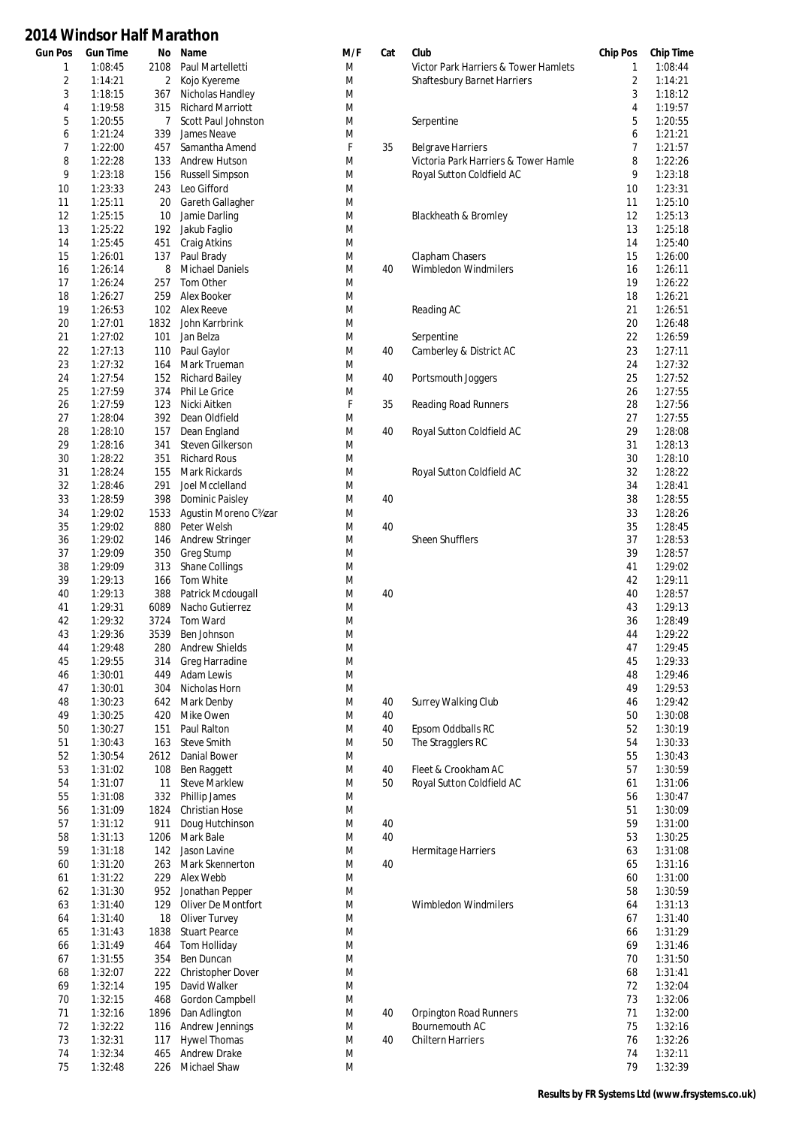| <b>Gun Pos</b> | <b>Gun Time</b>    |              | No Name                               | M/F    | Cat | Club                                 | <b>Chip Pos</b> | <b>Chip Time</b>   |
|----------------|--------------------|--------------|---------------------------------------|--------|-----|--------------------------------------|-----------------|--------------------|
| 1              | 1:08:45            | 2108         | Paul Martelletti                      | M      |     | Victor Park Harriers & Tower Hamlets | 1               | 1:08:44            |
| 2              | 1:14:21            | $\mathbf{2}$ | Kojo Kyereme                          | M      |     | Shaftesbury Barnet Harriers          | $\overline{2}$  | 1:14:21            |
| 3              | 1:18:15            | 367          | Nicholas Handley                      | M      |     |                                      | 3               | 1:18:12            |
| 4              | 1:19:58            | 315          | <b>Richard Marriott</b>               | M      |     |                                      | 4               | 1:19:57            |
| 5              | 1:20:55            | 7            | Scott Paul Johnston                   | M      |     | Serpentine                           | 5               | 1:20:55            |
| 6              | 1:21:24            | 339          | James Neave                           | M      |     |                                      | 6               | 1:21:21            |
| 7              | 1:22:00            | 457          | Samantha Amend                        | F      | 35  | <b>Belgrave Harriers</b>             | 7               | 1:21:57            |
| 8              | 1:22:28            | 133          | Andrew Hutson                         | M      |     | Victoria Park Harriers & Tower Hamle | 8               | 1:22:26            |
| 9              | 1:23:18            | 156          | <b>Russell Simpson</b>                | M      |     | Royal Sutton Coldfield AC            | 9               | 1:23:18            |
| 10             | 1:23:33            | 243          | Leo Gifford                           | M      |     |                                      | 10              | 1:23:31            |
| 11             | 1:25:11            | 20           | Gareth Gallagher                      | M      |     |                                      | 11              | 1:25:10            |
| 12             | 1:25:15            | 10           | Jamie Darling                         | M      |     | Blackheath & Bromley                 | 12              | 1:25:13            |
| 13             | 1:25:22            | 192          | Jakub Faglio                          | M      |     |                                      | 13              | 1:25:18            |
| 14             | 1:25:45            | 451          | Craig Atkins                          | M      |     |                                      | 14              | 1:25:40            |
| 15             | 1:26:01            | 137          | Paul Brady                            | M      |     | Clapham Chasers                      | 15              | 1:26:00            |
| 16             | 1:26:14            | 8            | <b>Michael Daniels</b>                | M      | 40  | Wimbledon Windmilers                 | 16              | 1:26:11            |
| 17             | 1:26:24            | 257          | Tom Other                             | M      |     |                                      | 19              | 1:26:22            |
| 18             | 1:26:27            | 259          | Alex Booker                           | M      |     |                                      | 18              | 1:26:21            |
| 19             | 1:26:53            | 102          | Alex Reeve                            | M      |     | Reading AC                           | 21              | 1:26:51            |
| 20             | 1:27:01            | 1832         | John Karrbrink                        | M      |     |                                      | 20              | 1:26:48            |
| 21             | 1:27:02            | 101          | Jan Belza                             | M      |     | Serpentine                           | 22              | 1:26:59            |
| 22             | 1:27:13            | 110          | Paul Gaylor                           | M      | 40  | Camberley & District AC              | 23              | 1:27:11            |
| 23             | 1:27:32            | 164          | Mark Trueman                          | M      |     |                                      | 24              | 1:27:32            |
| 24<br>25       | 1:27:54            | 152          | <b>Richard Bailey</b>                 | M      | 40  | Portsmouth Joggers                   | 25<br>26        | 1:27:52<br>1:27:55 |
|                | 1:27:59<br>1:27:59 | 374          | Phil Le Grice                         | M<br>F |     |                                      |                 | 1:27:56            |
| 26<br>27       | 1:28:04            | 123<br>392   | Nicki Aitken<br>Dean Oldfield         | M      | 35  | Reading Road Runners                 | 28<br>27        | 1:27:55            |
| 28             | 1:28:10            | 157          | Dean England                          | M      | 40  | Royal Sutton Coldfield AC            | 29              | 1:28:08            |
| 29             | 1:28:16            | 341          | Steven Gilkerson                      | M      |     |                                      | 31              | 1:28:13            |
| 30             | 1:28:22            | 351          | <b>Richard Rous</b>                   | M      |     |                                      | 30              | 1:28:10            |
| 31             | 1:28:24            | 155          | Mark Rickards                         | M      |     | Royal Sutton Coldfield AC            | 32              | 1:28:22            |
| 32             | 1:28:46            | 291          | Joel Mcclelland                       | M      |     |                                      | 34              | 1:28:41            |
| 33             | 1:28:59            | 398          | Dominic Paisley                       | M      | 40  |                                      | 38              | 1:28:55            |
| 34             | 1:29:02            | 1533         | Agustin Moreno C34zar                 | M      |     |                                      | 33              | 1:28:26            |
| 35             | 1:29:02            | 880          | Peter Welsh                           | M      | 40  |                                      | 35              | 1:28:45            |
| 36             | 1:29:02            | 146          | <b>Andrew Stringer</b>                | M      |     | <b>Sheen Shufflers</b>               | 37              | 1:28:53            |
| 37             | 1:29:09            | 350          | Greg Stump                            | M      |     |                                      | 39              | 1:28:57            |
| 38             | 1:29:09            | 313          | <b>Shane Collings</b>                 | M      |     |                                      | 41              | 1:29:02            |
| 39             | 1:29:13            | 166          | Tom White                             | M      |     |                                      | 42              | 1:29:11            |
| 40             | 1:29:13            | 388          | Patrick Mcdougall                     | M      | 40  |                                      | 40              | 1:28:57            |
| 41             | 1:29:31            | 6089         | Nacho Gutierrez                       | M      |     |                                      | 43              | 1:29:13            |
| 42             | 1:29:32            | 3724         | Tom Ward                              | M      |     |                                      | 36              | 1:28:49            |
| 43             | 1:29:36            | 3539         | Ben Johnson                           | M      |     |                                      | 44              | 1:29:22            |
| 44             | 1:29:48            | 280          | <b>Andrew Shields</b>                 | M      |     |                                      | 47              | 1:29:45            |
| 45             | 1:29:55            | 314          | Greg Harradine                        | M      |     |                                      | 45              | 1:29:33            |
| 46             | 1:30:01            | 449          | Adam Lewis                            | M      |     |                                      | 48              | 1:29:46            |
| 47             | 1:30:01            | 304          | Nicholas Horn                         | M      |     |                                      | 49              | 1:29:53            |
| 48             | 1:30:23            | 642          | Mark Denby                            | M      | 40  | Surrey Walking Club                  | 46              | 1:29:42            |
| 49             | 1:30:25            | 420          | Mike Owen                             | M      | 40  |                                      | 50              | 1:30:08            |
| 50             | 1:30:27            | 151          | Paul Ralton                           | M      | 40  | Epsom Oddballs RC                    | 52              | 1:30:19            |
| 51             | 1:30:43            | 163          | <b>Steve Smith</b>                    | M      | 50  | The Stragglers RC                    | 54              | 1:30:33            |
| 52             | 1:30:54            | 2612         | Danial Bower                          | M      |     |                                      | 55              | 1:30:43            |
| 53<br>54       | 1:31:02            | 108          | <b>Ben Raggett</b>                    | M      | 40  | Fleet & Crookham AC                  | 57              | 1:30:59            |
| 55             | 1:31:07<br>1:31:08 | 11<br>332    | <b>Steve Marklew</b><br>Phillip James | M<br>M | 50  | Royal Sutton Coldfield AC            | 61<br>56        | 1:31:06<br>1:30:47 |
| 56             | 1:31:09            | 1824         | Christian Hose                        | M      |     |                                      | 51              | 1:30:09            |
| 57             | 1:31:12            | 911          | Doug Hutchinson                       | M      | 40  |                                      | 59              | 1:31:00            |
| 58             | 1:31:13            | 1206         | Mark Bale                             | M      | 40  |                                      | 53              | 1:30:25            |
| 59             | 1:31:18            | 142          | Jason Lavine                          | M      |     | Hermitage Harriers                   | 63              | 1:31:08            |
| 60             | 1:31:20            | 263          | Mark Skennerton                       | M      | 40  |                                      | 65              | 1:31:16            |
| 61             | 1:31:22            | 229          | Alex Webb                             | M      |     |                                      | 60              | 1:31:00            |
| 62             | 1:31:30            | 952          | Jonathan Pepper                       | M      |     |                                      | 58              | 1:30:59            |
| 63             | 1:31:40            | 129          | Oliver De Montfort                    | M      |     | Wimbledon Windmilers                 | 64              | 1:31:13            |
| 64             | 1:31:40            | 18           | Oliver Turvey                         | M      |     |                                      | 67              | 1:31:40            |
| 65             | 1:31:43            | 1838         | <b>Stuart Pearce</b>                  | M      |     |                                      | 66              | 1:31:29            |
| 66             | 1:31:49            | 464          | Tom Holliday                          | M      |     |                                      | 69              | 1:31:46            |
| 67             | 1:31:55            | 354          | Ben Duncan                            | M      |     |                                      | 70              | 1:31:50            |
| 68             | 1:32:07            | 222          | <b>Christopher Dover</b>              | M      |     |                                      | 68              | 1:31:41            |
| 69             | 1:32:14            | 195          | David Walker                          | M      |     |                                      | 72              | 1:32:04            |
| 70             | 1:32:15            | 468          | Gordon Campbell                       | M      |     |                                      | 73              | 1:32:06            |
| 71             | 1:32:16            | 1896         | Dan Adlington                         | M      | 40  | <b>Orpington Road Runners</b>        | 71              | 1:32:00            |
| 72             | 1:32:22            | 116          | Andrew Jennings                       | M      |     | Bournemouth AC                       | 75              | 1:32:16            |
| 73             | 1:32:31            | 117          | <b>Hywel Thomas</b>                   | M      | 40  | <b>Chiltern Harriers</b>             | 76              | 1:32:26            |
| 74             | 1:32:34            | 465          | Andrew Drake                          | M      |     |                                      | 74              | 1:32:11            |
| 75             | 1:32:48            | 226          | Michael Shaw                          | M      |     |                                      | 79              | 1:32:39            |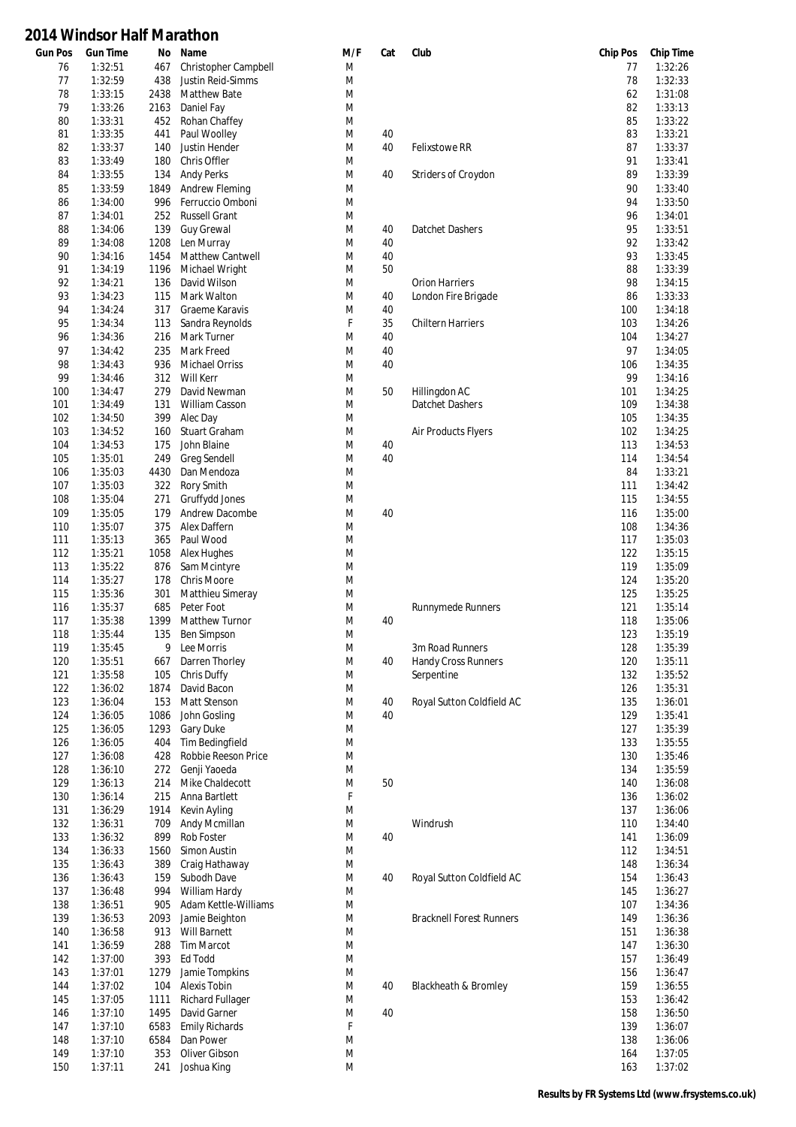| <b>Gun Pos</b> | <b>Gun Time</b>    | No           | Name                           | M/F    | Cat      | Club                            | <b>Chip Pos</b> | <b>Chip Time</b>   |
|----------------|--------------------|--------------|--------------------------------|--------|----------|---------------------------------|-----------------|--------------------|
| 76             | 1:32:51            | 467          | Christopher Campbell           | M      |          |                                 | 77              | 1:32:26            |
| 77             | 1:32:59            | 438          | Justin Reid-Simms              | M      |          |                                 | 78              | 1:32:33            |
| 78             | 1:33:15            | 2438         | Matthew Bate                   | M      |          |                                 | 62              | 1:31:08            |
| 79             | 1:33:26            | 2163         | Daniel Fay                     | M      |          |                                 | 82              | 1:33:13            |
| 80             | 1:33:31            | 452          | Rohan Chaffey                  | M      |          |                                 | 85              | 1:33:22            |
| 81             | 1:33:35            | 441          | Paul Woolley                   | M      | 40       |                                 | 83              | 1:33:21            |
| 82             | 1:33:37            | 140          | Justin Hender                  | M      | 40       | Felixstowe RR                   | 87              | 1:33:37            |
| 83             | 1:33:49            | 180          | Chris Offler                   | M      |          |                                 | 91              | 1:33:41            |
| 84             | 1:33:55            | 134          | <b>Andy Perks</b>              | M      | 40       | Striders of Croydon             | 89              | 1:33:39            |
| 85             | 1:33:59            | 1849         | Andrew Fleming                 | M      |          |                                 | 90              | 1:33:40            |
| 86             | 1:34:00            | 996          | Ferruccio Omboni               | M      |          |                                 | 94              | 1:33:50            |
| 87             | 1:34:01            | 252          | <b>Russell Grant</b>           | M      |          |                                 | 96              | 1:34:01            |
| 88<br>89       | 1:34:06            | 139          | <b>Guy Grewal</b>              | M<br>M | 40       | Datchet Dashers                 | 95<br>92        | 1:33:51            |
| 90             | 1:34:08<br>1:34:16 | 1208<br>1454 | Len Murray<br>Matthew Cantwell | M      | 40<br>40 |                                 | 93              | 1:33:42<br>1:33:45 |
| 91             | 1:34:19            | 1196         | Michael Wright                 | M      | 50       |                                 | 88              | 1:33:39            |
| 92             | 1:34:21            | 136          | David Wilson                   | M      |          | Orion Harriers                  | 98              | 1:34:15            |
| 93             | 1:34:23            | 115          | Mark Walton                    | M      | 40       | London Fire Brigade             | 86              | 1:33:33            |
| 94             | 1:34:24            | 317          | Graeme Karavis                 | M      | 40       |                                 | 100             | 1:34:18            |
| 95             | 1:34:34            | 113          | Sandra Reynolds                | F      | 35       | <b>Chiltern Harriers</b>        | 103             | 1:34:26            |
| 96             | 1:34:36            | 216          | Mark Turner                    | M      | 40       |                                 | 104             | 1:34:27            |
| 97             | 1:34:42            | 235          | Mark Freed                     | M      | 40       |                                 | 97              | 1:34:05            |
| 98             | 1:34:43            | 936          | <b>Michael Orriss</b>          | M      | 40       |                                 | 106             | 1:34:35            |
| 99             | 1:34:46            | 312          | Will Kerr                      | M      |          |                                 | 99              | 1:34:16            |
| 100            | 1:34:47            | 279          | David Newman                   | M      | 50       | Hillingdon AC                   | 101             | 1:34:25            |
| 101            | 1:34:49            | 131          | William Casson                 | M      |          | Datchet Dashers                 | 109             | 1:34:38            |
| 102            | 1:34:50            | 399          | Alec Day                       | M      |          |                                 | 105             | 1:34:35            |
| 103            | 1:34:52            | 160          | Stuart Graham                  | M      |          | Air Products Flyers             | 102             | 1:34:25            |
| 104            | 1:34:53            | 175          | John Blaine                    | M      | 40       |                                 | 113             | 1:34:53            |
| 105            | 1:35:01            | 249          | Greg Sendell                   | M      | 40       |                                 | 114             | 1:34:54            |
| 106            | 1:35:03            | 4430         | Dan Mendoza                    | M      |          |                                 | 84              | 1:33:21            |
| 107            | 1:35:03            | 322          | Rory Smith                     | M      |          |                                 | 111             | 1:34:42            |
| 108            | 1:35:04            | 271          | Gruffydd Jones                 | M      |          |                                 | 115             | 1:34:55            |
| 109            | 1:35:05            | 179          | Andrew Dacombe                 | M      | 40       |                                 | 116             | 1:35:00            |
| 110            | 1:35:07            | 375          | Alex Daffern                   | M      |          |                                 | 108             | 1:34:36            |
| 111<br>112     | 1:35:13<br>1:35:21 | 365<br>1058  | Paul Wood<br>Alex Hughes       | M<br>M |          |                                 | 117<br>122      | 1:35:03<br>1:35:15 |
| 113            | 1:35:22            | 876          | Sam Mcintyre                   | M      |          |                                 | 119             | 1:35:09            |
| 114            | 1:35:27            | 178          | <b>Chris Moore</b>             | M      |          |                                 | 124             | 1:35:20            |
| 115            | 1:35:36            | 301          | Matthieu Simeray               | M      |          |                                 | 125             | 1:35:25            |
| 116            | 1:35:37            | 685          | Peter Foot                     | M      |          | Runnymede Runners               | 121             | 1:35:14            |
| 117            | 1:35:38            | 1399         | <b>Matthew Turnor</b>          | M      | 40       |                                 | 118             | 1:35:06            |
| 118            | 1:35:44            | 135          | <b>Ben Simpson</b>             | M      |          |                                 | 123             | 1:35:19            |
| 119            | 1:35:45            | 9            | Lee Morris                     | M      |          | 3m Road Runners                 | 128             | 1:35:39            |
| 120            | 1:35:51            | 667          | Darren Thorley                 | M      | 40       | <b>Handy Cross Runners</b>      | 120             | 1:35:11            |
| 121            | 1:35:58            | 105          | Chris Duffy                    | M      |          | Serpentine                      | 132             | 1:35:52            |
| 122            | 1:36:02            | 1874         | David Bacon                    | M      |          |                                 | 126             | 1:35:31            |
| 123            | 1:36:04            | 153          | Matt Stenson                   | M      | 40       | Royal Sutton Coldfield AC       | 135             | 1:36:01            |
| 124            | 1:36:05            | 1086         | John Gosling                   | M      | 40       |                                 | 129             | 1:35:41            |
| 125            | 1:36:05            | 1293         | <b>Gary Duke</b>               | M      |          |                                 | 127             | 1:35:39            |
| 126            | 1:36:05            | 404          | <b>Tim Bedingfield</b>         | M      |          |                                 | 133             | 1:35:55            |
| 127            | 1:36:08            | 428          | Robbie Reeson Price            | M      |          |                                 | 130             | 1:35:46            |
| 128            | 1:36:10            | 272          | Genji Yaoeda                   | M      |          |                                 | 134             | 1:35:59            |
| 129            | 1:36:13            | 214          | Mike Chaldecott                | M      | 50       |                                 | 140             | 1:36:08            |
| 130            | 1:36:14            | 215          | Anna Bartlett                  | F      |          |                                 | 136             | 1:36:02            |
| 131            | 1:36:29            | 1914         | Kevin Ayling                   | M      |          |                                 | 137             | 1:36:06            |
| 132            | 1:36:31            | 709          | Andy Mcmillan                  | M      |          | Windrush                        | 110             | 1:34:40            |
| 133            | 1:36:32            | 899          | Rob Foster                     | M      | 40       |                                 | 141             | 1:36:09            |
| 134            | 1:36:33            | 1560         | Simon Austin                   | M      |          |                                 | 112             | 1:34:51            |
| 135<br>136     | 1:36:43<br>1:36:43 | 389<br>159   | Craig Hathaway<br>Subodh Dave  | M<br>M | 40       | Royal Sutton Coldfield AC       | 148<br>154      | 1:36:34<br>1:36:43 |
| 137            | 1:36:48            | 994          | William Hardy                  | M      |          |                                 | 145             | 1:36:27            |
| 138            | 1:36:51            | 905          | Adam Kettle-Williams           | M      |          |                                 | 107             | 1:34:36            |
| 139            | 1:36:53            | 2093         | Jamie Beighton                 | M      |          | <b>Bracknell Forest Runners</b> | 149             | 1:36:36            |
| 140            | 1:36:58            | 913          | Will Barnett                   | M      |          |                                 | 151             | 1:36:38            |
| 141            | 1:36:59            | 288          | <b>Tim Marcot</b>              | M      |          |                                 | 147             | 1:36:30            |
| 142            | 1:37:00            | 393          | Ed Todd                        | M      |          |                                 | 157             | 1:36:49            |
| 143            | 1:37:01            | 1279         | Jamie Tompkins                 | M      |          |                                 | 156             | 1:36:47            |
| 144            | 1:37:02            | 104          | <b>Alexis Tobin</b>            | M      | 40       | Blackheath & Bromley            | 159             | 1:36:55            |
| 145            | 1:37:05            | 1111         | <b>Richard Fullager</b>        | M      |          |                                 | 153             | 1:36:42            |
| 146            | 1:37:10            | 1495         | David Garner                   | M      | 40       |                                 | 158             | 1:36:50            |
| 147            | 1:37:10            | 6583         | <b>Emily Richards</b>          | F      |          |                                 | 139             | 1:36:07            |
| 148            | 1:37:10            | 6584         | Dan Power                      | M      |          |                                 | 138             | 1:36:06            |
| 149            | 1:37:10            | 353          | Oliver Gibson                  | M      |          |                                 | 164             | 1:37:05            |
| 150            | 1:37:11            | 241          | Joshua King                    | M      |          |                                 | 163             | 1:37:02            |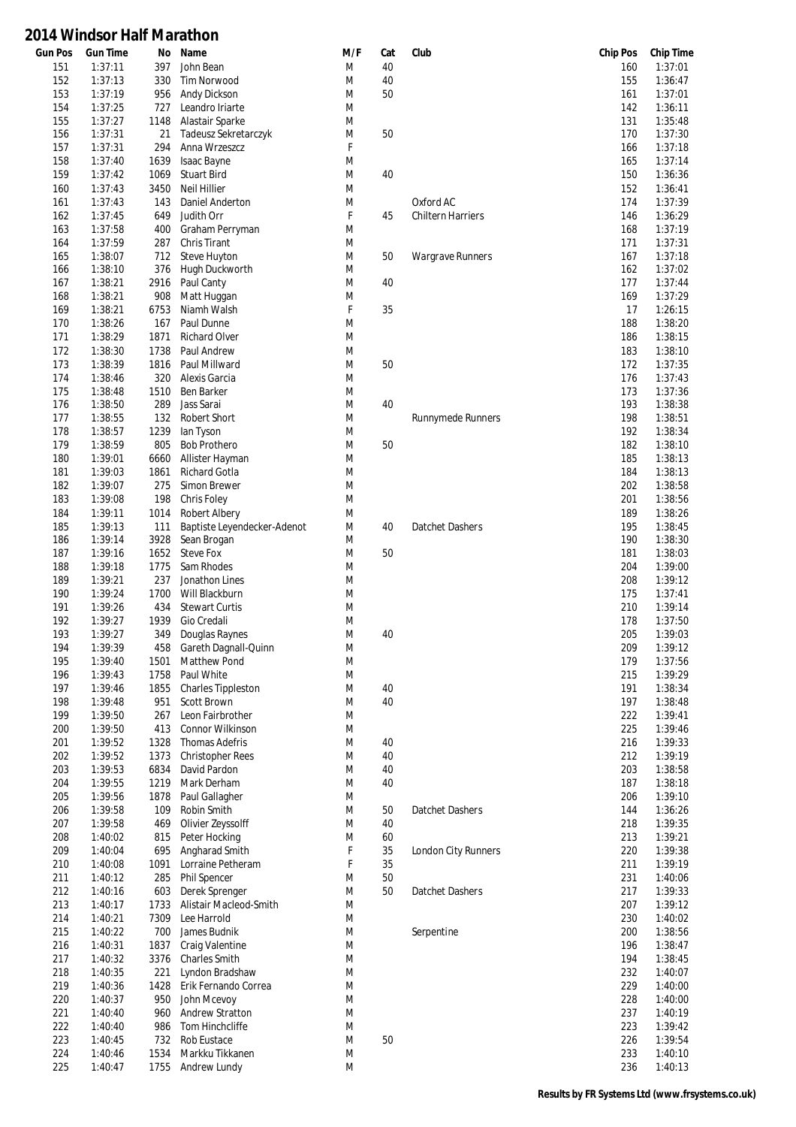| Gun Pos | <b>Gun Time</b> | No   | Name                        | M/F | Cat | Club                     | <b>Chip Pos</b> | <b>Chip Time</b> |
|---------|-----------------|------|-----------------------------|-----|-----|--------------------------|-----------------|------------------|
| 151     | 1:37:11         | 397  | John Bean                   | M   | 40  |                          | 160             | 1:37:01          |
| 152     | 1:37:13         | 330  | <b>Tim Norwood</b>          | M   | 40  |                          | 155             | 1:36:47          |
| 153     | 1:37:19         | 956  | Andy Dickson                | M   | 50  |                          | 161             | 1:37:01          |
| 154     | 1:37:25         | 727  | Leandro Iriarte             | M   |     |                          | 142             | 1:36:11          |
| 155     | 1:37:27         | 1148 | Alastair Sparke             | M   |     |                          | 131             | 1:35:48          |
| 156     | 1:37:31         | 21   | Tadeusz Sekretarczyk        | M   | 50  |                          | 170             | 1:37:30          |
| 157     | 1:37:31         | 294  | Anna Wrzeszcz               | F   |     |                          | 166             | 1:37:18          |
| 158     | 1:37:40         | 1639 | Isaac Bayne                 | M   |     |                          | 165             | 1:37:14          |
| 159     | 1:37:42         | 1069 | <b>Stuart Bird</b>          | M   | 40  |                          | 150             | 1:36:36          |
| 160     | 1:37:43         | 3450 | <b>Neil Hillier</b>         | M   |     |                          | 152             | 1:36:41          |
| 161     | 1:37:43         | 143  | Daniel Anderton             | M   |     | Oxford AC                | 174             | 1:37:39          |
| 162     | 1:37:45         | 649  | Judith Orr                  | F   | 45  | <b>Chiltern Harriers</b> | 146             | 1:36:29          |
| 163     | 1:37:58         | 400  | Graham Perryman             | M   |     |                          | 168             | 1:37:19          |
| 164     | 1:37:59         | 287  | Chris Tirant                | M   |     |                          | 171             | 1:37:31          |
| 165     | 1:38:07         | 712  | Steve Huyton                | M   | 50  | Wargrave Runners         | 167             | 1:37:18          |
| 166     | 1:38:10         | 376  | Hugh Duckworth              | M   |     |                          | 162             | 1:37:02          |
| 167     | 1:38:21         | 2916 | Paul Canty                  | M   | 40  |                          | 177             | 1:37:44          |
|         |                 |      |                             | M   |     |                          | 169             | 1:37:29          |
| 168     | 1:38:21         | 908  | Matt Huggan                 |     |     |                          |                 |                  |
| 169     | 1:38:21         | 6753 | Niamh Walsh                 | F   | 35  |                          | 17              | 1:26:15          |
| 170     | 1:38:26         | 167  | Paul Dunne                  | M   |     |                          | 188             | 1:38:20          |
| 171     | 1:38:29         | 1871 | <b>Richard Olver</b>        | M   |     |                          | 186             | 1:38:15          |
| 172     | 1:38:30         | 1738 | Paul Andrew                 | M   |     |                          | 183             | 1:38:10          |
| 173     | 1:38:39         | 1816 | Paul Millward               | M   | 50  |                          | 172             | 1:37:35          |
| 174     | 1:38:46         | 320  | Alexis Garcia               | M   |     |                          | 176             | 1:37:43          |
| 175     | 1:38:48         | 1510 | Ben Barker                  | M   |     |                          | 173             | 1:37:36          |
| 176     | 1:38:50         | 289  | Jass Sarai                  | M   | 40  |                          | 193             | 1:38:38          |
| 177     | 1:38:55         | 132  | <b>Robert Short</b>         | M   |     | <b>Runnymede Runners</b> | 198             | 1:38:51          |
| 178     | 1:38:57         | 1239 | lan Tyson                   | M   |     |                          | 192             | 1:38:34          |
| 179     | 1:38:59         | 805  | <b>Bob Prothero</b>         | M   | 50  |                          | 182             | 1:38:10          |
| 180     | 1:39:01         | 6660 | Allister Hayman             | M   |     |                          | 185             | 1:38:13          |
| 181     | 1:39:03         | 1861 | <b>Richard Gotla</b>        | M   |     |                          | 184             | 1:38:13          |
| 182     | 1:39:07         | 275  | Simon Brewer                | M   |     |                          | 202             | 1:38:58          |
| 183     | 1:39:08         | 198  | Chris Foley                 | M   |     |                          | 201             | 1:38:56          |
| 184     | 1:39:11         | 1014 | <b>Robert Albery</b>        | M   |     |                          | 189             | 1:38:26          |
| 185     | 1:39:13         | 111  | Baptiste Leyendecker-Adenot | M   | 40  | Datchet Dashers          | 195             | 1:38:45          |
| 186     | 1:39:14         | 3928 | Sean Brogan                 | M   |     |                          | 190             | 1:38:30          |
| 187     | 1:39:16         | 1652 | <b>Steve Fox</b>            | M   | 50  |                          | 181             | 1:38:03          |
| 188     | 1:39:18         | 1775 | Sam Rhodes                  | M   |     |                          | 204             | 1:39:00          |
| 189     | 1:39:21         | 237  | Jonathon Lines              | M   |     |                          | 208             | 1:39:12          |
| 190     | 1:39:24         | 1700 | Will Blackburn              | M   |     |                          | 175             | 1:37:41          |
| 191     | 1:39:26         | 434  | <b>Stewart Curtis</b>       | M   |     |                          | 210             | 1:39:14          |
| 192     | 1:39:27         | 1939 | Gio Credali                 | M   |     |                          | 178             | 1:37:50          |
| 193     | 1:39:27         | 349  | Douglas Raynes              | M   | 40  |                          | 205             | 1:39:03          |
| 194     |                 | 458  |                             | M   |     |                          | 209             | 1:39:12          |
|         | 1:39:39         |      | Gareth Dagnall-Quinn        |     |     |                          |                 |                  |
| 195     | 1:39:40         | 1501 | Matthew Pond                | M   |     |                          | 179             | 1:37:56          |
| 196     | 1:39:43         | 1758 | Paul White                  | M   |     |                          | 215             | 1:39:29          |
| 197     | 1:39:46         | 1855 | <b>Charles Tippleston</b>   | M   | 40  |                          | 191             | 1:38:34          |
| 198     | 1:39:48         | 951  | Scott Brown                 | M   | 40  |                          | 197             | 1:38:48          |
| 199     | 1:39:50         | 267  | Leon Fairbrother            | M   |     |                          | 222             | 1:39:41          |
| 200     | 1:39:50         | 413  | Connor Wilkinson            | M   |     |                          | 225             | 1:39:46          |
| 201     | 1:39:52         | 1328 | <b>Thomas Adefris</b>       | M   | 40  |                          | 216             | 1:39:33          |
| 202     | 1:39:52         | 1373 | <b>Christopher Rees</b>     | M   | 40  |                          | 212             | 1:39:19          |
| 203     | 1:39:53         | 6834 | David Pardon                | M   | 40  |                          | 203             | 1:38:58          |
| 204     | 1:39:55         | 1219 | Mark Derham                 | M   | 40  |                          | 187             | 1:38:18          |
| 205     | 1:39:56         | 1878 | Paul Gallagher              | M   |     |                          | 206             | 1:39:10          |
| 206     | 1:39:58         | 109  | Robin Smith                 | M   | 50  | Datchet Dashers          | 144             | 1:36:26          |
| 207     | 1:39:58         | 469  | Olivier Zeyssolff           | M   | 40  |                          | 218             | 1:39:35          |
| 208     | 1:40:02         | 815  | Peter Hocking               | M   | 60  |                          | 213             | 1:39:21          |
| 209     | 1:40:04         | 695  | Angharad Smith              | F   | 35  | London City Runners      | 220             | 1:39:38          |
| 210     | 1:40:08         | 1091 | Lorraine Petheram           | F   | 35  |                          | 211             | 1:39:19          |
| 211     | 1:40:12         | 285  | <b>Phil Spencer</b>         | M   | 50  |                          | 231             | 1:40:06          |
| 212     | 1:40:16         | 603  | Derek Sprenger              | M   | 50  | Datchet Dashers          | 217             | 1:39:33          |
| 213     | 1:40:17         | 1733 | Alistair Macleod-Smith      | M   |     |                          | 207             | 1:39:12          |
| 214     | 1:40:21         | 7309 | Lee Harrold                 | M   |     |                          | 230             | 1:40:02          |
| 215     | 1:40:22         | 700  | James Budnik                | M   |     | Serpentine               | 200             | 1:38:56          |
| 216     | 1:40:31         | 1837 | Craig Valentine             | M   |     |                          | 196             | 1:38:47          |
|         |                 |      |                             |     |     |                          |                 |                  |
| 217     | 1:40:32         | 3376 | <b>Charles Smith</b>        | M   |     |                          | 194             | 1:38:45          |
| 218     | 1:40:35         | 221  | Lyndon Bradshaw             | M   |     |                          | 232             | 1:40:07          |
| 219     | 1:40:36         | 1428 | Erik Fernando Correa        | M   |     |                          | 229             | 1:40:00          |
| 220     | 1:40:37         | 950  | John Mcevoy                 | M   |     |                          | 228             | 1:40:00          |
| 221     | 1:40:40         | 960  | <b>Andrew Stratton</b>      | M   |     |                          | 237             | 1:40:19          |
| 222     | 1:40:40         | 986  | Tom Hinchcliffe             | M   |     |                          | 223             | 1:39:42          |
| 223     | 1:40:45         | 732  | Rob Eustace                 | M   | 50  |                          | 226             | 1:39:54          |
| 224     | 1:40:46         | 1534 | Markku Tikkanen             | M   |     |                          | 233             | 1:40:10          |
| 225     | 1:40:47         |      | 1755 Andrew Lundy           | M   |     |                          | 236             | 1:40:13          |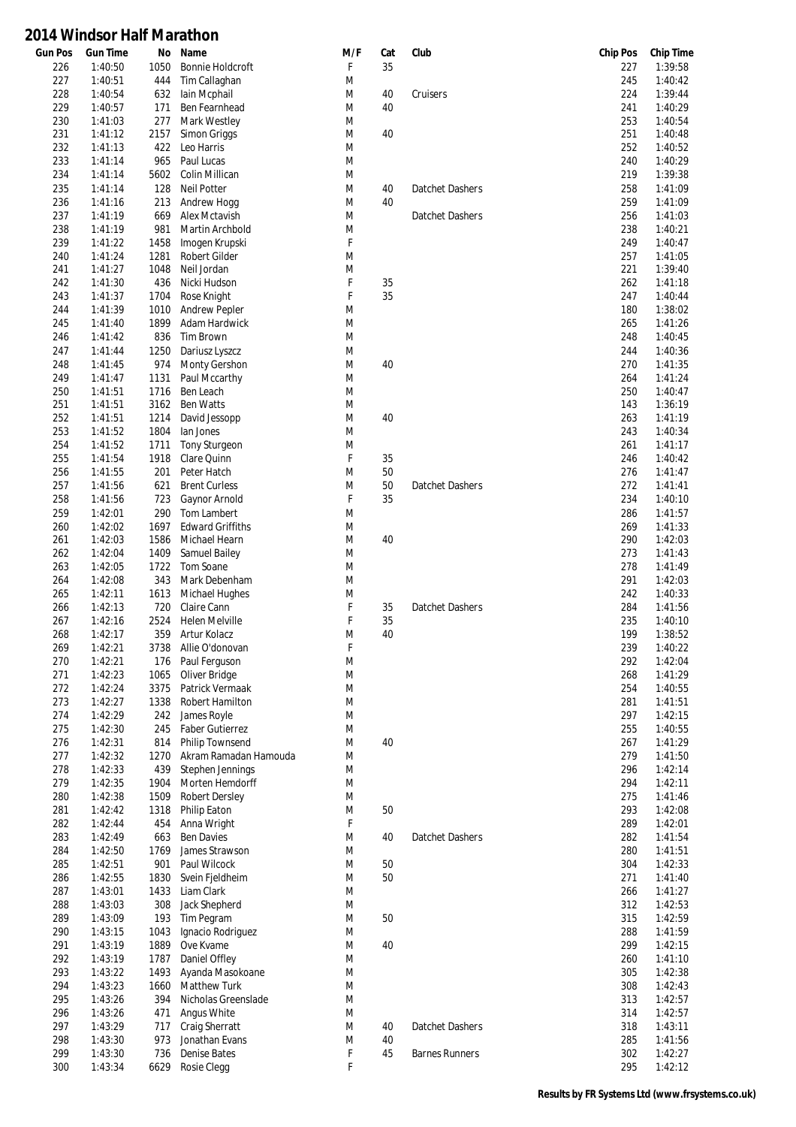| <b>Gun Pos</b> | <b>Gun Time</b> | No   | Name                               | M/F | Cat | Club                  | <b>Chip Pos</b> | <b>Chip Time</b> |
|----------------|-----------------|------|------------------------------------|-----|-----|-----------------------|-----------------|------------------|
| 226            | 1:40:50         | 1050 | <b>Bonnie Holdcroft</b>            | F   | 35  |                       | 227             | 1:39:58          |
| 227            | 1:40:51         | 444  | Tim Callaghan                      | M   |     |                       | 245             | 1:40:42          |
| 228            | 1:40:54         | 632  | lain Mcphail                       | M   | 40  | Cruisers              | 224             | 1:39:44          |
| 229            | 1:40:57         | 171  | Ben Fearnhead                      | M   | 40  |                       | 241             | 1:40:29          |
| 230            | 1:41:03         | 277  | Mark Westley                       | M   |     |                       | 253             | 1:40:54          |
| 231            | 1:41:12         | 2157 | Simon Griggs                       | M   | 40  |                       | 251             | 1:40:48          |
| 232            | 1:41:13         | 422  | Leo Harris                         | M   |     |                       | 252             | 1:40:52          |
| 233            | 1:41:14         | 965  | Paul Lucas                         | M   |     |                       | 240             | 1:40:29          |
| 234            | 1:41:14         | 5602 | Colin Millican                     | M   |     |                       | 219             | 1:39:38          |
| 235            | 1:41:14         | 128  | <b>Neil Potter</b>                 | M   | 40  | Datchet Dashers       | 258             | 1:41:09          |
| 236            | 1:41:16         | 213  | Andrew Hogg                        | M   | 40  |                       | 259             | 1:41:09          |
| 237            | 1:41:19         | 669  | <b>Alex Mctavish</b>               | M   |     | Datchet Dashers       | 256             | 1:41:03          |
| 238            | 1:41:19         | 981  | Martin Archbold                    | M   |     |                       | 238             | 1:40:21          |
| 239            | 1:41:22         | 1458 | Imogen Krupski                     | F   |     |                       | 249             | 1:40:47          |
| 240            | 1:41:24         | 1281 | <b>Robert Gilder</b>               | M   |     |                       | 257             | 1:41:05          |
| 241            | 1:41:27         | 1048 | Neil Jordan                        | M   |     |                       | 221             | 1:39:40          |
| 242            | 1:41:30         | 436  | Nicki Hudson                       | F   | 35  |                       | 262             | 1:41:18          |
| 243            | 1:41:37         | 1704 | Rose Knight                        | F   | 35  |                       | 247             | 1:40:44          |
| 244            | 1:41:39         | 1010 | <b>Andrew Pepler</b>               | M   |     |                       | 180             | 1:38:02          |
| 245            | 1:41:40         | 1899 | Adam Hardwick                      | M   |     |                       | 265             | 1:41:26          |
| 246            | 1:41:42         | 836  | <b>Tim Brown</b>                   | M   |     |                       | 248             | 1:40:45          |
| 247            | 1:41:44         | 1250 | Dariusz Lyszcz                     | M   |     |                       | 244             | 1:40:36          |
| 248            | 1:41:45         | 974  | <b>Monty Gershon</b>               | M   | 40  |                       | 270             | 1:41:35          |
| 249            | 1:41:47         | 1131 | Paul Mccarthy                      | M   |     |                       | 264             | 1:41:24          |
| 250            | 1:41:51         | 1716 | Ben Leach                          | M   |     |                       | 250             | 1:40:47          |
| 251            | 1:41:51         | 3162 | <b>Ben Watts</b>                   | M   |     |                       | 143             | 1:36:19          |
| 252            | 1:41:51         | 1214 | David Jessopp                      | M   | 40  |                       | 263             | 1:41:19          |
| 253            | 1:41:52         | 1804 | lan Jones                          | M   |     |                       | 243             | 1:40:34          |
| 254            | 1:41:52         | 1711 | Tony Sturgeon                      | M   |     |                       | 261             | 1:41:17          |
| 255            | 1:41:54         | 1918 | Clare Quinn                        | F   | 35  |                       | 246             | 1:40:42          |
| 256            | 1:41:55         | 201  | Peter Hatch                        | M   | 50  |                       | 276             | 1:41:47          |
| 257            | 1:41:56         | 621  | <b>Brent Curless</b>               | M   | 50  | Datchet Dashers       | 272             | 1:41:41          |
| 258            | 1:41:56         | 723  | Gaynor Arnold                      | F   | 35  |                       | 234             | 1:40:10          |
| 259            | 1:42:01         | 290  | Tom Lambert                        | M   |     |                       | 286             | 1:41:57          |
| 260            | 1:42:02         | 1697 | <b>Edward Griffiths</b>            | M   |     |                       | 269             | 1:41:33          |
| 261            | 1:42:03         | 1586 | Michael Hearn                      | M   | 40  |                       | 290             | 1:42:03          |
| 262            | 1:42:04         | 1409 | Samuel Bailey                      | M   |     |                       | 273             | 1:41:43          |
| 263            | 1:42:05         | 1722 | Tom Soane                          | M   |     |                       | 278             | 1:41:49          |
| 264            | 1:42:08         | 343  | Mark Debenham                      | M   |     |                       | 291             | 1:42:03          |
| 265            | 1:42:11         | 1613 | Michael Hughes                     | M   |     |                       | 242             | 1:40:33          |
| 266            | 1:42:13         | 720  | Claire Cann                        | F   | 35  | Datchet Dashers       | 284             | 1:41:56          |
| 267            | 1:42:16         | 2524 | <b>Helen Melville</b>              | F   | 35  |                       | 235             | 1:40:10          |
| 268            | 1:42:17         | 359  | Artur Kolacz                       | M   | 40  |                       | 199             | 1:38:52          |
| 269            | 1:42:21         | 3738 | Allie O'donovan                    | F   |     |                       | 239             | 1:40:22          |
| 270            |                 |      |                                    | M   |     |                       |                 | 1:42:04          |
|                | 1:42:21         | 176  | Paul Ferguson                      |     |     |                       | 292             |                  |
| 271            | 1:42:23         | 1065 | Oliver Bridge                      | M   |     |                       | 268             | 1:41:29          |
| 272            | 1:42:24         | 3375 | Patrick Vermaak<br>Robert Hamilton | M   |     |                       | 254             | 1:40:55          |
| 273            | 1:42:27         | 1338 |                                    | M   |     |                       | 281             | 1:41:51          |
| 274            | 1:42:29         | 242  | James Royle                        | M   |     |                       | 297             | 1:42:15          |
| 275            | 1:42:30         | 245  | <b>Faber Gutierrez</b>             | M   |     |                       | 255             | 1:40:55          |
| 276            | 1:42:31         | 814  | <b>Philip Townsend</b>             | M   | 40  |                       | 267             | 1:41:29          |
| 277            | 1:42:32         | 1270 | Akram Ramadan Hamouda              | M   |     |                       | 279             | 1:41:50          |
| 278            | 1:42:33         | 439  | Stephen Jennings                   | M   |     |                       | 296             | 1:42:14          |
| 279            | 1:42:35         | 1904 | Morten Hemdorff                    | M   |     |                       | 294             | 1:42:11          |
| 280            | 1:42:38         | 1509 | <b>Robert Dersley</b>              | M   |     |                       | 275             | 1:41:46          |
| 281            | 1:42:42         | 1318 | Philip Eaton                       | M   | 50  |                       | 293             | 1:42:08          |
| 282            | 1:42:44         | 454  | Anna Wright                        | F   |     |                       | 289             | 1:42:01          |
| 283            | 1:42:49         | 663  | <b>Ben Davies</b>                  | M   | 40  | Datchet Dashers       | 282             | 1:41:54          |
| 284            | 1:42:50         | 1769 | James Strawson                     | M   |     |                       | 280             | 1:41:51          |
| 285            | 1:42:51         | 901  | Paul Wilcock                       | M   | 50  |                       | 304             | 1:42:33          |
| 286            | 1:42:55         | 1830 | Svein Fjeldheim                    | M   | 50  |                       | 271             | 1:41:40          |
| 287            | 1:43:01         | 1433 | Liam Clark                         | M   |     |                       | 266             | 1:41:27          |
| 288            | 1:43:03         | 308  | Jack Shepherd                      | M   |     |                       | 312             | 1:42:53          |
| 289            | 1:43:09         | 193  | Tim Pegram                         | M   | 50  |                       | 315             | 1:42:59          |
| 290            | 1:43:15         | 1043 | Ignacio Rodriguez                  | M   |     |                       | 288             | 1:41:59          |
| 291            | 1:43:19         | 1889 | Ove Kvame                          | M   | 40  |                       | 299             | 1:42:15          |
| 292            | 1:43:19         | 1787 | Daniel Offley                      | M   |     |                       | 260             | 1:41:10          |
| 293            | 1:43:22         | 1493 | Ayanda Masokoane                   | M   |     |                       | 305             | 1:42:38          |
| 294            | 1:43:23         | 1660 | Matthew Turk                       | M   |     |                       | 308             | 1:42:43          |
| 295            | 1:43:26         | 394  | Nicholas Greenslade                | M   |     |                       | 313             | 1:42:57          |
| 296            | 1:43:26         | 471  | Angus White                        | M   |     |                       | 314             | 1:42:57          |
| 297            | 1:43:29         | 717  | Craig Sherratt                     | M   | 40  | Datchet Dashers       | 318             | 1:43:11          |
| 298            | 1:43:30         | 973  | Jonathan Evans                     | M   | 40  |                       | 285             | 1:41:56          |
| 299            | 1:43:30         | 736  | Denise Bates                       | F   | 45  | <b>Barnes Runners</b> | 302             | 1:42:27          |
| 300            | 1:43:34         | 6629 | Rosie Clegg                        | F   |     |                       | 295             | 1:42:12          |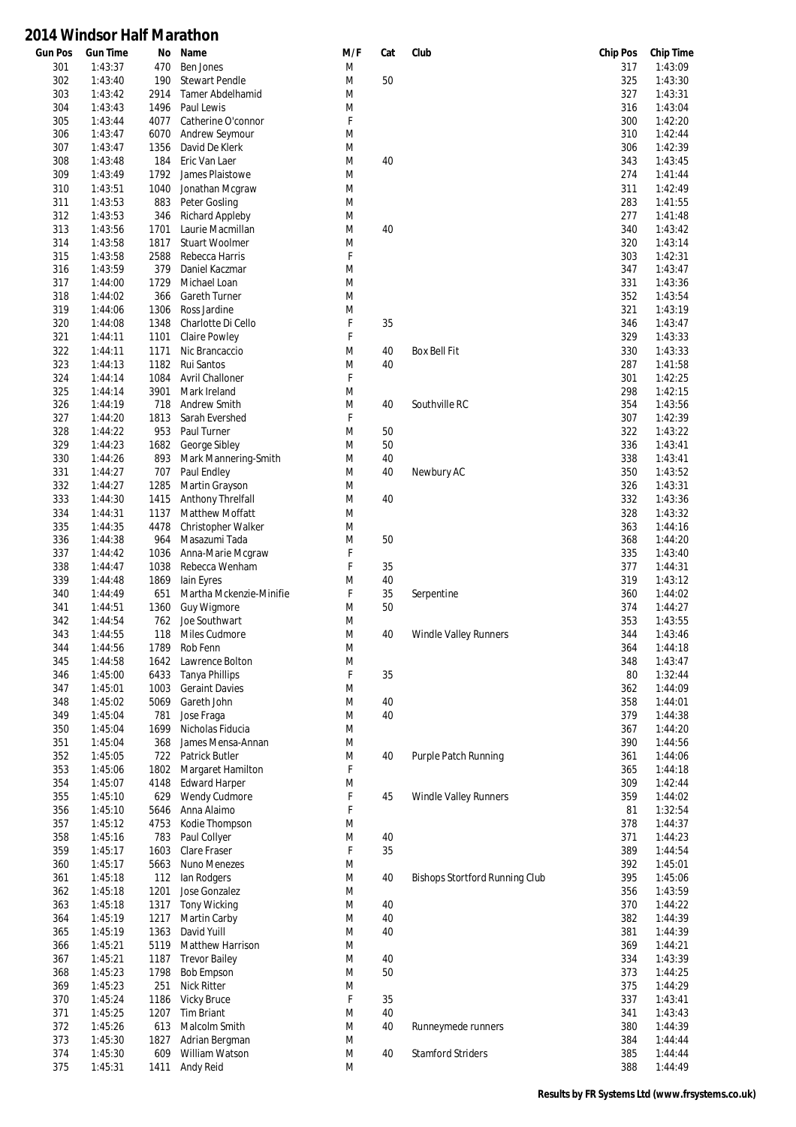| Gun Pos | <b>Gun Time</b> | No   | Name                    | M/F    | Cat | Club                           | <b>Chip Pos</b> | <b>Chip Time</b> |
|---------|-----------------|------|-------------------------|--------|-----|--------------------------------|-----------------|------------------|
| 301     | 1:43:37         | 470  | <b>Ben Jones</b>        | M      |     |                                | 317             | 1:43:09          |
| 302     | 1:43:40         | 190  | <b>Stewart Pendle</b>   | M      | 50  |                                | 325             | 1:43:30          |
| 303     | 1:43:42         | 2914 | <b>Tamer Abdelhamid</b> | M      |     |                                | 327             | 1:43:31          |
| 304     | 1:43:43         | 1496 | Paul Lewis              | M      |     |                                | 316             | 1:43:04          |
| 305     | 1:43:44         | 4077 | Catherine O'connor      | F      |     |                                | 300             | 1:42:20          |
| 306     | 1:43:47         | 6070 | Andrew Seymour          | M      |     |                                | 310             | 1:42:44          |
| 307     | 1:43:47         | 1356 | David De Klerk          | M      |     |                                | 306             | 1:42:39          |
| 308     | 1:43:48         | 184  | Eric Van Laer           | M      | 40  |                                | 343             | 1:43:45          |
| 309     | 1:43:49         | 1792 | James Plaistowe         | M      |     |                                | 274             | 1:41:44          |
| 310     | 1:43:51         | 1040 | Jonathan Mcgraw         | M      |     |                                | 311             | 1:42:49          |
| 311     | 1:43:53         | 883  | Peter Gosling           | M      |     |                                | 283             | 1:41:55          |
| 312     | 1:43:53         | 346  | <b>Richard Appleby</b>  | M      |     |                                | 277             | 1:41:48          |
| 313     | 1:43:56         | 1701 | Laurie Macmillan        | M      | 40  |                                | 340             | 1:43:42          |
| 314     | 1:43:58         | 1817 | <b>Stuart Woolmer</b>   | M      |     |                                | 320             | 1:43:14          |
| 315     | 1:43:58         | 2588 | Rebecca Harris          | F      |     |                                | 303             | 1:42:31          |
| 316     | 1:43:59         | 379  | Daniel Kaczmar          | M      |     |                                | 347             | 1:43:47          |
| 317     | 1:44:00         | 1729 | Michael Loan            | M      |     |                                | 331             | 1:43:36          |
| 318     | 1:44:02         | 366  | <b>Gareth Turner</b>    | M      |     |                                | 352             | 1:43:54          |
| 319     |                 |      | Ross Jardine            | M      |     |                                | 321             | 1:43:19          |
|         | 1:44:06         | 1306 |                         |        |     |                                |                 |                  |
| 320     | 1:44:08         | 1348 | Charlotte Di Cello      | F<br>F | 35  |                                | 346             | 1:43:47          |
| 321     | 1:44:11         | 1101 | Claire Powley           |        |     |                                | 329             | 1:43:33          |
| 322     | 1:44:11         | 1171 | Nic Brancaccio          | M      | 40  | <b>Box Bell Fit</b>            | 330             | 1:43:33          |
| 323     | 1:44:13         | 1182 | Rui Santos              | M      | 40  |                                | 287             | 1:41:58          |
| 324     | 1:44:14         | 1084 | <b>Avril Challoner</b>  | F      |     |                                | 301             | 1:42:25          |
| 325     | 1:44:14         | 3901 | Mark Ireland            | M      |     |                                | 298             | 1:42:15          |
| 326     | 1:44:19         | 718  | Andrew Smith            | M      | 40  | Southville RC                  | 354             | 1:43:56          |
| 327     | 1:44:20         | 1813 | Sarah Evershed          | F      |     |                                | 307             | 1:42:39          |
| 328     | 1:44:22         | 953  | Paul Turner             | M      | 50  |                                | 322             | 1:43:22          |
| 329     | 1:44:23         | 1682 | George Sibley           | M      | 50  |                                | 336             | 1:43:41          |
| 330     | 1:44:26         | 893  | Mark Mannering-Smith    | M      | 40  |                                | 338             | 1:43:41          |
| 331     | 1:44:27         | 707  | Paul Endley             | M      | 40  | Newbury AC                     | 350             | 1:43:52          |
| 332     | 1:44:27         | 1285 | Martin Grayson          | M      |     |                                | 326             | 1:43:31          |
| 333     | 1:44:30         | 1415 | Anthony Threlfall       | M      | 40  |                                | 332             | 1:43:36          |
| 334     | 1:44:31         | 1137 | <b>Matthew Moffatt</b>  | M      |     |                                | 328             | 1:43:32          |
| 335     | 1:44:35         | 4478 | Christopher Walker      | M      |     |                                | 363             | 1:44:16          |
| 336     | 1:44:38         | 964  | Masazumi Tada           | M      | 50  |                                | 368             | 1:44:20          |
| 337     | 1:44:42         | 1036 | Anna-Marie Mcgraw       | F      |     |                                | 335             | 1:43:40          |
| 338     | 1:44:47         | 1038 | Rebecca Wenham          | F      | 35  |                                | 377             | 1:44:31          |
| 339     | 1:44:48         | 1869 | lain Eyres              | M      | 40  |                                | 319             | 1:43:12          |
| 340     | 1:44:49         | 651  | Martha Mckenzie-Minifie | F      | 35  | Serpentine                     | 360             | 1:44:02          |
| 341     | 1:44:51         | 1360 | <b>Guy Wigmore</b>      | M      | 50  |                                | 374             | 1:44:27          |
| 342     | 1:44:54         | 762  | Joe Southwart           | M      |     |                                | 353             | 1:43:55          |
| 343     | 1:44:55         | 118  | Miles Cudmore           | M      | 40  | <b>Windle Valley Runners</b>   | 344             | 1:43:46          |
| 344     | 1:44:56         | 1789 | Rob Fenn                | M      |     |                                | 364             | 1:44:18          |
|         | 1:44:58         |      |                         | M      |     |                                |                 | 1:43:47          |
| 345     |                 |      | 1642 Lawrence Bolton    |        |     |                                | 348             |                  |
| 346     | 1:45:00         | 6433 | <b>Tanya Phillips</b>   | F      | 35  |                                | 80              | 1:32:44          |
| 347     | 1:45:01         | 1003 | <b>Geraint Davies</b>   | M      |     |                                | 362             | 1:44:09          |
| 348     | 1:45:02         | 5069 | Gareth John             | M      | 40  |                                | 358             | 1:44:01          |
| 349     | 1:45:04         | 781  | Jose Fraga              | M      | 40  |                                | 379             | 1:44:38          |
| 350     | 1:45:04         | 1699 | Nicholas Fiducia        | M      |     |                                | 367             | 1:44:20          |
| 351     | 1:45:04         | 368  | James Mensa-Annan       | M      |     |                                | 390             | 1:44:56          |
| 352     | 1:45:05         | 722  | Patrick Butler          | M      | 40  | Purple Patch Running           | 361             | 1:44:06          |
| 353     | 1:45:06         | 1802 | Margaret Hamilton       | F      |     |                                | 365             | 1:44:18          |
| 354     | 1:45:07         | 4148 | <b>Edward Harper</b>    | M      |     |                                | 309             | 1:42:44          |
| 355     | 1:45:10         | 629  | Wendy Cudmore           | F      | 45  | <b>Windle Valley Runners</b>   | 359             | 1:44:02          |
| 356     | 1:45:10         | 5646 | Anna Alaimo             | F      |     |                                | 81              | 1:32:54          |
| 357     | 1:45:12         | 4753 | Kodie Thompson          | M      |     |                                | 378             | 1:44:37          |
| 358     | 1:45:16         | 783  | Paul Collyer            | M      | 40  |                                | 371             | 1:44:23          |
| 359     | 1:45:17         | 1603 | Clare Fraser            | F      | 35  |                                | 389             | 1:44:54          |
| 360     | 1:45:17         | 5663 | Nuno Menezes            | M      |     |                                | 392             | 1:45:01          |
| 361     | 1:45:18         | 112  | lan Rodgers             | M      | 40  | Bishops Stortford Running Club | 395             | 1:45:06          |
| 362     | 1:45:18         | 1201 | Jose Gonzalez           | M      |     |                                | 356             | 1:43:59          |
| 363     | 1:45:18         | 1317 | <b>Tony Wicking</b>     | M      | 40  |                                | 370             | 1:44:22          |
| 364     | 1:45:19         | 1217 | Martin Carby            | M      | 40  |                                | 382             | 1:44:39          |
| 365     | 1:45:19         | 1363 | David Yuill             | M      | 40  |                                | 381             | 1:44:39          |
| 366     | 1:45:21         | 5119 | Matthew Harrison        | M      |     |                                | 369             | 1:44:21          |
| 367     | 1:45:21         |      | <b>Trevor Bailey</b>    | M      | 40  |                                | 334             | 1:43:39          |
|         |                 | 1187 |                         |        |     |                                |                 |                  |
| 368     | 1:45:23         | 1798 | <b>Bob Empson</b>       | M      | 50  |                                | 373             | 1:44:25          |
| 369     | 1:45:23         | 251  | Nick Ritter             | M      |     |                                | 375             | 1:44:29          |
| 370     | 1:45:24         | 1186 | <b>Vicky Bruce</b>      | F      | 35  |                                | 337             | 1:43:41          |
| 371     | 1:45:25         | 1207 | <b>Tim Briant</b>       | M      | 40  |                                | 341             | 1:43:43          |
| 372     | 1:45:26         | 613  | Malcolm Smith           | M      | 40  | Runneymede runners             | 380             | 1:44:39          |
| 373     | 1:45:30         | 1827 | Adrian Bergman          | M      |     |                                | 384             | 1:44:44          |
| 374     | 1:45:30         | 609  | William Watson          | M      | 40  | <b>Stamford Striders</b>       | 385             | 1:44:44          |
| 375     | 1:45:31         | 1411 | Andy Reid               | M      |     |                                | 388             | 1:44:49          |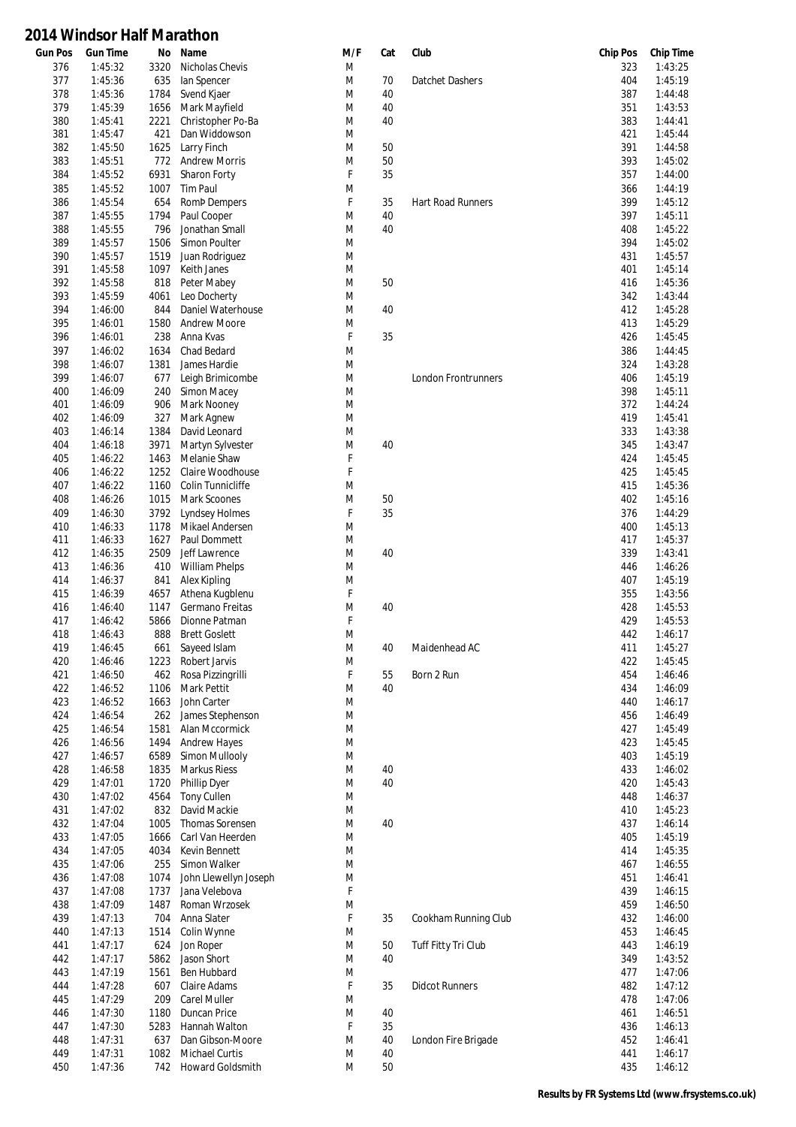| Gun Pos    | <b>Gun Time</b> | No   | Name                       | M/F | Cat | Club                     | <b>Chip Pos</b> | <b>Chip Time</b> |
|------------|-----------------|------|----------------------------|-----|-----|--------------------------|-----------------|------------------|
| 376        | 1:45:32         | 3320 | Nicholas Chevis            | M   |     |                          | 323             | 1:43:25          |
| 377        | 1:45:36         | 635  | lan Spencer                | M   | 70  | Datchet Dashers          | 404             | 1:45:19          |
| 378        | 1:45:36         | 1784 | Svend Kjaer                | M   | 40  |                          | 387             | 1:44:48          |
| 379        | 1:45:39         | 1656 | Mark Mayfield              | M   | 40  |                          | 351             | 1:43:53          |
| 380        | 1:45:41         | 2221 | Christopher Po-Ba          | M   | 40  |                          | 383             | 1:44:41          |
| 381        | 1:45:47         | 421  | Dan Widdowson              | M   |     |                          | 421             | 1:45:44          |
| 382        | 1:45:50         | 1625 | Larry Finch                | M   | 50  |                          | 391             | 1:44:58          |
| 383        | 1:45:51         | 772  | <b>Andrew Morris</b>       | M   | 50  |                          | 393             | 1:45:02          |
| 384        | 1:45:52         | 6931 | Sharon Forty               | F   | 35  |                          | 357             | 1:44:00          |
| 385        | 1:45:52         | 1007 | <b>Tim Paul</b>            | M   |     |                          | 366             | 1:44:19          |
| 386        | 1:45:54         | 654  | <b>Romb Dempers</b>        | F   | 35  | <b>Hart Road Runners</b> | 399             | 1:45:12          |
| 387        | 1:45:55         | 1794 | Paul Cooper                | M   | 40  |                          | 397             | 1:45:11          |
| 388        | 1:45:55         | 796  | Jonathan Small             | M   | 40  |                          | 408             | 1:45:22          |
| 389        | 1:45:57         | 1506 | Simon Poulter              | M   |     |                          | 394             | 1:45:02          |
| 390        | 1:45:57         | 1519 | Juan Rodriguez             | M   |     |                          | 431             | 1:45:57          |
| 391        | 1:45:58         | 1097 | Keith Janes                | M   |     |                          | 401             | 1:45:14          |
| 392        | 1:45:58         | 818  | Peter Mabey                | M   | 50  |                          | 416             | 1:45:36          |
| 393        | 1:45:59         | 4061 | Leo Docherty               | M   |     |                          | 342             | 1:43:44          |
| 394        | 1:46:00         | 844  | Daniel Waterhouse          | M   | 40  |                          | 412             | 1:45:28          |
| 395        | 1:46:01         | 1580 | <b>Andrew Moore</b>        | M   |     |                          | 413             | 1:45:29          |
| 396        | 1:46:01         | 238  | Anna Kvas                  | F   | 35  |                          | 426             | 1:45:45          |
| 397        | 1:46:02         | 1634 | Chad Bedard                | M   |     |                          | 386             | 1:44:45          |
| 398        | 1:46:07         | 1381 | James Hardie               | M   |     |                          | 324             | 1:43:28          |
| 399        | 1:46:07         | 677  | Leigh Brimicombe           | M   |     | London Frontrunners      | 406             | 1:45:19          |
| 400        | 1:46:09         | 240  | Simon Macey                | M   |     |                          | 398             | 1:45:11          |
| 401        | 1:46:09         | 906  | Mark Nooney                | M   |     |                          | 372             | 1:44:24          |
| 402        | 1:46:09         | 327  | Mark Agnew                 | M   |     |                          | 419             | 1:45:41          |
| 403        | 1:46:14         | 1384 | David Leonard              | M   |     |                          | 333             | 1:43:38          |
| 404        | 1:46:18         | 3971 | Martyn Sylvester           | M   | 40  |                          | 345             | 1:43:47          |
| 405        | 1:46:22         | 1463 | Melanie Shaw               | F   |     |                          | 424             | 1:45:45          |
| 406        | 1:46:22         | 1252 | Claire Woodhouse           | F   |     |                          | 425             | 1:45:45          |
| 407        | 1:46:22         | 1160 | Colin Tunnicliffe          | M   |     |                          | 415             | 1:45:36          |
| 408        | 1:46:26         | 1015 | Mark Scoones               | M   | 50  |                          | 402             | 1:45:16          |
| 409        | 1:46:30         | 3792 | <b>Lyndsey Holmes</b>      | F   | 35  |                          | 376             | 1:44:29          |
| 410        | 1:46:33         | 1178 | Mikael Andersen            | M   |     |                          | 400             | 1:45:13          |
| 411        | 1:46:33         | 1627 | Paul Dommett               | M   |     |                          | 417             | 1:45:37          |
| 412        | 1:46:35         | 2509 | Jeff Lawrence              | M   | 40  |                          | 339             | 1:43:41          |
| 413        | 1:46:36         | 410  | <b>William Phelps</b>      | M   |     |                          | 446             | 1:46:26          |
| 414        | 1:46:37         | 841  | Alex Kipling               | M   |     |                          | 407             | 1:45:19          |
| 415        | 1:46:39         | 4657 | Athena Kugblenu            | F   |     |                          | 355             | 1:43:56          |
| 416        | 1:46:40         | 1147 | Germano Freitas            | M   | 40  |                          | 428             | 1:45:53          |
|            | 1:46:42         | 5866 | Dionne Patman              | F   |     |                          | 429             | 1:45:53          |
| 417<br>418 | 1:46:43         | 888  | <b>Brett Goslett</b>       | M   |     |                          | 442             | 1:46:17          |
| 419        |                 |      |                            | M   |     |                          |                 | 1:45:27          |
|            | 1:46:45         | 661  | Sayeed Islam               |     | 40  | Maidenhead AC            | 411             |                  |
| 420        | 1:46:46         |      | 1223 Robert Jarvis         | M   |     |                          | 422             | 1:45:45          |
| 421        | 1:46:50         | 462  | Rosa Pizzingrilli          | F   | 55  | Born 2 Run               | 454             | 1:46:46          |
| 422        | 1:46:52         | 1106 | Mark Pettit<br>John Carter | M   | 40  |                          | 434             | 1:46:09          |
| 423        | 1:46:52         | 1663 |                            | M   |     |                          | 440             | 1:46:17          |
| 424        | 1:46:54         | 262  | James Stephenson           | M   |     |                          | 456             | 1:46:49          |
| 425        | 1:46:54         | 1581 | Alan Mccormick             | M   |     |                          | 427             | 1:45:49          |
| 426        | 1:46:56         | 1494 | <b>Andrew Hayes</b>        | M   |     |                          | 423             | 1:45:45          |
| 427        | 1:46:57         | 6589 | Simon Mullooly             | M   |     |                          | 403             | 1:45:19          |
| 428        | 1:46:58         | 1835 | <b>Markus Riess</b>        | M   | 40  |                          | 433             | 1:46:02          |
| 429        | 1:47:01         | 1720 | Phillip Dyer               | M   | 40  |                          | 420             | 1:45:43          |
| 430        | 1:47:02         | 4564 | <b>Tony Cullen</b>         | M   |     |                          | 448             | 1:46:37          |
| 431        | 1:47:02         | 832  | David Mackie               | M   |     |                          | 410             | 1:45:23          |
| 432        | 1:47:04         | 1005 | Thomas Sorensen            | M   | 40  |                          | 437             | 1:46:14          |
| 433        | 1:47:05         | 1666 | Carl Van Heerden           | M   |     |                          | 405             | 1:45:19          |
| 434        | 1:47:05         | 4034 | Kevin Bennett              | M   |     |                          | 414             | 1:45:35          |
| 435        | 1:47:06         | 255  | Simon Walker               | M   |     |                          | 467             | 1:46:55          |
| 436        | 1:47:08         | 1074 | John Llewellyn Joseph      | M   |     |                          | 451             | 1:46:41          |
| 437        | 1:47:08         | 1737 | Jana Velebova              | F   |     |                          | 439             | 1:46:15          |
| 438        | 1:47:09         | 1487 | Roman Wrzosek              | M   |     |                          | 459             | 1:46:50          |
| 439        | 1:47:13         | 704  | Anna Slater                | F   | 35  | Cookham Running Club     | 432             | 1:46:00          |
| 440        | 1:47:13         | 1514 | Colin Wynne                | M   |     |                          | 453             | 1:46:45          |
| 441        | 1:47:17         | 624  | Jon Roper                  | M   | 50  | Tuff Fitty Tri Club      | 443             | 1:46:19          |
| 442        | 1:47:17         | 5862 | Jason Short                | M   | 40  |                          | 349             | 1:43:52          |
| 443        | 1:47:19         | 1561 | Ben Hubbard                | M   |     |                          | 477             | 1:47:06          |
| 444        | 1:47:28         | 607  | Claire Adams               | F   | 35  | <b>Didcot Runners</b>    | 482             | 1:47:12          |
| 445        | 1:47:29         | 209  | <b>Carel Muller</b>        | M   |     |                          | 478             | 1:47:06          |
| 446        | 1:47:30         | 1180 | Duncan Price               | M   | 40  |                          | 461             | 1:46:51          |
| 447        | 1:47:30         | 5283 | Hannah Walton              | F   | 35  |                          | 436             | 1:46:13          |
| 448        | 1:47:31         | 637  | Dan Gibson-Moore           | M   | 40  | London Fire Brigade      | 452             | 1:46:41          |
| 449        | 1:47:31         | 1082 | <b>Michael Curtis</b>      | M   | 40  |                          | 441             | 1:46:17          |
| 450        | 1:47:36         | 742  | Howard Goldsmith           | M   | 50  |                          | 435             | 1:46:12          |
|            |                 |      |                            |     |     |                          |                 |                  |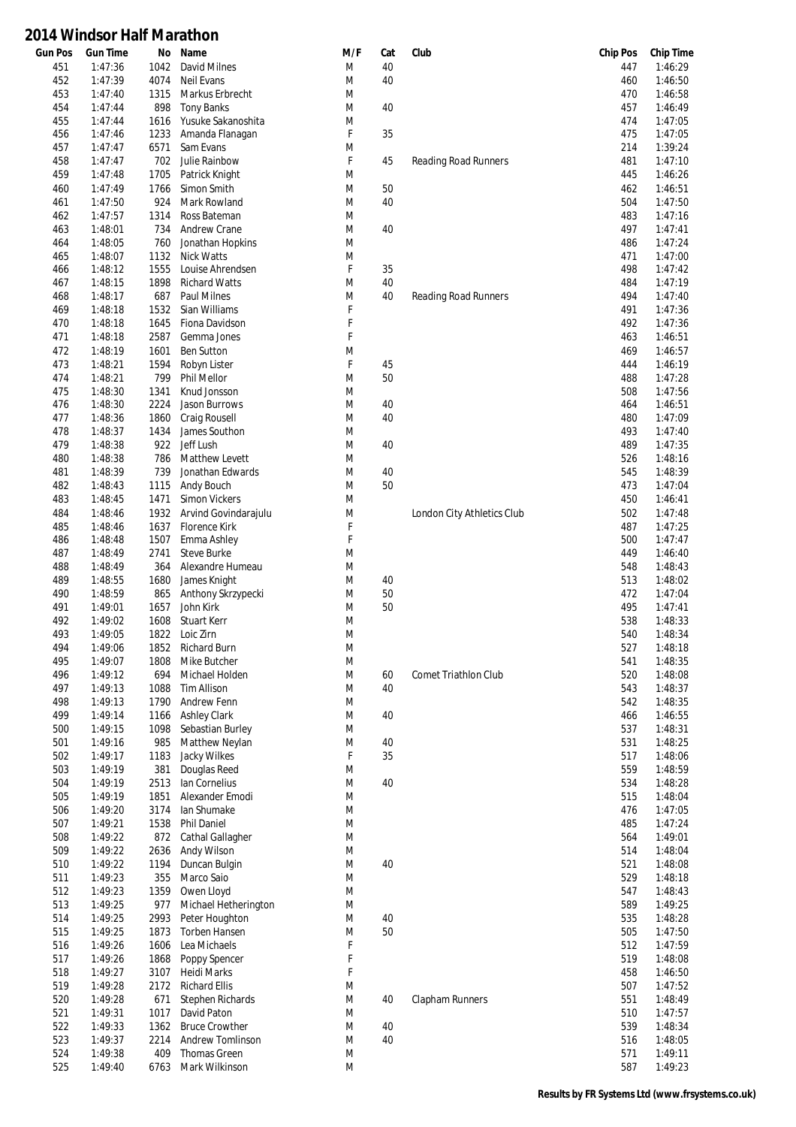| <b>Gun Pos</b> | <b>Gun Time</b>    | No           | Name                                  | M/F         | Cat | Club                       | <b>Chip Pos</b> | <b>Chip Time</b>   |
|----------------|--------------------|--------------|---------------------------------------|-------------|-----|----------------------------|-----------------|--------------------|
| 451            | 1:47:36            | 1042         | David Milnes                          | M           | 40  |                            | 447             | 1:46:29            |
| 452            | 1:47:39            | 4074         | <b>Neil Evans</b>                     | M           | 40  |                            | 460             | 1:46:50            |
| 453            | 1:47:40            | 1315         | Markus Erbrecht                       | M           |     |                            | 470             | 1:46:58            |
| 454            | 1:47:44            | 898          | <b>Tony Banks</b>                     | M           | 40  |                            | 457             | 1:46:49            |
| 455<br>456     | 1:47:44<br>1:47:46 | 1616         | Yusuke Sakanoshita<br>Amanda Flanagan | M<br>F      | 35  |                            | 474<br>475      | 1:47:05<br>1:47:05 |
| 457            | 1:47:47            | 1233<br>6571 | Sam Evans                             | M           |     |                            | 214             | 1:39:24            |
| 458            | 1:47:47            | 702          | Julie Rainbow                         | $\mathsf F$ | 45  | Reading Road Runners       | 481             | 1:47:10            |
| 459            | 1:47:48            | 1705         | Patrick Knight                        | M           |     |                            | 445             | 1:46:26            |
| 460            | 1:47:49            | 1766         | Simon Smith                           | M           | 50  |                            | 462             | 1:46:51            |
| 461            | 1:47:50            | 924          | Mark Rowland                          | M           | 40  |                            | 504             | 1:47:50            |
| 462            | 1:47:57            | 1314         | Ross Bateman                          | M           |     |                            | 483             | 1:47:16            |
| 463            | 1:48:01            | 734          | <b>Andrew Crane</b>                   | M           | 40  |                            | 497             | 1:47:41            |
| 464            | 1:48:05            | 760          | Jonathan Hopkins                      | M           |     |                            | 486             | 1:47:24            |
| 465            | 1:48:07            | 1132         | Nick Watts                            | M           |     |                            | 471             | 1:47:00            |
| 466            | 1:48:12            | 1555         | Louise Ahrendsen                      | F           | 35  |                            | 498             | 1:47:42            |
| 467            | 1:48:15            | 1898         | <b>Richard Watts</b>                  | M           | 40  |                            | 484             | 1:47:19            |
| 468<br>469     | 1:48:17<br>1:48:18 | 687<br>1532  | Paul Milnes<br>Sian Williams          | M<br>F      | 40  | Reading Road Runners       | 494<br>491      | 1:47:40<br>1:47:36 |
| 470            | 1:48:18            | 1645         | Fiona Davidson                        | $\mathsf F$ |     |                            | 492             | 1:47:36            |
| 471            | 1:48:18            | 2587         | Gemma Jones                           | F           |     |                            | 463             | 1:46:51            |
| 472            | 1:48:19            | 1601         | <b>Ben Sutton</b>                     | M           |     |                            | 469             | 1:46:57            |
| 473            | 1:48:21            | 1594         | Robyn Lister                          | F           | 45  |                            | 444             | 1:46:19            |
| 474            | 1:48:21            | 799          | Phil Mellor                           | M           | 50  |                            | 488             | 1:47:28            |
| 475            | 1:48:30            | 1341         | Knud Jonsson                          | M           |     |                            | 508             | 1:47:56            |
| 476            | 1:48:30            | 2224         | Jason Burrows                         | M           | 40  |                            | 464             | 1:46:51            |
| 477            | 1:48:36            | 1860         | Craig Rousell                         | M           | 40  |                            | 480             | 1:47:09            |
| 478            | 1:48:37            | 1434         | James Southon                         | M           |     |                            | 493             | 1:47:40            |
| 479            | 1:48:38            | 922          | Jeff Lush                             | M           | 40  |                            | 489             | 1:47:35            |
| 480            | 1:48:38            | 786          | Matthew Levett                        | M           |     |                            | 526             | 1:48:16            |
| 481            | 1:48:39            | 739          | Jonathan Edwards                      | M           | 40  |                            | 545             | 1:48:39            |
| 482<br>483     | 1:48:43<br>1:48:45 | 1115<br>1471 | Andy Bouch<br><b>Simon Vickers</b>    | M<br>M      | 50  |                            | 473<br>450      | 1:47:04<br>1:46:41 |
| 484            | 1:48:46            | 1932         | Arvind Govindarajulu                  | M           |     | London City Athletics Club | 502             | 1:47:48            |
| 485            | 1:48:46            | 1637         | Florence Kirk                         | F           |     |                            | 487             | 1:47:25            |
| 486            | 1:48:48            | 1507         | Emma Ashley                           | $\mathsf F$ |     |                            | 500             | 1:47:47            |
| 487            | 1:48:49            | 2741         | <b>Steve Burke</b>                    | M           |     |                            | 449             | 1:46:40            |
| 488            | 1:48:49            | 364          | Alexandre Humeau                      | M           |     |                            | 548             | 1:48:43            |
| 489            | 1:48:55            | 1680         | James Knight                          | M           | 40  |                            | 513             | 1:48:02            |
| 490            | 1:48:59            | 865          | Anthony Skrzypecki                    | M           | 50  |                            | 472             | 1:47:04            |
| 491            | 1:49:01            | 1657         | John Kirk                             | M           | 50  |                            | 495             | 1:47:41            |
| 492            | 1:49:02            | 1608         | Stuart Kerr                           | M           |     |                            | 538             | 1:48:33            |
| 493            | 1:49:05            |              | 1822 Loic Zirn                        | M           |     |                            | 540             | 1:48:34            |
| 494<br>495     | 1:49:06            | 1852<br>1808 | <b>Richard Burn</b><br>Mike Butcher   | M<br>M      |     |                            | 527<br>541      | 1:48:18<br>1:48:35 |
| 496            | 1:49:07<br>1:49:12 | 694          | Michael Holden                        | M           | 60  | Comet Triathlon Club       | 520             | 1:48:08            |
| 497            | 1:49:13            | 1088         | Tim Allison                           | M           | 40  |                            | 543             | 1:48:37            |
| 498            | 1:49:13            | 1790         | Andrew Fenn                           | M           |     |                            | 542             | 1:48:35            |
| 499            | 1:49:14            | 1166         | <b>Ashley Clark</b>                   | M           | 40  |                            | 466             | 1:46:55            |
| 500            | 1:49:15            | 1098         | Sebastian Burley                      | M           |     |                            | 537             | 1:48:31            |
| 501            | 1:49:16            | 985          | Matthew Neylan                        | M           | 40  |                            | 531             | 1:48:25            |
| 502            | 1:49:17            | 1183         | Jacky Wilkes                          | $\mathsf F$ | 35  |                            | 517             | 1:48:06            |
| 503            | 1:49:19            | 381          | Douglas Reed                          | M           |     |                            | 559             | 1:48:59            |
| 504            | 1:49:19            | 2513         | lan Cornelius                         | M           | 40  |                            | 534             | 1:48:28            |
| 505            | 1:49:19            | 1851         | Alexander Emodi                       | M           |     |                            | 515             | 1:48:04            |
| 506<br>507     | 1:49:20<br>1:49:21 | 3174<br>1538 | lan Shumake<br>Phil Daniel            | M<br>M      |     |                            | 476<br>485      | 1:47:05<br>1:47:24 |
| 508            | 1:49:22            | 872          | Cathal Gallagher                      | M           |     |                            | 564             | 1:49:01            |
| 509            | 1:49:22            | 2636         | Andy Wilson                           | M           |     |                            | 514             | 1:48:04            |
| 510            | 1:49:22            | 1194         | Duncan Bulgin                         | M           | 40  |                            | 521             | 1:48:08            |
| 511            | 1:49:23            | 355          | Marco Saio                            | M           |     |                            | 529             | 1:48:18            |
| 512            | 1:49:23            | 1359         | Owen Lloyd                            | M           |     |                            | 547             | 1:48:43            |
| 513            | 1:49:25            | 977          | Michael Hetherington                  | M           |     |                            | 589             | 1:49:25            |
| 514            | 1:49:25            | 2993         | Peter Houghton                        | M           | 40  |                            | 535             | 1:48:28            |
| 515            | 1:49:25            | 1873         | Torben Hansen                         | M           | 50  |                            | 505             | 1:47:50            |
| 516            | 1:49:26            | 1606         | Lea Michaels                          | F           |     |                            | 512             | 1:47:59            |
| 517            | 1:49:26            | 1868         | Poppy Spencer                         | F           |     |                            | 519             | 1:48:08            |
| 518<br>519     | 1:49:27<br>1:49:28 | 3107<br>2172 | Heidi Marks<br><b>Richard Ellis</b>   | F<br>M      |     |                            | 458<br>507      | 1:46:50<br>1:47:52 |
| 520            | 1:49:28            | 671          | <b>Stephen Richards</b>               | M           | 40  | Clapham Runners            | 551             | 1:48:49            |
| 521            | 1:49:31            | 1017         | David Paton                           | M           |     |                            | 510             | 1:47:57            |
| 522            | 1:49:33            | 1362         | <b>Bruce Crowther</b>                 | M           | 40  |                            | 539             | 1:48:34            |
| 523            | 1:49:37            | 2214         | <b>Andrew Tomlinson</b>               | M           | 40  |                            | 516             | 1:48:05            |
| 524            | 1:49:38            | 409          | Thomas Green                          | M           |     |                            | 571             | 1:49:11            |
| 525            | 1:49:40            | 6763         | Mark Wilkinson                        | M           |     |                            | 587             | 1:49:23            |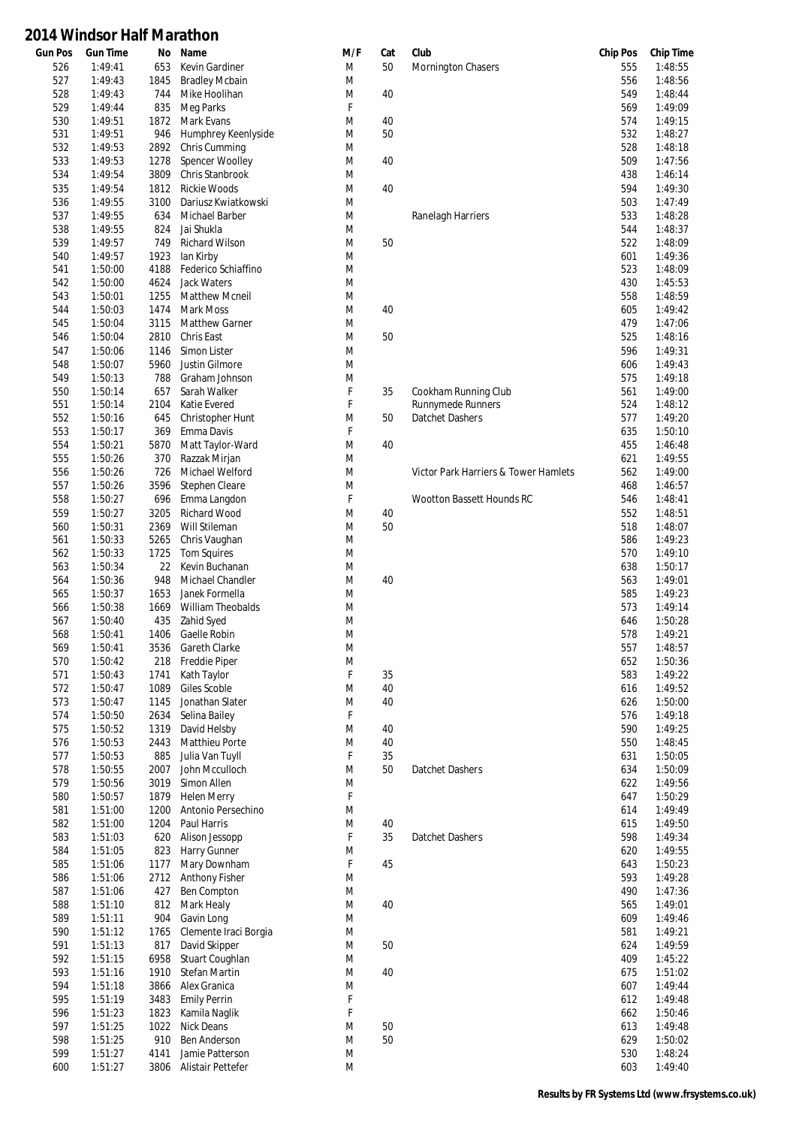| <b>Gun Pos</b> | <b>Gun Time</b> | No   | Name                    | M/F    | Cat | Club                                 | <b>Chip Pos</b> | <b>Chip Time</b> |
|----------------|-----------------|------|-------------------------|--------|-----|--------------------------------------|-----------------|------------------|
| 526            | 1:49:41         | 653  | Kevin Gardiner          | M      | 50  | Mornington Chasers                   | 555             | 1:48:55          |
| 527            | 1:49:43         | 1845 | <b>Bradley Mcbain</b>   | M      |     |                                      | 556             | 1:48:56          |
| 528            | 1:49:43         | 744  | Mike Hoolihan           | M      | 40  |                                      | 549             | 1:48:44          |
| 529            | 1:49:44         | 835  | Meg Parks               | F      |     |                                      | 569             | 1:49:09          |
| 530            | 1:49:51         | 1872 | Mark Evans              | M      | 40  |                                      | 574             | 1:49:15          |
| 531            | 1:49:51         | 946  | Humphrey Keenlyside     | M      | 50  |                                      | 532             | 1:48:27          |
| 532            | 1:49:53         | 2892 | Chris Cumming           | M      |     |                                      | 528             | 1:48:18          |
| 533            | 1:49:53         | 1278 | Spencer Woolley         | M      | 40  |                                      | 509             | 1:47:56          |
| 534            | 1:49:54         | 3809 | Chris Stanbrook         | M      |     |                                      | 438             | 1:46:14          |
| 535            | 1:49:54         | 1812 | <b>Rickie Woods</b>     | M      | 40  |                                      | 594             | 1:49:30          |
| 536            | 1:49:55         | 3100 | Dariusz Kwiatkowski     | M      |     |                                      | 503             | 1:47:49          |
| 537            | 1:49:55         | 634  | Michael Barber          | M      |     | Ranelagh Harriers                    | 533             | 1:48:28          |
| 538            | 1:49:55         | 824  | Jai Shukla              | M      |     |                                      | 544             | 1:48:37          |
| 539            | 1:49:57         | 749  | <b>Richard Wilson</b>   | M      | 50  |                                      | 522             | 1:48:09          |
| 540            | 1:49:57         | 1923 | lan Kirby               | M      |     |                                      | 601             | 1:49:36          |
| 541            | 1:50:00         | 4188 | Federico Schiaffino     | M      |     |                                      | 523             | 1:48:09          |
| 542            | 1:50:00         | 4624 | Jack Waters             | M      |     |                                      | 430             | 1:45:53          |
| 543            | 1:50:01         | 1255 | <b>Matthew Mcneil</b>   | M      |     |                                      | 558             | 1:48:59          |
| 544            | 1:50:03         | 1474 | Mark Moss               | M      | 40  |                                      | 605             | 1:49:42          |
| 545            | 1:50:04         | 3115 | <b>Matthew Garner</b>   | M      |     |                                      | 479             | 1:47:06          |
| 546            | 1:50:04         | 2810 | Chris East              | M      | 50  |                                      | 525             | 1:48:16          |
|                |                 |      |                         |        |     |                                      |                 |                  |
| 547            | 1:50:06         | 1146 | Simon Lister            | M      |     |                                      | 596             | 1:49:31          |
| 548            | 1:50:07         | 5960 | Justin Gilmore          | M      |     |                                      | 606             | 1:49:43          |
| 549            | 1:50:13         | 788  | Graham Johnson          | M      |     |                                      | 575             | 1:49:18          |
| 550            | 1:50:14         | 657  | Sarah Walker            | F      | 35  | Cookham Running Club                 | 561             | 1:49:00          |
| 551            | 1:50:14         | 2104 | Katie Evered            | F      |     | <b>Runnymede Runners</b>             | 524             | 1:48:12          |
| 552            | 1:50:16         | 645  | Christopher Hunt        | M      | 50  | Datchet Dashers                      | 577             | 1:49:20          |
| 553            | 1:50:17         | 369  | Emma Davis              | F      |     |                                      | 635             | 1:50:10          |
| 554            | 1:50:21         | 5870 | Matt Taylor-Ward        | M      | 40  |                                      | 455             | 1:46:48          |
| 555            | 1:50:26         | 370  | Razzak Mirjan           | M      |     |                                      | 621             | 1:49:55          |
| 556            | 1:50:26         | 726  | Michael Welford         | M      |     | Victor Park Harriers & Tower Hamlets | 562             | 1:49:00          |
| 557            | 1:50:26         | 3596 | Stephen Cleare          | M      |     |                                      | 468             | 1:46:57          |
| 558            | 1:50:27         | 696  | Emma Langdon            | F      |     | Wootton Bassett Hounds RC            | 546             | 1:48:41          |
| 559            | 1:50:27         | 3205 | Richard Wood            | M      | 40  |                                      | 552             | 1:48:51          |
| 560            | 1:50:31         | 2369 | Will Stileman           | M      | 50  |                                      | 518             | 1:48:07          |
| 561            | 1:50:33         | 5265 | Chris Vaughan           | M      |     |                                      | 586             | 1:49:23          |
| 562            | 1:50:33         | 1725 | <b>Tom Squires</b>      | M      |     |                                      | 570             | 1:49:10          |
| 563            | 1:50:34         | 22   | Kevin Buchanan          | M      |     |                                      | 638             | 1:50:17          |
| 564            | 1:50:36         | 948  | <b>Michael Chandler</b> | M      | 40  |                                      | 563             | 1:49:01          |
| 565            | 1:50:37         | 1653 | Janek Formella          | M      |     |                                      | 585             | 1:49:23          |
| 566            | 1:50:38         | 1669 | William Theobalds       | M      |     |                                      | 573             | 1:49:14          |
| 567            | 1:50:40         | 435  | Zahid Syed              | M      |     |                                      | 646             | 1:50:28          |
| 568            | 1:50:41         | 1406 | Gaelle Robin            | M      |     |                                      | 578             | 1:49:21          |
| 569            | 1:50:41         |      | 3536 Gareth Clarke      | M      |     |                                      | 557             | 1:48:57          |
| 570            | 1:50:42         | 218  | Freddie Piper           | M      |     |                                      | 652             | 1:50:36          |
| 571            | 1:50:43         | 1741 | Kath Taylor             | F      | 35  |                                      | 583             | 1:49:22          |
| 572            | 1:50:47         | 1089 | Giles Scoble            | M      | 40  |                                      | 616             | 1:49:52          |
| 573            | 1:50:47         |      | Jonathan Slater         |        | 40  |                                      |                 | 1:50:00          |
|                |                 | 1145 |                         | M<br>F |     |                                      | 626             |                  |
| 574            | 1:50:50         | 2634 | Selina Bailey           |        |     |                                      | 576             | 1:49:18          |
| 575            | 1:50:52         | 1319 | David Helsby            | M      | 40  |                                      | 590             | 1:49:25          |
| 576            | 1:50:53         | 2443 | Matthieu Porte          | M      | 40  |                                      | 550             | 1:48:45          |
| 577            | 1:50:53         | 885  | Julia Van Tuyll         | F      | 35  |                                      | 631             | 1:50:05          |
| 578            | 1:50:55         | 2007 | John Mcculloch          | M      | 50  | Datchet Dashers                      | 634             | 1:50:09          |
| 579            | 1:50:56         | 3019 | Simon Allen             | M      |     |                                      | 622             | 1:49:56          |
| 580            | 1:50:57         | 1879 | <b>Helen Merry</b>      | F      |     |                                      | 647             | 1:50:29          |
| 581            | 1:51:00         | 1200 | Antonio Persechino      | M      |     |                                      | 614             | 1:49:49          |
| 582            | 1:51:00         | 1204 | Paul Harris             | M      | 40  |                                      | 615             | 1:49:50          |
| 583            | 1:51:03         | 620  | Alison Jessopp          | F      | 35  | Datchet Dashers                      | 598             | 1:49:34          |
| 584            | 1:51:05         | 823  | Harry Gunner            | M      |     |                                      | 620             | 1:49:55          |
| 585            | 1:51:06         | 1177 | Mary Downham            | F      | 45  |                                      | 643             | 1:50:23          |
| 586            | 1:51:06         | 2712 | <b>Anthony Fisher</b>   | M      |     |                                      | 593             | 1:49:28          |
| 587            | 1:51:06         | 427  | Ben Compton             | M      |     |                                      | 490             | 1:47:36          |
| 588            | 1:51:10         | 812  | Mark Healy              | M      | 40  |                                      | 565             | 1:49:01          |
| 589            | 1:51:11         | 904  | Gavin Long              | M      |     |                                      | 609             | 1:49:46          |
| 590            | 1:51:12         | 1765 | Clemente Iraci Borgia   | M      |     |                                      | 581             | 1:49:21          |
| 591            | 1:51:13         | 817  | David Skipper           | M      | 50  |                                      | 624             | 1:49:59          |
| 592            | 1:51:15         | 6958 | Stuart Coughlan         | M      |     |                                      | 409             | 1:45:22          |
| 593            | 1:51:16         | 1910 | <b>Stefan Martin</b>    | M      | 40  |                                      | 675             | 1:51:02          |
| 594            | 1:51:18         | 3866 | Alex Granica            | M      |     |                                      | 607             | 1:49:44          |
| 595            | 1:51:19         | 3483 |                         | F      |     |                                      | 612             | 1:49:48          |
|                |                 |      | <b>Emily Perrin</b>     |        |     |                                      |                 |                  |
| 596            | 1:51:23         | 1823 | Kamila Naglik           | F      |     |                                      | 662             | 1:50:46          |
| 597            | 1:51:25         | 1022 | <b>Nick Deans</b>       | M      | 50  |                                      | 613             | 1:49:48          |
| 598            | 1:51:25         | 910  | <b>Ben Anderson</b>     | M      | 50  |                                      | 629             | 1:50:02          |
| 599            | 1:51:27         | 4141 | Jamie Patterson         | M      |     |                                      | 530             | 1:48:24          |
| 600            | 1:51:27         |      | 3806 Alistair Pettefer  | M      |     |                                      | 603             | 1:49:40          |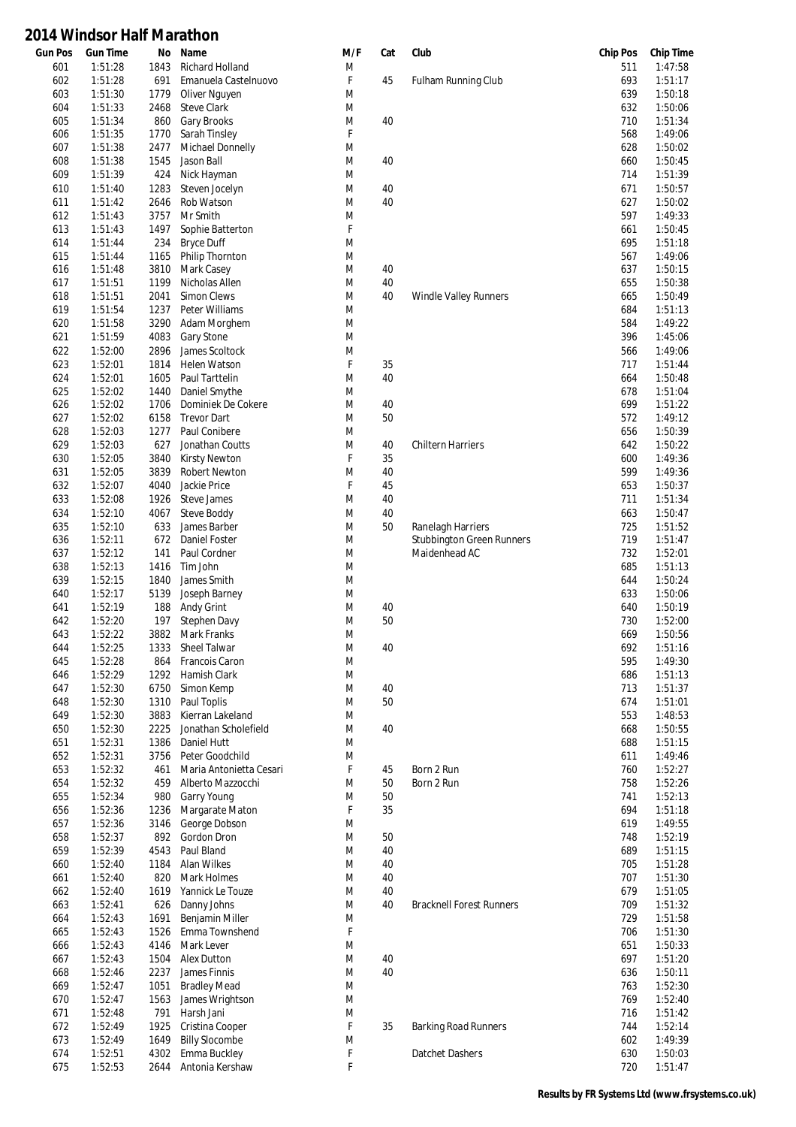| <b>Gun Pos</b> | <b>Gun Time</b>    | No           | Name                                  | M/F    | Cat      | Club                             | <b>Chip Pos</b> | <b>Chip Time</b>   |
|----------------|--------------------|--------------|---------------------------------------|--------|----------|----------------------------------|-----------------|--------------------|
| 601            | 1:51:28            | 1843         | Richard Holland                       | M      |          |                                  | 511             | 1:47:58            |
| 602            | 1:51:28            | 691          | Emanuela Castelnuovo                  | F      | 45       | <b>Fulham Running Club</b>       | 693             | 1:51:17            |
| 603            | 1:51:30            | 1779         | Oliver Nguyen                         | M      |          |                                  | 639             | 1:50:18            |
| 604            | 1:51:33            | 2468         | <b>Steve Clark</b>                    | M      |          |                                  | 632             | 1:50:06            |
| 605            | 1:51:34            | 860          | Gary Brooks                           | M      | 40       |                                  | 710             | 1:51:34            |
| 606            | 1:51:35            | 1770         | Sarah Tinsley                         | F      |          |                                  | 568             | 1:49:06            |
| 607            | 1:51:38            | 2477         | Michael Donnelly                      | M      |          |                                  | 628             | 1:50:02            |
| 608            | 1:51:38            | 1545         | Jason Ball                            | M      | 40       |                                  | 660             | 1:50:45            |
| 609            | 1:51:39            | 424          | Nick Hayman                           | M      |          |                                  | 714             | 1:51:39            |
| 610            | 1:51:40            | 1283         | Steven Jocelyn                        | M      | 40       |                                  | 671             | 1:50:57            |
| 611            | 1:51:42            | 2646<br>3757 | Rob Watson                            | M      | 40       |                                  | 627<br>597      | 1:50:02<br>1:49:33 |
| 612            | 1:51:43            |              | Mr Smith                              | M<br>F |          |                                  |                 |                    |
| 613            | 1:51:43            | 1497         | Sophie Batterton                      |        |          |                                  | 661             | 1:50:45            |
| 614            | 1:51:44            | 234          | <b>Bryce Duff</b>                     | M      |          |                                  | 695<br>567      | 1:51:18<br>1:49:06 |
| 615            | 1:51:44            | 1165         | Philip Thornton                       | M      |          |                                  |                 | 1:50:15            |
| 616            | 1:51:48            | 3810         | Mark Casey<br>Nicholas Allen          | M      | 40<br>40 |                                  | 637<br>655      | 1:50:38            |
| 617            | 1:51:51<br>1:51:51 | 1199<br>2041 | <b>Simon Clews</b>                    | M<br>M | 40       | <b>Windle Valley Runners</b>     | 665             | 1:50:49            |
| 618<br>619     | 1:51:54            | 1237         | Peter Williams                        | M      |          |                                  | 684             | 1:51:13            |
| 620            | 1:51:58            | 3290         | Adam Morghem                          | M      |          |                                  | 584             | 1:49:22            |
| 621            | 1:51:59            | 4083         | Gary Stone                            | M      |          |                                  | 396             | 1:45:06            |
| 622            | 1:52:00            | 2896         | James Scoltock                        | M      |          |                                  | 566             | 1:49:06            |
| 623            | 1:52:01            | 1814         | Helen Watson                          | F      | 35       |                                  | 717             | 1:51:44            |
| 624            | 1:52:01            | 1605         | Paul Tarttelin                        | M      | 40       |                                  | 664             | 1:50:48            |
| 625            | 1:52:02            | 1440         | Daniel Smythe                         | M      |          |                                  | 678             | 1:51:04            |
| 626            | 1:52:02            | 1706         | Dominiek De Cokere                    | M      | 40       |                                  | 699             | 1:51:22            |
| 627            | 1:52:02            | 6158         | <b>Trevor Dart</b>                    | M      | 50       |                                  | 572             | 1:49:12            |
| 628            | 1:52:03            | 1277         | Paul Conibere                         | M      |          |                                  | 656             | 1:50:39            |
| 629            | 1:52:03            | 627          | Jonathan Coutts                       | M      | 40       | <b>Chiltern Harriers</b>         | 642             | 1:50:22            |
| 630            | 1:52:05            | 3840         | <b>Kirsty Newton</b>                  | F      | 35       |                                  | 600             | 1:49:36            |
| 631            | 1:52:05            | 3839         | <b>Robert Newton</b>                  | M      | 40       |                                  | 599             | 1:49:36            |
| 632            | 1:52:07            | 4040         | Jackie Price                          | F      | 45       |                                  | 653             | 1:50:37            |
| 633            | 1:52:08            | 1926         | Steve James                           | M      | 40       |                                  | 711             | 1:51:34            |
| 634            | 1:52:10            | 4067         | <b>Steve Boddy</b>                    | M      | 40       |                                  | 663             | 1:50:47            |
| 635            | 1:52:10            | 633          | James Barber                          | M      | 50       | Ranelagh Harriers                | 725             | 1:51:52            |
| 636            | 1:52:11            | 672          | Daniel Foster                         | M      |          | <b>Stubbington Green Runners</b> | 719             | 1:51:47            |
| 637            | 1:52:12            | 141          | Paul Cordner                          | M      |          | Maidenhead AC                    | 732             | 1:52:01            |
| 638            | 1:52:13            | 1416         | Tim John                              | M      |          |                                  | 685             | 1:51:13            |
| 639            | 1:52:15            | 1840         | James Smith                           | M      |          |                                  | 644             | 1:50:24            |
| 640            | 1:52:17            | 5139         | Joseph Barney                         | M      |          |                                  | 633             | 1:50:06            |
| 641            | 1:52:19            | 188          | Andy Grint                            | M      | 40       |                                  | 640             | 1:50:19            |
| 642            | 1:52:20            | 197          | Stephen Davy                          | M      | 50       |                                  | 730             | 1:52:00            |
| 643            | 1:52:22            | 3882         | Mark Franks                           | M      |          |                                  | 669             | 1:50:56            |
| 644            | 1:52:25            |              | 1333 Sheel Talwar                     | M      | 40       |                                  | 692             | 1:51:16            |
| 645            | 1:52:28            |              | 864 Francois Caron                    | M      |          |                                  | 595             | 1:49:30            |
| 646            | 1:52:29            |              | 1292 Hamish Clark                     | M      |          |                                  | 686             | 1:51:13            |
| 647            | 1:52:30            | 6750         | Simon Kemp                            | M      | 40       |                                  | 713             | 1:51:37            |
| 648            | 1:52:30            | 1310         | Paul Toplis                           | M      | 50       |                                  | 674             | 1:51:01            |
| 649            | 1:52:30            | 3883         | Kierran Lakeland                      | M      |          |                                  | 553             | 1:48:53            |
| 650            | 1:52:30            | 2225         | Jonathan Scholefield                  | M      | 40       |                                  | 668             | 1:50:55            |
| 651            | 1:52:31            | 1386         | Daniel Hutt                           | M      |          |                                  | 688             | 1:51:15            |
| 652            | 1:52:31            | 3756         | Peter Goodchild                       | M      |          |                                  | 611             | 1:49:46            |
| 653            | 1:52:32            | 461          | Maria Antonietta Cesari               | F      | 45       | Born 2 Run                       | 760             | 1:52:27            |
| 654            | 1:52:32            | 459          | Alberto Mazzocchi                     | M      | 50       | Born 2 Run                       | 758             | 1:52:26            |
| 655            | 1:52:34            | 980          | Garry Young                           | M      | 50       |                                  | 741             | 1:52:13            |
| 656            | 1:52:36            | 1236         | Margarate Maton                       | F      | 35       |                                  | 694             | 1:51:18            |
| 657            | 1:52:36            | 3146         | George Dobson                         | M      |          |                                  | 619             | 1:49:55            |
| 658            | 1:52:37            | 892          | Gordon Dron                           | M      | 50       |                                  | 748             | 1:52:19            |
| 659            | 1:52:39            | 4543         | Paul Bland                            | M      | 40       |                                  | 689             | 1:51:15            |
| 660            | 1:52:40            | 1184         | Alan Wilkes                           | M      | 40       |                                  | 705             | 1:51:28            |
| 661            | 1:52:40            | 820          | Mark Holmes                           | M      | 40       |                                  | 707             | 1:51:30            |
| 662            | 1:52:40            | 1619         | Yannick Le Touze                      | M      | 40       |                                  | 679             | 1:51:05            |
| 663            | 1:52:41            | 626          | Danny Johns                           | M      | 40       | <b>Bracknell Forest Runners</b>  | 709             | 1:51:32            |
| 664            | 1:52:43            | 1691         | Benjamin Miller                       | M      |          |                                  | 729             | 1:51:58            |
| 665            | 1:52:43            | 1526         | Emma Townshend                        | F      |          |                                  | 706             | 1:51:30            |
| 666            | 1:52:43            | 4146         | Mark Lever                            | M      |          |                                  | 651             | 1:50:33            |
| 667            | 1:52:43            | 1504         | <b>Alex Dutton</b>                    | M      | 40       |                                  | 697             | 1:51:20            |
| 668            | 1:52:46            | 2237         | James Finnis                          | M      | 40       |                                  | 636             | 1:50:11            |
| 669            | 1:52:47            | 1051         | <b>Bradley Mead</b>                   | M      |          |                                  | 763             | 1:52:30            |
| 670            | 1:52:47            | 1563         | James Wrightson                       | M      |          |                                  | 769             | 1:52:40            |
| 671            | 1:52:48            | 791          | Harsh Jani                            | M      |          |                                  | 716             | 1:51:42            |
| 672            | 1:52:49            | 1925         | Cristina Cooper                       | F      | 35       | <b>Barking Road Runners</b>      | 744             | 1:52:14            |
| 673<br>674     | 1:52:49<br>1:52:51 | 1649<br>4302 | <b>Billy Slocombe</b><br>Emma Buckley | M<br>F |          | Datchet Dashers                  | 602<br>630      | 1:49:39<br>1:50:03 |
| 675            | 1:52:53            |              | Antonia Kershaw                       | F      |          |                                  | 720             | 1:51:47            |
|                |                    | 2644         |                                       |        |          |                                  |                 |                    |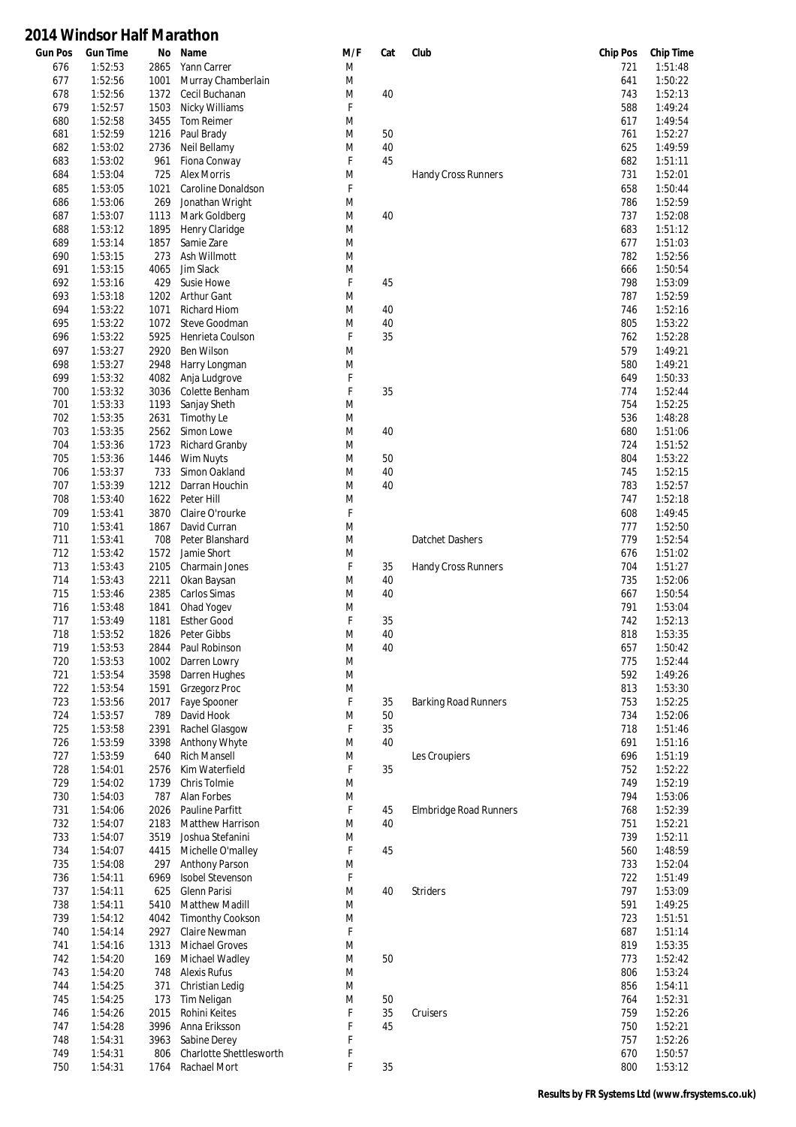| Gun Pos | <b>Gun Time</b> | No   | Name                    | M/F    | Cat      | Club                        | <b>Chip Pos</b> | <b>Chip Time</b> |
|---------|-----------------|------|-------------------------|--------|----------|-----------------------------|-----------------|------------------|
| 676     | 1:52:53         | 2865 | Yann Carrer             | M      |          |                             | 721             | 1:51:48          |
| 677     | 1:52:56         | 1001 | Murray Chamberlain      | M      |          |                             | 641             | 1:50:22          |
| 678     | 1:52:56         | 1372 | Cecil Buchanan          | M      | 40       |                             | 743             | 1:52:13          |
| 679     | 1:52:57         | 1503 | Nicky Williams          | F      |          |                             | 588             | 1:49:24          |
| 680     | 1:52:58         | 3455 | Tom Reimer              | M      |          |                             | 617             | 1:49:54          |
| 681     | 1:52:59         | 1216 | Paul Brady              | M      | 50       |                             | 761             | 1:52:27          |
| 682     | 1:53:02         | 2736 | Neil Bellamy            | M      | 40       |                             | 625             | 1:49:59          |
| 683     | 1:53:02         | 961  | Fiona Conway            | F      | 45       |                             | 682             | 1:51:11          |
| 684     | 1:53:04         | 725  | <b>Alex Morris</b>      | M      |          | Handy Cross Runners         | 731             | 1:52:01          |
| 685     | 1:53:05         | 1021 | Caroline Donaldson      | F      |          |                             | 658             | 1:50:44          |
| 686     | 1:53:06         | 269  | Jonathan Wright         | M      |          |                             | 786             | 1:52:59          |
| 687     | 1:53:07         | 1113 | Mark Goldberg           | M      | 40       |                             | 737             | 1:52:08          |
| 688     | 1:53:12         | 1895 | Henry Claridge          | M      |          |                             | 683             | 1:51:12          |
| 689     | 1:53:14         | 1857 | Samie Zare              | M      |          |                             | 677             | 1:51:03          |
| 690     | 1:53:15         | 273  | Ash Willmott            | M      |          |                             | 782             | 1:52:56          |
| 691     | 1:53:15         | 4065 | Jim Slack               | M      |          |                             | 666             | 1:50:54          |
| 692     | 1:53:16         | 429  | Susie Howe              | F      | 45       |                             | 798             | 1:53:09          |
| 693     | 1:53:18         | 1202 | <b>Arthur Gant</b>      | M      |          |                             | 787             | 1:52:59          |
| 694     | 1:53:22         | 1071 | <b>Richard Hiom</b>     | M      | 40       |                             | 746             | 1:52:16          |
|         |                 | 1072 |                         |        |          |                             |                 |                  |
| 695     | 1:53:22         |      | Steve Goodman           | M<br>F | 40<br>35 |                             | 805<br>762      | 1:53:22          |
| 696     | 1:53:22         | 5925 | Henrieta Coulson        |        |          |                             |                 | 1:52:28          |
| 697     | 1:53:27         | 2920 | Ben Wilson              | M      |          |                             | 579             | 1:49:21          |
| 698     | 1:53:27         | 2948 | Harry Longman           | M      |          |                             | 580             | 1:49:21          |
| 699     | 1:53:32         | 4082 | Anja Ludgrove           | F      |          |                             | 649             | 1:50:33          |
| 700     | 1:53:32         | 3036 | Colette Benham          | F      | 35       |                             | 774             | 1:52:44          |
| 701     | 1:53:33         | 1193 | Sanjay Sheth            | M      |          |                             | 754             | 1:52:25          |
| 702     | 1:53:35         | 2631 | Timothy Le              | M      |          |                             | 536             | 1:48:28          |
| 703     | 1:53:35         | 2562 | Simon Lowe              | M      | 40       |                             | 680             | 1:51:06          |
| 704     | 1:53:36         | 1723 | <b>Richard Granby</b>   | M      |          |                             | 724             | 1:51:52          |
| 705     | 1:53:36         | 1446 | Wim Nuyts               | M      | 50       |                             | 804             | 1:53:22          |
| 706     | 1:53:37         | 733  | Simon Oakland           | M      | 40       |                             | 745             | 1:52:15          |
| 707     | 1:53:39         | 1212 | Darran Houchin          | M      | 40       |                             | 783             | 1:52:57          |
| 708     | 1:53:40         | 1622 | Peter Hill              | M      |          |                             | 747             | 1:52:18          |
| 709     | 1:53:41         | 3870 | Claire O'rourke         | F      |          |                             | 608             | 1:49:45          |
| 710     | 1:53:41         | 1867 | David Curran            | M      |          |                             | 777             | 1:52:50          |
| 711     | 1:53:41         | 708  | Peter Blanshard         | M      |          | Datchet Dashers             | 779             | 1:52:54          |
| 712     | 1:53:42         | 1572 | Jamie Short             | M      |          |                             | 676             | 1:51:02          |
| 713     | 1:53:43         | 2105 | Charmain Jones          | F      | 35       | Handy Cross Runners         | 704             | 1:51:27          |
| 714     | 1:53:43         | 2211 | Okan Baysan             | M      | 40       |                             | 735             | 1:52:06          |
| 715     | 1:53:46         | 2385 | Carlos Simas            | M      | 40       |                             | 667             | 1:50:54          |
| 716     | 1:53:48         | 1841 | Ohad Yogev              | M      |          |                             | 791             | 1:53:04          |
| 717     | 1:53:49         | 1181 | <b>Esther Good</b>      | F      | 35       |                             | 742             | 1:52:13          |
| 718     | 1:53:52         | 1826 | Peter Gibbs             | M      | 40       |                             | 818             | 1:53:35          |
| 719     | 1:53:53         | 2844 | Paul Robinson           | M      | 40       |                             | 657             | 1:50:42          |
| 720     | 1:53:53         | 1002 | Darren Lowry            | M      |          |                             | 775             | 1:52:44          |
|         |                 |      |                         |        |          |                             |                 |                  |
| 721     | 1:53:54         | 3598 | Darren Hughes           | M      |          |                             | 592             | 1:49:26          |
| 722     | 1:53:54         | 1591 | <b>Grzegorz Proc</b>    | M      |          |                             | 813             | 1:53:30          |
| 723     | 1:53:56         | 2017 | Faye Spooner            | F      | 35       | <b>Barking Road Runners</b> | 753             | 1:52:25          |
| 724     | 1:53:57         | 789  | David Hook              | M      | 50       |                             | 734             | 1:52:06          |
| 725     | 1:53:58         | 2391 | Rachel Glasgow          | F      | 35       |                             | 718             | 1:51:46          |
| 726     | 1:53:59         | 3398 | Anthony Whyte           | M      | 40       |                             | 691             | 1:51:16          |
| 727     | 1:53:59         | 640  | <b>Rich Mansell</b>     | M      |          | Les Croupiers               | 696             | 1:51:19          |
| 728     | 1:54:01         | 2576 | Kim Waterfield          | F      | 35       |                             | 752             | 1:52:22          |
| 729     | 1:54:02         | 1739 | Chris Tolmie            | M      |          |                             | 749             | 1:52:19          |
| 730     | 1:54:03         | 787  | Alan Forbes             | M      |          |                             | 794             | 1:53:06          |
| 731     | 1:54:06         | 2026 | Pauline Parfitt         | F      | 45       | Elmbridge Road Runners      | 768             | 1:52:39          |
| 732     | 1:54:07         | 2183 | Matthew Harrison        | M      | 40       |                             | 751             | 1:52:21          |
| 733     | 1:54:07         | 3519 | Joshua Stefanini        | M      |          |                             | 739             | 1:52:11          |
| 734     | 1:54:07         | 4415 | Michelle O'malley       | F      | 45       |                             | 560             | 1:48:59          |
| 735     | 1:54:08         | 297  | <b>Anthony Parson</b>   | M      |          |                             | 733             | 1:52:04          |
| 736     | 1:54:11         | 6969 | <b>Isobel Stevenson</b> | F      |          |                             | 722             | 1:51:49          |
| 737     | 1:54:11         | 625  | Glenn Parisi            | M      | 40       | <b>Striders</b>             | 797             | 1:53:09          |
| 738     | 1:54:11         | 5410 | <b>Matthew Madill</b>   | M      |          |                             | 591             | 1:49:25          |
| 739     | 1:54:12         | 4042 | <b>Timonthy Cookson</b> | M      |          |                             | 723             | 1:51:51          |
| 740     | 1:54:14         | 2927 | Claire Newman           | F      |          |                             | 687             | 1:51:14          |
| 741     | 1:54:16         | 1313 | <b>Michael Groves</b>   | M      |          |                             | 819             | 1:53:35          |
| 742     | 1:54:20         | 169  | Michael Wadley          | M      | 50       |                             | 773             | 1:52:42          |
| 743     | 1:54:20         | 748  | <b>Alexis Rufus</b>     | M      |          |                             | 806             | 1:53:24          |
| 744     | 1:54:25         | 371  | Christian Ledig         | M      |          |                             | 856             | 1:54:11          |
| 745     | 1:54:25         | 173  | <b>Tim Neligan</b>      | M      | 50       |                             | 764             | 1:52:31          |
|         |                 |      |                         |        |          |                             |                 |                  |
| 746     | 1:54:26         | 2015 | Rohini Keites           | F      | 35       | Cruisers                    | 759             | 1:52:26          |
| 747     | 1:54:28         | 3996 | Anna Eriksson           | F      | 45       |                             | 750             | 1:52:21          |
| 748     | 1:54:31         | 3963 | Sabine Derey            | F      |          |                             | 757             | 1:52:26          |
| 749     | 1:54:31         | 806  | Charlotte Shettlesworth | F      |          |                             | 670             | 1:50:57          |
| 750     | 1:54:31         | 1764 | Rachael Mort            | F      | $35\,$   |                             | 800             | 1:53:12          |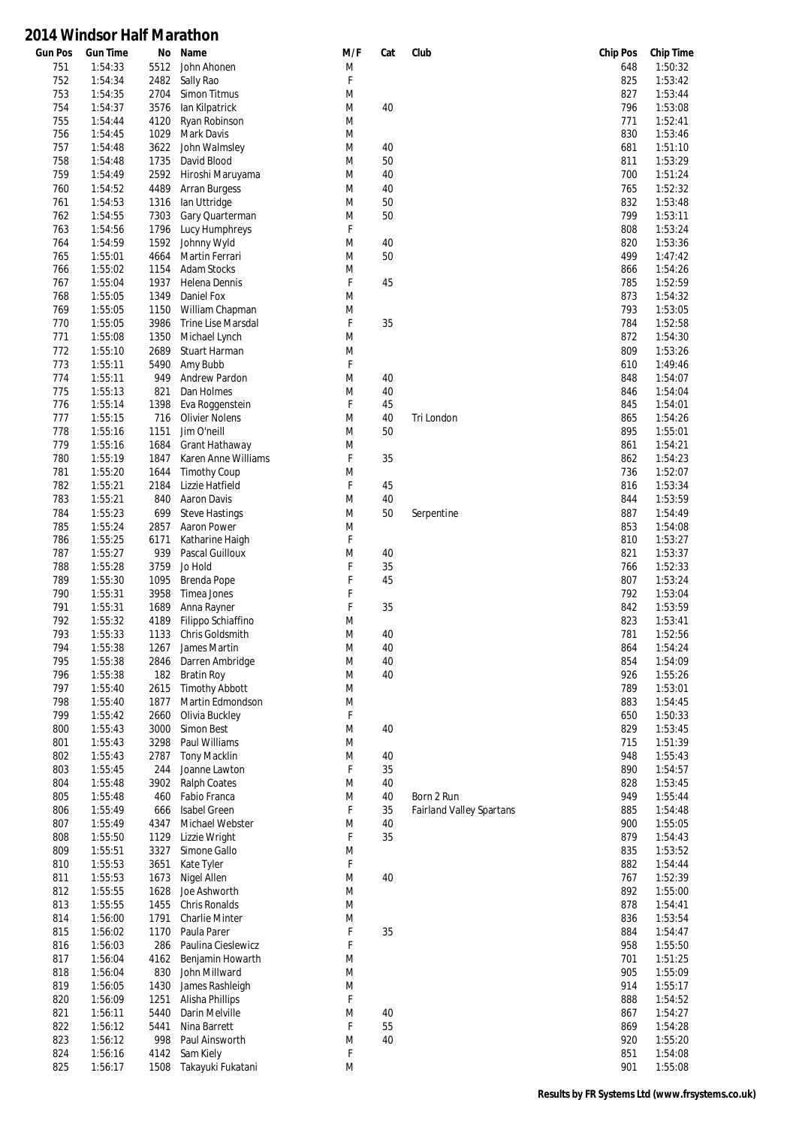| <b>Gun Pos</b> | <b>Gun Time</b>    | No           | Name                                  | M/F    | Cat      | Club                            | <b>Chip Pos</b> | <b>Chip Time</b>   |
|----------------|--------------------|--------------|---------------------------------------|--------|----------|---------------------------------|-----------------|--------------------|
| 751            | 1:54:33            | 5512         | John Ahonen                           | M      |          |                                 | 648             | 1:50:32            |
| 752<br>753     | 1:54:34<br>1:54:35 | 2482<br>2704 | Sally Rao<br>Simon Titmus             | F<br>M |          |                                 | 825<br>827      | 1:53:42<br>1:53:44 |
| 754            | 1:54:37            | 3576         | lan Kilpatrick                        | M      | 40       |                                 | 796             | 1:53:08            |
| 755            | 1:54:44            | 4120         | Ryan Robinson                         | M      |          |                                 | 771             | 1:52:41            |
| 756            | 1:54:45            | 1029         | Mark Davis                            | M      |          |                                 | 830             | 1:53:46            |
| 757            | 1:54:48            | 3622         | John Walmsley                         | M      | 40       |                                 | 681             | 1:51:10            |
| 758            | 1:54:48            | 1735         | David Blood                           | M      | 50       |                                 | 811             | 1:53:29            |
| 759            | 1:54:49            | 2592         | Hiroshi Maruyama                      | M      | 40       |                                 | 700             | 1:51:24            |
| 760            | 1:54:52            | 4489         | <b>Arran Burgess</b>                  | M      | 40       |                                 | 765             | 1:52:32            |
| 761            | 1:54:53            | 1316         | lan Uttridge                          | M      | 50       |                                 | 832             | 1:53:48            |
| 762            | 1:54:55            | 7303         | Gary Quarterman                       | M      | 50       |                                 | 799             | 1:53:11            |
| 763            | 1:54:56            | 1796         | Lucy Humphreys                        | F      |          |                                 | 808             | 1:53:24            |
| 764            | 1:54:59            | 1592         | Johnny Wyld                           | M      | 40<br>50 |                                 | 820<br>499      | 1:53:36<br>1:47:42 |
| 765<br>766     | 1:55:01<br>1:55:02 | 4664<br>1154 | Martin Ferrari<br><b>Adam Stocks</b>  | M<br>M |          |                                 | 866             | 1:54:26            |
| 767            | 1:55:04            | 1937         | Helena Dennis                         | F      | 45       |                                 | 785             | 1:52:59            |
| 768            | 1:55:05            | 1349         | Daniel Fox                            | M      |          |                                 | 873             | 1:54:32            |
| 769            | 1:55:05            | 1150         | William Chapman                       | M      |          |                                 | 793             | 1:53:05            |
| 770            | 1:55:05            | 3986         | <b>Trine Lise Marsdal</b>             | F      | 35       |                                 | 784             | 1:52:58            |
| 771            | 1:55:08            | 1350         | Michael Lynch                         | M      |          |                                 | 872             | 1:54:30            |
| 772            | 1:55:10            | 2689         | Stuart Harman                         | M      |          |                                 | 809             | 1:53:26            |
| 773            | 1:55:11            | 5490         | Amy Bubb                              | F      |          |                                 | 610             | 1:49:46            |
| 774            | 1:55:11            | 949          | <b>Andrew Pardon</b>                  | M      | 40       |                                 | 848             | 1:54:07            |
| 775            | 1:55:13            | 821          | Dan Holmes                            | M      | 40       |                                 | 846             | 1:54:04            |
| 776            | 1:55:14            | 1398         | Eva Roggenstein                       | F      | 45       |                                 | 845             | 1:54:01            |
| 777            | 1:55:15            | 716          | <b>Olivier Nolens</b>                 | M      | 40       | Tri London                      | 865             | 1:54:26            |
| 778            | 1:55:16            | 1151         | Jim O'neill                           | M      | 50       |                                 | 895             | 1:55:01            |
| 779<br>780     | 1:55:16<br>1:55:19 | 1684<br>1847 | Grant Hathaway<br>Karen Anne Williams | M<br>F | 35       |                                 | 861<br>862      | 1:54:21<br>1:54:23 |
| 781            | 1:55:20            | 1644         | <b>Timothy Coup</b>                   | M      |          |                                 | 736             | 1:52:07            |
| 782            | 1:55:21            | 2184         | Lizzie Hatfield                       | F      | 45       |                                 | 816             | 1:53:34            |
| 783            | 1:55:21            | 840          | Aaron Davis                           | M      | 40       |                                 | 844             | 1:53:59            |
| 784            | 1:55:23            | 699          | <b>Steve Hastings</b>                 | M      | 50       | Serpentine                      | 887             | 1:54:49            |
| 785            | 1:55:24            | 2857         | Aaron Power                           | M      |          |                                 | 853             | 1:54:08            |
| 786            | 1:55:25            | 6171         | Katharine Haigh                       | F      |          |                                 | 810             | 1:53:27            |
| 787            | 1:55:27            | 939          | Pascal Guilloux                       | M      | 40       |                                 | 821             | 1:53:37            |
| 788            | 1:55:28            | 3759         | Jo Hold                               | F      | 35       |                                 | 766             | 1:52:33            |
| 789            | 1:55:30            | 1095         | Brenda Pope                           | F      | 45       |                                 | 807             | 1:53:24            |
| 790            | 1:55:31            | 3958         | Timea Jones                           | F      |          |                                 | 792             | 1:53:04            |
| 791            | 1:55:31            | 1689         | Anna Rayner                           | F      | 35       |                                 | 842             | 1:53:59            |
| 792<br>793     | 1:55:32<br>1:55:33 | 4189         | Filippo Schiaffino                    | M      | 40       |                                 | 823<br>781      | 1:53:41<br>1:52:56 |
| 794            | 1:55:38            | 1133<br>1267 | Chris Goldsmith<br>James Martin       | M<br>M | 40       |                                 | 864             | 1:54:24            |
| 795            | 1:55:38            | 2846         | Darren Ambridge                       | M      | 40       |                                 | 854             | 1:54:09            |
| 796            | 1:55:38            | 182          | <b>Bratin Roy</b>                     | M      | 40       |                                 | 926             | 1:55:26            |
| 797            | 1:55:40            | 2615         | <b>Timothy Abbott</b>                 | M      |          |                                 | 789             | 1:53:01            |
| 798            | 1:55:40            | 1877         | Martin Edmondson                      | M      |          |                                 | 883             | 1:54:45            |
| 799            | 1:55:42            | 2660         | Olivia Buckley                        | F      |          |                                 | 650             | 1:50:33            |
| 800            | 1:55:43            | 3000         | Simon Best                            | M      | 40       |                                 | 829             | 1:53:45            |
| 801            | 1:55:43            | 3298         | Paul Williams                         | M      |          |                                 | 715             | 1:51:39            |
| 802            | 1:55:43            | 2787         | <b>Tony Macklin</b>                   | M      | 40       |                                 | 948             | 1:55:43            |
| 803            | 1:55:45            | 244          | Joanne Lawton                         | F      | 35       |                                 | 890             | 1:54:57            |
| 804            | 1:55:48            | 3902         | <b>Ralph Coates</b>                   | M      | 40       |                                 | 828             | 1:53:45            |
| 805            | 1:55:48<br>1:55:49 | 460          | Fabio Franca<br>Isabel Green          | M<br>F | 40<br>35 | Born 2 Run                      | 949<br>885      | 1:55:44<br>1:54:48 |
| 806<br>807     | 1:55:49            | 666<br>4347  | Michael Webster                       | M      | 40       | <b>Fairland Valley Spartans</b> | 900             | 1:55:05            |
| 808            | 1:55:50            | 1129         | Lizzie Wright                         | F      | 35       |                                 | 879             | 1:54:43            |
| 809            | 1:55:51            | 3327         | Simone Gallo                          | M      |          |                                 | 835             | 1:53:52            |
| 810            | 1:55:53            | 3651         | Kate Tyler                            | F      |          |                                 | 882             | 1:54:44            |
| 811            | 1:55:53            | 1673         | Nigel Allen                           | M      | 40       |                                 | 767             | 1:52:39            |
| 812            | 1:55:55            | 1628         | Joe Ashworth                          | M      |          |                                 | 892             | 1:55:00            |
| 813            | 1:55:55            | 1455         | Chris Ronalds                         | M      |          |                                 | 878             | 1:54:41            |
| 814            | 1:56:00            | 1791         | <b>Charlie Minter</b>                 | M      |          |                                 | 836             | 1:53:54            |
| 815            | 1:56:02            | 1170         | Paula Parer                           | F      | 35       |                                 | 884             | 1:54:47            |
| 816            | 1:56:03            | 286          | Paulina Cieslewicz                    | F      |          |                                 | 958             | 1:55:50            |
| 817            | 1:56:04            | 4162         | Benjamin Howarth                      | M      |          |                                 | 701             | 1:51:25            |
| 818            | 1:56:04            | 830          | John Millward                         | M      |          |                                 | 905             | 1:55:09            |
| 819            | 1:56:05            | 1430         | James Rashleigh                       | M<br>F |          |                                 | 914             | 1:55:17            |
| 820<br>821     | 1:56:09<br>1:56:11 | 1251<br>5440 | Alisha Phillips<br>Darin Melville     | M      | 40       |                                 | 888<br>867      | 1:54:52<br>1:54:27 |
| 822            | 1:56:12            | 5441         | Nina Barrett                          | F      | 55       |                                 | 869             | 1:54:28            |
| 823            | 1:56:12            | 998          | Paul Ainsworth                        | M      | 40       |                                 | 920             | 1:55:20            |
| 824            | 1:56:16            | 4142         | Sam Kiely                             | F      |          |                                 | 851             | 1:54:08            |
| 825            | 1:56:17            | 1508         | Takayuki Fukatani                     | M      |          |                                 | 901             | 1:55:08            |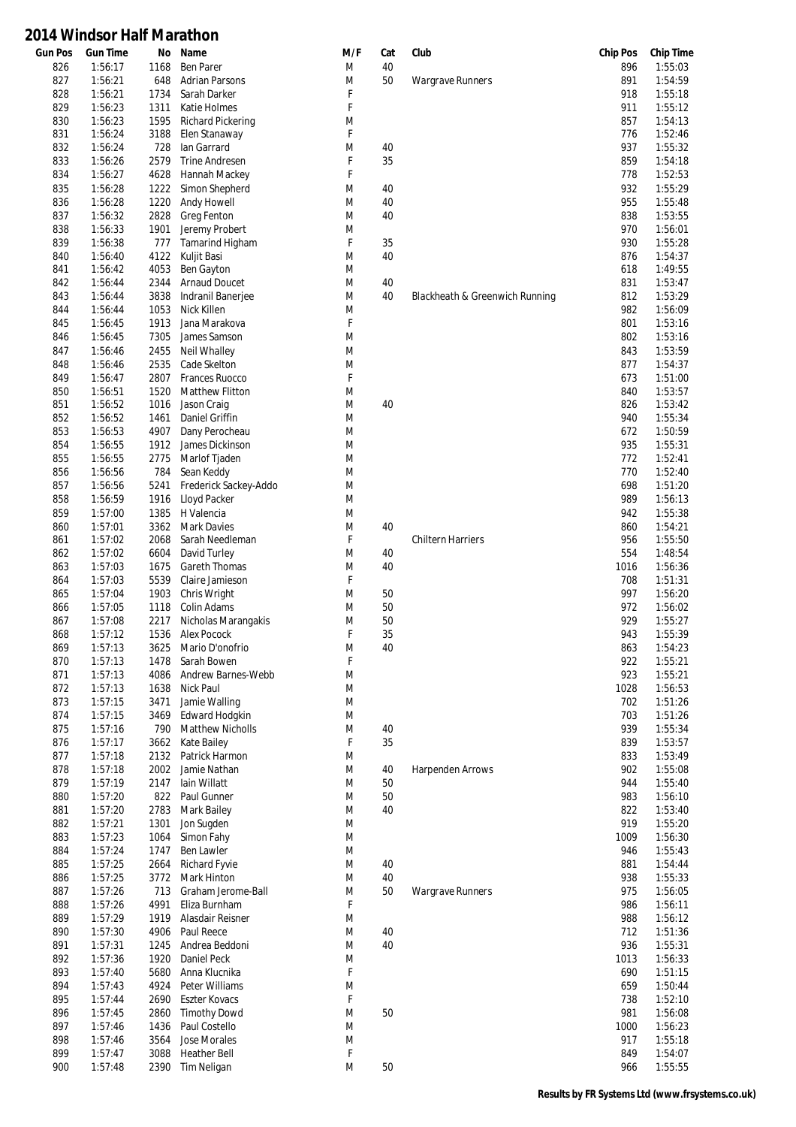| <b>Gun Pos</b> | <b>Gun Time</b> | No   | Name                     | M/F | Cat | Club                           | <b>Chip Pos</b> | <b>Chip Time</b> |
|----------------|-----------------|------|--------------------------|-----|-----|--------------------------------|-----------------|------------------|
| 826            | 1:56:17         | 1168 | <b>Ben Parer</b>         | M   | 40  |                                | 896             | 1:55:03          |
| 827            | 1:56:21         | 648  | <b>Adrian Parsons</b>    | M   | 50  | <b>Wargrave Runners</b>        | 891             | 1:54:59          |
| 828            | 1:56:21         | 1734 | Sarah Darker             | F   |     |                                | 918             | 1:55:18          |
| 829            | 1:56:23         | 1311 | Katie Holmes             | F   |     |                                | 911             | 1:55:12          |
| 830            | 1:56:23         | 1595 | <b>Richard Pickering</b> | M   |     |                                | 857             | 1:54:13          |
| 831            | 1:56:24         | 3188 | Elen Stanaway            | F   |     |                                | 776             | 1:52:46          |
| 832            | 1:56:24         | 728  | lan Garrard              | M   | 40  |                                | 937             | 1:55:32          |
| 833            | 1:56:26         | 2579 | <b>Trine Andresen</b>    | F   | 35  |                                | 859             | 1:54:18          |
| 834            | 1:56:27         | 4628 | Hannah Mackey            | F   |     |                                | 778             | 1:52:53          |
| 835            | 1:56:28         | 1222 | Simon Shepherd           | M   | 40  |                                | 932             | 1:55:29          |
| 836            | 1:56:28         | 1220 | Andy Howell              | M   | 40  |                                | 955             | 1:55:48          |
| 837            | 1:56:32         | 2828 | Greg Fenton              | M   | 40  |                                | 838             | 1:53:55          |
| 838            | 1:56:33         | 1901 | Jeremy Probert           | M   |     |                                | 970             | 1:56:01          |
| 839            | 1:56:38         | 777  | Tamarind Higham          | F   | 35  |                                | 930             | 1:55:28          |
|                |                 |      |                          |     | 40  |                                | 876             |                  |
| 840            | 1:56:40         | 4122 | Kuljit Basi              | M   |     |                                |                 | 1:54:37          |
| 841            | 1:56:42         | 4053 | Ben Gayton               | M   |     |                                | 618             | 1:49:55          |
| 842            | 1:56:44         | 2344 | <b>Arnaud Doucet</b>     | M   | 40  |                                | 831             | 1:53:47          |
| 843            | 1:56:44         | 3838 | Indranil Banerjee        | M   | 40  | Blackheath & Greenwich Running | 812             | 1:53:29          |
| 844            | 1:56:44         | 1053 | Nick Killen              | M   |     |                                | 982             | 1:56:09          |
| 845            | 1:56:45         | 1913 | Jana Marakova            | F   |     |                                | 801             | 1:53:16          |
| 846            | 1:56:45         | 7305 | James Samson             | M   |     |                                | 802             | 1:53:16          |
| 847            | 1:56:46         | 2455 | <b>Neil Whalley</b>      | M   |     |                                | 843             | 1:53:59          |
| 848            | 1:56:46         | 2535 | Cade Skelton             | M   |     |                                | 877             | 1:54:37          |
| 849            | 1:56:47         | 2807 | Frances Ruocco           | F   |     |                                | 673             | 1:51:00          |
| 850            | 1:56:51         | 1520 | <b>Matthew Flitton</b>   | M   |     |                                | 840             | 1:53:57          |
| 851            | 1:56:52         | 1016 | Jason Craig              | M   | 40  |                                | 826             | 1:53:42          |
| 852            | 1:56:52         | 1461 | Daniel Griffin           | M   |     |                                | 940             | 1:55:34          |
| 853            | 1:56:53         | 4907 | Dany Perocheau           | M   |     |                                | 672             | 1:50:59          |
| 854            | 1:56:55         | 1912 | James Dickinson          | M   |     |                                | 935             | 1:55:31          |
| 855            | 1:56:55         | 2775 | Marlof Tjaden            | M   |     |                                | 772             | 1:52:41          |
|                |                 |      |                          |     |     |                                |                 |                  |
| 856            | 1:56:56         | 784  | Sean Keddy               | M   |     |                                | 770             | 1:52:40          |
| 857            | 1:56:56         | 5241 | Frederick Sackey-Addo    | M   |     |                                | 698             | 1:51:20          |
| 858            | 1:56:59         | 1916 | Lloyd Packer             | M   |     |                                | 989             | 1:56:13          |
| 859            | 1:57:00         | 1385 | H Valencia               | M   |     |                                | 942             | 1:55:38          |
| 860            | 1:57:01         | 3362 | <b>Mark Davies</b>       | M   | 40  |                                | 860             | 1:54:21          |
| 861            | 1:57:02         | 2068 | Sarah Needleman          | F   |     | <b>Chiltern Harriers</b>       | 956             | 1:55:50          |
| 862            | 1:57:02         | 6604 | David Turley             | M   | 40  |                                | 554             | 1:48:54          |
| 863            | 1:57:03         | 1675 | Gareth Thomas            | M   | 40  |                                | 1016            | 1:56:36          |
| 864            | 1:57:03         | 5539 | Claire Jamieson          | F   |     |                                | 708             | 1:51:31          |
| 865            | 1:57:04         | 1903 | Chris Wright             | M   | 50  |                                | 997             | 1:56:20          |
| 866            | 1:57:05         | 1118 | Colin Adams              | M   | 50  |                                | 972             | 1:56:02          |
| 867            | 1:57:08         | 2217 | Nicholas Marangakis      | M   | 50  |                                | 929             | 1:55:27          |
| 868            | 1:57:12         | 1536 | Alex Pocock              | F   | 35  |                                | 943             | 1:55:39          |
| 869            | 1:57:13         |      | 3625 Mario D'onofrio     | M   | 40  |                                | 863             | 1:54:23          |
| 870            | 1:57:13         | 1478 | Sarah Bowen              | F   |     |                                | 922             | 1:55:21          |
| 871            | 1:57:13         | 4086 | Andrew Barnes-Webb       | M   |     |                                | 923             | 1:55:21          |
| 872            | 1:57:13         | 1638 | Nick Paul                | M   |     |                                | 1028            | 1:56:53          |
| 873            | 1:57:15         | 3471 | Jamie Walling            | M   |     |                                | 702             | 1:51:26          |
| 874            | 1:57:15         | 3469 | Edward Hodgkin           | M   |     |                                | 703             | 1:51:26          |
| 875            | 1:57:16         | 790  | <b>Matthew Nicholls</b>  | M   | 40  |                                | 939             | 1:55:34          |
| 876            | 1:57:17         | 3662 | Kate Bailey              | F   | 35  |                                | 839             | 1:53:57          |
| 877            | 1:57:18         | 2132 | Patrick Harmon           | M   |     |                                | 833             | 1:53:49          |
| 878            | 1:57:18         | 2002 | Jamie Nathan             | M   | 40  | <b>Harpenden Arrows</b>        | 902             | 1:55:08          |
|                |                 |      |                          |     |     |                                |                 |                  |
| 879            | 1:57:19         | 2147 | lain Willatt             | M   | 50  |                                | 944             | 1:55:40          |
| 880            | 1:57:20         | 822  | Paul Gunner              | M   | 50  |                                | 983             | 1:56:10          |
| 881            | 1:57:20         | 2783 | <b>Mark Bailey</b>       | M   | 40  |                                | 822             | 1:53:40          |
| 882            | 1:57:21         | 1301 | Jon Sugden               | M   |     |                                | 919             | 1:55:20          |
| 883            | 1:57:23         | 1064 | Simon Fahy               | M   |     |                                | 1009            | 1:56:30          |
| 884            | 1:57:24         | 1747 | Ben Lawler               | M   |     |                                | 946             | 1:55:43          |
| 885            | 1:57:25         | 2664 | <b>Richard Fyvie</b>     | M   | 40  |                                | 881             | 1:54:44          |
| 886            | 1:57:25         | 3772 | Mark Hinton              | M   | 40  |                                | 938             | 1:55:33          |
| 887            | 1:57:26         | 713  | Graham Jerome-Ball       | M   | 50  | <b>Wargrave Runners</b>        | 975             | 1:56:05          |
| 888            | 1:57:26         | 4991 | Eliza Burnham            | F   |     |                                | 986             | 1:56:11          |
| 889            | 1:57:29         | 1919 | Alasdair Reisner         | M   |     |                                | 988             | 1:56:12          |
| 890            | 1:57:30         | 4906 | Paul Reece               | M   | 40  |                                | 712             | 1:51:36          |
| 891            | 1:57:31         | 1245 | Andrea Beddoni           | M   | 40  |                                | 936             | 1:55:31          |
| 892            | 1:57:36         | 1920 | Daniel Peck              | M   |     |                                | 1013            | 1:56:33          |
| 893            | 1:57:40         | 5680 | Anna Klucnika            | F   |     |                                | 690             | 1:51:15          |
| 894            | 1:57:43         | 4924 | Peter Williams           | M   |     |                                | 659             | 1:50:44          |
| 895            | 1:57:44         | 2690 | <b>Eszter Kovacs</b>     | F   |     |                                | 738             | 1:52:10          |
| 896            | 1:57:45         | 2860 | <b>Timothy Dowd</b>      | M   | 50  |                                | 981             | 1:56:08          |
| 897            | 1:57:46         | 1436 | Paul Costello            | M   |     |                                | 1000            | 1:56:23          |
|                |                 |      |                          |     |     |                                |                 |                  |
| 898            | 1:57:46         | 3564 | Jose Morales             | M   |     |                                | 917             | 1:55:18          |
| 899            | 1:57:47         | 3088 | <b>Heather Bell</b>      | F   |     |                                | 849             | 1:54:07          |
| 900            | 1:57:48         | 2390 | Tim Neligan              | M   | 50  |                                | 966             | 1:55:55          |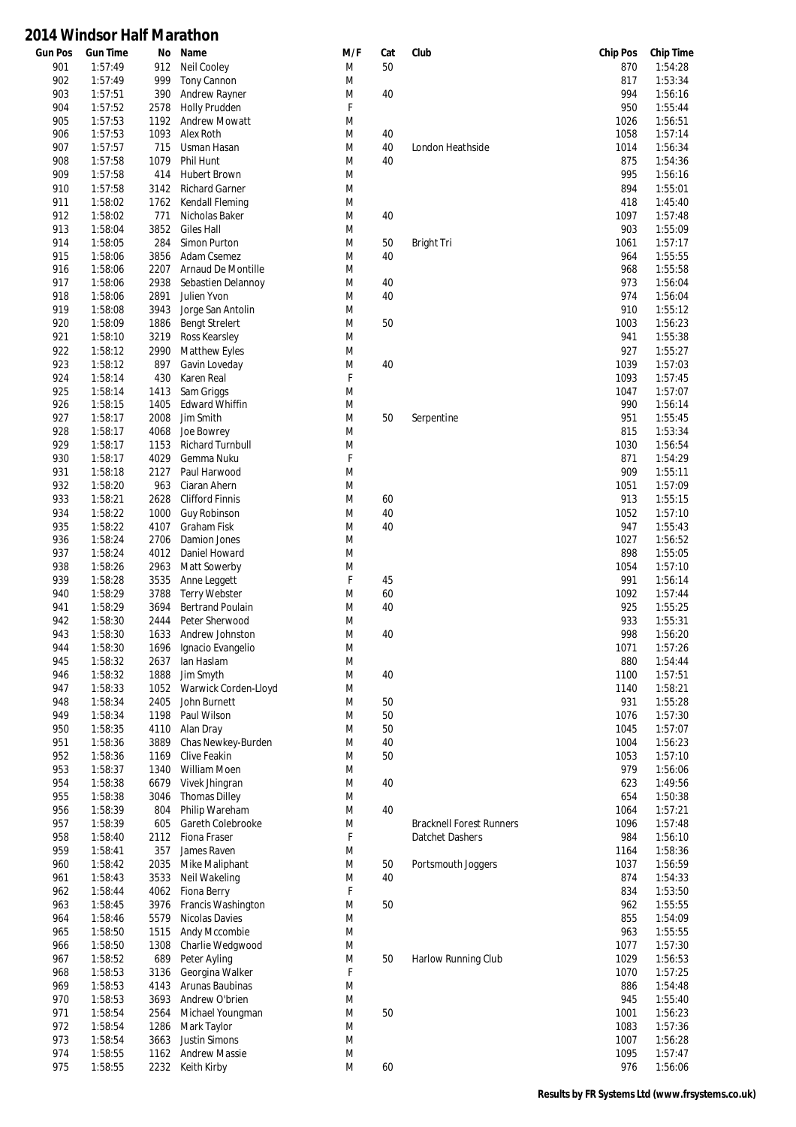| <b>Gun Pos</b> | <b>Gun Time</b>    | No           | Name                               | M/F         | Cat      | Club                            | <b>Chip Pos</b> | <b>Chip Time</b>   |
|----------------|--------------------|--------------|------------------------------------|-------------|----------|---------------------------------|-----------------|--------------------|
| 901            | 1:57:49            | 912          | <b>Neil Cooley</b>                 | M           | 50       |                                 | 870             | 1:54:28            |
| 902            | 1:57:49            | 999          | <b>Tony Cannon</b>                 | M           |          |                                 | 817             | 1:53:34            |
| 903            | 1:57:51            | 390          | <b>Andrew Rayner</b>               | M           | 40       |                                 | 994             | 1:56:16            |
| 904            | 1:57:52            | 2578         | <b>Holly Prudden</b>               | F           |          |                                 | 950             | 1:55:44            |
| 905            | 1:57:53<br>1:57:53 | 1192         | <b>Andrew Mowatt</b>               | M           |          |                                 | 1026<br>1058    | 1:56:51<br>1:57:14 |
| 906<br>907     | 1:57:57            | 1093<br>715  | Alex Roth<br>Usman Hasan           | M<br>M      | 40<br>40 | London Heathside                | 1014            | 1:56:34            |
| 908            | 1:57:58            | 1079         | Phil Hunt                          | M           | 40       |                                 | 875             | 1:54:36            |
| 909            | 1:57:58            | 414          | <b>Hubert Brown</b>                | M           |          |                                 | 995             | 1:56:16            |
| 910            | 1:57:58            | 3142         | <b>Richard Garner</b>              | M           |          |                                 | 894             | 1:55:01            |
| 911            | 1:58:02            | 1762         | Kendall Fleming                    | M           |          |                                 | 418             | 1:45:40            |
| 912            | 1:58:02            | 771          | Nicholas Baker                     | M           | 40       |                                 | 1097            | 1:57:48            |
| 913            | 1:58:04            | 3852         | <b>Giles Hall</b>                  | M           |          |                                 | 903             | 1:55:09            |
| 914            | 1:58:05            | 284          | Simon Purton                       | M           | 50       | Bright Tri                      | 1061            | 1:57:17            |
| 915            | 1:58:06            | 3856         | Adam Csemez                        | M           | 40       |                                 | 964             | 1:55:55            |
| 916            | 1:58:06            | 2207         | Arnaud De Montille                 | M           |          |                                 | 968             | 1:55:58            |
| 917            | 1:58:06            | 2938         | Sebastien Delannoy                 | M           | 40       |                                 | 973             | 1:56:04            |
| 918            | 1:58:06            | 2891         | Julien Yvon                        | M           | 40       |                                 | 974             | 1:56:04            |
| 919            | 1:58:08            | 3943         | Jorge San Antolin                  | M           |          |                                 | 910             | 1:55:12            |
| 920            | 1:58:09            | 1886         | <b>Bengt Strelert</b>              | M           | 50       |                                 | 1003            | 1:56:23            |
| 921            | 1:58:10            | 3219         | Ross Kearsley                      | M           |          |                                 | 941             | 1:55:38            |
| 922            | 1:58:12            | 2990         | <b>Matthew Eyles</b>               | M           |          |                                 | 927             | 1:55:27            |
| 923            | 1:58:12            | 897          | Gavin Loveday                      | M           | 40       |                                 | 1039            | 1:57:03            |
| 924            | 1:58:14            | 430          | Karen Real                         | $\mathsf F$ |          |                                 | 1093            | 1:57:45            |
| 925            | 1:58:14            | 1413         | Sam Griggs                         | M           |          |                                 | 1047            | 1:57:07            |
| 926            | 1:58:15            | 1405         | <b>Edward Whiffin</b>              | M           |          |                                 | 990             | 1:56:14            |
| 927            | 1:58:17            | 2008         | Jim Smith                          | M           | 50       | Serpentine                      | 951             | 1:55:45            |
| 928            | 1:58:17            | 4068         | Joe Bowrey                         | M           |          |                                 | 815             | 1:53:34            |
| 929            | 1:58:17            | 1153         | <b>Richard Turnbull</b>            | M           |          |                                 | 1030            | 1:56:54            |
| 930            | 1:58:17            | 4029         | Gemma Nuku                         | $\mathsf F$ |          |                                 | 871             | 1:54:29            |
| 931            | 1:58:18            | 2127         | Paul Harwood                       | M           |          |                                 | 909             | 1:55:11            |
| 932            | 1:58:20            | 963          | Ciaran Ahern                       | M           |          |                                 | 1051            | 1:57:09            |
| 933            | 1:58:21            | 2628         | <b>Clifford Finnis</b>             | M           | 60       |                                 | 913             | 1:55:15            |
| 934            | 1:58:22            | 1000         | Guy Robinson                       | M           | 40       |                                 | 1052            | 1:57:10            |
| 935            | 1:58:22            | 4107         | Graham Fisk                        | M           | 40       |                                 | 947             | 1:55:43            |
| 936            | 1:58:24            | 2706         | Damion Jones                       | M           |          |                                 | 1027            | 1:56:52            |
| 937            | 1:58:24            | 4012         | Daniel Howard                      | M           |          |                                 | 898             | 1:55:05            |
| 938            | 1:58:26            | 2963         | Matt Sowerby                       | M           |          |                                 | 1054            | 1:57:10            |
| 939            | 1:58:28            | 3535         | Anne Leggett                       | F           | 45       |                                 | 991             | 1:56:14            |
| 940            | 1:58:29            | 3788         | <b>Terry Webster</b>               | M           | 60       |                                 | 1092            | 1:57:44            |
| 941            | 1:58:29            | 3694         | <b>Bertrand Poulain</b>            | M           | 40       |                                 | 925             | 1:55:25            |
| 942            | 1:58:30            | 2444         | Peter Sherwood                     | M           |          |                                 | 933             | 1:55:31            |
| 943            | 1:58:30            | 1633         | Andrew Johnston                    | M           | 40       |                                 | 998             | 1:56:20            |
| 944            | 1:58:30            | 1696         | Ignacio Evangelio                  | M           |          |                                 | 1071            | 1:57:26            |
| 945            | 1:58:32            | 2637         | lan Haslam                         | M           |          |                                 | 880             | 1:54:44            |
| 946            | 1:58:32            | 1888         | Jim Smyth                          | M           | 40       |                                 | 1100            | 1:57:51            |
| 947            | 1:58:33            | 1052         | Warwick Corden-Lloyd               | M           |          |                                 | 1140            | 1:58:21            |
| 948            | 1:58:34            | 2405         | John Burnett                       | M           | 50       |                                 | 931             | 1:55:28            |
| 949            | 1:58:34            | 1198         | Paul Wilson                        | M           | 50       |                                 | 1076            | 1:57:30            |
| 950            | 1:58:35            | 4110         | Alan Dray                          | M           | 50       |                                 | 1045            | 1:57:07            |
| 951<br>952     | 1:58:36<br>1:58:36 | 3889<br>1169 | Chas Newkey-Burden<br>Clive Feakin | M<br>M      | 40<br>50 |                                 | 1004<br>1053    | 1:56:23<br>1:57:10 |
| 953            | 1:58:37            | 1340         | William Moen                       | M           |          |                                 | 979             | 1:56:06            |
| 954            | 1:58:38            | 6679         | Vivek Jhingran                     | M           | 40       |                                 | 623             | 1:49:56            |
| 955            | 1:58:38            | 3046         | <b>Thomas Dilley</b>               | M           |          |                                 | 654             | 1:50:38            |
| 956            | 1:58:39            | 804          | Philip Wareham                     | M           | 40       |                                 | 1064            | 1:57:21            |
| 957            | 1:58:39            | 605          | Gareth Colebrooke                  | M           |          | <b>Bracknell Forest Runners</b> | 1096            | 1:57:48            |
| 958            | 1:58:40            | 2112         | Fiona Fraser                       | F           |          | Datchet Dashers                 | 984             | 1:56:10            |
| 959            | 1:58:41            | 357          | James Raven                        | M           |          |                                 | 1164            | 1:58:36            |
| 960            | 1:58:42            | 2035         | Mike Maliphant                     | M           | 50       | Portsmouth Joggers              | 1037            | 1:56:59            |
| 961            | 1:58:43            | 3533         | Neil Wakeling                      | M           | 40       |                                 | 874             | 1:54:33            |
| 962            | 1:58:44            | 4062         | Fiona Berry                        | F           |          |                                 | 834             | 1:53:50            |
| 963            | 1:58:45            | 3976         | Francis Washington                 | M           | 50       |                                 | 962             | 1:55:55            |
| 964            | 1:58:46            | 5579         | Nicolas Davies                     | M           |          |                                 | 855             | 1:54:09            |
| 965            | 1:58:50            | 1515         | Andy Mccombie                      | M           |          |                                 | 963             | 1:55:55            |
| 966            | 1:58:50            | 1308         | Charlie Wedgwood                   | M           |          |                                 | 1077            | 1:57:30            |
| 967            | 1:58:52            | 689          | Peter Ayling                       | M           | 50       | Harlow Running Club             | 1029            | 1:56:53            |
| 968            | 1:58:53            | 3136         | Georgina Walker                    | F           |          |                                 | 1070            | 1:57:25            |
| 969            | 1:58:53            | 4143         | Arunas Baubinas                    | M           |          |                                 | 886             | 1:54:48            |
| 970            | 1:58:53            | 3693         | Andrew O'brien                     | M           |          |                                 | 945             | 1:55:40            |
| 971            | 1:58:54            | 2564         | Michael Youngman                   | M           | 50       |                                 | 1001            | 1:56:23            |
| 972            | 1:58:54            | 1286         | Mark Taylor                        | M           |          |                                 | 1083            | 1:57:36            |
| 973            | 1:58:54            | 3663         | Justin Simons                      | M           |          |                                 | 1007            | 1:56:28            |
| 974            | 1:58:55            |              | 1162 Andrew Massie                 | M           |          |                                 | 1095            | 1:57:47            |
| 975            | 1:58:55            |              | 2232 Keith Kirby                   | M           | 60       |                                 | 976             | 1:56:06            |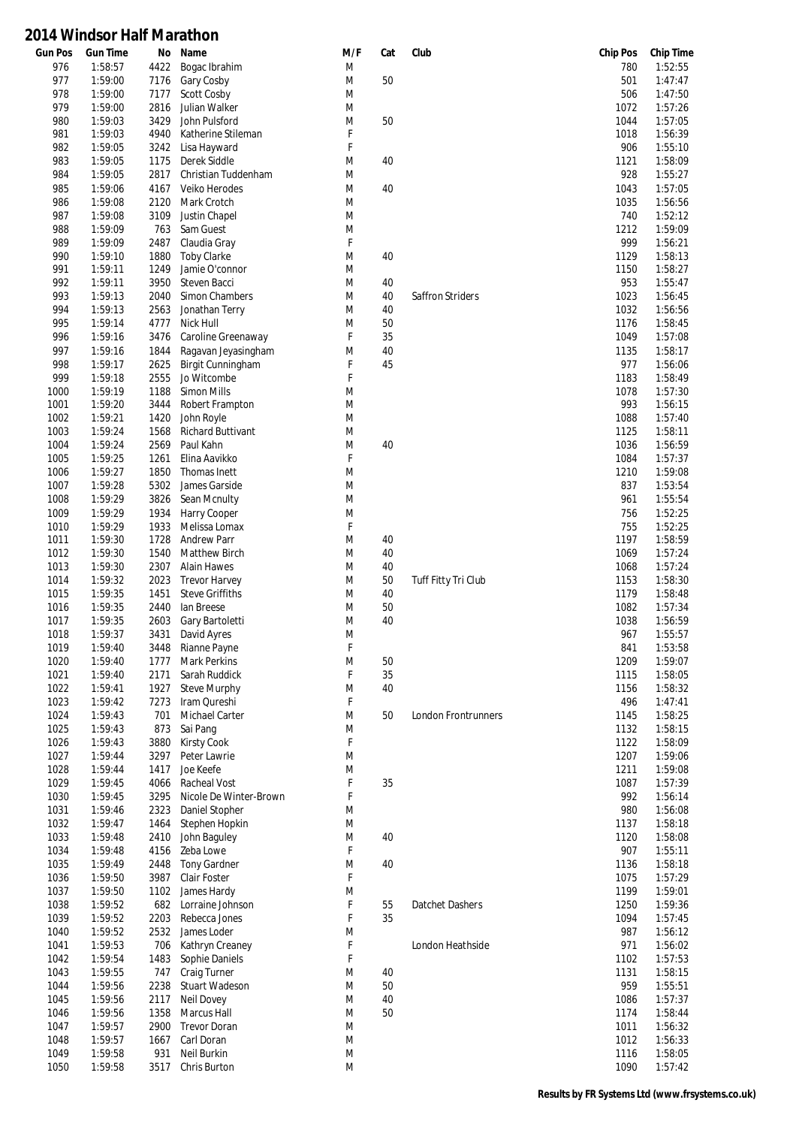| <b>Gun Pos</b> | <b>Gun Time</b> | No   | Name                     | M/F | Cat | Club                | <b>Chip Pos</b> | <b>Chip Time</b> |
|----------------|-----------------|------|--------------------------|-----|-----|---------------------|-----------------|------------------|
| 976            | 1:58:57         | 4422 | Bogac Ibrahim            | M   |     |                     | 780             | 1:52:55          |
| 977            | 1:59:00         | 7176 | Gary Cosby               | M   | 50  |                     | 501             | 1:47:47          |
| 978            | 1:59:00         | 7177 | Scott Cosby              | M   |     |                     | 506             | 1:47:50          |
| 979            | 1:59:00         | 2816 | Julian Walker            | M   |     |                     | 1072            | 1:57:26          |
| 980            | 1:59:03         | 3429 | John Pulsford            | M   | 50  |                     | 1044            | 1:57:05          |
| 981            | 1:59:03         | 4940 | Katherine Stileman       | F   |     |                     | 1018            | 1:56:39          |
| 982            | 1:59:05         | 3242 | Lisa Hayward             | F   |     |                     | 906             | 1:55:10          |
| 983            | 1:59:05         | 1175 | Derek Siddle             | M   | 40  |                     | 1121            | 1:58:09          |
| 984            | 1:59:05         | 2817 | Christian Tuddenham      | M   |     |                     | 928             | 1:55:27          |
| 985            | 1:59:06         | 4167 | Veiko Herodes            | M   | 40  |                     | 1043            | 1:57:05          |
| 986            | 1:59:08         | 2120 | Mark Crotch              | M   |     |                     | 1035            | 1:56:56          |
| 987            | 1:59:08         | 3109 | Justin Chapel            | M   |     |                     | 740             | 1:52:12          |
| 988            | 1:59:09         | 763  | Sam Guest                | M   |     |                     | 1212            | 1:59:09          |
| 989            | 1:59:09         | 2487 | Claudia Gray             | F   |     |                     | 999             | 1:56:21          |
| 990            | 1:59:10         | 1880 | <b>Toby Clarke</b>       | M   | 40  |                     | 1129            | 1:58:13          |
| 991            | 1:59:11         | 1249 | Jamie O'connor           | M   |     |                     | 1150            | 1:58:27          |
| 992            | 1:59:11         | 3950 | Steven Bacci             | M   | 40  |                     | 953             | 1:55:47          |
| 993            | 1:59:13         | 2040 | Simon Chambers           | M   | 40  | Saffron Striders    | 1023            | 1:56:45          |
| 994            | 1:59:13         | 2563 |                          |     |     |                     | 1032            | 1:56:56          |
|                |                 |      | Jonathan Terry           | M   | 40  |                     |                 |                  |
| 995            | 1:59:14         | 4777 | Nick Hull                | M   | 50  |                     | 1176            | 1:58:45          |
| 996            | 1:59:16         | 3476 | Caroline Greenaway       | F   | 35  |                     | 1049            | 1:57:08          |
| 997            | 1:59:16         | 1844 | Ragavan Jeyasingham      | M   | 40  |                     | 1135            | 1:58:17          |
| 998            | 1:59:17         | 2625 | Birgit Cunningham        | F   | 45  |                     | 977             | 1:56:06          |
| 999            | 1:59:18         | 2555 | Jo Witcombe              | F   |     |                     | 1183            | 1:58:49          |
| 1000           | 1:59:19         | 1188 | Simon Mills              | M   |     |                     | 1078            | 1:57:30          |
| 1001           | 1:59:20         | 3444 | Robert Frampton          | M   |     |                     | 993             | 1:56:15          |
| 1002           | 1:59:21         | 1420 | John Royle               | M   |     |                     | 1088            | 1:57:40          |
| 1003           | 1:59:24         | 1568 | <b>Richard Buttivant</b> | M   |     |                     | 1125            | 1:58:11          |
| 1004           | 1:59:24         | 2569 | Paul Kahn                | M   | 40  |                     | 1036            | 1:56:59          |
| 1005           | 1:59:25         | 1261 | Elina Aavikko            | F   |     |                     | 1084            | 1:57:37          |
| 1006           | 1:59:27         | 1850 | Thomas Inett             | M   |     |                     | 1210            | 1:59:08          |
| 1007           | 1:59:28         | 5302 | James Garside            | M   |     |                     | 837             | 1:53:54          |
| 1008           | 1:59:29         | 3826 | Sean Mcnulty             | M   |     |                     | 961             | 1:55:54          |
| 1009           | 1:59:29         | 1934 | Harry Cooper             | M   |     |                     | 756             | 1:52:25          |
| 1010           | 1:59:29         | 1933 | Melissa Lomax            | F   |     |                     | 755             | 1:52:25          |
| 1011           | 1:59:30         | 1728 | <b>Andrew Parr</b>       | M   | 40  |                     | 1197            | 1:58:59          |
| 1012           | 1:59:30         | 1540 | <b>Matthew Birch</b>     | M   | 40  |                     | 1069            | 1:57:24          |
| 1013           | 1:59:30         | 2307 | <b>Alain Hawes</b>       | M   | 40  |                     | 1068            | 1:57:24          |
| 1014           | 1:59:32         | 2023 | <b>Trevor Harvey</b>     | M   | 50  | Tuff Fitty Tri Club | 1153            | 1:58:30          |
| 1015           | 1:59:35         | 1451 | <b>Steve Griffiths</b>   | M   | 40  |                     | 1179            | 1:58:48          |
| 1016           | 1:59:35         | 2440 | lan Breese               | M   | 50  |                     | 1082            | 1:57:34          |
| 1017           | 1:59:35         | 2603 | Gary Bartoletti          | M   | 40  |                     | 1038            | 1:56:59          |
| 1018           | 1:59:37         | 3431 | David Ayres              | M   |     |                     | 967             | 1:55:57          |
| 1019           | 1:59:40         | 3448 |                          | F   |     |                     | 841             | 1:53:58          |
| 1020           | 1:59:40         |      | Rianne Payne             | M   | 50  |                     |                 | 1:59:07          |
|                |                 |      | 1777 Mark Perkins        |     |     |                     | 1209            |                  |
| 1021           | 1:59:40         | 2171 | Sarah Ruddick            | F   | 35  |                     | 1115            | 1:58:05          |
| 1022           | 1:59:41         | 1927 | <b>Steve Murphy</b>      | M   | 40  |                     | 1156            | 1:58:32          |
| 1023           | 1:59:42         | 7273 | Iram Qureshi             | F   |     |                     | 496             | 1:47:41          |
| 1024           | 1:59:43         | 701  | Michael Carter           | M   | 50  | London Frontrunners | 1145            | 1:58:25          |
| 1025           | 1:59:43         | 873  | Sai Pang                 | M   |     |                     | 1132            | 1:58:15          |
| 1026           | 1:59:43         | 3880 | <b>Kirsty Cook</b>       | F   |     |                     | 1122            | 1:58:09          |
| 1027           | 1:59:44         | 3297 | Peter Lawrie             | M   |     |                     | 1207            | 1:59:06          |
| 1028           | 1:59:44         | 1417 | Joe Keefe                | M   |     |                     | 1211            | 1:59:08          |
| 1029           | 1:59:45         | 4066 | Racheal Vost             | F   | 35  |                     | 1087            | 1:57:39          |
| 1030           | 1:59:45         | 3295 | Nicole De Winter-Brown   | F   |     |                     | 992             | 1:56:14          |
| 1031           | 1:59:46         | 2323 | Daniel Stopher           | M   |     |                     | 980             | 1:56:08          |
| 1032           | 1:59:47         | 1464 | Stephen Hopkin           | M   |     |                     | 1137            | 1:58:18          |
| 1033           | 1:59:48         | 2410 | John Baguley             | M   | 40  |                     | 1120            | 1:58:08          |
| 1034           | 1:59:48         | 4156 | Zeba Lowe                | F   |     |                     | 907             | 1:55:11          |
| 1035           | 1:59:49         | 2448 | <b>Tony Gardner</b>      | M   | 40  |                     | 1136            | 1:58:18          |
| 1036           | 1:59:50         | 3987 | Clair Foster             | F   |     |                     | 1075            | 1:57:29          |
| 1037           | 1:59:50         | 1102 | James Hardy              | M   |     |                     | 1199            | 1:59:01          |
| 1038           | 1:59:52         | 682  | Lorraine Johnson         | F   | 55  | Datchet Dashers     | 1250            | 1:59:36          |
| 1039           | 1:59:52         | 2203 | Rebecca Jones            | F   | 35  |                     | 1094            | 1:57:45          |
| 1040           | 1:59:52         | 2532 | James Loder              | M   |     |                     | 987             | 1:56:12          |
| 1041           | 1:59:53         | 706  | Kathryn Creaney          | F   |     | London Heathside    | 971             | 1:56:02          |
| 1042           | 1:59:54         | 1483 | Sophie Daniels           | F   |     |                     | 1102            | 1:57:53          |
| 1043           | 1:59:55         | 747  | Craig Turner             | M   | 40  |                     | 1131            | 1:58:15          |
| 1044           | 1:59:56         | 2238 | <b>Stuart Wadeson</b>    | M   | 50  |                     | 959             | 1:55:51          |
|                |                 |      |                          |     |     |                     |                 |                  |
| 1045           | 1:59:56         | 2117 | <b>Neil Dovey</b>        | M   | 40  |                     | 1086            | 1:57:37          |
| 1046           | 1:59:56         | 1358 | <b>Marcus Hall</b>       | M   | 50  |                     | 1174            | 1:58:44          |
| 1047           | 1:59:57         | 2900 | <b>Trevor Doran</b>      | M   |     |                     | 1011            | 1:56:32          |
| 1048           | 1:59:57         | 1667 | Carl Doran               | M   |     |                     | 1012            | 1:56:33          |
| 1049           | 1:59:58         | 931  | Neil Burkin              | M   |     |                     | 1116            | 1:58:05          |
| 1050           | 1:59:58         | 3517 | Chris Burton             | M   |     |                     | 1090            | 1:57:42          |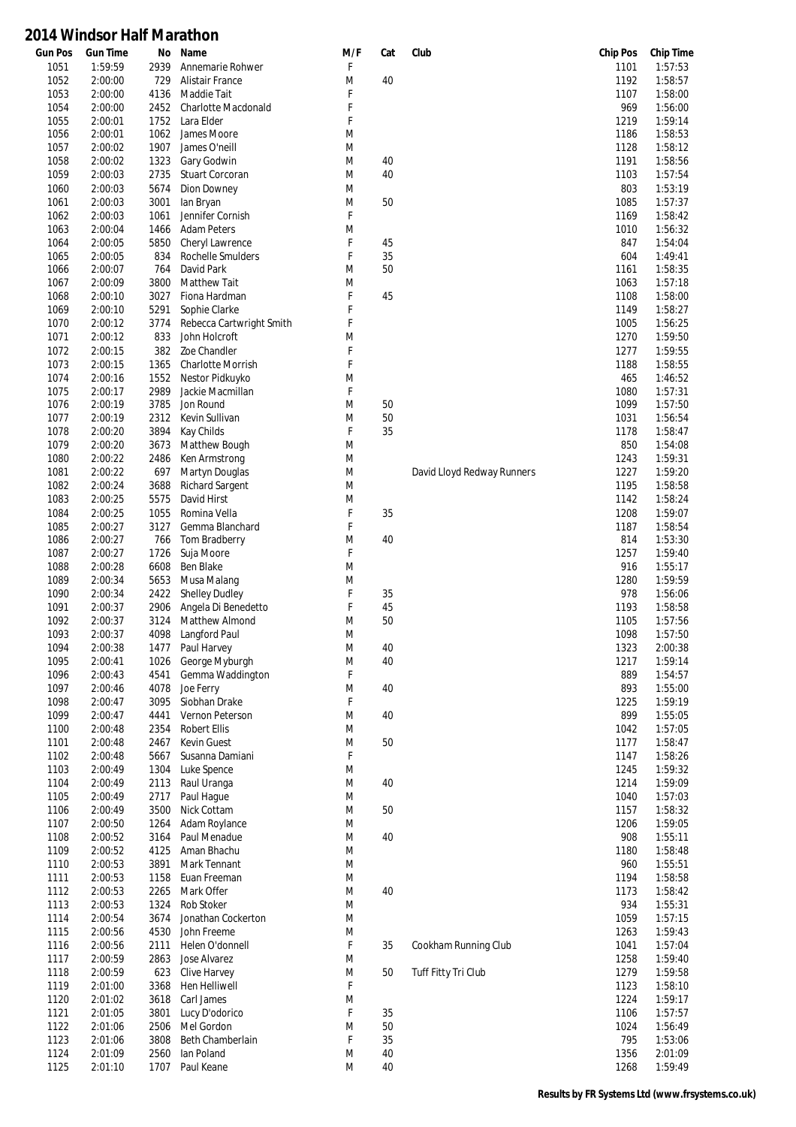| <b>Gun Pos</b> | <b>Gun Time</b>    | No           | Name                           | M/F    | Cat | Club                       | <b>Chip Pos</b> | <b>Chip Time</b>   |
|----------------|--------------------|--------------|--------------------------------|--------|-----|----------------------------|-----------------|--------------------|
| 1051           | 1:59:59            | 2939         | Annemarie Rohwer               | F      |     |                            | 1101            | 1:57:53            |
| 1052           | 2:00:00            | 729          | Alistair France                | M      | 40  |                            | 1192            | 1:58:57            |
| 1053           | 2:00:00            | 4136         | Maddie Tait                    | F      |     |                            | 1107            | 1:58:00            |
| 1054           | 2:00:00            | 2452         | Charlotte Macdonald            | F      |     |                            | 969             | 1:56:00            |
| 1055           | 2:00:01            | 1752         | Lara Elder                     | F      |     |                            | 1219            | 1:59:14            |
| 1056<br>1057   | 2:00:01<br>2:00:02 | 1062<br>1907 | James Moore<br>James O'neill   | M<br>M |     |                            | 1186<br>1128    | 1:58:53<br>1:58:12 |
| 1058           | 2:00:02            | 1323         |                                | M      | 40  |                            | 1191            | 1:58:56            |
| 1059           | 2:00:03            | 2735         | Gary Godwin<br>Stuart Corcoran | M      | 40  |                            | 1103            | 1:57:54            |
| 1060           | 2:00:03            | 5674         | Dion Downey                    | M      |     |                            | 803             | 1:53:19            |
| 1061           | 2:00:03            | 3001         | lan Bryan                      | M      | 50  |                            | 1085            | 1:57:37            |
| 1062           | 2:00:03            | 1061         | Jennifer Cornish               | F      |     |                            | 1169            | 1:58:42            |
| 1063           | 2:00:04            | 1466         | <b>Adam Peters</b>             | M      |     |                            | 1010            | 1:56:32            |
| 1064           | 2:00:05            | 5850         | Cheryl Lawrence                | F      | 45  |                            | 847             | 1:54:04            |
| 1065           | 2:00:05            | 834          | Rochelle Smulders              | F      | 35  |                            | 604             | 1:49:41            |
| 1066           | 2:00:07            | 764          | David Park                     | M      | 50  |                            | 1161            | 1:58:35            |
| 1067           | 2:00:09            | 3800         | <b>Matthew Tait</b>            | M      |     |                            | 1063            | 1:57:18            |
| 1068           | 2:00:10            | 3027         | Fiona Hardman                  | F      | 45  |                            | 1108            | 1:58:00            |
| 1069           | 2:00:10            | 5291         | Sophie Clarke                  | F      |     |                            | 1149            | 1:58:27            |
| 1070           | 2:00:12            | 3774         | Rebecca Cartwright Smith       | F      |     |                            | 1005            | 1:56:25            |
| 1071           | 2:00:12            | 833          | John Holcroft                  | M      |     |                            | 1270            | 1:59:50            |
| 1072           | 2:00:15            | 382          | Zoe Chandler                   | F      |     |                            | 1277            | 1:59:55            |
| 1073           | 2:00:15            | 1365         | Charlotte Morrish              | F      |     |                            | 1188            | 1:58:55            |
| 1074           | 2:00:16            | 1552         | Nestor Pidkuyko                | M      |     |                            | 465             | 1:46:52            |
| 1075           | 2:00:17            | 2989         | Jackie Macmillan               | F      |     |                            | 1080            | 1:57:31            |
| 1076           | 2:00:19            | 3785         | Jon Round                      | M      | 50  |                            | 1099            | 1:57:50            |
| 1077           | 2:00:19            | 2312         | Kevin Sullivan                 | M      | 50  |                            | 1031            | 1:56:54            |
| 1078           | 2:00:20            | 3894         | Kay Childs                     | F      | 35  |                            | 1178            | 1:58:47            |
| 1079           | 2:00:20            | 3673         | Matthew Bough                  | M      |     |                            | 850             | 1:54:08            |
| 1080           | 2:00:22            | 2486         | Ken Armstrong                  | M      |     |                            | 1243            | 1:59:31            |
| 1081           | 2:00:22            | 697          | Martyn Douglas                 | M      |     | David Lloyd Redway Runners | 1227            | 1:59:20            |
| 1082           | 2:00:24            | 3688         | <b>Richard Sargent</b>         | M      |     |                            | 1195            | 1:58:58            |
| 1083           | 2:00:25            | 5575         | David Hirst                    | M      |     |                            | 1142            | 1:58:24            |
| 1084           | 2:00:25            | 1055         | Romina Vella                   | F      | 35  |                            | 1208            | 1:59:07            |
| 1085           | 2:00:27            | 3127         | Gemma Blanchard                | F      |     |                            | 1187            | 1:58:54            |
| 1086           | 2:00:27            | 766          | Tom Bradberry                  | M      | 40  |                            | 814             | 1:53:30            |
| 1087           | 2:00:27            | 1726         | Suja Moore                     | F      |     |                            | 1257            | 1:59:40            |
| 1088           | 2:00:28            | 6608         | Ben Blake                      | M      |     |                            | 916             | 1:55:17            |
| 1089           | 2:00:34            | 5653         | Musa Malang                    | M      |     |                            | 1280            | 1:59:59            |
| 1090           | 2:00:34            | 2422         | <b>Shelley Dudley</b>          | F      | 35  |                            | 978             | 1:56:06            |
| 1091           | 2:00:37            | 2906         | Angela Di Benedetto            | F      | 45  |                            | 1193            | 1:58:58            |
| 1092           | 2:00:37            | 3124         | Matthew Almond                 | M      | 50  |                            | 1105            | 1:57:56            |
| 1093           | 2:00:37            | 4098         | Langford Paul                  | M      |     |                            | 1098            | 1:57:50            |
| 1094           | 2:00:38            | 1477         | Paul Harvey                    | M      | 40  |                            | 1323            | 2:00:38            |
| 1095           | 2:00:41            |              | 1026 George Myburgh            | M      | 40  |                            | 1217            | 1:59:14            |
| 1096           | 2:00:43            | 4541         | Gemma Waddington               | F      |     |                            | 889             | 1:54:57            |
| 1097           | 2:00:46            | 4078         | Joe Ferry                      | M      | 40  |                            | 893             | 1:55:00            |
| 1098           | 2:00:47            | 3095         | Siobhan Drake                  | F      |     |                            | 1225            | 1:59:19            |
| 1099           | 2:00:47            | 4441         | Vernon Peterson                | M      | 40  |                            | 899             | 1:55:05            |
| 1100<br>1101   | 2:00:48<br>2:00:48 | 2354         | Robert Ellis<br>Kevin Guest    | M<br>M | 50  |                            | 1042<br>1177    | 1:57:05<br>1:58:47 |
| 1102           | 2:00:48            | 2467<br>5667 | Susanna Damiani                | F      |     |                            | 1147            | 1:58:26            |
| 1103           | 2:00:49            | 1304         | Luke Spence                    | M      |     |                            | 1245            | 1:59:32            |
| 1104           | 2:00:49            | 2113         | Raul Uranga                    | M      | 40  |                            | 1214            | 1:59:09            |
| 1105           | 2:00:49            | 2717         | Paul Haque                     | M      |     |                            | 1040            | 1:57:03            |
| 1106           | 2:00:49            | 3500         | Nick Cottam                    | M      | 50  |                            | 1157            | 1:58:32            |
| 1107           | 2:00:50            | 1264         | Adam Roylance                  | M      |     |                            | 1206            | 1:59:05            |
| 1108           | 2:00:52            | 3164         | Paul Menadue                   | M      | 40  |                            | 908             | 1:55:11            |
| 1109           | 2:00:52            | 4125         | Aman Bhachu                    | M      |     |                            | 1180            | 1:58:48            |
| 1110           | 2:00:53            | 3891         | Mark Tennant                   | M      |     |                            | 960             | 1:55:51            |
| 1111           | 2:00:53            | 1158         | Euan Freeman                   | M      |     |                            | 1194            | 1:58:58            |
| 1112           | 2:00:53            | 2265         | Mark Offer                     | M      | 40  |                            | 1173            | 1:58:42            |
| 1113           | 2:00:53            | 1324         | Rob Stoker                     | M      |     |                            | 934             | 1:55:31            |
| 1114           | 2:00:54            | 3674         | Jonathan Cockerton             | M      |     |                            | 1059            | 1:57:15            |
| 1115           | 2:00:56            | 4530         | John Freeme                    | M      |     |                            | 1263            | 1:59:43            |
| 1116           | 2:00:56            | 2111         | Helen O'donnell                | F      | 35  | Cookham Running Club       | 1041            | 1:57:04            |
| 1117           | 2:00:59            | 2863         | Jose Alvarez                   | M      |     |                            | 1258            | 1:59:40            |
| 1118           | 2:00:59            | 623          | Clive Harvey                   | M      | 50  | Tuff Fitty Tri Club        | 1279            | 1:59:58            |
| 1119           | 2:01:00            | 3368         | Hen Helliwell                  | F      |     |                            | 1123            | 1:58:10            |
| 1120           | 2:01:02            | 3618         | Carl James                     | M      |     |                            | 1224            | 1:59:17            |
| 1121           | 2:01:05            | 3801         | Lucy D'odorico                 | F      | 35  |                            | 1106            | 1:57:57            |
| 1122           | 2:01:06            | 2506         | Mel Gordon                     | M      | 50  |                            | 1024            | 1:56:49            |
| 1123           | 2:01:06            | 3808         | Beth Chamberlain               | F      | 35  |                            | 795             | 1:53:06            |
| 1124           | 2:01:09            | 2560         | lan Poland                     | M      | 40  |                            | 1356            | 2:01:09            |
| 1125           | 2:01:10            | 1707         | Paul Keane                     | M      | 40  |                            | 1268            | 1:59:49            |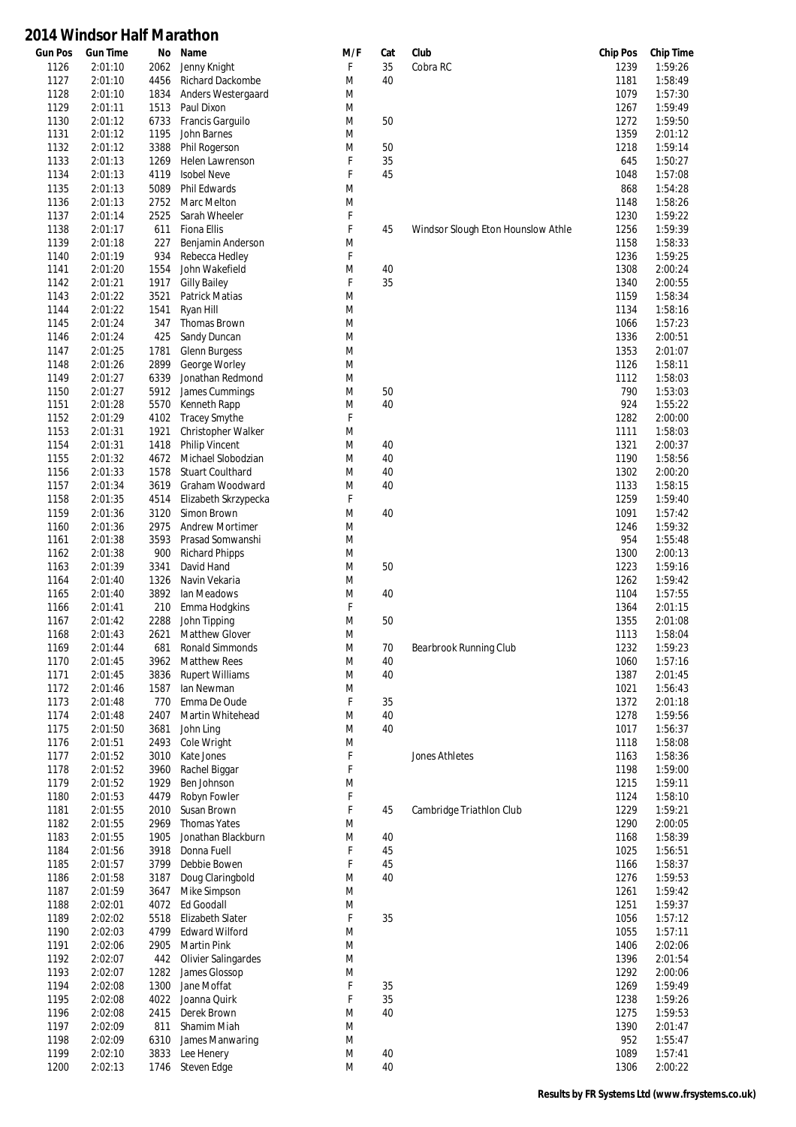| <b>Gun Pos</b> | <b>Gun Time</b> | No   | Name                       | M/F | Cat | Club                               | <b>Chip Pos</b> | <b>Chip Time</b> |
|----------------|-----------------|------|----------------------------|-----|-----|------------------------------------|-----------------|------------------|
| 1126           | 2:01:10         | 2062 | Jenny Knight               | F   | 35  | Cobra RC                           | 1239            | 1:59:26          |
| 1127           | 2:01:10         | 4456 | Richard Dackombe           | M   | 40  |                                    | 1181            | 1:58:49          |
| 1128           | 2:01:10         | 1834 | Anders Westergaard         | M   |     |                                    | 1079            | 1:57:30          |
| 1129           | 2:01:11         | 1513 | Paul Dixon                 | M   |     |                                    | 1267            | 1:59:49          |
| 1130           | 2:01:12         | 6733 | Francis Garguilo           | M   | 50  |                                    | 1272            | 1:59:50          |
| 1131           | 2:01:12         | 1195 | John Barnes                | M   |     |                                    | 1359            | 2:01:12          |
| 1132           | 2:01:12         | 3388 | Phil Rogerson              | M   | 50  |                                    | 1218            | 1:59:14          |
| 1133           | 2:01:13         | 1269 | Helen Lawrenson            | F   | 35  |                                    | 645             | 1:50:27          |
| 1134           | 2:01:13         | 4119 | <b>Isobel Neve</b>         | F   | 45  |                                    | 1048            | 1:57:08          |
| 1135           | 2:01:13         | 5089 | Phil Edwards               | M   |     |                                    | 868             | 1:54:28          |
| 1136           | 2:01:13         | 2752 | Marc Melton                | M   |     |                                    | 1148            | 1:58:26          |
| 1137           | 2:01:14         | 2525 | Sarah Wheeler              | F   |     |                                    | 1230            | 1:59:22          |
| 1138           | 2:01:17         | 611  | Fiona Ellis                | F   | 45  | Windsor Slough Eton Hounslow Athle | 1256            | 1:59:39          |
| 1139           | 2:01:18         | 227  | Benjamin Anderson          | M   |     |                                    | 1158            | 1:58:33          |
| 1140           | 2:01:19         | 934  | Rebecca Hedley             | F   |     |                                    | 1236            | 1:59:25          |
| 1141           | 2:01:20         | 1554 | John Wakefield             | M   | 40  |                                    | 1308            | 2:00:24          |
| 1142           | 2:01:21         | 1917 | <b>Gilly Bailey</b>        | F   | 35  |                                    | 1340            | 2:00:55          |
|                | 2:01:22         | 3521 |                            | M   |     |                                    | 1159            | 1:58:34          |
| 1143           | 2:01:22         |      | <b>Patrick Matias</b>      | M   |     |                                    |                 | 1:58:16          |
| 1144           |                 | 1541 | Ryan Hill                  |     |     |                                    | 1134            |                  |
| 1145           | 2:01:24         | 347  | Thomas Brown               | M   |     |                                    | 1066            | 1:57:23          |
| 1146           | 2:01:24         | 425  | Sandy Duncan               | M   |     |                                    | 1336            | 2:00:51          |
| 1147           | 2:01:25         | 1781 | Glenn Burgess              | M   |     |                                    | 1353            | 2:01:07          |
| 1148           | 2:01:26         | 2899 | George Worley              | M   |     |                                    | 1126            | 1:58:11          |
| 1149           | 2:01:27         | 6339 | Jonathan Redmond           | M   |     |                                    | 1112            | 1:58:03          |
| 1150           | 2:01:27         | 5912 | James Cummings             | M   | 50  |                                    | 790             | 1:53:03          |
| 1151           | 2:01:28         | 5570 | Kenneth Rapp               | M   | 40  |                                    | 924             | 1:55:22          |
| 1152           | 2:01:29         | 4102 | <b>Tracey Smythe</b>       | F   |     |                                    | 1282            | 2:00:00          |
| 1153           | 2:01:31         | 1921 | Christopher Walker         | M   |     |                                    | 1111            | 1:58:03          |
| 1154           | 2:01:31         | 1418 | <b>Philip Vincent</b>      | M   | 40  |                                    | 1321            | 2:00:37          |
| 1155           | 2:01:32         | 4672 | Michael Slobodzian         | M   | 40  |                                    | 1190            | 1:58:56          |
| 1156           | 2:01:33         | 1578 | <b>Stuart Coulthard</b>    | M   | 40  |                                    | 1302            | 2:00:20          |
| 1157           | 2:01:34         | 3619 | Graham Woodward            | M   | 40  |                                    | 1133            | 1:58:15          |
| 1158           | 2:01:35         | 4514 | Elizabeth Skrzypecka       | F   |     |                                    | 1259            | 1:59:40          |
| 1159           | 2:01:36         | 3120 | Simon Brown                | M   | 40  |                                    | 1091            | 1:57:42          |
| 1160           | 2:01:36         | 2975 | <b>Andrew Mortimer</b>     | M   |     |                                    | 1246            | 1:59:32          |
| 1161           | 2:01:38         | 3593 | Prasad Somwanshi           | M   |     |                                    | 954             | 1:55:48          |
| 1162           | 2:01:38         | 900  | <b>Richard Phipps</b>      | M   |     |                                    | 1300            | 2:00:13          |
| 1163           | 2:01:39         | 3341 | David Hand                 | M   | 50  |                                    | 1223            | 1:59:16          |
| 1164           | 2:01:40         | 1326 | Navin Vekaria              | M   |     |                                    | 1262            | 1:59:42          |
| 1165           | 2:01:40         | 3892 | Ian Meadows                | M   | 40  |                                    | 1104            | 1:57:55          |
| 1166           | 2:01:41         | 210  | Emma Hodgkins              | F   |     |                                    | 1364            | 2:01:15          |
| 1167           | 2:01:42         | 2288 | John Tipping               | M   | 50  |                                    | 1355            | 2:01:08          |
| 1168           | 2:01:43         | 2621 | <b>Matthew Glover</b>      | M   |     |                                    | 1113            | 1:58:04          |
| 1169           | 2:01:44         | 681  | Ronald Simmonds            | M   | 70  |                                    | 1232            | 1:59:23          |
| 1170           |                 |      |                            | M   | 40  | Bearbrook Running Club             | 1060            |                  |
|                | 2:01:45         | 3962 | <b>Matthew Rees</b>        |     | 40  |                                    |                 | 1:57:16          |
| 1171           | 2:01:45         | 3836 | <b>Rupert Williams</b>     | M   |     |                                    | 1387            | 2:01:45          |
| 1172           | 2:01:46         | 1587 | lan Newman                 | M   |     |                                    | 1021            | 1:56:43          |
| 1173           | 2:01:48         | 770  | Emma De Oude               | F   | 35  |                                    | 1372            | 2:01:18          |
| 1174           | 2:01:48         | 2407 | Martin Whitehead           | M   | 40  |                                    | 1278            | 1:59:56          |
| 1175           | 2:01:50         | 3681 | John Ling                  | M   | 40  |                                    | 1017            | 1:56:37          |
| 1176           | 2:01:51         | 2493 | Cole Wright                | M   |     |                                    | 1118            | 1:58:08          |
| 1177           | 2:01:52         | 3010 | Kate Jones                 | F   |     | <b>Jones Athletes</b>              | 1163            | 1:58:36          |
| 1178           | 2:01:52         | 3960 | Rachel Biggar              | F   |     |                                    | 1198            | 1:59:00          |
| 1179           | 2:01:52         | 1929 | Ben Johnson                | M   |     |                                    | 1215            | 1:59:11          |
| 1180           | 2:01:53         | 4479 | Robyn Fowler               | F   |     |                                    | 1124            | 1:58:10          |
| 1181           | 2:01:55         | 2010 | Susan Brown                | F   | 45  | Cambridge Triathlon Club           | 1229            | 1:59:21          |
| 1182           | 2:01:55         | 2969 | Thomas Yates               | M   |     |                                    | 1290            | 2:00:05          |
| 1183           | 2:01:55         | 1905 | Jonathan Blackburn         | M   | 40  |                                    | 1168            | 1:58:39          |
| 1184           | 2:01:56         | 3918 | Donna Fuell                | F   | 45  |                                    | 1025            | 1:56:51          |
| 1185           | 2:01:57         | 3799 | Debbie Bowen               | F   | 45  |                                    | 1166            | 1:58:37          |
| 1186           | 2:01:58         | 3187 | Doug Claringbold           | M   | 40  |                                    | 1276            | 1:59:53          |
| 1187           | 2:01:59         | 3647 | Mike Simpson               | M   |     |                                    | 1261            | 1:59:42          |
| 1188           | 2:02:01         | 4072 | <b>Ed Goodall</b>          | M   |     |                                    | 1251            | 1:59:37          |
| 1189           | 2:02:02         | 5518 | Elizabeth Slater           | F   | 35  |                                    | 1056            | 1:57:12          |
| 1190           | 2:02:03         | 4799 | <b>Edward Wilford</b>      | M   |     |                                    | 1055            | 1:57:11          |
| 1191           | 2:02:06         | 2905 | <b>Martin Pink</b>         | M   |     |                                    | 1406            | 2:02:06          |
| 1192           | 2:02:07         | 442  | <b>Olivier Salingardes</b> | M   |     |                                    | 1396            | 2:01:54          |
| 1193           | 2:02:07         | 1282 | James Glossop              | M   |     |                                    | 1292            | 2:00:06          |
| 1194           | 2:02:08         | 1300 | Jane Moffat                | F   | 35  |                                    | 1269            | 1:59:49          |
| 1195           | 2:02:08         | 4022 | Joanna Quirk               | F   | 35  |                                    | 1238            | 1:59:26          |
| 1196           | 2:02:08         | 2415 | Derek Brown                | M   | 40  |                                    | 1275            | 1:59:53          |
| 1197           | 2:02:09         | 811  | Shamim Miah                | M   |     |                                    | 1390            | 2:01:47          |
|                |                 |      |                            |     |     |                                    |                 |                  |
| 1198           | 2:02:09         | 6310 | James Manwaring            | M   |     |                                    | 952             | 1:55:47          |
| 1199           | 2:02:10         | 3833 | Lee Henery                 | M   | 40  |                                    | 1089            | 1:57:41          |
| 1200           | 2:02:13         | 1746 | Steven Edge                | M   | 40  |                                    | 1306            | 2:00:22          |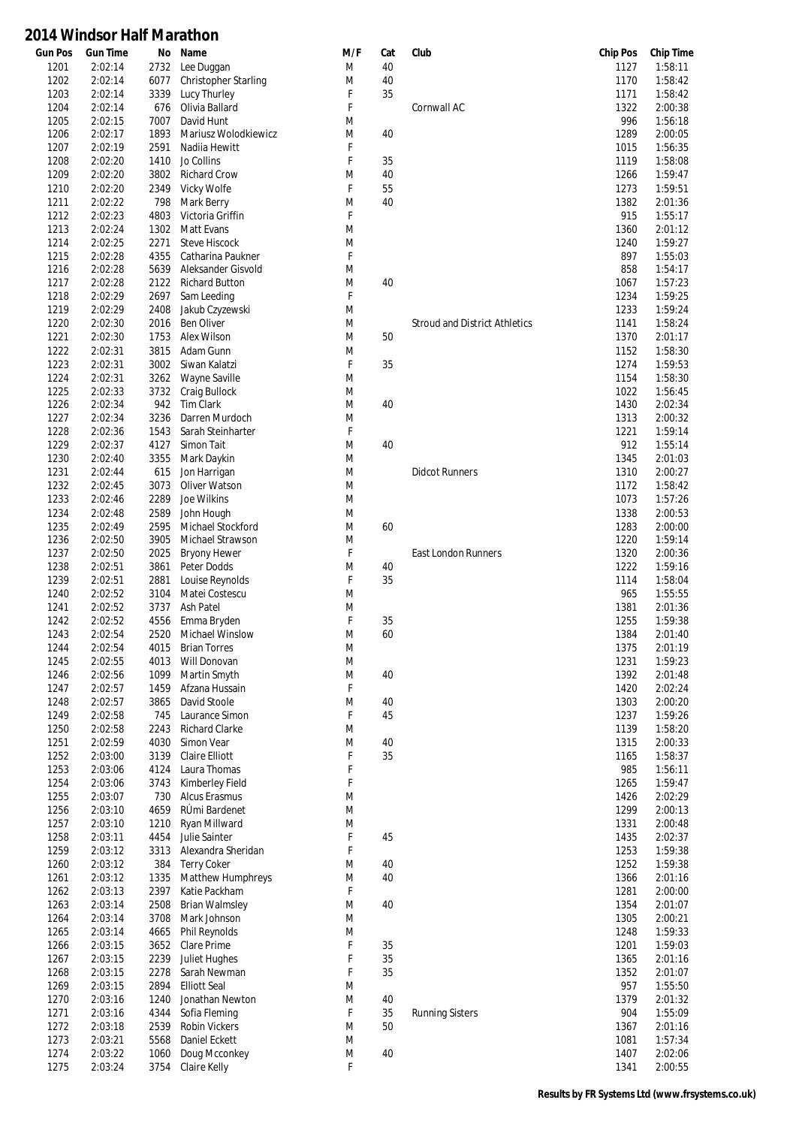| 2:02:14<br>2:02:14<br>2:02:14<br>2:02:14 | 2732<br>6077<br>3339                                                                                                                                                                                                                                                                                                                                                                                                                                                                                        | Lee Duggan<br>Christopher Starling<br>Lucy Thurley                                                                                                                                                                                                                                                                                               | M<br>M                                                                                                                                                                                                                                                                                                                                                                                                                                                                                                                                                                                                                                                                                                                                                                                         | 40<br>40                                                                                                                                                                                                                 |                                                                                              | 1127<br>1170                                                           | 1:58:11<br>1:58:42                                                                                                                                                                                                                                                                                                                     |
|------------------------------------------|-------------------------------------------------------------------------------------------------------------------------------------------------------------------------------------------------------------------------------------------------------------------------------------------------------------------------------------------------------------------------------------------------------------------------------------------------------------------------------------------------------------|--------------------------------------------------------------------------------------------------------------------------------------------------------------------------------------------------------------------------------------------------------------------------------------------------------------------------------------------------|------------------------------------------------------------------------------------------------------------------------------------------------------------------------------------------------------------------------------------------------------------------------------------------------------------------------------------------------------------------------------------------------------------------------------------------------------------------------------------------------------------------------------------------------------------------------------------------------------------------------------------------------------------------------------------------------------------------------------------------------------------------------------------------------|--------------------------------------------------------------------------------------------------------------------------------------------------------------------------------------------------------------------------|----------------------------------------------------------------------------------------------|------------------------------------------------------------------------|----------------------------------------------------------------------------------------------------------------------------------------------------------------------------------------------------------------------------------------------------------------------------------------------------------------------------------------|
|                                          |                                                                                                                                                                                                                                                                                                                                                                                                                                                                                                             |                                                                                                                                                                                                                                                                                                                                                  |                                                                                                                                                                                                                                                                                                                                                                                                                                                                                                                                                                                                                                                                                                                                                                                                |                                                                                                                                                                                                                          |                                                                                              |                                                                        |                                                                                                                                                                                                                                                                                                                                        |
|                                          |                                                                                                                                                                                                                                                                                                                                                                                                                                                                                                             |                                                                                                                                                                                                                                                                                                                                                  |                                                                                                                                                                                                                                                                                                                                                                                                                                                                                                                                                                                                                                                                                                                                                                                                |                                                                                                                                                                                                                          |                                                                                              |                                                                        |                                                                                                                                                                                                                                                                                                                                        |
|                                          |                                                                                                                                                                                                                                                                                                                                                                                                                                                                                                             |                                                                                                                                                                                                                                                                                                                                                  | F                                                                                                                                                                                                                                                                                                                                                                                                                                                                                                                                                                                                                                                                                                                                                                                              | 35                                                                                                                                                                                                                       |                                                                                              | 1171                                                                   | 1:58:42                                                                                                                                                                                                                                                                                                                                |
|                                          | 676                                                                                                                                                                                                                                                                                                                                                                                                                                                                                                         | Olivia Ballard                                                                                                                                                                                                                                                                                                                                   | F                                                                                                                                                                                                                                                                                                                                                                                                                                                                                                                                                                                                                                                                                                                                                                                              |                                                                                                                                                                                                                          | Cornwall AC                                                                                  | 1322                                                                   | 2:00:38                                                                                                                                                                                                                                                                                                                                |
| 2:02:15                                  | 7007                                                                                                                                                                                                                                                                                                                                                                                                                                                                                                        | David Hunt                                                                                                                                                                                                                                                                                                                                       | M                                                                                                                                                                                                                                                                                                                                                                                                                                                                                                                                                                                                                                                                                                                                                                                              |                                                                                                                                                                                                                          |                                                                                              | 996                                                                    | 1:56:18                                                                                                                                                                                                                                                                                                                                |
| 2:02:17                                  | 1893                                                                                                                                                                                                                                                                                                                                                                                                                                                                                                        | Mariusz Wolodkiewicz                                                                                                                                                                                                                                                                                                                             |                                                                                                                                                                                                                                                                                                                                                                                                                                                                                                                                                                                                                                                                                                                                                                                                | 40                                                                                                                                                                                                                       |                                                                                              | 1289                                                                   | 2:00:05                                                                                                                                                                                                                                                                                                                                |
|                                          |                                                                                                                                                                                                                                                                                                                                                                                                                                                                                                             |                                                                                                                                                                                                                                                                                                                                                  |                                                                                                                                                                                                                                                                                                                                                                                                                                                                                                                                                                                                                                                                                                                                                                                                |                                                                                                                                                                                                                          |                                                                                              |                                                                        | 1:56:35                                                                                                                                                                                                                                                                                                                                |
|                                          |                                                                                                                                                                                                                                                                                                                                                                                                                                                                                                             |                                                                                                                                                                                                                                                                                                                                                  |                                                                                                                                                                                                                                                                                                                                                                                                                                                                                                                                                                                                                                                                                                                                                                                                |                                                                                                                                                                                                                          |                                                                                              |                                                                        | 1:58:08                                                                                                                                                                                                                                                                                                                                |
|                                          |                                                                                                                                                                                                                                                                                                                                                                                                                                                                                                             |                                                                                                                                                                                                                                                                                                                                                  |                                                                                                                                                                                                                                                                                                                                                                                                                                                                                                                                                                                                                                                                                                                                                                                                |                                                                                                                                                                                                                          |                                                                                              |                                                                        | 1:59:47                                                                                                                                                                                                                                                                                                                                |
|                                          |                                                                                                                                                                                                                                                                                                                                                                                                                                                                                                             |                                                                                                                                                                                                                                                                                                                                                  |                                                                                                                                                                                                                                                                                                                                                                                                                                                                                                                                                                                                                                                                                                                                                                                                |                                                                                                                                                                                                                          |                                                                                              |                                                                        | 1:59:51                                                                                                                                                                                                                                                                                                                                |
|                                          |                                                                                                                                                                                                                                                                                                                                                                                                                                                                                                             |                                                                                                                                                                                                                                                                                                                                                  |                                                                                                                                                                                                                                                                                                                                                                                                                                                                                                                                                                                                                                                                                                                                                                                                |                                                                                                                                                                                                                          |                                                                                              |                                                                        | 2:01:36                                                                                                                                                                                                                                                                                                                                |
|                                          |                                                                                                                                                                                                                                                                                                                                                                                                                                                                                                             |                                                                                                                                                                                                                                                                                                                                                  |                                                                                                                                                                                                                                                                                                                                                                                                                                                                                                                                                                                                                                                                                                                                                                                                |                                                                                                                                                                                                                          |                                                                                              |                                                                        | 1:55:17                                                                                                                                                                                                                                                                                                                                |
|                                          |                                                                                                                                                                                                                                                                                                                                                                                                                                                                                                             |                                                                                                                                                                                                                                                                                                                                                  |                                                                                                                                                                                                                                                                                                                                                                                                                                                                                                                                                                                                                                                                                                                                                                                                |                                                                                                                                                                                                                          |                                                                                              |                                                                        |                                                                                                                                                                                                                                                                                                                                        |
|                                          |                                                                                                                                                                                                                                                                                                                                                                                                                                                                                                             |                                                                                                                                                                                                                                                                                                                                                  |                                                                                                                                                                                                                                                                                                                                                                                                                                                                                                                                                                                                                                                                                                                                                                                                |                                                                                                                                                                                                                          |                                                                                              |                                                                        | 2:01:12                                                                                                                                                                                                                                                                                                                                |
|                                          |                                                                                                                                                                                                                                                                                                                                                                                                                                                                                                             |                                                                                                                                                                                                                                                                                                                                                  |                                                                                                                                                                                                                                                                                                                                                                                                                                                                                                                                                                                                                                                                                                                                                                                                |                                                                                                                                                                                                                          |                                                                                              |                                                                        | 1:59:27                                                                                                                                                                                                                                                                                                                                |
|                                          |                                                                                                                                                                                                                                                                                                                                                                                                                                                                                                             |                                                                                                                                                                                                                                                                                                                                                  |                                                                                                                                                                                                                                                                                                                                                                                                                                                                                                                                                                                                                                                                                                                                                                                                |                                                                                                                                                                                                                          |                                                                                              |                                                                        | 1:55:03                                                                                                                                                                                                                                                                                                                                |
|                                          |                                                                                                                                                                                                                                                                                                                                                                                                                                                                                                             |                                                                                                                                                                                                                                                                                                                                                  |                                                                                                                                                                                                                                                                                                                                                                                                                                                                                                                                                                                                                                                                                                                                                                                                |                                                                                                                                                                                                                          |                                                                                              |                                                                        | 1:54:17                                                                                                                                                                                                                                                                                                                                |
|                                          |                                                                                                                                                                                                                                                                                                                                                                                                                                                                                                             |                                                                                                                                                                                                                                                                                                                                                  |                                                                                                                                                                                                                                                                                                                                                                                                                                                                                                                                                                                                                                                                                                                                                                                                |                                                                                                                                                                                                                          |                                                                                              |                                                                        | 1:57:23                                                                                                                                                                                                                                                                                                                                |
|                                          |                                                                                                                                                                                                                                                                                                                                                                                                                                                                                                             |                                                                                                                                                                                                                                                                                                                                                  |                                                                                                                                                                                                                                                                                                                                                                                                                                                                                                                                                                                                                                                                                                                                                                                                |                                                                                                                                                                                                                          |                                                                                              |                                                                        | 1:59:25                                                                                                                                                                                                                                                                                                                                |
|                                          |                                                                                                                                                                                                                                                                                                                                                                                                                                                                                                             |                                                                                                                                                                                                                                                                                                                                                  |                                                                                                                                                                                                                                                                                                                                                                                                                                                                                                                                                                                                                                                                                                                                                                                                |                                                                                                                                                                                                                          |                                                                                              |                                                                        | 1:59:24                                                                                                                                                                                                                                                                                                                                |
|                                          | 2016                                                                                                                                                                                                                                                                                                                                                                                                                                                                                                        |                                                                                                                                                                                                                                                                                                                                                  |                                                                                                                                                                                                                                                                                                                                                                                                                                                                                                                                                                                                                                                                                                                                                                                                |                                                                                                                                                                                                                          | <b>Stroud and District Athletics</b>                                                         | 1141                                                                   | 1:58:24                                                                                                                                                                                                                                                                                                                                |
|                                          |                                                                                                                                                                                                                                                                                                                                                                                                                                                                                                             | Alex Wilson                                                                                                                                                                                                                                                                                                                                      | M                                                                                                                                                                                                                                                                                                                                                                                                                                                                                                                                                                                                                                                                                                                                                                                              | 50                                                                                                                                                                                                                       |                                                                                              | 1370                                                                   | 2:01:17                                                                                                                                                                                                                                                                                                                                |
| 2:02:31                                  | 3815                                                                                                                                                                                                                                                                                                                                                                                                                                                                                                        | Adam Gunn                                                                                                                                                                                                                                                                                                                                        | M                                                                                                                                                                                                                                                                                                                                                                                                                                                                                                                                                                                                                                                                                                                                                                                              |                                                                                                                                                                                                                          |                                                                                              | 1152                                                                   | 1:58:30                                                                                                                                                                                                                                                                                                                                |
| 2:02:31                                  | 3002                                                                                                                                                                                                                                                                                                                                                                                                                                                                                                        | Siwan Kalatzi                                                                                                                                                                                                                                                                                                                                    | F                                                                                                                                                                                                                                                                                                                                                                                                                                                                                                                                                                                                                                                                                                                                                                                              | 35                                                                                                                                                                                                                       |                                                                                              | 1274                                                                   | 1:59:53                                                                                                                                                                                                                                                                                                                                |
| 2:02:31                                  | 3262                                                                                                                                                                                                                                                                                                                                                                                                                                                                                                        | Wayne Saville                                                                                                                                                                                                                                                                                                                                    | M                                                                                                                                                                                                                                                                                                                                                                                                                                                                                                                                                                                                                                                                                                                                                                                              |                                                                                                                                                                                                                          |                                                                                              | 1154                                                                   | 1:58:30                                                                                                                                                                                                                                                                                                                                |
| 2:02:33                                  | 3732                                                                                                                                                                                                                                                                                                                                                                                                                                                                                                        | Craig Bullock                                                                                                                                                                                                                                                                                                                                    | M                                                                                                                                                                                                                                                                                                                                                                                                                                                                                                                                                                                                                                                                                                                                                                                              |                                                                                                                                                                                                                          |                                                                                              | 1022                                                                   | 1:56:45                                                                                                                                                                                                                                                                                                                                |
| 2:02:34                                  | 942                                                                                                                                                                                                                                                                                                                                                                                                                                                                                                         | <b>Tim Clark</b>                                                                                                                                                                                                                                                                                                                                 | M                                                                                                                                                                                                                                                                                                                                                                                                                                                                                                                                                                                                                                                                                                                                                                                              | 40                                                                                                                                                                                                                       |                                                                                              | 1430                                                                   | 2:02:34                                                                                                                                                                                                                                                                                                                                |
|                                          | 3236                                                                                                                                                                                                                                                                                                                                                                                                                                                                                                        | Darren Murdoch                                                                                                                                                                                                                                                                                                                                   | M                                                                                                                                                                                                                                                                                                                                                                                                                                                                                                                                                                                                                                                                                                                                                                                              |                                                                                                                                                                                                                          |                                                                                              | 1313                                                                   | 2:00:32                                                                                                                                                                                                                                                                                                                                |
|                                          |                                                                                                                                                                                                                                                                                                                                                                                                                                                                                                             |                                                                                                                                                                                                                                                                                                                                                  |                                                                                                                                                                                                                                                                                                                                                                                                                                                                                                                                                                                                                                                                                                                                                                                                |                                                                                                                                                                                                                          |                                                                                              |                                                                        | 1:59:14                                                                                                                                                                                                                                                                                                                                |
|                                          |                                                                                                                                                                                                                                                                                                                                                                                                                                                                                                             |                                                                                                                                                                                                                                                                                                                                                  |                                                                                                                                                                                                                                                                                                                                                                                                                                                                                                                                                                                                                                                                                                                                                                                                |                                                                                                                                                                                                                          |                                                                                              |                                                                        | 1:55:14                                                                                                                                                                                                                                                                                                                                |
|                                          |                                                                                                                                                                                                                                                                                                                                                                                                                                                                                                             |                                                                                                                                                                                                                                                                                                                                                  |                                                                                                                                                                                                                                                                                                                                                                                                                                                                                                                                                                                                                                                                                                                                                                                                |                                                                                                                                                                                                                          |                                                                                              |                                                                        | 2:01:03                                                                                                                                                                                                                                                                                                                                |
|                                          |                                                                                                                                                                                                                                                                                                                                                                                                                                                                                                             |                                                                                                                                                                                                                                                                                                                                                  |                                                                                                                                                                                                                                                                                                                                                                                                                                                                                                                                                                                                                                                                                                                                                                                                |                                                                                                                                                                                                                          |                                                                                              |                                                                        | 2:00:27                                                                                                                                                                                                                                                                                                                                |
|                                          |                                                                                                                                                                                                                                                                                                                                                                                                                                                                                                             |                                                                                                                                                                                                                                                                                                                                                  |                                                                                                                                                                                                                                                                                                                                                                                                                                                                                                                                                                                                                                                                                                                                                                                                |                                                                                                                                                                                                                          |                                                                                              |                                                                        | 1:58:42                                                                                                                                                                                                                                                                                                                                |
|                                          |                                                                                                                                                                                                                                                                                                                                                                                                                                                                                                             |                                                                                                                                                                                                                                                                                                                                                  |                                                                                                                                                                                                                                                                                                                                                                                                                                                                                                                                                                                                                                                                                                                                                                                                |                                                                                                                                                                                                                          |                                                                                              |                                                                        | 1:57:26                                                                                                                                                                                                                                                                                                                                |
|                                          |                                                                                                                                                                                                                                                                                                                                                                                                                                                                                                             |                                                                                                                                                                                                                                                                                                                                                  |                                                                                                                                                                                                                                                                                                                                                                                                                                                                                                                                                                                                                                                                                                                                                                                                |                                                                                                                                                                                                                          |                                                                                              |                                                                        | 2:00:53                                                                                                                                                                                                                                                                                                                                |
|                                          |                                                                                                                                                                                                                                                                                                                                                                                                                                                                                                             |                                                                                                                                                                                                                                                                                                                                                  |                                                                                                                                                                                                                                                                                                                                                                                                                                                                                                                                                                                                                                                                                                                                                                                                |                                                                                                                                                                                                                          |                                                                                              |                                                                        | 2:00:00                                                                                                                                                                                                                                                                                                                                |
|                                          |                                                                                                                                                                                                                                                                                                                                                                                                                                                                                                             |                                                                                                                                                                                                                                                                                                                                                  |                                                                                                                                                                                                                                                                                                                                                                                                                                                                                                                                                                                                                                                                                                                                                                                                |                                                                                                                                                                                                                          |                                                                                              |                                                                        | 1:59:14                                                                                                                                                                                                                                                                                                                                |
|                                          |                                                                                                                                                                                                                                                                                                                                                                                                                                                                                                             |                                                                                                                                                                                                                                                                                                                                                  |                                                                                                                                                                                                                                                                                                                                                                                                                                                                                                                                                                                                                                                                                                                                                                                                |                                                                                                                                                                                                                          |                                                                                              |                                                                        | 2:00:36                                                                                                                                                                                                                                                                                                                                |
|                                          |                                                                                                                                                                                                                                                                                                                                                                                                                                                                                                             |                                                                                                                                                                                                                                                                                                                                                  |                                                                                                                                                                                                                                                                                                                                                                                                                                                                                                                                                                                                                                                                                                                                                                                                |                                                                                                                                                                                                                          |                                                                                              |                                                                        | 1:59:16                                                                                                                                                                                                                                                                                                                                |
|                                          |                                                                                                                                                                                                                                                                                                                                                                                                                                                                                                             |                                                                                                                                                                                                                                                                                                                                                  |                                                                                                                                                                                                                                                                                                                                                                                                                                                                                                                                                                                                                                                                                                                                                                                                |                                                                                                                                                                                                                          |                                                                                              |                                                                        | 1:58:04                                                                                                                                                                                                                                                                                                                                |
|                                          |                                                                                                                                                                                                                                                                                                                                                                                                                                                                                                             |                                                                                                                                                                                                                                                                                                                                                  |                                                                                                                                                                                                                                                                                                                                                                                                                                                                                                                                                                                                                                                                                                                                                                                                |                                                                                                                                                                                                                          |                                                                                              |                                                                        | 1:55:55                                                                                                                                                                                                                                                                                                                                |
|                                          |                                                                                                                                                                                                                                                                                                                                                                                                                                                                                                             |                                                                                                                                                                                                                                                                                                                                                  |                                                                                                                                                                                                                                                                                                                                                                                                                                                                                                                                                                                                                                                                                                                                                                                                |                                                                                                                                                                                                                          |                                                                                              |                                                                        | 2:01:36                                                                                                                                                                                                                                                                                                                                |
|                                          |                                                                                                                                                                                                                                                                                                                                                                                                                                                                                                             |                                                                                                                                                                                                                                                                                                                                                  |                                                                                                                                                                                                                                                                                                                                                                                                                                                                                                                                                                                                                                                                                                                                                                                                |                                                                                                                                                                                                                          |                                                                                              |                                                                        | 1:59:38                                                                                                                                                                                                                                                                                                                                |
|                                          |                                                                                                                                                                                                                                                                                                                                                                                                                                                                                                             |                                                                                                                                                                                                                                                                                                                                                  |                                                                                                                                                                                                                                                                                                                                                                                                                                                                                                                                                                                                                                                                                                                                                                                                |                                                                                                                                                                                                                          |                                                                                              |                                                                        | 2:01:40                                                                                                                                                                                                                                                                                                                                |
|                                          |                                                                                                                                                                                                                                                                                                                                                                                                                                                                                                             |                                                                                                                                                                                                                                                                                                                                                  |                                                                                                                                                                                                                                                                                                                                                                                                                                                                                                                                                                                                                                                                                                                                                                                                |                                                                                                                                                                                                                          |                                                                                              |                                                                        | 2:01:19                                                                                                                                                                                                                                                                                                                                |
|                                          |                                                                                                                                                                                                                                                                                                                                                                                                                                                                                                             |                                                                                                                                                                                                                                                                                                                                                  |                                                                                                                                                                                                                                                                                                                                                                                                                                                                                                                                                                                                                                                                                                                                                                                                |                                                                                                                                                                                                                          |                                                                                              |                                                                        | 1:59:23                                                                                                                                                                                                                                                                                                                                |
|                                          |                                                                                                                                                                                                                                                                                                                                                                                                                                                                                                             |                                                                                                                                                                                                                                                                                                                                                  |                                                                                                                                                                                                                                                                                                                                                                                                                                                                                                                                                                                                                                                                                                                                                                                                |                                                                                                                                                                                                                          |                                                                                              |                                                                        |                                                                                                                                                                                                                                                                                                                                        |
|                                          |                                                                                                                                                                                                                                                                                                                                                                                                                                                                                                             |                                                                                                                                                                                                                                                                                                                                                  |                                                                                                                                                                                                                                                                                                                                                                                                                                                                                                                                                                                                                                                                                                                                                                                                |                                                                                                                                                                                                                          |                                                                                              |                                                                        | 2:01:48                                                                                                                                                                                                                                                                                                                                |
|                                          |                                                                                                                                                                                                                                                                                                                                                                                                                                                                                                             |                                                                                                                                                                                                                                                                                                                                                  |                                                                                                                                                                                                                                                                                                                                                                                                                                                                                                                                                                                                                                                                                                                                                                                                |                                                                                                                                                                                                                          |                                                                                              |                                                                        | 2:02:24                                                                                                                                                                                                                                                                                                                                |
|                                          |                                                                                                                                                                                                                                                                                                                                                                                                                                                                                                             |                                                                                                                                                                                                                                                                                                                                                  |                                                                                                                                                                                                                                                                                                                                                                                                                                                                                                                                                                                                                                                                                                                                                                                                |                                                                                                                                                                                                                          |                                                                                              |                                                                        | 2:00:20                                                                                                                                                                                                                                                                                                                                |
|                                          |                                                                                                                                                                                                                                                                                                                                                                                                                                                                                                             |                                                                                                                                                                                                                                                                                                                                                  |                                                                                                                                                                                                                                                                                                                                                                                                                                                                                                                                                                                                                                                                                                                                                                                                |                                                                                                                                                                                                                          |                                                                                              |                                                                        | 1:59:26                                                                                                                                                                                                                                                                                                                                |
|                                          |                                                                                                                                                                                                                                                                                                                                                                                                                                                                                                             |                                                                                                                                                                                                                                                                                                                                                  |                                                                                                                                                                                                                                                                                                                                                                                                                                                                                                                                                                                                                                                                                                                                                                                                |                                                                                                                                                                                                                          |                                                                                              |                                                                        | 1:58:20                                                                                                                                                                                                                                                                                                                                |
|                                          |                                                                                                                                                                                                                                                                                                                                                                                                                                                                                                             |                                                                                                                                                                                                                                                                                                                                                  |                                                                                                                                                                                                                                                                                                                                                                                                                                                                                                                                                                                                                                                                                                                                                                                                |                                                                                                                                                                                                                          |                                                                                              |                                                                        | 2:00:33                                                                                                                                                                                                                                                                                                                                |
|                                          |                                                                                                                                                                                                                                                                                                                                                                                                                                                                                                             |                                                                                                                                                                                                                                                                                                                                                  |                                                                                                                                                                                                                                                                                                                                                                                                                                                                                                                                                                                                                                                                                                                                                                                                |                                                                                                                                                                                                                          |                                                                                              |                                                                        | 1:58:37                                                                                                                                                                                                                                                                                                                                |
|                                          |                                                                                                                                                                                                                                                                                                                                                                                                                                                                                                             |                                                                                                                                                                                                                                                                                                                                                  |                                                                                                                                                                                                                                                                                                                                                                                                                                                                                                                                                                                                                                                                                                                                                                                                |                                                                                                                                                                                                                          |                                                                                              |                                                                        | 1:56:11                                                                                                                                                                                                                                                                                                                                |
|                                          |                                                                                                                                                                                                                                                                                                                                                                                                                                                                                                             |                                                                                                                                                                                                                                                                                                                                                  |                                                                                                                                                                                                                                                                                                                                                                                                                                                                                                                                                                                                                                                                                                                                                                                                |                                                                                                                                                                                                                          |                                                                                              |                                                                        | 1:59:47                                                                                                                                                                                                                                                                                                                                |
|                                          |                                                                                                                                                                                                                                                                                                                                                                                                                                                                                                             | Alcus Erasmus                                                                                                                                                                                                                                                                                                                                    |                                                                                                                                                                                                                                                                                                                                                                                                                                                                                                                                                                                                                                                                                                                                                                                                |                                                                                                                                                                                                                          |                                                                                              |                                                                        | 2:02:29                                                                                                                                                                                                                                                                                                                                |
|                                          |                                                                                                                                                                                                                                                                                                                                                                                                                                                                                                             |                                                                                                                                                                                                                                                                                                                                                  |                                                                                                                                                                                                                                                                                                                                                                                                                                                                                                                                                                                                                                                                                                                                                                                                |                                                                                                                                                                                                                          |                                                                                              |                                                                        | 2:00:13                                                                                                                                                                                                                                                                                                                                |
| 2:03:10                                  | 1210                                                                                                                                                                                                                                                                                                                                                                                                                                                                                                        | Ryan Millward                                                                                                                                                                                                                                                                                                                                    | M                                                                                                                                                                                                                                                                                                                                                                                                                                                                                                                                                                                                                                                                                                                                                                                              |                                                                                                                                                                                                                          |                                                                                              | 1331                                                                   | 2:00:48                                                                                                                                                                                                                                                                                                                                |
| 2:03:11                                  | 4454                                                                                                                                                                                                                                                                                                                                                                                                                                                                                                        | Julie Sainter                                                                                                                                                                                                                                                                                                                                    | F                                                                                                                                                                                                                                                                                                                                                                                                                                                                                                                                                                                                                                                                                                                                                                                              | 45                                                                                                                                                                                                                       |                                                                                              | 1435                                                                   | 2:02:37                                                                                                                                                                                                                                                                                                                                |
| 2:03:12                                  | 3313                                                                                                                                                                                                                                                                                                                                                                                                                                                                                                        | Alexandra Sheridan                                                                                                                                                                                                                                                                                                                               | F                                                                                                                                                                                                                                                                                                                                                                                                                                                                                                                                                                                                                                                                                                                                                                                              |                                                                                                                                                                                                                          |                                                                                              | 1253                                                                   | 1:59:38                                                                                                                                                                                                                                                                                                                                |
| 2:03:12                                  | 384                                                                                                                                                                                                                                                                                                                                                                                                                                                                                                         | <b>Terry Coker</b>                                                                                                                                                                                                                                                                                                                               | M                                                                                                                                                                                                                                                                                                                                                                                                                                                                                                                                                                                                                                                                                                                                                                                              | 40                                                                                                                                                                                                                       |                                                                                              | 1252                                                                   | 1:59:38                                                                                                                                                                                                                                                                                                                                |
| 2:03:12                                  | 1335                                                                                                                                                                                                                                                                                                                                                                                                                                                                                                        | <b>Matthew Humphreys</b>                                                                                                                                                                                                                                                                                                                         | M                                                                                                                                                                                                                                                                                                                                                                                                                                                                                                                                                                                                                                                                                                                                                                                              | 40                                                                                                                                                                                                                       |                                                                                              | 1366                                                                   | 2:01:16                                                                                                                                                                                                                                                                                                                                |
| 2:03:13                                  | 2397                                                                                                                                                                                                                                                                                                                                                                                                                                                                                                        | Katie Packham                                                                                                                                                                                                                                                                                                                                    | F                                                                                                                                                                                                                                                                                                                                                                                                                                                                                                                                                                                                                                                                                                                                                                                              |                                                                                                                                                                                                                          |                                                                                              | 1281                                                                   | 2:00:00                                                                                                                                                                                                                                                                                                                                |
| 2:03:14                                  | 2508                                                                                                                                                                                                                                                                                                                                                                                                                                                                                                        | <b>Brian Walmsley</b>                                                                                                                                                                                                                                                                                                                            | M                                                                                                                                                                                                                                                                                                                                                                                                                                                                                                                                                                                                                                                                                                                                                                                              | 40                                                                                                                                                                                                                       |                                                                                              | 1354                                                                   | 2:01:07                                                                                                                                                                                                                                                                                                                                |
| 2:03:14                                  | 3708                                                                                                                                                                                                                                                                                                                                                                                                                                                                                                        | Mark Johnson                                                                                                                                                                                                                                                                                                                                     | M                                                                                                                                                                                                                                                                                                                                                                                                                                                                                                                                                                                                                                                                                                                                                                                              |                                                                                                                                                                                                                          |                                                                                              | 1305                                                                   | 2:00:21                                                                                                                                                                                                                                                                                                                                |
| 2:03:14                                  | 4665                                                                                                                                                                                                                                                                                                                                                                                                                                                                                                        | Phil Reynolds                                                                                                                                                                                                                                                                                                                                    | M                                                                                                                                                                                                                                                                                                                                                                                                                                                                                                                                                                                                                                                                                                                                                                                              |                                                                                                                                                                                                                          |                                                                                              | 1248                                                                   | 1:59:33                                                                                                                                                                                                                                                                                                                                |
| 2:03:15                                  | 3652                                                                                                                                                                                                                                                                                                                                                                                                                                                                                                        | Clare Prime                                                                                                                                                                                                                                                                                                                                      | F                                                                                                                                                                                                                                                                                                                                                                                                                                                                                                                                                                                                                                                                                                                                                                                              | 35                                                                                                                                                                                                                       |                                                                                              | 1201                                                                   | 1:59:03                                                                                                                                                                                                                                                                                                                                |
| 2:03:15                                  | 2239                                                                                                                                                                                                                                                                                                                                                                                                                                                                                                        | Juliet Hughes                                                                                                                                                                                                                                                                                                                                    | F                                                                                                                                                                                                                                                                                                                                                                                                                                                                                                                                                                                                                                                                                                                                                                                              | 35                                                                                                                                                                                                                       |                                                                                              | 1365                                                                   | 2:01:16                                                                                                                                                                                                                                                                                                                                |
| 2:03:15                                  | 2278                                                                                                                                                                                                                                                                                                                                                                                                                                                                                                        | Sarah Newman                                                                                                                                                                                                                                                                                                                                     | F                                                                                                                                                                                                                                                                                                                                                                                                                                                                                                                                                                                                                                                                                                                                                                                              | 35                                                                                                                                                                                                                       |                                                                                              | 1352                                                                   | 2:01:07                                                                                                                                                                                                                                                                                                                                |
| 2:03:15                                  | 2894                                                                                                                                                                                                                                                                                                                                                                                                                                                                                                        | <b>Elliott Seal</b>                                                                                                                                                                                                                                                                                                                              | M                                                                                                                                                                                                                                                                                                                                                                                                                                                                                                                                                                                                                                                                                                                                                                                              |                                                                                                                                                                                                                          |                                                                                              | 957                                                                    | 1:55:50                                                                                                                                                                                                                                                                                                                                |
| 2:03:16                                  | 1240                                                                                                                                                                                                                                                                                                                                                                                                                                                                                                        | Jonathan Newton                                                                                                                                                                                                                                                                                                                                  | M                                                                                                                                                                                                                                                                                                                                                                                                                                                                                                                                                                                                                                                                                                                                                                                              | 40                                                                                                                                                                                                                       |                                                                                              | 1379                                                                   | 2:01:32                                                                                                                                                                                                                                                                                                                                |
| 2:03:16                                  | 4344                                                                                                                                                                                                                                                                                                                                                                                                                                                                                                        | Sofia Fleming                                                                                                                                                                                                                                                                                                                                    | F                                                                                                                                                                                                                                                                                                                                                                                                                                                                                                                                                                                                                                                                                                                                                                                              | 35                                                                                                                                                                                                                       |                                                                                              | 904                                                                    | 1:55:09                                                                                                                                                                                                                                                                                                                                |
| 2:03:18                                  | 2539                                                                                                                                                                                                                                                                                                                                                                                                                                                                                                        | <b>Robin Vickers</b>                                                                                                                                                                                                                                                                                                                             | M                                                                                                                                                                                                                                                                                                                                                                                                                                                                                                                                                                                                                                                                                                                                                                                              | 50                                                                                                                                                                                                                       |                                                                                              | 1367                                                                   | 2:01:16                                                                                                                                                                                                                                                                                                                                |
| 2:03:21                                  | 5568                                                                                                                                                                                                                                                                                                                                                                                                                                                                                                        | Daniel Eckett                                                                                                                                                                                                                                                                                                                                    | M                                                                                                                                                                                                                                                                                                                                                                                                                                                                                                                                                                                                                                                                                                                                                                                              |                                                                                                                                                                                                                          |                                                                                              | 1081                                                                   | 1:57:34                                                                                                                                                                                                                                                                                                                                |
| 2:03:22                                  | 1060                                                                                                                                                                                                                                                                                                                                                                                                                                                                                                        | Doug Mcconkey                                                                                                                                                                                                                                                                                                                                    | M                                                                                                                                                                                                                                                                                                                                                                                                                                                                                                                                                                                                                                                                                                                                                                                              | 40                                                                                                                                                                                                                       |                                                                                              | 1407                                                                   | 2:02:06                                                                                                                                                                                                                                                                                                                                |
| 2:03:24                                  |                                                                                                                                                                                                                                                                                                                                                                                                                                                                                                             | Claire Kelly                                                                                                                                                                                                                                                                                                                                     | F                                                                                                                                                                                                                                                                                                                                                                                                                                                                                                                                                                                                                                                                                                                                                                                              |                                                                                                                                                                                                                          |                                                                                              | 1341                                                                   | 2:00:55                                                                                                                                                                                                                                                                                                                                |
|                                          | 2:02:19<br>2:02:20<br>2:02:20<br>2:02:20<br>2:02:22<br>2:02:23<br>2:02:24<br>2:02:25<br>2:02:28<br>2:02:28<br>2:02:28<br>2:02:29<br>2:02:29<br>2:02:30<br>2:02:30<br>2:02:34<br>2:02:36<br>2:02:37<br>2:02:40<br>2:02:44<br>2:02:45<br>2:02:46<br>2:02:48<br>2:02:49<br>2:02:50<br>2:02:50<br>2:02:51<br>2:02:51<br>2:02:52<br>2:02:52<br>2:02:52<br>2:02:54<br>2:02:54<br>2:02:55<br>2:02:56<br>2:02:57<br>2:02:57<br>2:02:58<br>2:02:58<br>2:02:59<br>2:03:00<br>2:03:06<br>2:03:06<br>2:03:07<br>2:03:10 | 2591<br>1410<br>3802<br>2349<br>798<br>4803<br>1302<br>2271<br>4355<br>5639<br>2122<br>2697<br>2408<br>1753<br>1543<br>4127<br>3355<br>615<br>3073<br>2289<br>2589<br>2595<br>3905<br>2025<br>3861<br>2881<br>3104<br>3737<br>4556<br>2520<br>4013<br>1099<br>1459<br>3865<br>745<br>2243<br>4030<br>3139<br>4124<br>3743<br>730<br>4659<br>3754 | Nadiia Hewitt<br>Jo Collins<br><b>Richard Crow</b><br>Vicky Wolfe<br>Mark Berry<br>Victoria Griffin<br>Matt Evans<br><b>Steve Hiscock</b><br>Catharina Paukner<br>Aleksander Gisvold<br><b>Richard Button</b><br>Sam Leeding<br>Jakub Czyzewski<br><b>Ben Oliver</b><br>Sarah Steinharter<br>Simon Tait<br>Mark Daykin<br>Jon Harrigan<br>Oliver Watson<br>Joe Wilkins<br>John Hough<br>Michael Stockford<br>Michael Strawson<br><b>Bryony Hewer</b><br>Peter Dodds<br>Louise Reynolds<br>Matei Costescu<br>Ash Patel<br>Emma Bryden<br><b>Michael Winslow</b><br>4015<br><b>Brian Torres</b><br>Will Donovan<br>Martin Smyth<br>Afzana Hussain<br>David Stoole<br>Laurance Simon<br><b>Richard Clarke</b><br>Simon Vear<br>Claire Elliott<br>Laura Thomas<br>Kimberley Field<br>RÚmi Bardenet | M<br>F<br>F<br>M<br>F<br>M<br>F<br>M<br>M<br>F<br>M<br>M<br>F<br>M<br>M<br>F<br>M<br>M<br>M<br>M<br>M<br>M<br>M<br>M<br>F<br>M<br>F<br>M<br>M<br>F<br>M<br>M<br>M<br>M<br>F<br>M<br>F<br>M<br>M<br>F<br>F<br>F<br>M<br>M | 35<br>40<br>55<br>40<br>40<br>40<br>60<br>40<br>35<br>35<br>60<br>40<br>40<br>45<br>40<br>35 | <b>Didcot Runners</b><br>East London Runners<br><b>Running Sisters</b> | 1015<br>1119<br>1266<br>1273<br>1382<br>915<br>1360<br>1240<br>897<br>858<br>1067<br>1234<br>1233<br>1221<br>912<br>1345<br>1310<br>1172<br>1073<br>1338<br>1283<br>1220<br>1320<br>1222<br>1114<br>965<br>1381<br>1255<br>1384<br>1375<br>1231<br>1392<br>1420<br>1303<br>1237<br>1139<br>1315<br>1165<br>985<br>1265<br>1426<br>1299 |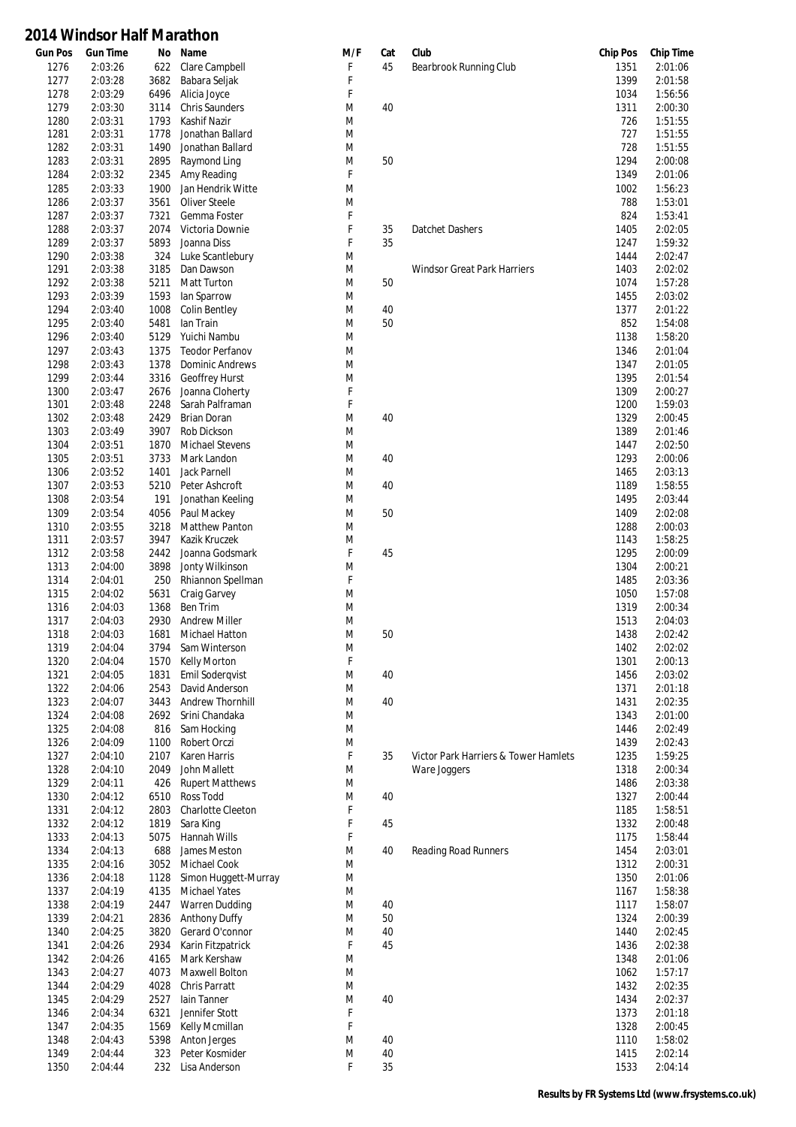| <b>Gun Pos</b> | <b>Gun Time</b> | No   | Name                   | M/F         | Cat | Club                                 | <b>Chip Pos</b> | <b>Chip Time</b> |
|----------------|-----------------|------|------------------------|-------------|-----|--------------------------------------|-----------------|------------------|
| 1276           | 2:03:26         | 622  | Clare Campbell         | F           | 45  | Bearbrook Running Club               | 1351            | 2:01:06          |
| 1277           | 2:03:28         | 3682 | Babara Seljak          | F           |     |                                      | 1399            | 2:01:58          |
| 1278           | 2:03:29         | 6496 | Alicia Joyce           | F           |     |                                      | 1034            | 1:56:56          |
| 1279           | 2:03:30         | 3114 | <b>Chris Saunders</b>  | M           | 40  |                                      | 1311            | 2:00:30          |
| 1280           | 2:03:31         | 1793 | Kashif Nazir           | M           |     |                                      | 726             | 1:51:55          |
| 1281           | 2:03:31         | 1778 | Jonathan Ballard       | M           |     |                                      | 727             | 1:51:55          |
|                |                 |      |                        |             |     |                                      |                 |                  |
| 1282           | 2:03:31         | 1490 | Jonathan Ballard       | M           |     |                                      | 728             | 1:51:55          |
| 1283           | 2:03:31         | 2895 | Raymond Ling           | M           | 50  |                                      | 1294            | 2:00:08          |
| 1284           | 2:03:32         | 2345 | Amy Reading            | $\mathsf F$ |     |                                      | 1349            | 2:01:06          |
| 1285           | 2:03:33         | 1900 | Jan Hendrik Witte      | M           |     |                                      | 1002            | 1:56:23          |
| 1286           | 2:03:37         | 3561 | <b>Oliver Steele</b>   | M           |     |                                      | 788             | 1:53:01          |
|                |                 |      |                        | F           |     |                                      | 824             |                  |
| 1287           | 2:03:37         | 7321 | Gemma Foster           |             |     |                                      |                 | 1:53:41          |
| 1288           | 2:03:37         | 2074 | Victoria Downie        | F           | 35  | Datchet Dashers                      | 1405            | 2:02:05          |
| 1289           | 2:03:37         | 5893 | Joanna Diss            | F           | 35  |                                      | 1247            | 1:59:32          |
| 1290           | 2:03:38         | 324  | Luke Scantlebury       | M           |     |                                      | 1444            | 2:02:47          |
| 1291           | 2:03:38         | 3185 | Dan Dawson             | M           |     | Windsor Great Park Harriers          | 1403            | 2:02:02          |
| 1292           | 2:03:38         | 5211 | Matt Turton            | M           | 50  |                                      | 1074            | 1:57:28          |
| 1293           | 2:03:39         | 1593 | lan Sparrow            | M           |     |                                      | 1455            | 2:03:02          |
|                |                 |      |                        |             |     |                                      |                 |                  |
| 1294           | 2:03:40         | 1008 | <b>Colin Bentley</b>   | M           | 40  |                                      | 1377            | 2:01:22          |
| 1295           | 2:03:40         | 5481 | lan Train              | M           | 50  |                                      | 852             | 1:54:08          |
| 1296           | 2:03:40         | 5129 | Yuichi Nambu           | M           |     |                                      | 1138            | 1:58:20          |
| 1297           | 2:03:43         | 1375 | <b>Teodor Perfanov</b> | M           |     |                                      | 1346            | 2:01:04          |
| 1298           | 2:03:43         | 1378 | <b>Dominic Andrews</b> | M           |     |                                      | 1347            | 2:01:05          |
| 1299           | 2:03:44         | 3316 | Geoffrey Hurst         | M           |     |                                      | 1395            | 2:01:54          |
|                |                 |      |                        |             |     |                                      |                 |                  |
| 1300           | 2:03:47         | 2676 | Joanna Cloherty        | F           |     |                                      | 1309            | 2:00:27          |
| 1301           | 2:03:48         | 2248 | Sarah Palframan        | F           |     |                                      | 1200            | 1:59:03          |
| 1302           | 2:03:48         | 2429 | Brian Doran            | M           | 40  |                                      | 1329            | 2:00:45          |
| 1303           | 2:03:49         | 3907 | Rob Dickson            | M           |     |                                      | 1389            | 2:01:46          |
| 1304           | 2:03:51         | 1870 | <b>Michael Stevens</b> | M           |     |                                      | 1447            | 2:02:50          |
| 1305           | 2:03:51         | 3733 | Mark Landon            | M           | 40  |                                      | 1293            | 2:00:06          |
|                |                 |      |                        |             |     |                                      |                 |                  |
| 1306           | 2:03:52         | 1401 | <b>Jack Parnell</b>    | M           |     |                                      | 1465            | 2:03:13          |
| 1307           | 2:03:53         | 5210 | Peter Ashcroft         | M           | 40  |                                      | 1189            | 1:58:55          |
| 1308           | 2:03:54         | 191  | Jonathan Keeling       | M           |     |                                      | 1495            | 2:03:44          |
| 1309           | 2:03:54         | 4056 | Paul Mackey            | M           | 50  |                                      | 1409            | 2:02:08          |
| 1310           | 2:03:55         | 3218 | <b>Matthew Panton</b>  | M           |     |                                      | 1288            | 2:00:03          |
| 1311           | 2:03:57         | 3947 | Kazik Kruczek          | M           |     |                                      | 1143            | 1:58:25          |
|                |                 |      |                        |             |     |                                      |                 |                  |
| 1312           | 2:03:58         | 2442 | Joanna Godsmark        | F           | 45  |                                      | 1295            | 2:00:09          |
| 1313           | 2:04:00         | 3898 | Jonty Wilkinson        | M           |     |                                      | 1304            | 2:00:21          |
| 1314           | 2:04:01         | 250  | Rhiannon Spellman      | F           |     |                                      | 1485            | 2:03:36          |
| 1315           | 2:04:02         | 5631 | Craig Garvey           | M           |     |                                      | 1050            | 1:57:08          |
| 1316           | 2:04:03         | 1368 | Ben Trim               | M           |     |                                      | 1319            | 2:00:34          |
| 1317           | 2:04:03         | 2930 | <b>Andrew Miller</b>   | M           |     |                                      | 1513            | 2:04:03          |
| 1318           | 2:04:03         | 1681 | <b>Michael Hatton</b>  | M           | 50  |                                      | 1438            | 2:02:42          |
|                |                 |      |                        |             |     |                                      |                 |                  |
| 1319           | 2:04:04         | 3794 | Sam Winterson          | M           |     |                                      | 1402            | 2:02:02          |
| 1320           | 2:04:04         | 1570 | Kelly Morton           | F           |     |                                      | 1301            | 2:00:13          |
| 1321           | 2:04:05         | 1831 | Emil Soderqvist        | M           | 40  |                                      | 1456            | 2:03:02          |
| 1322           | 2:04:06         | 2543 | David Anderson         | M           |     |                                      | 1371            | 2:01:18          |
| 1323           | 2:04:07         | 3443 | Andrew Thornhill       | M           | 40  |                                      | 1431            | 2:02:35          |
| 1324           | 2:04:08         | 2692 | Srini Chandaka         | M           |     |                                      | 1343            | 2:01:00          |
|                |                 |      |                        |             |     |                                      |                 |                  |
| 1325           | 2:04:08         | 816  | Sam Hocking            | M           |     |                                      | 1446            | 2:02:49          |
| 1326           | 2:04:09         | 1100 | Robert Orczi           | M           |     |                                      | 1439            | 2:02:43          |
| 1327           | 2:04:10         | 2107 | Karen Harris           | F           | 35  | Victor Park Harriers & Tower Hamlets | 1235            | 1:59:25          |
| 1328           | 2:04:10         | 2049 | John Mallett           | M           |     | Ware Joggers                         | 1318            | 2:00:34          |
| 1329           | 2:04:11         | 426  | <b>Rupert Matthews</b> | M           |     |                                      | 1486            | 2:03:38          |
| 1330           | 2:04:12         | 6510 | Ross Todd              | M           | 40  |                                      | 1327            | 2:00:44          |
| 1331           | 2:04:12         | 2803 | Charlotte Cleeton      | F           |     |                                      | 1185            | 1:58:51          |
|                | 2:04:12         | 1819 |                        | F           | 45  |                                      | 1332            | 2:00:48          |
| 1332           |                 |      | Sara King              |             |     |                                      |                 |                  |
| 1333           | 2:04:13         | 5075 | Hannah Wills           | F           |     |                                      | 1175            | 1:58:44          |
| 1334           | 2:04:13         | 688  | James Meston           | M           | 40  | Reading Road Runners                 | 1454            | 2:03:01          |
| 1335           | 2:04:16         | 3052 | Michael Cook           | M           |     |                                      | 1312            | 2:00:31          |
| 1336           | 2:04:18         | 1128 | Simon Huggett-Murray   | M           |     |                                      | 1350            | 2:01:06          |
| 1337           | 2:04:19         | 4135 | <b>Michael Yates</b>   | M           |     |                                      | 1167            | 1:58:38          |
| 1338           | 2:04:19         | 2447 | Warren Dudding         | M           | 40  |                                      | 1117            | 1:58:07          |
|                |                 |      |                        |             |     |                                      |                 |                  |
| 1339           | 2:04:21         | 2836 | <b>Anthony Duffy</b>   | M           | 50  |                                      | 1324            | 2:00:39          |
| 1340           | 2:04:25         | 3820 | Gerard O'connor        | M           | 40  |                                      | 1440            | 2:02:45          |
| 1341           | 2:04:26         | 2934 | Karin Fitzpatrick      | F           | 45  |                                      | 1436            | 2:02:38          |
| 1342           | 2:04:26         | 4165 | Mark Kershaw           | M           |     |                                      | 1348            | 2:01:06          |
| 1343           | 2:04:27         | 4073 | Maxwell Bolton         | M           |     |                                      | 1062            | 1:57:17          |
| 1344           | 2:04:29         | 4028 | Chris Parratt          | M           |     |                                      | 1432            | 2:02:35          |
| 1345           | 2:04:29         | 2527 | lain Tanner            | M           | 40  |                                      | 1434            | 2:02:37          |
|                |                 |      |                        |             |     |                                      |                 |                  |
| 1346           | 2:04:34         | 6321 | Jennifer Stott         | F           |     |                                      | 1373            | 2:01:18          |
| 1347           | 2:04:35         | 1569 | Kelly Mcmillan         | F           |     |                                      | 1328            | 2:00:45          |
| 1348           | 2:04:43         | 5398 | Anton Jerges           | M           | 40  |                                      | 1110            | 1:58:02          |
| 1349           | 2:04:44         | 323  | Peter Kosmider         | M           | 40  |                                      | 1415            | 2:02:14          |
| 1350           | 2:04:44         | 232  | Lisa Anderson          | F           | 35  |                                      | 1533            | 2:04:14          |
|                |                 |      |                        |             |     |                                      |                 |                  |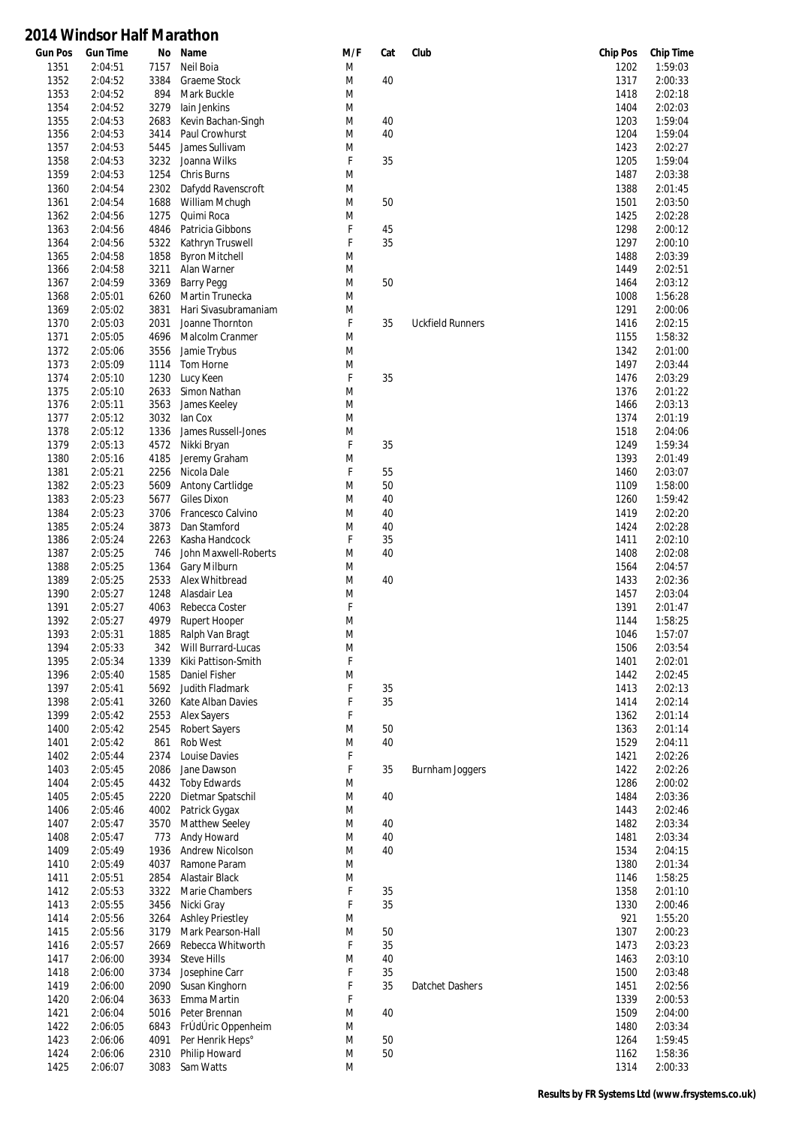| <b>Gun Pos</b> | <b>Gun Time</b> | No   | Name                    | M/F    | Cat | Club                    | <b>Chip Pos</b> | <b>Chip Time</b> |
|----------------|-----------------|------|-------------------------|--------|-----|-------------------------|-----------------|------------------|
| 1351           | 2:04:51         | 7157 | Neil Boia               | M      |     |                         | 1202            | 1:59:03          |
| 1352           | 2:04:52         | 3384 | Graeme Stock            | M      | 40  |                         | 1317            | 2:00:33          |
| 1353           | 2:04:52         | 894  | Mark Buckle             | M      |     |                         | 1418            | 2:02:18          |
| 1354           | 2:04:52         | 3279 | lain Jenkins            | M      |     |                         | 1404            | 2:02:03          |
| 1355           | 2:04:53         | 2683 | Kevin Bachan-Singh      | M      | 40  |                         | 1203            | 1:59:04          |
| 1356           | 2:04:53         | 3414 | Paul Crowhurst          | M      | 40  |                         | 1204            | 1:59:04          |
| 1357           | 2:04:53         | 5445 | James Sullivam          | M      |     |                         | 1423            | 2:02:27          |
| 1358           | 2:04:53         | 3232 | Joanna Wilks            | F      | 35  |                         | 1205            | 1:59:04          |
| 1359           | 2:04:53         | 1254 | Chris Burns             | M      |     |                         | 1487            | 2:03:38          |
| 1360           | 2:04:54         | 2302 | Dafydd Ravenscroft      | M      |     |                         | 1388            | 2:01:45          |
| 1361           | 2:04:54         | 1688 | William Mchugh          | M      | 50  |                         | 1501            | 2:03:50          |
| 1362           | 2:04:56         | 1275 | Quimi Roca              | M      |     |                         | 1425            | 2:02:28          |
| 1363           | 2:04:56         | 4846 | Patricia Gibbons        | F      | 45  |                         | 1298            | 2:00:12          |
| 1364           | 2:04:56         | 5322 | Kathryn Truswell        | F      | 35  |                         | 1297            | 2:00:10          |
| 1365           | 2:04:58         | 1858 | <b>Byron Mitchell</b>   | M      |     |                         | 1488            | 2:03:39          |
| 1366           | 2:04:58         | 3211 | Alan Warner             | M      |     |                         | 1449            | 2:02:51          |
|                |                 | 3369 | <b>Barry Pegg</b>       | M      | 50  |                         | 1464            | 2:03:12          |
| 1367           | 2:04:59         | 6260 |                         | M      |     |                         |                 |                  |
| 1368           | 2:05:01         |      | Martin Trunecka         |        |     |                         | 1008            | 1:56:28          |
| 1369           | 2:05:02         | 3831 | Hari Sivasubramaniam    | M      |     |                         | 1291            | 2:00:06          |
| 1370           | 2:05:03         | 2031 | Joanne Thornton         | F      | 35  | <b>Uckfield Runners</b> | 1416            | 2:02:15          |
| 1371           | 2:05:05         | 4696 | Malcolm Cranmer         | M      |     |                         | 1155            | 1:58:32          |
| 1372           | 2:05:06         | 3556 | Jamie Trybus            | M      |     |                         | 1342            | 2:01:00          |
| 1373           | 2:05:09         | 1114 | Tom Horne               | M      |     |                         | 1497            | 2:03:44          |
| 1374           | 2:05:10         | 1230 | Lucy Keen               | F      | 35  |                         | 1476            | 2:03:29          |
| 1375           | 2:05:10         | 2633 | Simon Nathan            | M      |     |                         | 1376            | 2:01:22          |
| 1376           | 2:05:11         | 3563 | James Keeley            | M      |     |                         | 1466            | 2:03:13          |
| 1377           | 2:05:12         | 3032 | lan Cox                 | M      |     |                         | 1374            | 2:01:19          |
| 1378           | 2:05:12         | 1336 | James Russell-Jones     | M      |     |                         | 1518            | 2:04:06          |
| 1379           | 2:05:13         | 4572 | Nikki Bryan             | F      | 35  |                         | 1249            | 1:59:34          |
| 1380           | 2:05:16         | 4185 | Jeremy Graham           | M      |     |                         | 1393            | 2:01:49          |
| 1381           | 2:05:21         | 2256 | Nicola Dale             | F      | 55  |                         | 1460            | 2:03:07          |
| 1382           | 2:05:23         | 5609 | Antony Cartlidge        | M      | 50  |                         | 1109            | 1:58:00          |
| 1383           | 2:05:23         | 5677 | Giles Dixon             | M      | 40  |                         | 1260            | 1:59:42          |
| 1384           | 2:05:23         | 3706 | Francesco Calvino       | M      | 40  |                         | 1419            | 2:02:20          |
| 1385           | 2:05:24         | 3873 | Dan Stamford            | M      | 40  |                         | 1424            | 2:02:28          |
| 1386           | 2:05:24         | 2263 | Kasha Handcock          | F      | 35  |                         | 1411            | 2:02:10          |
| 1387           | 2:05:25         | 746  | John Maxwell-Roberts    | M      | 40  |                         | 1408            | 2:02:08          |
| 1388           | 2:05:25         | 1364 | Gary Milburn            | M      |     |                         | 1564            | 2:04:57          |
| 1389           | 2:05:25         | 2533 | Alex Whitbread          | M      | 40  |                         | 1433            | 2:02:36          |
| 1390           | 2:05:27         | 1248 | Alasdair Lea            | M      |     |                         | 1457            | 2:03:04          |
| 1391           | 2:05:27         | 4063 | Rebecca Coster          | F      |     |                         | 1391            | 2:01:47          |
| 1392           | 2:05:27         | 4979 | Rupert Hooper           | M      |     |                         | 1144            | 1:58:25          |
| 1393           | 2:05:31         | 1885 | Ralph Van Bragt         | M      |     |                         | 1046            | 1:57:07          |
| 1394           | 2:05:33         | 342  | Will Burrard-Lucas      |        |     |                         | 1506            | 2:03:54          |
|                |                 |      |                         | M<br>F |     |                         |                 |                  |
| 1395           | 2:05:34         | 1339 | Kiki Pattison-Smith     |        |     |                         | 1401            | 2:02:01          |
| 1396           | 2:05:40         | 1585 | Daniel Fisher           | M      |     |                         | 1442            | 2:02:45          |
| 1397           | 2:05:41         | 5692 | Judith Fladmark         | F      | 35  |                         | 1413            | 2:02:13          |
| 1398           | 2:05:41         | 3260 | Kate Alban Davies       | F      | 35  |                         | 1414            | 2:02:14          |
| 1399           | 2:05:42         | 2553 | <b>Alex Sayers</b>      | F      |     |                         | 1362            | 2:01:14          |
| 1400           | 2:05:42         | 2545 | <b>Robert Sayers</b>    | M      | 50  |                         | 1363            | 2:01:14          |
| 1401           | 2:05:42         | 861  | Rob West                | M      | 40  |                         | 1529            | 2:04:11          |
| 1402           | 2:05:44         | 2374 | Louise Davies           | F      |     |                         | 1421            | 2:02:26          |
| 1403           | 2:05:45         | 2086 | Jane Dawson             | F      | 35  | <b>Burnham Joggers</b>  | 1422            | 2:02:26          |
| 1404           | 2:05:45         | 4432 | <b>Toby Edwards</b>     | M      |     |                         | 1286            | 2:00:02          |
| 1405           | 2:05:45         | 2220 | Dietmar Spatschil       | M      | 40  |                         | 1484            | 2:03:36          |
| 1406           | 2:05:46         | 4002 | Patrick Gygax           | M      |     |                         | 1443            | 2:02:46          |
| 1407           | 2:05:47         | 3570 | Matthew Seeley          | M      | 40  |                         | 1482            | 2:03:34          |
| 1408           | 2:05:47         | 773  | Andy Howard             | M      | 40  |                         | 1481            | 2:03:34          |
| 1409           | 2:05:49         | 1936 | Andrew Nicolson         | M      | 40  |                         | 1534            | 2:04:15          |
| 1410           | 2:05:49         | 4037 | Ramone Param            | M      |     |                         | 1380            | 2:01:34          |
| 1411           | 2:05:51         | 2854 | Alastair Black          | M      |     |                         | 1146            | 1:58:25          |
| 1412           | 2:05:53         | 3322 | Marie Chambers          | F      | 35  |                         | 1358            | 2:01:10          |
| 1413           | 2:05:55         | 3456 | Nicki Gray              | F      | 35  |                         | 1330            | 2:00:46          |
| 1414           | 2:05:56         | 3264 | <b>Ashley Priestley</b> | M      |     |                         | 921             | 1:55:20          |
| 1415           | 2:05:56         | 3179 | Mark Pearson-Hall       | M      | 50  |                         | 1307            | 2:00:23          |
| 1416           | 2:05:57         | 2669 | Rebecca Whitworth       | F      | 35  |                         | 1473            | 2:03:23          |
| 1417           | 2:06:00         | 3934 | <b>Steve Hills</b>      | M      | 40  |                         | 1463            | 2:03:10          |
| 1418           | 2:06:00         | 3734 | Josephine Carr          | F      | 35  |                         | 1500            | 2:03:48          |
| 1419           | 2:06:00         | 2090 | Susan Kinghorn          | F      | 35  | Datchet Dashers         | 1451            | 2:02:56          |
|                |                 |      |                         | F      |     |                         |                 |                  |
| 1420           | 2:06:04         | 3633 | Emma Martin             |        |     |                         | 1339            | 2:00:53          |
| 1421           | 2:06:04         | 5016 | Peter Brennan           | M      | 40  |                         | 1509            | 2:04:00          |
| 1422           | 2:06:05         | 6843 | FrÚdÚric Oppenheim      | M      |     |                         | 1480            | 2:03:34          |
| 1423           | 2:06:06         | 4091 | Per Henrik Heps°        | M      | 50  |                         | 1264            | 1:59:45          |
| 1424           | 2:06:06         | 2310 | Philip Howard           | M      | 50  |                         | 1162            | 1:58:36          |
| 1425           | 2:06:07         | 3083 | Sam Watts               | M      |     |                         | 1314            | 2:00:33          |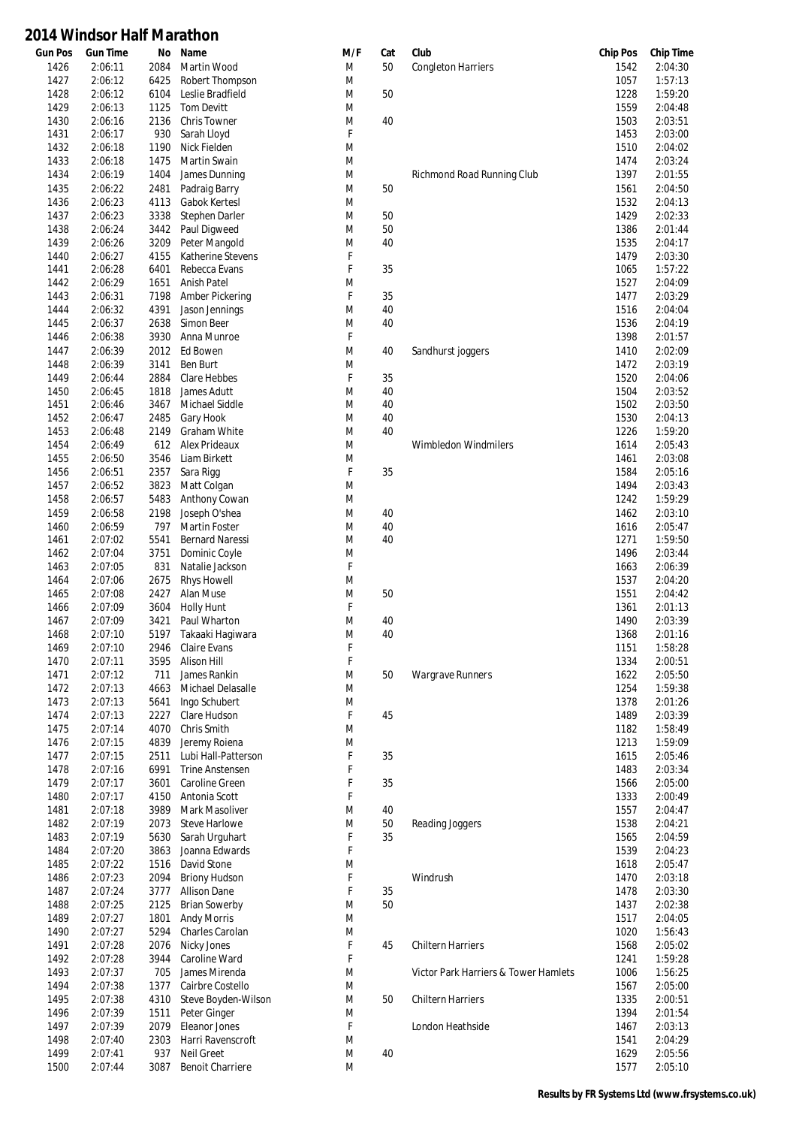| <b>Gun Pos</b> | <b>Gun Time</b> | No   | Name                    | M/F | Cat | Club                                 | <b>Chip Pos</b> | <b>Chip Time</b> |
|----------------|-----------------|------|-------------------------|-----|-----|--------------------------------------|-----------------|------------------|
| 1426           | 2:06:11         | 2084 | Martin Wood             | M   | 50  | <b>Congleton Harriers</b>            | 1542            | 2:04:30          |
| 1427           | 2:06:12         | 6425 | Robert Thompson         | M   |     |                                      | 1057            | 1:57:13          |
| 1428           | 2:06:12         | 6104 | Leslie Bradfield        | M   | 50  |                                      | 1228            | 1:59:20          |
| 1429           | 2:06:13         | 1125 | <b>Tom Devitt</b>       | M   |     |                                      | 1559            | 2:04:48          |
| 1430           | 2:06:16         | 2136 | <b>Chris Towner</b>     | M   | 40  |                                      | 1503            | 2:03:51          |
| 1431           | 2:06:17         | 930  | Sarah Lloyd             | F   |     |                                      | 1453            | 2:03:00          |
| 1432           | 2:06:18         | 1190 | Nick Fielden            | M   |     |                                      | 1510            | 2:04:02          |
| 1433           | 2:06:18         | 1475 | Martin Swain            | M   |     |                                      | 1474            | 2:03:24          |
| 1434           | 2:06:19         | 1404 | James Dunning           | M   |     | Richmond Road Running Club           | 1397            | 2:01:55          |
| 1435           | 2:06:22         | 2481 | Padraig Barry           | M   | 50  |                                      | 1561            | 2:04:50          |
| 1436           | 2:06:23         | 4113 | Gabok Kertesl           | M   |     |                                      | 1532            | 2:04:13          |
| 1437           | 2:06:23         | 3338 | Stephen Darler          | M   | 50  |                                      | 1429            | 2:02:33          |
|                |                 |      |                         |     | 50  |                                      |                 |                  |
| 1438           | 2:06:24         | 3442 | Paul Digweed            | M   |     |                                      | 1386            | 2:01:44          |
| 1439           | 2:06:26         | 3209 | Peter Mangold           | M   | 40  |                                      | 1535            | 2:04:17          |
| 1440           | 2:06:27         | 4155 | Katherine Stevens       | F   |     |                                      | 1479            | 2:03:30          |
| 1441           | 2:06:28         | 6401 | Rebecca Evans           | F   | 35  |                                      | 1065            | 1:57:22          |
| 1442           | 2:06:29         | 1651 | <b>Anish Patel</b>      | M   |     |                                      | 1527            | 2:04:09          |
| 1443           | 2:06:31         | 7198 | Amber Pickering         | F   | 35  |                                      | 1477            | 2:03:29          |
| 1444           | 2:06:32         | 4391 | Jason Jennings          | M   | 40  |                                      | 1516            | 2:04:04          |
| 1445           | 2:06:37         | 2638 | Simon Beer              | M   | 40  |                                      | 1536            | 2:04:19          |
| 1446           | 2:06:38         | 3930 | Anna Munroe             | F   |     |                                      | 1398            | 2:01:57          |
| 1447           | 2:06:39         | 2012 | <b>Ed Bowen</b>         | M   | 40  | Sandhurst joggers                    | 1410            | 2:02:09          |
| 1448           | 2:06:39         | 3141 | <b>Ben Burt</b>         | M   |     |                                      | 1472            | 2:03:19          |
| 1449           | 2:06:44         | 2884 | Clare Hebbes            | F   | 35  |                                      | 1520            | 2:04:06          |
| 1450           | 2:06:45         | 1818 | James Adutt             | M   | 40  |                                      | 1504            | 2:03:52          |
| 1451           | 2:06:46         | 3467 | Michael Siddle          | M   | 40  |                                      | 1502            | 2:03:50          |
| 1452           | 2:06:47         | 2485 | Gary Hook               | M   | 40  |                                      | 1530            | 2:04:13          |
| 1453           | 2:06:48         | 2149 | <b>Graham White</b>     | M   | 40  |                                      | 1226            | 1:59:20          |
| 1454           | 2:06:49         | 612  | Alex Prideaux           | M   |     | Wimbledon Windmilers                 | 1614            | 2:05:43          |
|                |                 |      |                         |     |     |                                      |                 |                  |
| 1455           | 2:06:50         | 3546 | Liam Birkett            | M   |     |                                      | 1461            | 2:03:08          |
| 1456           | 2:06:51         | 2357 | Sara Rigg               | F   | 35  |                                      | 1584            | 2:05:16          |
| 1457           | 2:06:52         | 3823 | Matt Colgan             | M   |     |                                      | 1494            | 2:03:43          |
| 1458           | 2:06:57         | 5483 | Anthony Cowan           | M   |     |                                      | 1242            | 1:59:29          |
| 1459           | 2:06:58         | 2198 | Joseph O'shea           | M   | 40  |                                      | 1462            | 2:03:10          |
| 1460           | 2:06:59         | 797  | <b>Martin Foster</b>    | M   | 40  |                                      | 1616            | 2:05:47          |
| 1461           | 2:07:02         | 5541 | <b>Bernard Naressi</b>  | M   | 40  |                                      | 1271            | 1:59:50          |
| 1462           | 2:07:04         | 3751 | Dominic Coyle           | M   |     |                                      | 1496            | 2:03:44          |
| 1463           | 2:07:05         | 831  | Natalie Jackson         | F   |     |                                      | 1663            | 2:06:39          |
| 1464           | 2:07:06         | 2675 | <b>Rhys Howell</b>      | M   |     |                                      | 1537            | 2:04:20          |
| 1465           | 2:07:08         | 2427 | Alan Muse               | M   | 50  |                                      | 1551            | 2:04:42          |
| 1466           | 2:07:09         | 3604 | <b>Holly Hunt</b>       | F   |     |                                      | 1361            | 2:01:13          |
| 1467           | 2:07:09         | 3421 | Paul Wharton            | M   | 40  |                                      | 1490            | 2:03:39          |
| 1468           | 2:07:10         | 5197 | Takaaki Haqiwara        | M   | 40  |                                      | 1368            | 2:01:16          |
| 1469           | 2:07:10         | 2946 | Claire Evans            | F   |     |                                      | 1151            | 1:58:28          |
| 1470           | 2:07:11         |      | 3595 Alison Hill        | F   |     |                                      | 1334            | 2:00:51          |
| 1471           | 2:07:12         | 711  | James Rankin            | M   | 50  | <b>Wargrave Runners</b>              | 1622            | 2:05:50          |
| 1472           | 2:07:13         | 4663 | Michael Delasalle       | M   |     |                                      | 1254            | 1:59:38          |
| 1473           | 2:07:13         | 5641 | Ingo Schubert           | M   |     |                                      | 1378            | 2:01:26          |
| 1474           | 2:07:13         | 2227 | Clare Hudson            | F   | 45  |                                      | 1489            | 2:03:39          |
|                |                 |      |                         |     |     |                                      |                 |                  |
| 1475           | 2:07:14         | 4070 | Chris Smith             | M   |     |                                      | 1182            | 1:58:49          |
| 1476           | 2:07:15         | 4839 | Jeremy Roiena           | M   |     |                                      | 1213            | 1:59:09          |
| 1477           | 2:07:15         | 2511 | Lubi Hall-Patterson     | F   | 35  |                                      | 1615            | 2:05:46          |
| 1478           | 2:07:16         | 6991 | <b>Trine Anstensen</b>  | F   |     |                                      | 1483            | 2:03:34          |
| 1479           | 2:07:17         | 3601 | Caroline Green          | F   | 35  |                                      | 1566            | 2:05:00          |
| 1480           | 2:07:17         | 4150 | Antonia Scott           | F   |     |                                      | 1333            | 2:00:49          |
| 1481           | 2:07:18         | 3989 | Mark Masoliver          | M   | 40  |                                      | 1557            | 2:04:47          |
| 1482           | 2:07:19         | 2073 | <b>Steve Harlowe</b>    | M   | 50  | Reading Joggers                      | 1538            | 2:04:21          |
| 1483           | 2:07:19         | 5630 | Sarah Urguhart          | F   | 35  |                                      | 1565            | 2:04:59          |
| 1484           | 2:07:20         | 3863 | Joanna Edwards          | F   |     |                                      | 1539            | 2:04:23          |
| 1485           | 2:07:22         | 1516 | David Stone             | M   |     |                                      | 1618            | 2:05:47          |
| 1486           | 2:07:23         | 2094 | <b>Briony Hudson</b>    | F   |     | Windrush                             | 1470            | 2:03:18          |
| 1487           | 2:07:24         | 3777 | <b>Allison Dane</b>     | F   | 35  |                                      | 1478            | 2:03:30          |
| 1488           | 2:07:25         | 2125 | <b>Brian Sowerby</b>    | M   | 50  |                                      | 1437            | 2:02:38          |
| 1489           | 2:07:27         | 1801 | <b>Andy Morris</b>      | M   |     |                                      | 1517            | 2:04:05          |
| 1490           | 2:07:27         | 5294 | Charles Carolan         | M   |     |                                      | 1020            | 1:56:43          |
| 1491           | 2:07:28         | 2076 | Nicky Jones             | F   | 45  | Chiltern Harriers                    | 1568            | 2:05:02          |
| 1492           | 2:07:28         |      | Caroline Ward           | F   |     |                                      |                 | 1:59:28          |
|                |                 | 3944 |                         |     |     |                                      | 1241            |                  |
| 1493           | 2:07:37         | 705  | James Mirenda           | M   |     | Victor Park Harriers & Tower Hamlets | 1006            | 1:56:25          |
| 1494           | 2:07:38         | 1377 | Cairbre Costello        | M   |     |                                      | 1567            | 2:05:00          |
| 1495           | 2:07:38         | 4310 | Steve Boyden-Wilson     | M   | 50  | Chiltern Harriers                    | 1335            | 2:00:51          |
| 1496           | 2:07:39         | 1511 | Peter Ginger            | M   |     |                                      | 1394            | 2:01:54          |
| 1497           | 2:07:39         | 2079 | Eleanor Jones           | F   |     | London Heathside                     | 1467            | 2:03:13          |
| 1498           | 2:07:40         | 2303 | Harri Ravenscroft       | M   |     |                                      | 1541            | 2:04:29          |
| 1499           | 2:07:41         | 937  | <b>Neil Greet</b>       | M   | 40  |                                      | 1629            | 2:05:56          |
| 1500           | 2:07:44         | 3087 | <b>Benoit Charriere</b> | M   |     |                                      | 1577            | 2:05:10          |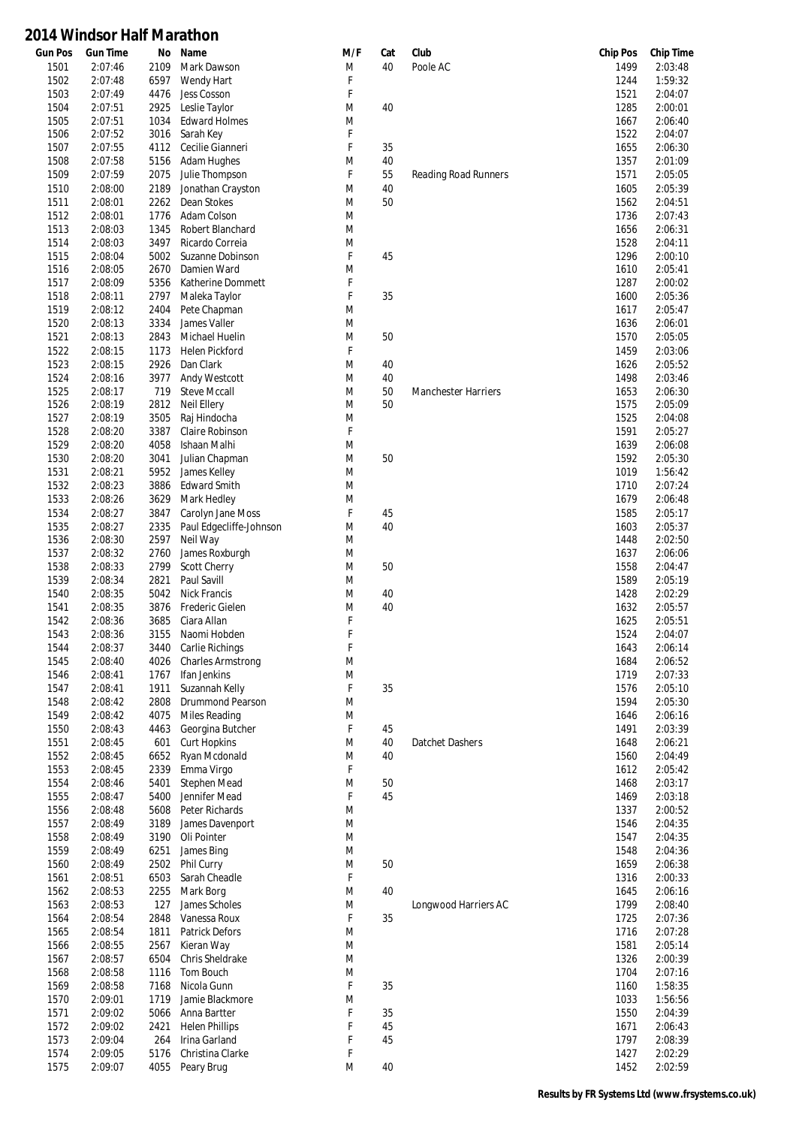| <b>Gun Pos</b> | <b>Gun Time</b>    | No           | Name                                         | M/F    | Cat      | Club                       | <b>Chip Pos</b> | <b>Chip Time</b>   |
|----------------|--------------------|--------------|----------------------------------------------|--------|----------|----------------------------|-----------------|--------------------|
| 1501           | 2:07:46            | 2109         | Mark Dawson                                  | M      | 40       | Poole AC                   | 1499            | 2:03:48            |
| 1502           | 2:07:48            | 6597         | Wendy Hart                                   | F      |          |                            | 1244            | 1:59:32            |
| 1503           | 2:07:49            | 4476         | Jess Cosson                                  | F      |          |                            | 1521            | 2:04:07            |
| 1504           | 2:07:51            | 2925         | Leslie Taylor                                | M      | 40       |                            | 1285            | 2:00:01            |
| 1505           | 2:07:51            | 1034         | <b>Edward Holmes</b>                         | M      |          |                            | 1667            | 2:06:40            |
| 1506           | 2:07:52            | 3016         | Sarah Key                                    | F      |          |                            | 1522            | 2:04:07            |
| 1507<br>1508   | 2:07:55<br>2:07:58 | 4112<br>5156 | Cecilie Gianneri<br>Adam Hughes              | F<br>M | 35<br>40 |                            | 1655<br>1357    | 2:06:30<br>2:01:09 |
| 1509           | 2:07:59            | 2075         | Julie Thompson                               | F      | 55       | Reading Road Runners       | 1571            | 2:05:05            |
| 1510           | 2:08:00            | 2189         | Jonathan Crayston                            | M      | 40       |                            | 1605            | 2:05:39            |
| 1511           | 2:08:01            | 2262         | Dean Stokes                                  | M      | 50       |                            | 1562            | 2:04:51            |
| 1512           | 2:08:01            | 1776         | Adam Colson                                  | M      |          |                            | 1736            | 2:07:43            |
| 1513           | 2:08:03            | 1345         | Robert Blanchard                             | M      |          |                            | 1656            | 2:06:31            |
| 1514           | 2:08:03            | 3497         | Ricardo Correia                              | M      |          |                            | 1528            | 2:04:11            |
| 1515           | 2:08:04            | 5002         | Suzanne Dobinson                             | F      | 45       |                            | 1296            | 2:00:10            |
| 1516           | 2:08:05            | 2670         | Damien Ward                                  | M      |          |                            | 1610            | 2:05:41            |
| 1517           | 2:08:09            | 5356         | Katherine Dommett                            | F      |          |                            | 1287            | 2:00:02            |
| 1518           | 2:08:11            | 2797         | Maleka Taylor                                | F      | 35       |                            | 1600            | 2:05:36            |
| 1519           | 2:08:12            | 2404         | Pete Chapman                                 | M      |          |                            | 1617            | 2:05:47            |
| 1520           | 2:08:13            | 3334         | James Valler                                 | M      |          |                            | 1636            | 2:06:01            |
| 1521           | 2:08:13            | 2843         | Michael Huelin                               | M      | 50       |                            | 1570            | 2:05:05            |
| 1522           | 2:08:15            | 1173         | <b>Helen Pickford</b>                        | F      |          |                            | 1459            | 2:03:06            |
| 1523           | 2:08:15            | 2926         | Dan Clark                                    | M      | 40       |                            | 1626            | 2:05:52            |
| 1524           | 2:08:16            | 3977         | Andy Westcott                                | M      | 40       |                            | 1498            | 2:03:46            |
| 1525           | 2:08:17            | 719          | <b>Steve Mccall</b>                          | M      | 50       | <b>Manchester Harriers</b> | 1653            | 2:06:30            |
| 1526           | 2:08:19            | 2812         | Neil Ellery                                  | M      | 50       |                            | 1575            | 2:05:09            |
| 1527           | 2:08:19            | 3505         | Raj Hindocha                                 | M      |          |                            | 1525            | 2:04:08            |
| 1528           | 2:08:20            | 3387         | Claire Robinson                              | F      |          |                            | 1591            | 2:05:27            |
| 1529           | 2:08:20            | 4058         | Ishaan Malhi                                 | M      |          |                            | 1639            | 2:06:08            |
| 1530           | 2:08:20            | 3041         | Julian Chapman                               | M      | 50       |                            | 1592            | 2:05:30            |
| 1531           | 2:08:21            | 5952         | James Kelley                                 | M      |          |                            | 1019            | 1:56:42            |
| 1532           | 2:08:23            | 3886         | <b>Edward Smith</b>                          | M      |          |                            | 1710            | 2:07:24            |
| 1533<br>1534   | 2:08:26<br>2:08:27 | 3629<br>3847 | Mark Hedley                                  | M<br>F | 45       |                            | 1679<br>1585    | 2:06:48<br>2:05:17 |
| 1535           | 2:08:27            | 2335         | Carolyn Jane Moss<br>Paul Edgecliffe-Johnson | M      | 40       |                            | 1603            | 2:05:37            |
| 1536           | 2:08:30            | 2597         | Neil Way                                     | M      |          |                            | 1448            | 2:02:50            |
| 1537           | 2:08:32            | 2760         | James Roxburgh                               | M      |          |                            | 1637            | 2:06:06            |
| 1538           | 2:08:33            | 2799         | <b>Scott Cherry</b>                          | M      | 50       |                            | 1558            | 2:04:47            |
| 1539           | 2:08:34            | 2821         | Paul Savill                                  | M      |          |                            | 1589            | 2:05:19            |
| 1540           | 2:08:35            | 5042         | <b>Nick Francis</b>                          | M      | 40       |                            | 1428            | 2:02:29            |
| 1541           | 2:08:35            | 3876         | Frederic Gielen                              | M      | 40       |                            | 1632            | 2:05:57            |
| 1542           | 2:08:36            | 3685         | Ciara Allan                                  | F      |          |                            | 1625            | 2:05:51            |
| 1543           | 2:08:36            | 3155         | Naomi Hobden                                 | F      |          |                            | 1524            | 2:04:07            |
| 1544           | 2:08:37            | 3440         | Carlie Richings                              | F      |          |                            | 1643            | 2:06:14            |
| 1545           | 2:08:40            | 4026         | <b>Charles Armstrong</b>                     | M      |          |                            | 1684            | 2:06:52            |
| 1546           | 2:08:41            | 1767         | Ifan Jenkins                                 | M      |          |                            | 1719            | 2:07:33            |
| 1547           | 2:08:41            | 1911         | Suzannah Kelly                               | F      | 35       |                            | 1576            | 2:05:10            |
| 1548           | 2:08:42            | 2808         | Drummond Pearson                             | M      |          |                            | 1594            | 2:05:30            |
| 1549           | 2:08:42            | 4075         | Miles Reading                                | M      |          |                            | 1646            | 2:06:16            |
| 1550           | 2:08:43            | 4463         | Georgina Butcher                             | F      | 45       |                            | 1491            | 2:03:39            |
| 1551           | 2:08:45            | 601          | <b>Curt Hopkins</b>                          | M      | 40       | Datchet Dashers            | 1648            | 2:06:21            |
| 1552           | 2:08:45            | 6652         | Ryan Mcdonald                                | M      | 40       |                            | 1560            | 2:04:49            |
| 1553<br>1554   | 2:08:45<br>2:08:46 | 2339<br>5401 | Emma Virgo<br><b>Stephen Mead</b>            | F<br>M | 50       |                            | 1612<br>1468    | 2:05:42<br>2:03:17 |
| 1555           | 2:08:47            | 5400         | Jennifer Mead                                | F      | 45       |                            | 1469            | 2:03:18            |
| 1556           | 2:08:48            | 5608         | Peter Richards                               | M      |          |                            | 1337            | 2:00:52            |
| 1557           | 2:08:49            | 3189         | James Davenport                              | M      |          |                            | 1546            | 2:04:35            |
| 1558           | 2:08:49            | 3190         | Oli Pointer                                  | M      |          |                            | 1547            | 2:04:35            |
| 1559           | 2:08:49            | 6251         | James Bing                                   | M      |          |                            | 1548            | 2:04:36            |
| 1560           | 2:08:49            | 2502         | Phil Curry                                   | M      | 50       |                            | 1659            | 2:06:38            |
| 1561           | 2:08:51            | 6503         | Sarah Cheadle                                | F      |          |                            | 1316            | 2:00:33            |
| 1562           | 2:08:53            | 2255         | Mark Borg                                    | M      | 40       |                            | 1645            | 2:06:16            |
| 1563           | 2:08:53            | 127          | James Scholes                                | M      |          | Longwood Harriers AC       | 1799            | 2:08:40            |
| 1564           | 2:08:54            | 2848         | Vanessa Roux                                 | F      | 35       |                            | 1725            | 2:07:36            |
| 1565           | 2:08:54            | 1811         | <b>Patrick Defors</b>                        | M      |          |                            | 1716            | 2:07:28            |
| 1566           | 2:08:55            | 2567         | Kieran Way                                   | M      |          |                            | 1581            | 2:05:14            |
| 1567           | 2:08:57            | 6504         | Chris Sheldrake                              | M      |          |                            | 1326            | 2:00:39            |
| 1568           | 2:08:58            | 1116         | Tom Bouch                                    | M      |          |                            | 1704            | 2:07:16            |
| 1569           | 2:08:58            | 7168         | Nicola Gunn                                  | F      | 35       |                            | 1160            | 1:58:35            |
| 1570           | 2:09:01            | 1719         | Jamie Blackmore                              | M      |          |                            | 1033            | 1:56:56            |
| 1571           | 2:09:02            | 5066         | Anna Bartter                                 | F      | 35       |                            | 1550            | 2:04:39            |
| 1572           | 2:09:02            | 2421         | <b>Helen Phillips</b>                        | F      | 45       |                            | 1671            | 2:06:43            |
| 1573           | 2:09:04            | 264          | Irina Garland                                | F      | 45       |                            | 1797            | 2:08:39            |
| 1574           | 2:09:05            | 5176         | Christina Clarke                             | F      |          |                            | 1427            | 2:02:29            |
| 1575           | 2:09:07            | 4055         | Peary Brug                                   | M      | 40       |                            | 1452            | 2:02:59            |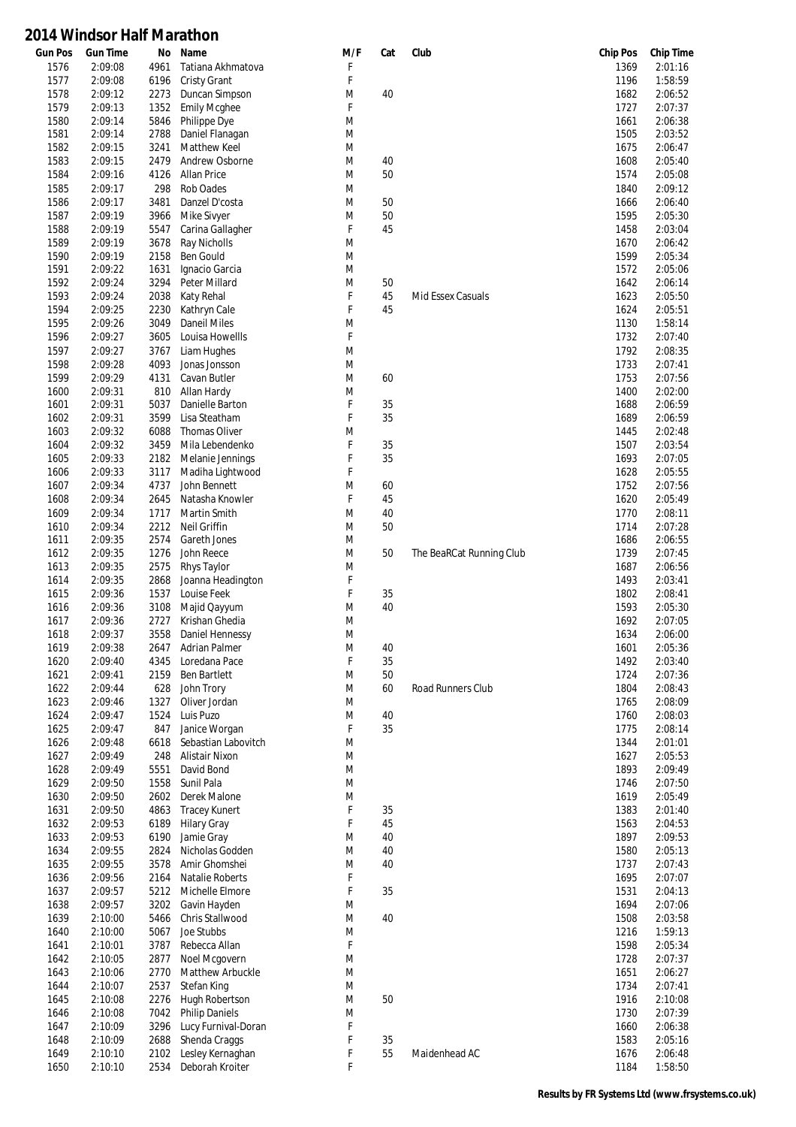| <b>Gun Pos</b> | <b>Gun Time</b> | No           | Name                  | M/F | Cat | Club                     | <b>Chip Pos</b> | <b>Chip Time</b> |
|----------------|-----------------|--------------|-----------------------|-----|-----|--------------------------|-----------------|------------------|
| 1576           | 2:09:08         | 4961         | Tatiana Akhmatova     | F   |     |                          | 1369            | 2:01:16          |
| 1577           | 2:09:08         | 6196         | <b>Cristy Grant</b>   | F   |     |                          | 1196            | 1:58:59          |
| 1578           | 2:09:12         | 2273         | Duncan Simpson        | M   | 40  |                          | 1682            | 2:06:52          |
| 1579           | 2:09:13         | 1352         | <b>Emily Mcghee</b>   | F   |     |                          | 1727            | 2:07:37          |
| 1580           | 2:09:14         | 5846         | Philippe Dye          | M   |     |                          | 1661            | 2:06:38          |
| 1581           | 2:09:14         | 2788         | Daniel Flanagan       | M   |     |                          | 1505            | 2:03:52          |
|                | 2:09:15         | 3241         | Matthew Keel          | M   |     |                          | 1675            | 2:06:47          |
| 1582           |                 |              |                       |     |     |                          |                 |                  |
| 1583           | 2:09:15         | 2479         | Andrew Osborne        | M   | 40  |                          | 1608            | 2:05:40          |
| 1584           | 2:09:16         | 4126         | Allan Price           | M   | 50  |                          | 1574            | 2:05:08          |
| 1585           | 2:09:17         | 298          | Rob Oades             | M   |     |                          | 1840            | 2:09:12          |
| 1586           | 2:09:17         | 3481         | Danzel D'costa        | M   | 50  |                          | 1666            | 2:06:40          |
| 1587           | 2:09:19         | 3966         | Mike Sivyer           | M   | 50  |                          | 1595            | 2:05:30          |
| 1588           | 2:09:19         | 5547         | Carina Gallagher      | F   | 45  |                          | 1458            | 2:03:04          |
| 1589           | 2:09:19         | 3678         | Ray Nicholls          | M   |     |                          | 1670            | 2:06:42          |
|                |                 |              |                       |     |     |                          |                 |                  |
| 1590           | 2:09:19         | 2158         | Ben Gould             | M   |     |                          | 1599            | 2:05:34          |
| 1591           | 2:09:22         | 1631         | Ignacio Garcia        | M   |     |                          | 1572            | 2:05:06          |
| 1592           | 2:09:24         | 3294         | Peter Millard         | M   | 50  |                          | 1642            | 2:06:14          |
| 1593           | 2:09:24         | 2038         | Katy Rehal            | F   | 45  | Mid Essex Casuals        | 1623            | 2:05:50          |
| 1594           | 2:09:25         | 2230         | Kathryn Cale          | F   | 45  |                          | 1624            | 2:05:51          |
| 1595           | 2:09:26         | 3049         | <b>Daneil Miles</b>   | M   |     |                          | 1130            | 1:58:14          |
| 1596           | 2:09:27         | 3605         | Louisa Howellls       | F   |     |                          | 1732            | 2:07:40          |
| 1597           | 2:09:27         | 3767         | Liam Hughes           | M   |     |                          | 1792            | 2:08:35          |
| 1598           | 2:09:28         | 4093         | Jonas Jonsson         | M   |     |                          | 1733            | 2:07:41          |
|                |                 |              |                       |     |     |                          |                 |                  |
| 1599           | 2:09:29         | 4131         | Cavan Butler          | M   | 60  |                          | 1753            | 2:07:56          |
| 1600           | 2:09:31         | 810          | Allan Hardy           | M   |     |                          | 1400            | 2:02:00          |
| 1601           | 2:09:31         | 5037         | Danielle Barton       | F   | 35  |                          | 1688            | 2:06:59          |
| 1602           | 2:09:31         | 3599         | Lisa Steatham         | F   | 35  |                          | 1689            | 2:06:59          |
| 1603           | 2:09:32         | 6088         | <b>Thomas Oliver</b>  | M   |     |                          | 1445            | 2:02:48          |
| 1604           | 2:09:32         | 3459         | Mila Lebendenko       | F   | 35  |                          | 1507            | 2:03:54          |
| 1605           | 2:09:33         | 2182         | Melanie Jennings      | F   | 35  |                          | 1693            | 2:07:05          |
| 1606           | 2:09:33         | 3117         | Madiha Lightwood      | F   |     |                          | 1628            | 2:05:55          |
|                |                 |              |                       |     |     |                          |                 |                  |
| 1607           | 2:09:34         | 4737         | John Bennett          | M   | 60  |                          | 1752            | 2:07:56          |
| 1608           | 2:09:34         | 2645         | Natasha Knowler       | F   | 45  |                          | 1620            | 2:05:49          |
| 1609           | 2:09:34         | 1717         | Martin Smith          | M   | 40  |                          | 1770            | 2:08:11          |
| 1610           | 2:09:34         | 2212         | Neil Griffin          | M   | 50  |                          | 1714            | 2:07:28          |
| 1611           | 2:09:35         | 2574         | Gareth Jones          | M   |     |                          | 1686            | 2:06:55          |
| 1612           | 2:09:35         | 1276         | John Reece            | M   | 50  | The BeaRCat Running Club | 1739            | 2:07:45          |
| 1613           | 2:09:35         | 2575         | Rhys Taylor           | M   |     |                          | 1687            | 2:06:56          |
|                | 2:09:35         | 2868         | Joanna Headington     | F   |     |                          | 1493            | 2:03:41          |
| 1614           |                 |              |                       |     |     |                          |                 |                  |
| 1615           | 2:09:36         | 1537         | Louise Feek           | F   | 35  |                          | 1802            | 2:08:41          |
| 1616           | 2:09:36         | 3108         | Majid Qayyum          | M   | 40  |                          | 1593            | 2:05:30          |
| 1617           | 2:09:36         | 2727         | Krishan Ghedia        | M   |     |                          | 1692            | 2:07:05          |
| 1618           | 2:09:37         | 3558         | Daniel Hennessy       | M   |     |                          | 1634            | 2:06:00          |
| 1619           | 2:09:38         | 2647         | Adrian Palmer         | M   | 40  |                          | 1601            | 2:05:36          |
| 1620           | 2:09:40         | 4345         | Loredana Pace         | F   | 35  |                          | 1492            | 2:03:40          |
| 1621           | 2:09:41         | 2159         | <b>Ben Bartlett</b>   | M   | 50  |                          | 1724            | 2:07:36          |
| 1622           | 2:09:44         | 628          | John Trory            | M   | 60  | Road Runners Club        | 1804            | 2:08:43          |
|                |                 |              |                       |     |     |                          |                 |                  |
| 1623           | 2:09:46         | 1327         | Oliver Jordan         | M   |     |                          | 1765            | 2:08:09          |
| 1624           | 2:09:47         | 1524         | Luis Puzo             | M   | 40  |                          | 1760            | 2:08:03          |
| 1625           | 2:09:47         | 847          | Janice Worgan         | F   | 35  |                          | 1775            | 2:08:14          |
| 1626           | 2:09:48         | 6618         | Sebastian Labovitch   | M   |     |                          | 1344            | 2:01:01          |
| 1627           | 2:09:49         | 248          | Alistair Nixon        | M   |     |                          | 1627            | 2:05:53          |
| 1628           | 2:09:49         | 5551         | David Bond            | M   |     |                          | 1893            | 2:09:49          |
| 1629           | 2:09:50         | 1558         | Sunil Pala            | M   |     |                          | 1746            | 2:07:50          |
| 1630           | 2:09:50         | 2602         | Derek Malone          | M   |     |                          | 1619            | 2:05:49          |
|                | 2:09:50         |              |                       | F   | 35  |                          | 1383            | 2:01:40          |
| 1631<br>1632   | 2:09:53         | 4863<br>6189 | <b>Tracey Kunert</b>  | F   | 45  |                          | 1563            | 2:04:53          |
|                |                 |              | <b>Hilary Gray</b>    |     |     |                          |                 |                  |
| 1633           | 2:09:53         | 6190         | Jamie Gray            | M   | 40  |                          | 1897            | 2:09:53          |
| 1634           | 2:09:55         | 2824         | Nicholas Godden       | M   | 40  |                          | 1580            | 2:05:13          |
| 1635           | 2:09:55         | 3578         | Amir Ghomshei         | M   | 40  |                          | 1737            | 2:07:43          |
| 1636           | 2:09:56         | 2164         | Natalie Roberts       | F   |     |                          | 1695            | 2:07:07          |
| 1637           | 2:09:57         | 5212         | Michelle Elmore       | F   | 35  |                          | 1531            | 2:04:13          |
| 1638           | 2:09:57         | 3202         | Gavin Hayden          | M   |     |                          | 1694            | 2:07:06          |
| 1639           | 2:10:00         | 5466         | Chris Stallwood       | M   | 40  |                          | 1508            | 2:03:58          |
|                |                 |              |                       |     |     |                          |                 |                  |
| 1640           | 2:10:00         | 5067         | Joe Stubbs            | M   |     |                          | 1216            | 1:59:13          |
| 1641           | 2:10:01         | 3787         | Rebecca Allan         | F   |     |                          | 1598            | 2:05:34          |
| 1642           | 2:10:05         | 2877         | Noel Mcgovern         | M   |     |                          | 1728            | 2:07:37          |
| 1643           | 2:10:06         | 2770         | Matthew Arbuckle      | M   |     |                          | 1651            | 2:06:27          |
| 1644           | 2:10:07         | 2537         | Stefan King           | M   |     |                          | 1734            | 2:07:41          |
| 1645           | 2:10:08         | 2276         | Hugh Robertson        | M   | 50  |                          | 1916            | 2:10:08          |
| 1646           | 2:10:08         | 7042         | <b>Philip Daniels</b> | M   |     |                          | 1730            | 2:07:39          |
| 1647           | 2:10:09         | 3296         | Lucy Furnival-Doran   | F   |     |                          |                 | 2:06:38          |
|                |                 |              |                       |     |     |                          | 1660            |                  |
| 1648           | 2:10:09         | 2688         | Shenda Craggs         | F   | 35  |                          | 1583            | 2:05:16          |
| 1649           | 2:10:10         | 2102         | Lesley Kernaghan      | F   | 55  | Maidenhead AC            | 1676            | 2:06:48          |
| 1650           | 2:10:10         | 2534         | Deborah Kroiter       | F   |     |                          | 1184            | 1:58:50          |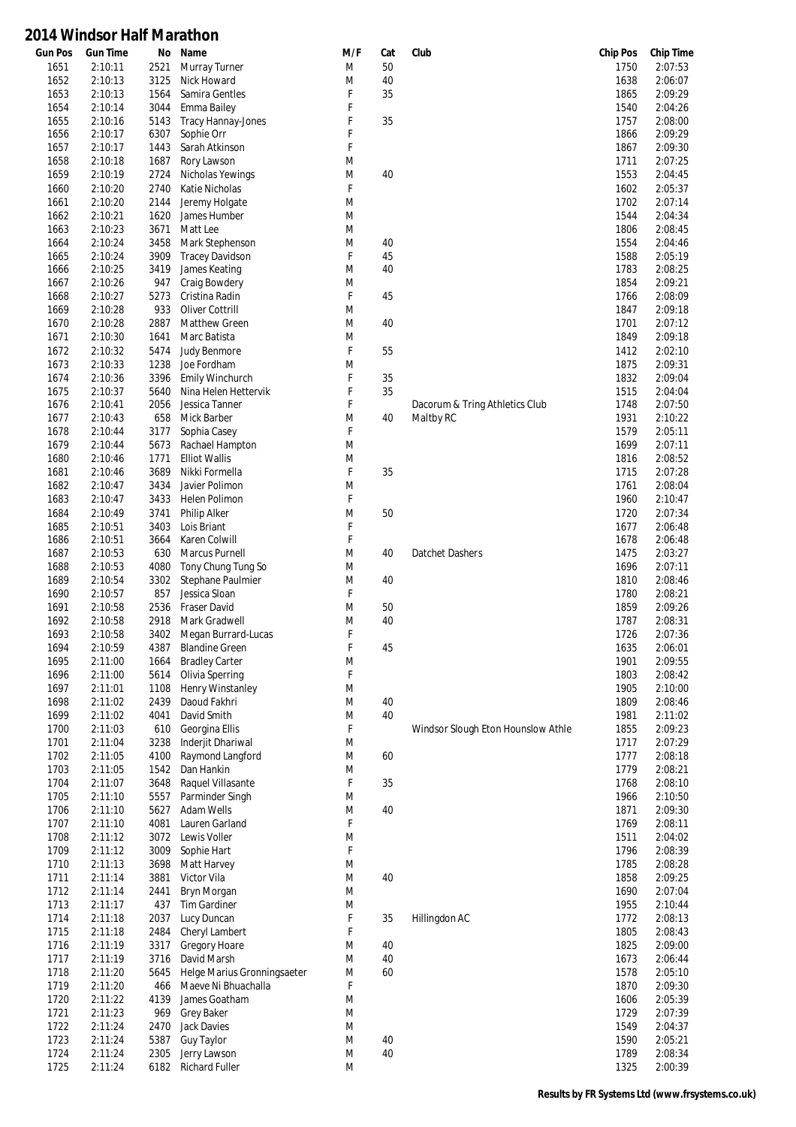| <b>Gun Pos</b> | <b>Gun Time</b> | No   | Name                        | M/F | Cat | Club                               | <b>Chip Pos</b> | <b>Chip Time</b> |
|----------------|-----------------|------|-----------------------------|-----|-----|------------------------------------|-----------------|------------------|
| 1651           | 2:10:11         | 2521 | <b>Murray Turner</b>        | M   | 50  |                                    | 1750            | 2:07:53          |
| 1652           | 2:10:13         | 3125 | Nick Howard                 | M   | 40  |                                    | 1638            | 2:06:07          |
| 1653           | 2:10:13         | 1564 | Samira Gentles              | F   | 35  |                                    | 1865            | 2:09:29          |
| 1654           | 2:10:14         | 3044 | Emma Bailey                 | F   |     |                                    | 1540            | 2:04:26          |
| 1655           | 2:10:16         | 5143 | <b>Tracy Hannay-Jones</b>   | F   | 35  |                                    | 1757            | 2:08:00          |
| 1656           | 2:10:17         | 6307 | Sophie Orr                  | F   |     |                                    | 1866            | 2:09:29          |
|                | 2:10:17         | 1443 | Sarah Atkinson              | F   |     |                                    | 1867            | 2:09:30          |
| 1657           |                 |      |                             |     |     |                                    |                 |                  |
| 1658           | 2:10:18         | 1687 | Rory Lawson                 | M   |     |                                    | 1711            | 2:07:25          |
| 1659           | 2:10:19         | 2724 | Nicholas Yewings            | M   | 40  |                                    | 1553            | 2:04:45          |
| 1660           | 2:10:20         | 2740 | Katie Nicholas              | F   |     |                                    | 1602            | 2:05:37          |
| 1661           | 2:10:20         | 2144 | Jeremy Holgate              | M   |     |                                    | 1702            | 2:07:14          |
| 1662           | 2:10:21         | 1620 | James Humber                | M   |     |                                    | 1544            | 2:04:34          |
| 1663           | 2:10:23         | 3671 | Matt Lee                    | M   |     |                                    | 1806            | 2:08:45          |
| 1664           | 2:10:24         | 3458 | Mark Stephenson             | M   | 40  |                                    | 1554            | 2:04:46          |
|                |                 |      |                             | F   |     |                                    |                 |                  |
| 1665           | 2:10:24         | 3909 | <b>Tracey Davidson</b>      |     | 45  |                                    | 1588            | 2:05:19          |
| 1666           | 2:10:25         | 3419 | James Keating               | M   | 40  |                                    | 1783            | 2:08:25          |
| 1667           | 2:10:26         | 947  | Craig Bowdery               | M   |     |                                    | 1854            | 2:09:21          |
| 1668           | 2:10:27         | 5273 | Cristina Radin              | F   | 45  |                                    | 1766            | 2:08:09          |
| 1669           | 2:10:28         | 933  | Oliver Cottrill             | M   |     |                                    | 1847            | 2:09:18          |
| 1670           | 2:10:28         | 2887 | <b>Matthew Green</b>        | M   | 40  |                                    | 1701            | 2:07:12          |
| 1671           | 2:10:30         | 1641 | Marc Batista                | M   |     |                                    | 1849            | 2:09:18          |
| 1672           | 2:10:32         | 5474 | Judy Benmore                | F   | 55  |                                    | 1412            | 2:02:10          |
| 1673           | 2:10:33         | 1238 | Joe Fordham                 | M   |     |                                    | 1875            | 2:09:31          |
|                |                 |      |                             |     |     |                                    |                 |                  |
| 1674           | 2:10:36         | 3396 | Emily Winchurch             | F   | 35  |                                    | 1832            | 2:09:04          |
| 1675           | 2:10:37         | 5640 | Nina Helen Hettervik        | F   | 35  |                                    | 1515            | 2:04:04          |
| 1676           | 2:10:41         | 2056 | Jessica Tanner              | F   |     | Dacorum & Tring Athletics Club     | 1748            | 2:07:50          |
| 1677           | 2:10:43         | 658  | Mick Barber                 | M   | 40  | Maltby RC                          | 1931            | 2:10:22          |
| 1678           | 2:10:44         | 3177 | Sophia Casey                | F   |     |                                    | 1579            | 2:05:11          |
| 1679           | 2:10:44         | 5673 | Rachael Hampton             | M   |     |                                    | 1699            | 2:07:11          |
| 1680           | 2:10:46         | 1771 | <b>Elliot Wallis</b>        | M   |     |                                    | 1816            | 2:08:52          |
| 1681           | 2:10:46         | 3689 | Nikki Formella              | F   | 35  |                                    | 1715            | 2:07:28          |
|                |                 |      |                             |     |     |                                    |                 | 2:08:04          |
| 1682           | 2:10:47         | 3434 | Javier Polimon              | M   |     |                                    | 1761            |                  |
| 1683           | 2:10:47         | 3433 | Helen Polimon               | F   |     |                                    | 1960            | 2:10:47          |
| 1684           | 2:10:49         | 3741 | <b>Philip Alker</b>         | M   | 50  |                                    | 1720            | 2:07:34          |
| 1685           | 2:10:51         | 3403 | Lois Briant                 | F   |     |                                    | 1677            | 2:06:48          |
| 1686           | 2:10:51         | 3664 | Karen Colwill               | F   |     |                                    | 1678            | 2:06:48          |
| 1687           | 2:10:53         | 630  | Marcus Purnell              | M   | 40  | Datchet Dashers                    | 1475            | 2:03:27          |
| 1688           | 2:10:53         | 4080 | Tony Chung Tung So          | M   |     |                                    | 1696            | 2:07:11          |
| 1689           | 2:10:54         | 3302 | Stephane Paulmier           | M   | 40  |                                    | 1810            | 2:08:46          |
|                |                 |      |                             |     |     |                                    |                 |                  |
| 1690           | 2:10:57         | 857  | Jessica Sloan               | F   |     |                                    | 1780            | 2:08:21          |
| 1691           | 2:10:58         | 2536 | Fraser David                | M   | 50  |                                    | 1859            | 2:09:26          |
| 1692           | 2:10:58         | 2918 | Mark Gradwell               | M   | 40  |                                    | 1787            | 2:08:31          |
| 1693           | 2:10:58         | 3402 | Megan Burrard-Lucas         | F   |     |                                    | 1726            | 2:07:36          |
| 1694           | 2:10:59         | 4387 | <b>Blandine Green</b>       | F   | 45  |                                    | 1635            | 2:06:01          |
| 1695           | 2:11:00         | 1664 | <b>Bradley Carter</b>       | M   |     |                                    | 1901            | 2:09:55          |
| 1696           | 2:11:00         | 5614 | Olivia Sperring             | F   |     |                                    | 1803            | 2:08:42          |
| 1697           | 2:11:01         | 1108 | Henry Winstanley            | M   |     |                                    | 1905            | 2:10:00          |
|                |                 |      |                             |     |     |                                    |                 |                  |
| 1698           | 2:11:02         | 2439 | Daoud Fakhri                | M   | 40  |                                    | 1809            | 2:08:46          |
| 1699           | 2:11:02         | 4041 | David Smith                 | M   | 40  |                                    | 1981            | 2:11:02          |
| 1700           | 2:11:03         | 610  | Georgina Ellis              | F   |     | Windsor Slough Eton Hounslow Athle | 1855            | 2:09:23          |
| 1701           | 2:11:04         | 3238 | Inderjit Dhariwal           | M   |     |                                    | 1717            | 2:07:29          |
| 1702           | 2:11:05         | 4100 | Raymond Langford            | M   | 60  |                                    | 1777            | 2:08:18          |
| 1703           | 2:11:05         | 1542 | Dan Hankin                  | M   |     |                                    | 1779            | 2:08:21          |
| 1704           | 2:11:07         | 3648 | Raquel Villasante           | F   | 35  |                                    | 1768            | 2:08:10          |
| 1705           | 2:11:10         | 5557 | Parminder Singh             | M   |     |                                    | 1966            | 2:10:50          |
|                | 2:11:10         |      |                             |     | 40  |                                    |                 | 2:09:30          |
| 1706           |                 | 5627 | Adam Wells                  | M   |     |                                    | 1871            |                  |
| 1707           | 2:11:10         | 4081 | Lauren Garland              | F   |     |                                    | 1769            | 2:08:11          |
| 1708           | 2:11:12         | 3072 | Lewis Voller                | M   |     |                                    | 1511            | 2:04:02          |
| 1709           | 2:11:12         | 3009 | Sophie Hart                 | F   |     |                                    | 1796            | 2:08:39          |
| 1710           | 2:11:13         | 3698 | Matt Harvey                 | M   |     |                                    | 1785            | 2:08:28          |
| 1711           | 2:11:14         | 3881 | Victor Vila                 | M   | 40  |                                    | 1858            | 2:09:25          |
| 1712           | 2:11:14         | 2441 | Bryn Morgan                 | M   |     |                                    | 1690            | 2:07:04          |
| 1713           | 2:11:17         | 437  | <b>Tim Gardiner</b>         | M   |     |                                    | 1955            | 2:10:44          |
| 1714           |                 |      |                             | F   |     |                                    |                 | 2:08:13          |
|                | 2:11:18         | 2037 | Lucy Duncan                 |     | 35  | Hillingdon AC                      | 1772            |                  |
| 1715           | 2:11:18         | 2484 | Cheryl Lambert              | F   |     |                                    | 1805            | 2:08:43          |
| 1716           | 2:11:19         | 3317 | Gregory Hoare               | M   | 40  |                                    | 1825            | 2:09:00          |
| 1717           | 2:11:19         | 3716 | David Marsh                 | M   | 40  |                                    | 1673            | 2:06:44          |
| 1718           | 2:11:20         | 5645 | Helge Marius Gronningsaeter | M   | 60  |                                    | 1578            | 2:05:10          |
| 1719           | 2:11:20         | 466  | Maeve Ni Bhuachalla         | F   |     |                                    | 1870            | 2:09:30          |
| 1720           | 2:11:22         | 4139 | James Goatham               | M   |     |                                    | 1606            | 2:05:39          |
| 1721           | 2:11:23         | 969  | Grey Baker                  | M   |     |                                    | 1729            | 2:07:39          |
|                |                 |      |                             |     |     |                                    |                 |                  |
| 1722           | 2:11:24         | 2470 | Jack Davies                 | M   |     |                                    | 1549            | 2:04:37          |
| 1723           | 2:11:24         | 5387 | Guy Taylor                  | M   | 40  |                                    | 1590            | 2:05:21          |
| 1724           | 2:11:24         | 2305 | Jerry Lawson                | M   | 40  |                                    | 1789            | 2:08:34          |
| 1725           | 2:11:24         | 6182 | <b>Richard Fuller</b>       | M   |     |                                    | 1325            | 2:00:39          |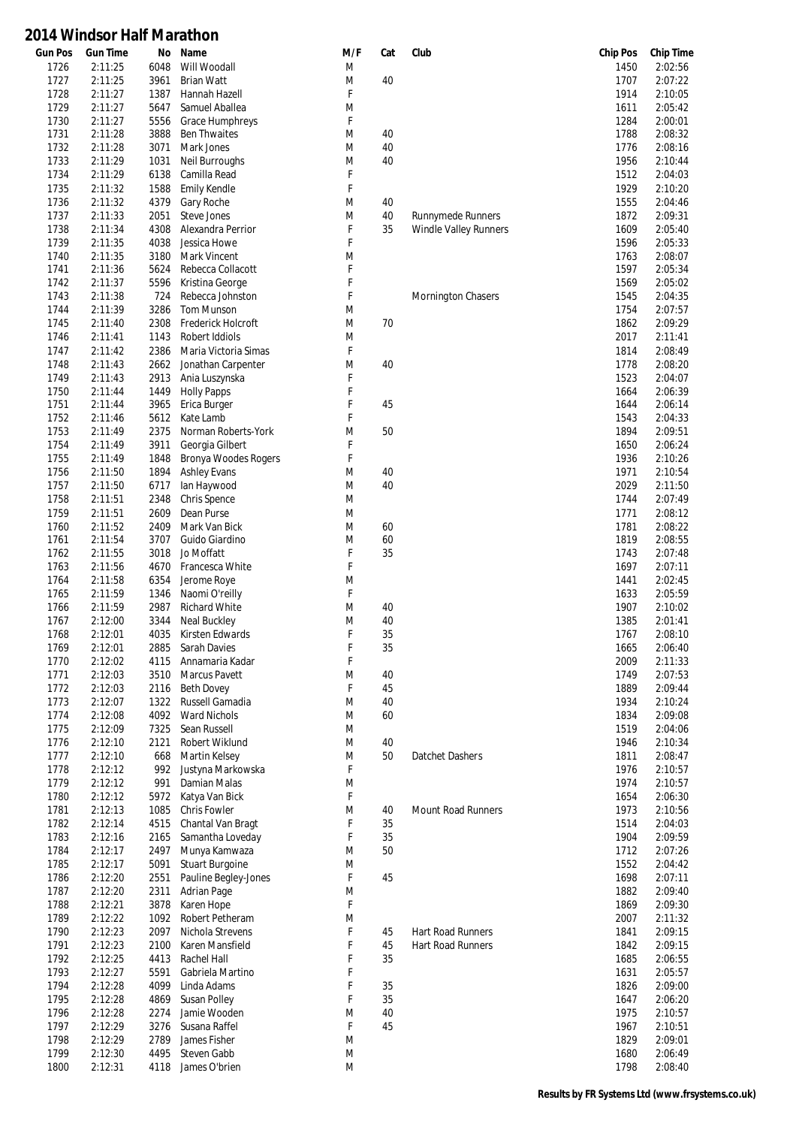| <b>Gun Pos</b> | <b>Gun Time</b>    | No           | Name                                   | M/F    | Cat | Club                     | <b>Chip Pos</b> | <b>Chip Time</b>   |
|----------------|--------------------|--------------|----------------------------------------|--------|-----|--------------------------|-----------------|--------------------|
| 1726           | 2:11:25            | 6048         | Will Woodall                           | M      |     |                          | 1450            | 2:02:56            |
| 1727           | 2:11:25            | 3961         | <b>Brian Watt</b>                      | M      | 40  |                          | 1707            | 2:07:22            |
| 1728           | 2:11:27            | 1387         | Hannah Hazell                          | F      |     |                          | 1914            | 2:10:05            |
| 1729           | 2:11:27            | 5647         | Samuel Aballea                         | M      |     |                          | 1611            | 2:05:42            |
| 1730<br>1731   | 2:11:27<br>2:11:28 | 5556<br>3888 | Grace Humphreys<br><b>Ben Thwaites</b> | F<br>M | 40  |                          | 1284<br>1788    | 2:00:01<br>2:08:32 |
| 1732           | 2:11:28            | 3071         | Mark Jones                             | M      | 40  |                          | 1776            | 2:08:16            |
| 1733           | 2:11:29            | 1031         | Neil Burroughs                         | M      | 40  |                          | 1956            | 2:10:44            |
| 1734           | 2:11:29            | 6138         | Camilla Read                           | F      |     |                          | 1512            | 2:04:03            |
| 1735           | 2:11:32            | 1588         | <b>Emily Kendle</b>                    | F      |     |                          | 1929            | 2:10:20            |
| 1736           | 2:11:32            | 4379         | Gary Roche                             | M      | 40  |                          | 1555            | 2:04:46            |
| 1737           | 2:11:33            | 2051         | Steve Jones                            | M      | 40  | Runnymede Runners        | 1872            | 2:09:31            |
| 1738           | 2:11:34            | 4308         | Alexandra Perrior                      | F      | 35  | Windle Valley Runners    | 1609            | 2:05:40            |
| 1739           | 2:11:35            | 4038         | Jessica Howe                           | F      |     |                          | 1596            | 2:05:33            |
| 1740           | 2:11:35            | 3180         | Mark Vincent                           | M      |     |                          | 1763            | 2:08:07            |
| 1741           | 2:11:36            | 5624         | Rebecca Collacott                      | F      |     |                          | 1597            | 2:05:34            |
| 1742           | 2:11:37            | 5596         | Kristina George                        | F      |     |                          | 1569            | 2:05:02            |
| 1743           | 2:11:38            | 724          | Rebecca Johnston                       | F      |     | Mornington Chasers       | 1545            | 2:04:35            |
| 1744           | 2:11:39            | 3286         | Tom Munson                             | M      |     |                          | 1754            | 2:07:57            |
| 1745           | 2:11:40            | 2308         | Frederick Holcroft                     | M      | 70  |                          | 1862            | 2:09:29            |
| 1746           | 2:11:41            | 1143         | Robert Iddiols                         | M      |     |                          | 2017            | 2:11:41            |
| 1747           | 2:11:42            | 2386         | Maria Victoria Simas                   | F      |     |                          | 1814            | 2:08:49            |
| 1748           | 2:11:43            | 2662         | Jonathan Carpenter                     | M      | 40  |                          | 1778            | 2:08:20            |
| 1749           | 2:11:43            | 2913         | Ania Luszynska                         | F      |     |                          | 1523            | 2:04:07            |
| 1750           | 2:11:44            | 1449         | <b>Holly Papps</b>                     | F      |     |                          | 1664            | 2:06:39            |
| 1751           | 2:11:44            | 3965         | Erica Burger                           | F      | 45  |                          | 1644            | 2:06:14            |
| 1752           | 2:11:46            | 5612         | Kate Lamb                              | F      |     |                          | 1543            | 2:04:33            |
| 1753           | 2:11:49            | 2375         | Norman Roberts-York                    | M      | 50  |                          | 1894            | 2:09:51            |
| 1754           | 2:11:49            | 3911         | Georgia Gilbert                        | F      |     |                          | 1650            | 2:06:24            |
| 1755           | 2:11:49            | 1848         | <b>Bronya Woodes Rogers</b>            | F      |     |                          | 1936            | 2:10:26            |
| 1756           | 2:11:50            | 1894         | <b>Ashley Evans</b>                    | M      | 40  |                          | 1971            | 2:10:54            |
| 1757           | 2:11:50            | 6717         | lan Haywood                            | M      | 40  |                          | 2029            | 2:11:50            |
| 1758           | 2:11:51            | 2348         | Chris Spence                           | M      |     |                          | 1744            | 2:07:49            |
| 1759           | 2:11:51            | 2609         | Dean Purse                             | M      |     |                          | 1771            | 2:08:12            |
| 1760           | 2:11:52            | 2409         | Mark Van Bick                          | M      | 60  |                          | 1781            | 2:08:22            |
| 1761           | 2:11:54            | 3707         | Guido Giardino                         | M      | 60  |                          | 1819            | 2:08:55            |
| 1762           | 2:11:55            | 3018         | Jo Moffatt                             | F      | 35  |                          | 1743            | 2:07:48            |
| 1763           | 2:11:56            | 4670         | Francesca White                        | F      |     |                          | 1697            | 2:07:11            |
| 1764           | 2:11:58            | 6354         | Jerome Roye                            | M      |     |                          | 1441            | 2:02:45            |
| 1765           | 2:11:59            | 1346         | Naomi O'reilly                         | F      |     |                          | 1633            | 2:05:59            |
| 1766           | 2:11:59            | 2987         | <b>Richard White</b>                   | M      | 40  |                          | 1907            | 2:10:02            |
| 1767           | 2:12:00            | 3344         | Neal Buckley                           | M      | 40  |                          | 1385            | 2:01:41            |
| 1768           | 2:12:01            | 4035         | Kirsten Edwards                        | F      | 35  |                          | 1767            | 2:08:10            |
| 1769           | 2:12:01            |              | 2885 Sarah Davies                      | F      | 35  |                          | 1665            | 2:06:40            |
| 1770           | 2:12:02            |              | 4115 Annamaria Kadar                   | F      |     |                          | 2009            | 2:11:33            |
| 1771           | 2:12:03            | 3510         | Marcus Pavett                          | M      | 40  |                          | 1749            | 2:07:53            |
| 1772           | 2:12:03            | 2116         | <b>Beth Dovey</b>                      | F      | 45  |                          | 1889            | 2:09:44            |
| 1773           | 2:12:07            | 1322         | Russell Gamadia                        | M      | 40  |                          | 1934            | 2:10:24            |
| 1774           | 2:12:08            | 4092         | <b>Ward Nichols</b>                    | M      | 60  |                          | 1834            | 2:09:08            |
| 1775           | 2:12:09            | 7325         | Sean Russell                           | M      |     |                          | 1519            | 2:04:06            |
| 1776           | 2:12:10            | 2121         | Robert Wiklund                         | M      | 40  |                          | 1946            | 2:10:34            |
| 1777           | 2:12:10            | 668          | <b>Martin Kelsey</b>                   | M      | 50  | Datchet Dashers          | 1811            | 2:08:47            |
| 1778<br>1779   | 2:12:12<br>2:12:12 | 992<br>991   | Justyna Markowska<br>Damian Malas      | F      |     |                          | 1976<br>1974    | 2:10:57<br>2:10:57 |
| 1780           | 2:12:12            | 5972         | Katya Van Bick                         | M<br>F |     |                          | 1654            | 2:06:30            |
| 1781           | 2:12:13            | 1085         | <b>Chris Fowler</b>                    | M      | 40  | Mount Road Runners       | 1973            | 2:10:56            |
| 1782           | 2:12:14            | 4515         | Chantal Van Bragt                      | F      | 35  |                          | 1514            | 2:04:03            |
| 1783           | 2:12:16            | 2165         | Samantha Loveday                       | F      | 35  |                          | 1904            | 2:09:59            |
| 1784           | 2:12:17            | 2497         | Munya Kamwaza                          | M      | 50  |                          | 1712            | 2:07:26            |
| 1785           | 2:12:17            | 5091         | <b>Stuart Burgoine</b>                 | M      |     |                          | 1552            | 2:04:42            |
| 1786           | 2:12:20            | 2551         | Pauline Begley-Jones                   | F      | 45  |                          | 1698            | 2:07:11            |
| 1787           | 2:12:20            | 2311         | Adrian Page                            | M      |     |                          | 1882            | 2:09:40            |
| 1788           | 2:12:21            | 3878         | Karen Hope                             | F      |     |                          | 1869            | 2:09:30            |
| 1789           | 2:12:22            | 1092         | Robert Petheram                        | M      |     |                          | 2007            | 2:11:32            |
| 1790           | 2:12:23            | 2097         | Nichola Strevens                       | F      | 45  | Hart Road Runners        | 1841            | 2:09:15            |
| 1791           | 2:12:23            | 2100         | Karen Mansfield                        | F      | 45  | <b>Hart Road Runners</b> | 1842            | 2:09:15            |
| 1792           | 2:12:25            | 4413         | Rachel Hall                            | F      | 35  |                          | 1685            | 2:06:55            |
| 1793           | 2:12:27            | 5591         | Gabriela Martino                       | F      |     |                          | 1631            | 2:05:57            |
| 1794           | 2:12:28            | 4099         | Linda Adams                            | F      | 35  |                          | 1826            | 2:09:00            |
| 1795           | 2:12:28            | 4869         | <b>Susan Polley</b>                    | F      | 35  |                          | 1647            | 2:06:20            |
| 1796           | 2:12:28            | 2274         | Jamie Wooden                           | M      | 40  |                          | 1975            | 2:10:57            |
| 1797           | 2:12:29            | 3276         | Susana Raffel                          | F      | 45  |                          | 1967            | 2:10:51            |
| 1798           | 2:12:29            | 2789         | James Fisher                           | M      |     |                          | 1829            | 2:09:01            |
| 1799           | 2:12:30            | 4495         | Steven Gabb                            | M      |     |                          | 1680            | 2:06:49            |
| 1800           | 2:12:31            | 4118         | James O'brien                          | M      |     |                          | 1798            | 2:08:40            |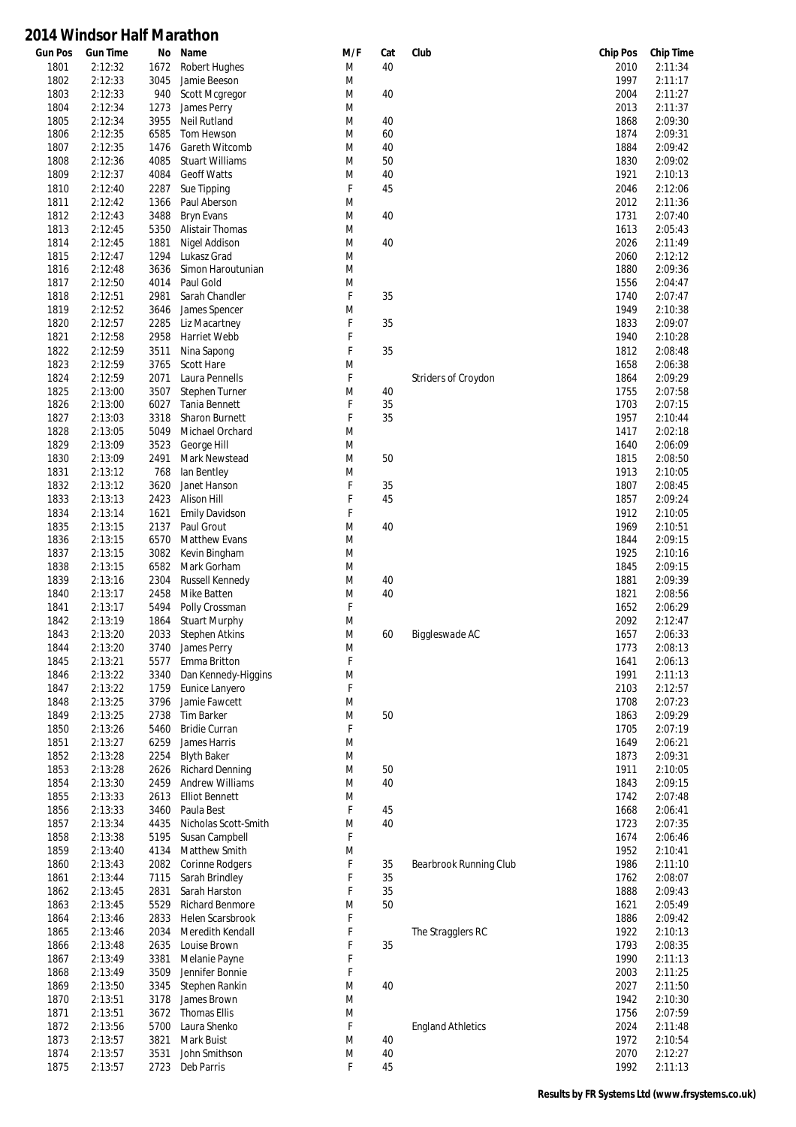| <b>Gun Pos</b> | <b>Gun Time</b> | No   | Name                   | M/F       | Cat | Club                       | <b>Chip Pos</b> | <b>Chip Time</b> |
|----------------|-----------------|------|------------------------|-----------|-----|----------------------------|-----------------|------------------|
| 1801           | 2:12:32         | 1672 | Robert Hughes          | M         | 40  |                            | 2010            | 2:11:34          |
| 1802           | 2:12:33         | 3045 | Jamie Beeson           | M         |     |                            | 1997            | 2:11:17          |
| 1803           | 2:12:33         | 940  | Scott Mcgregor         | M         | 40  |                            | 2004            | 2:11:27          |
| 1804           | 2:12:34         | 1273 | James Perry            | M         |     |                            | 2013            | 2:11:37          |
| 1805           | 2:12:34         | 3955 | <b>Neil Rutland</b>    | M         | 40  |                            | 1868            | 2:09:30          |
|                | 2:12:35         |      | Tom Hewson             |           |     |                            |                 | 2:09:31          |
| 1806           |                 | 6585 |                        | M         | 60  |                            | 1874            |                  |
| 1807           | 2:12:35         | 1476 | Gareth Witcomb         | M         | 40  |                            | 1884            | 2:09:42          |
| 1808           | 2:12:36         | 4085 | <b>Stuart Williams</b> | M         | 50  |                            | 1830            | 2:09:02          |
| 1809           | 2:12:37         | 4084 | <b>Geoff Watts</b>     | M         | 40  |                            | 1921            | 2:10:13          |
| 1810           | 2:12:40         | 2287 | Sue Tipping            | F         | 45  |                            | 2046            | 2:12:06          |
| 1811           | 2:12:42         | 1366 | Paul Aberson           | M         |     |                            | 2012            | 2:11:36          |
| 1812           | 2:12:43         | 3488 | <b>Bryn Evans</b>      | M         | 40  |                            | 1731            | 2:07:40          |
| 1813           | 2:12:45         | 5350 | <b>Alistair Thomas</b> | M         |     |                            | 1613            | 2:05:43          |
|                |                 |      |                        |           |     |                            |                 |                  |
| 1814           | 2:12:45         | 1881 | Nigel Addison          | M         | 40  |                            | 2026            | 2:11:49          |
| 1815           | 2:12:47         | 1294 | Lukasz Grad            | M         |     |                            | 2060            | 2:12:12          |
| 1816           | 2:12:48         | 3636 | Simon Haroutunian      | M         |     |                            | 1880            | 2:09:36          |
| 1817           | 2:12:50         | 4014 | Paul Gold              | M         |     |                            | 1556            | 2:04:47          |
| 1818           | 2:12:51         | 2981 | Sarah Chandler         | F         | 35  |                            | 1740            | 2:07:47          |
| 1819           | 2:12:52         | 3646 | James Spencer          | M         |     |                            | 1949            | 2:10:38          |
| 1820           | 2:12:57         | 2285 | Liz Macartney          | F         | 35  |                            | 1833            | 2:09:07          |
| 1821           | 2:12:58         | 2958 | Harriet Webb           | F         |     |                            | 1940            | 2:10:28          |
|                |                 |      |                        |           |     |                            |                 |                  |
| 1822           | 2:12:59         | 3511 | Nina Sapong            | F         | 35  |                            | 1812            | 2:08:48          |
| 1823           | 2:12:59         | 3765 | <b>Scott Hare</b>      | M         |     |                            | 1658            | 2:06:38          |
| 1824           | 2:12:59         | 2071 | Laura Pennells         | F         |     | <b>Striders of Croydon</b> | 1864            | 2:09:29          |
| 1825           | 2:13:00         | 3507 | Stephen Turner         | M         | 40  |                            | 1755            | 2:07:58          |
| 1826           | 2:13:00         | 6027 | Tania Bennett          | F         | 35  |                            | 1703            | 2:07:15          |
| 1827           | 2:13:03         | 3318 | Sharon Burnett         | F         | 35  |                            | 1957            | 2:10:44          |
| 1828           | 2:13:05         | 5049 | Michael Orchard        | M         |     |                            | 1417            | 2:02:18          |
| 1829           | 2:13:09         | 3523 | George Hill            | M         |     |                            | 1640            | 2:06:09          |
|                |                 |      |                        | M         |     |                            |                 |                  |
| 1830           | 2:13:09         | 2491 | Mark Newstead          |           | 50  |                            | 1815            | 2:08:50          |
| 1831           | 2:13:12         | 768  | lan Bentley            | M         |     |                            | 1913            | 2:10:05          |
| 1832           | 2:13:12         | 3620 | Janet Hanson           | F         | 35  |                            | 1807            | 2:08:45          |
| 1833           | 2:13:13         | 2423 | Alison Hill            | F         | 45  |                            | 1857            | 2:09:24          |
| 1834           | 2:13:14         | 1621 | <b>Emily Davidson</b>  | F         |     |                            | 1912            | 2:10:05          |
| 1835           | 2:13:15         | 2137 | Paul Grout             | M         | 40  |                            | 1969            | 2:10:51          |
| 1836           | 2:13:15         | 6570 | Matthew Evans          | M         |     |                            | 1844            | 2:09:15          |
| 1837           | 2:13:15         | 3082 | Kevin Bingham          | M         |     |                            | 1925            | 2:10:16          |
|                |                 |      |                        |           |     |                            |                 | 2:09:15          |
| 1838           | 2:13:15         | 6582 | Mark Gorham            | M         |     |                            | 1845            |                  |
| 1839           | 2:13:16         | 2304 | Russell Kennedy        | M         | 40  |                            | 1881            | 2:09:39          |
| 1840           | 2:13:17         | 2458 | Mike Batten            | M         | 40  |                            | 1821            | 2:08:56          |
| 1841           | 2:13:17         | 5494 | Polly Crossman         | F         |     |                            | 1652            | 2:06:29          |
| 1842           | 2:13:19         | 1864 | Stuart Murphy          | M         |     |                            | 2092            | 2:12:47          |
| 1843           | 2:13:20         | 2033 | <b>Stephen Atkins</b>  | M         | 60  | Biggleswade AC             | 1657            | 2:06:33          |
| 1844           | 2:13:20         | 3740 | James Perry            | M         |     |                            | 1773            | 2:08:13          |
| 1845           | 2:13:21         | 5577 | Emma Britton           | F         |     |                            | 1641            | 2:06:13          |
|                |                 |      |                        |           |     |                            |                 |                  |
| 1846           | 2:13:22         | 3340 | Dan Kennedy-Higgins    | ${\sf M}$ |     |                            | 1991            | 2:11:13          |
| 1847           | 2:13:22         | 1759 | Eunice Lanyero         | F         |     |                            | 2103            | 2:12:57          |
| 1848           | 2:13:25         | 3796 | Jamie Fawcett          | M         |     |                            | 1708            | 2:07:23          |
| 1849           | 2:13:25         | 2738 | Tim Barker             | M         | 50  |                            | 1863            | 2:09:29          |
| 1850           | 2:13:26         | 5460 | <b>Bridie Curran</b>   | F         |     |                            | 1705            | 2:07:19          |
| 1851           | 2:13:27         | 6259 | James Harris           | M         |     |                            | 1649            | 2:06:21          |
| 1852           | 2:13:28         | 2254 | <b>Blyth Baker</b>     | M         |     |                            | 1873            | 2:09:31          |
| 1853           | 2:13:28         | 2626 | <b>Richard Denning</b> | M         | 50  |                            | 1911            | 2:10:05          |
|                |                 |      | <b>Andrew Williams</b> |           |     |                            |                 |                  |
| 1854           | 2:13:30         | 2459 |                        | M         | 40  |                            | 1843            | 2:09:15          |
| 1855           | 2:13:33         | 2613 | <b>Elliot Bennett</b>  | M         |     |                            | 1742            | 2:07:48          |
| 1856           | 2:13:33         | 3460 | Paula Best             | F         | 45  |                            | 1668            | 2:06:41          |
| 1857           | 2:13:34         | 4435 | Nicholas Scott-Smith   | M         | 40  |                            | 1723            | 2:07:35          |
| 1858           | 2:13:38         | 5195 | Susan Campbell         | F         |     |                            | 1674            | 2:06:46          |
| 1859           | 2:13:40         | 4134 | Matthew Smith          | M         |     |                            | 1952            | 2:10:41          |
| 1860           | 2:13:43         | 2082 | <b>Corinne Rodgers</b> | F         | 35  | Bearbrook Running Club     | 1986            | 2:11:10          |
| 1861           | 2:13:44         | 7115 | Sarah Brindley         | F         | 35  |                            | 1762            | 2:08:07          |
|                |                 |      |                        | F         |     |                            |                 |                  |
| 1862           | 2:13:45         | 2831 | Sarah Harston          |           | 35  |                            | 1888            | 2:09:43          |
| 1863           | 2:13:45         | 5529 | Richard Benmore        | M         | 50  |                            | 1621            | 2:05:49          |
| 1864           | 2:13:46         | 2833 | Helen Scarsbrook       | F         |     |                            | 1886            | 2:09:42          |
| 1865           | 2:13:46         | 2034 | Meredith Kendall       | F         |     | The Stragglers RC          | 1922            | 2:10:13          |
| 1866           | 2:13:48         | 2635 | Louise Brown           | F         | 35  |                            | 1793            | 2:08:35          |
| 1867           | 2:13:49         | 3381 | Melanie Payne          | F         |     |                            | 1990            | 2:11:13          |
| 1868           | 2:13:49         | 3509 | Jennifer Bonnie        | F         |     |                            | 2003            | 2:11:25          |
| 1869           | 2:13:50         | 3345 |                        | M         | 40  |                            | 2027            | 2:11:50          |
|                |                 |      | Stephen Rankin         |           |     |                            |                 |                  |
| 1870           | 2:13:51         | 3178 | James Brown            | M         |     |                            | 1942            | 2:10:30          |
| 1871           | 2:13:51         | 3672 | <b>Thomas Ellis</b>    | M         |     |                            | 1756            | 2:07:59          |
| 1872           | 2:13:56         | 5700 | Laura Shenko           | F         |     | <b>England Athletics</b>   | 2024            | 2:11:48          |
| 1873           | 2:13:57         | 3821 | Mark Buist             | M         | 40  |                            | 1972            | 2:10:54          |
| 1874           | 2:13:57         | 3531 | John Smithson          | M         | 40  |                            | 2070            | 2:12:27          |
| 1875           | 2:13:57         | 2723 | Deb Parris             | F         | 45  |                            | 1992            | 2:11:13          |
|                |                 |      |                        |           |     |                            |                 |                  |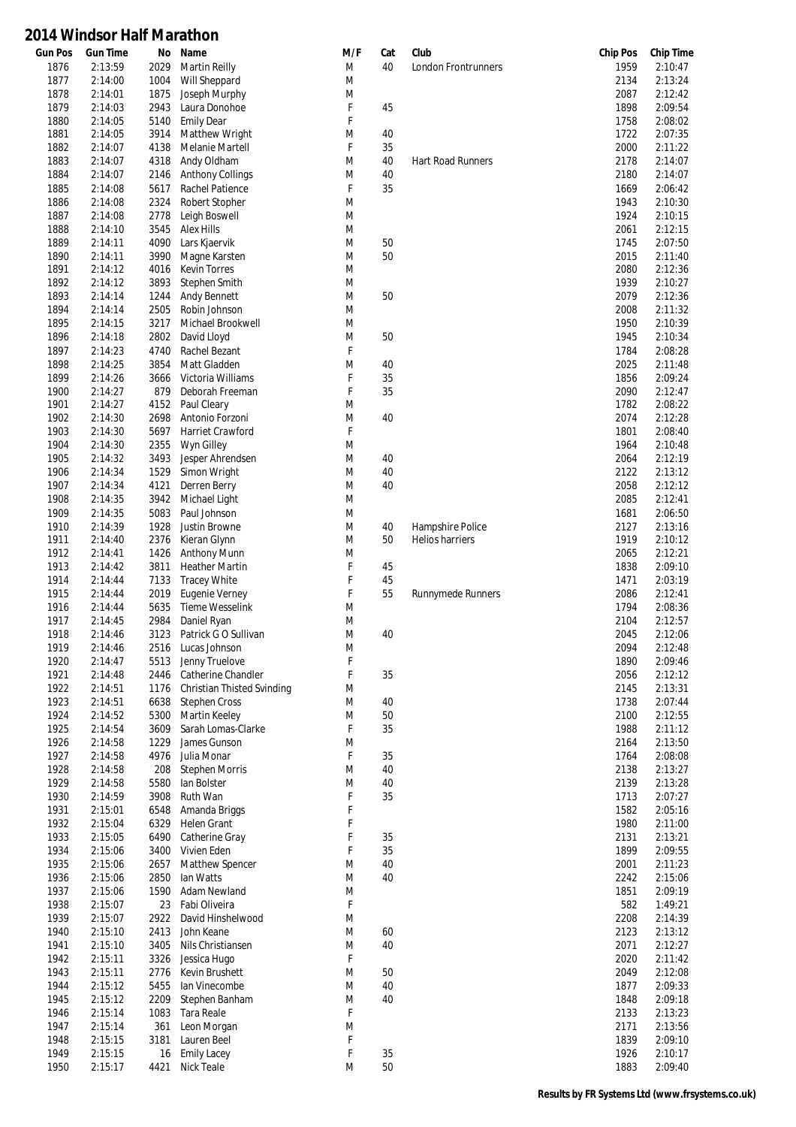| <b>Gun Pos</b> | <b>Gun Time</b> | No   | Name                       | M/F | Cat | Club                       | <b>Chip Pos</b> | <b>Chip Time</b> |
|----------------|-----------------|------|----------------------------|-----|-----|----------------------------|-----------------|------------------|
| 1876           | 2:13:59         | 2029 | <b>Martin Reilly</b>       | M   | 40  | <b>London Frontrunners</b> | 1959            | 2:10:47          |
| 1877           | 2:14:00         | 1004 | Will Sheppard              | M   |     |                            | 2134            | 2:13:24          |
| 1878           | 2:14:01         | 1875 | Joseph Murphy              | M   |     |                            | 2087            | 2:12:42          |
| 1879           | 2:14:03         | 2943 | Laura Donohoe              | F   | 45  |                            | 1898            | 2:09:54          |
| 1880           | 2:14:05         | 5140 | <b>Emily Dear</b>          | F   |     |                            | 1758            | 2:08:02          |
| 1881           | 2:14:05         | 3914 | Matthew Wright             | M   | 40  |                            | 1722            | 2:07:35          |
| 1882           | 2:14:07         | 4138 | Melanie Martell            | F   | 35  |                            | 2000            | 2:11:22          |
|                |                 |      |                            |     |     |                            |                 |                  |
| 1883           | 2:14:07         | 4318 | Andy Oldham                | M   | 40  | Hart Road Runners          | 2178            | 2:14:07          |
| 1884           | 2:14:07         | 2146 | <b>Anthony Collings</b>    | M   | 40  |                            | 2180            | 2:14:07          |
| 1885           | 2:14:08         | 5617 | Rachel Patience            | F   | 35  |                            | 1669            | 2:06:42          |
| 1886           | 2:14:08         | 2324 | Robert Stopher             | M   |     |                            | 1943            | 2:10:30          |
| 1887           | 2:14:08         | 2778 | Leigh Boswell              | M   |     |                            | 1924            | 2:10:15          |
| 1888           | 2:14:10         | 3545 | <b>Alex Hills</b>          | M   |     |                            | 2061            | 2:12:15          |
| 1889           | 2:14:11         | 4090 | Lars Kjaervik              | M   | 50  |                            | 1745            | 2:07:50          |
| 1890           | 2:14:11         | 3990 | Magne Karsten              | M   | 50  |                            | 2015            | 2:11:40          |
|                |                 |      |                            |     |     |                            |                 |                  |
| 1891           | 2:14:12         | 4016 | <b>Kevin Torres</b>        | M   |     |                            | 2080            | 2:12:36          |
| 1892           | 2:14:12         | 3893 | Stephen Smith              | M   |     |                            | 1939            | 2:10:27          |
| 1893           | 2:14:14         | 1244 | <b>Andy Bennett</b>        | M   | 50  |                            | 2079            | 2:12:36          |
| 1894           | 2:14:14         | 2505 | Robin Johnson              | M   |     |                            | 2008            | 2:11:32          |
| 1895           | 2:14:15         | 3217 | Michael Brookwell          | M   |     |                            | 1950            | 2:10:39          |
| 1896           | 2:14:18         | 2802 | David Lloyd                | M   | 50  |                            | 1945            | 2:10:34          |
| 1897           | 2:14:23         | 4740 | Rachel Bezant              | F   |     |                            | 1784            | 2:08:28          |
| 1898           | 2:14:25         | 3854 | Matt Gladden               | M   | 40  |                            | 2025            | 2:11:48          |
|                |                 |      | Victoria Williams          | F   |     |                            |                 | 2:09:24          |
| 1899           | 2:14:26         | 3666 |                            |     | 35  |                            | 1856            |                  |
| 1900           | 2:14:27         | 879  | Deborah Freeman            | F   | 35  |                            | 2090            | 2:12:47          |
| 1901           | 2:14:27         | 4152 | Paul Cleary                | M   |     |                            | 1782            | 2:08:22          |
| 1902           | 2:14:30         | 2698 | Antonio Forzoni            | M   | 40  |                            | 2074            | 2:12:28          |
| 1903           | 2:14:30         | 5697 | Harriet Crawford           | F   |     |                            | 1801            | 2:08:40          |
| 1904           | 2:14:30         | 2355 | Wyn Gilley                 | M   |     |                            | 1964            | 2:10:48          |
| 1905           | 2:14:32         | 3493 | Jesper Ahrendsen           | M   | 40  |                            | 2064            | 2:12:19          |
| 1906           | 2:14:34         | 1529 | Simon Wright               | M   | 40  |                            | 2122            | 2:13:12          |
| 1907           | 2:14:34         | 4121 | Derren Berry               | M   | 40  |                            | 2058            | 2:12:12          |
|                |                 |      |                            |     |     |                            |                 |                  |
| 1908           | 2:14:35         | 3942 | Michael Light              | M   |     |                            | 2085            | 2:12:41          |
| 1909           | 2:14:35         | 5083 | Paul Johnson               | M   |     |                            | 1681            | 2:06:50          |
| 1910           | 2:14:39         | 1928 | Justin Browne              | M   | 40  | Hampshire Police           | 2127            | 2:13:16          |
| 1911           | 2:14:40         | 2376 | Kieran Glynn               | M   | 50  | Helios harriers            | 1919            | 2:10:12          |
| 1912           | 2:14:41         | 1426 | Anthony Munn               | M   |     |                            | 2065            | 2:12:21          |
| 1913           | 2:14:42         | 3811 | <b>Heather Martin</b>      | F   | 45  |                            | 1838            | 2:09:10          |
| 1914           | 2:14:44         | 7133 | <b>Tracey White</b>        | F   | 45  |                            | 1471            | 2:03:19          |
|                |                 |      | <b>Eugenie Verney</b>      | F   | 55  |                            |                 | 2:12:41          |
| 1915           | 2:14:44         | 2019 |                            |     |     | <b>Runnymede Runners</b>   | 2086            |                  |
| 1916           | 2:14:44         | 5635 | <b>Tieme Wesselink</b>     | M   |     |                            | 1794            | 2:08:36          |
| 1917           | 2:14:45         | 2984 | Daniel Ryan                | M   |     |                            | 2104            | 2:12:57          |
| 1918           | 2:14:46         | 3123 | Patrick G O Sullivan       | M   | 40  |                            | 2045            | 2:12:06          |
| 1919           | 2:14:46         |      | 2516 Lucas Johnson         | M   |     |                            | 2094            | 2:12:48          |
| 1920           | 2:14:47         | 5513 | Jenny Truelove             | F   |     |                            | 1890            | 2:09:46          |
| 1921           | 2:14:48         | 2446 | Catherine Chandler         | F   | 35  |                            | 2056            | 2:12:12          |
| 1922           | 2:14:51         | 1176 | Christian Thisted Svinding | M   |     |                            | 2145            | 2:13:31          |
| 1923           | 2:14:51         |      | <b>Stephen Cross</b>       | M   | 40  |                            |                 | 2:07:44          |
|                |                 | 6638 |                            |     |     |                            | 1738            |                  |
| 1924           | 2:14:52         | 5300 | Martin Keeley              | M   | 50  |                            | 2100            | 2:12:55          |
| 1925           | 2:14:54         | 3609 | Sarah Lomas-Clarke         | F   | 35  |                            | 1988            | 2:11:12          |
| 1926           | 2:14:58         | 1229 | James Gunson               | M   |     |                            | 2164            | 2:13:50          |
| 1927           | 2:14:58         | 4976 | Julia Monar                | F   | 35  |                            | 1764            | 2:08:08          |
| 1928           | 2:14:58         | 208  | <b>Stephen Morris</b>      | M   | 40  |                            | 2138            | 2:13:27          |
| 1929           | 2:14:58         | 5580 | lan Bolster                | M   | 40  |                            | 2139            | 2:13:28          |
| 1930           | 2:14:59         | 3908 | Ruth Wan                   | F   | 35  |                            | 1713            | 2:07:27          |
| 1931           | 2:15:01         | 6548 | Amanda Briggs              | F   |     |                            | 1582            | 2:05:16          |
|                |                 |      |                            | F   |     |                            |                 | 2:11:00          |
| 1932           | 2:15:04         | 6329 | <b>Helen Grant</b>         |     |     |                            | 1980            |                  |
| 1933           | 2:15:05         | 6490 | Catherine Gray             | F   | 35  |                            | 2131            | 2:13:21          |
| 1934           | 2:15:06         | 3400 | Vivien Eden                | F   | 35  |                            | 1899            | 2:09:55          |
| 1935           | 2:15:06         | 2657 | Matthew Spencer            | M   | 40  |                            | 2001            | 2:11:23          |
| 1936           | 2:15:06         | 2850 | lan Watts                  | M   | 40  |                            | 2242            | 2:15:06          |
| 1937           | 2:15:06         | 1590 | Adam Newland               | M   |     |                            | 1851            | 2:09:19          |
| 1938           | 2:15:07         | 23   | Fabi Oliveira              | F   |     |                            | 582             | 1:49:21          |
| 1939           | 2:15:07         | 2922 | David Hinshelwood          | M   |     |                            | 2208            | 2:14:39          |
|                |                 |      |                            |     |     |                            |                 |                  |
| 1940           | 2:15:10         | 2413 | John Keane                 | M   | 60  |                            | 2123            | 2:13:12          |
| 1941           | 2:15:10         | 3405 | Nils Christiansen          | M   | 40  |                            | 2071            | 2:12:27          |
| 1942           | 2:15:11         | 3326 | Jessica Hugo               | F   |     |                            | 2020            | 2:11:42          |
| 1943           | 2:15:11         | 2776 | Kevin Brushett             | M   | 50  |                            | 2049            | 2:12:08          |
| 1944           | 2:15:12         | 5455 | lan Vinecombe              | M   | 40  |                            | 1877            | 2:09:33          |
| 1945           | 2:15:12         | 2209 | Stephen Banham             | M   | 40  |                            | 1848            | 2:09:18          |
| 1946           | 2:15:14         | 1083 | Tara Reale                 | F   |     |                            | 2133            | 2:13:23          |
| 1947           | 2:15:14         | 361  |                            | M   |     |                            | 2171            | 2:13:56          |
|                |                 |      | Leon Morgan                |     |     |                            |                 |                  |
| 1948           | 2:15:15         | 3181 | Lauren Beel                | F   |     |                            | 1839            | 2:09:10          |
| 1949           | 2:15:15         | 16   | <b>Emily Lacey</b>         | F   | 35  |                            | 1926            | 2:10:17          |
| 1950           | 2:15:17         | 4421 | Nick Teale                 | M   | 50  |                            | 1883            | 2:09:40          |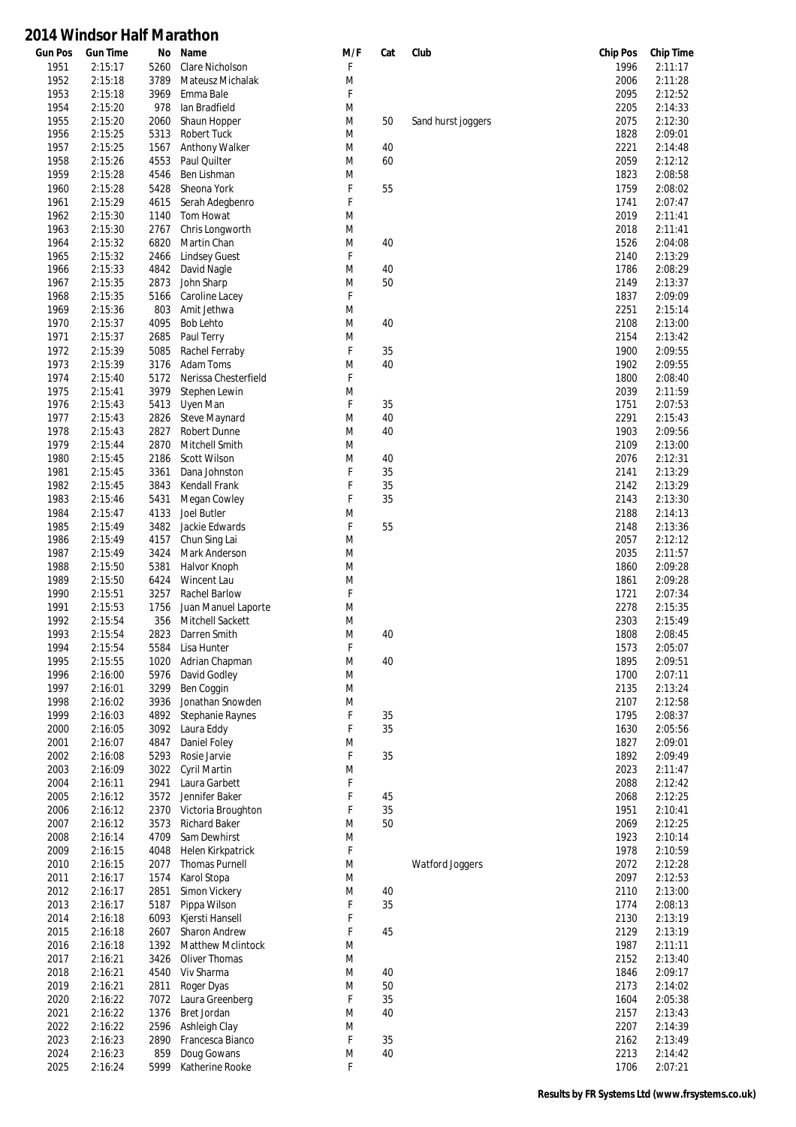| <b>Gun Pos</b> | <b>Gun Time</b> | No   | Name                    | M/F | Cat | Club               | <b>Chip Pos</b> | <b>Chip Time</b> |
|----------------|-----------------|------|-------------------------|-----|-----|--------------------|-----------------|------------------|
| 1951           | 2:15:17         | 5260 | Clare Nicholson         | F   |     |                    | 1996            | 2:11:17          |
| 1952           | 2:15:18         | 3789 | Mateusz Michalak        | M   |     |                    | 2006            | 2:11:28          |
| 1953           | 2:15:18         | 3969 | Emma Bale               | F   |     |                    | 2095            | 2:12:52          |
| 1954           | 2:15:20         | 978  | lan Bradfield           | M   |     |                    | 2205            | 2:14:33          |
| 1955           | 2:15:20         | 2060 | Shaun Hopper            | M   | 50  | Sand hurst joggers | 2075            | 2:12:30          |
| 1956           | 2:15:25         | 5313 | <b>Robert Tuck</b>      | M   |     |                    | 1828            | 2:09:01          |
| 1957           | 2:15:25         | 1567 | Anthony Walker          | M   | 40  |                    | 2221            | 2:14:48          |
| 1958           | 2:15:26         | 4553 | Paul Quilter            | M   | 60  |                    | 2059            | 2:12:12          |
| 1959           | 2:15:28         | 4546 | Ben Lishman             | M   |     |                    | 1823            | 2:08:58          |
| 1960           | 2:15:28         | 5428 | Sheona York             | F   | 55  |                    | 1759            | 2:08:02          |
| 1961           | 2:15:29         | 4615 | Serah Adegbenro         | F   |     |                    | 1741            | 2:07:47          |
| 1962           | 2:15:30         | 1140 | Tom Howat               | M   |     |                    | 2019            | 2:11:41          |
|                |                 |      | Chris Longworth         |     |     |                    |                 | 2:11:41          |
| 1963           | 2:15:30         | 2767 |                         | M   |     |                    | 2018            |                  |
| 1964           | 2:15:32         | 6820 | Martin Chan             | M   | 40  |                    | 1526            | 2:04:08          |
| 1965           | 2:15:32         | 2466 | <b>Lindsey Guest</b>    | F   |     |                    | 2140            | 2:13:29          |
| 1966           | 2:15:33         | 4842 | David Nagle             | M   | 40  |                    | 1786            | 2:08:29          |
| 1967           | 2:15:35         | 2873 | John Sharp              | M   | 50  |                    | 2149            | 2:13:37          |
| 1968           | 2:15:35         | 5166 | Caroline Lacey          | F   |     |                    | 1837            | 2:09:09          |
| 1969           | 2:15:36         | 803  | Amit Jethwa             | M   |     |                    | 2251            | 2:15:14          |
| 1970           | 2:15:37         | 4095 | <b>Bob Lehto</b>        | M   | 40  |                    | 2108            | 2:13:00          |
| 1971           | 2:15:37         | 2685 | Paul Terry              | M   |     |                    | 2154            | 2:13:42          |
| 1972           | 2:15:39         | 5085 | Rachel Ferraby          | F   | 35  |                    | 1900            | 2:09:55          |
| 1973           | 2:15:39         | 3176 | Adam Toms               | M   | 40  |                    | 1902            | 2:09:55          |
| 1974           | 2:15:40         | 5172 | Nerissa Chesterfield    | F   |     |                    | 1800            | 2:08:40          |
| 1975           | 2:15:41         | 3979 | Stephen Lewin           | M   |     |                    | 2039            | 2:11:59          |
| 1976           | 2:15:43         | 5413 | Uyen Man                | F   | 35  |                    | 1751            | 2:07:53          |
| 1977           | 2:15:43         | 2826 | Steve Maynard           | M   | 40  |                    | 2291            | 2:15:43          |
| 1978           | 2:15:43         | 2827 | Robert Dunne            | M   | 40  |                    | 1903            | 2:09:56          |
| 1979           | 2:15:44         | 2870 | Mitchell Smith          | M   |     |                    | 2109            | 2:13:00          |
|                |                 |      |                         |     |     |                    |                 |                  |
| 1980           | 2:15:45         | 2186 | Scott Wilson            | M   | 40  |                    | 2076            | 2:12:31          |
| 1981           | 2:15:45         | 3361 | Dana Johnston           | F   | 35  |                    | 2141            | 2:13:29          |
| 1982           | 2:15:45         | 3843 | Kendall Frank           | F   | 35  |                    | 2142            | 2:13:29          |
| 1983           | 2:15:46         | 5431 | Megan Cowley            | F   | 35  |                    | 2143            | 2:13:30          |
| 1984           | 2:15:47         | 4133 | Joel Butler             | M   |     |                    | 2188            | 2:14:13          |
| 1985           | 2:15:49         | 3482 | Jackie Edwards          | F   | 55  |                    | 2148            | 2:13:36          |
| 1986           | 2:15:49         | 4157 | Chun Sing Lai           | M   |     |                    | 2057            | 2:12:12          |
| 1987           | 2:15:49         | 3424 | Mark Anderson           | M   |     |                    | 2035            | 2:11:57          |
| 1988           | 2:15:50         | 5381 | Halvor Knoph            | M   |     |                    | 1860            | 2:09:28          |
| 1989           | 2:15:50         | 6424 | Wincent Lau             | M   |     |                    | 1861            | 2:09:28          |
| 1990           | 2:15:51         | 3257 | Rachel Barlow           | F   |     |                    | 1721            | 2:07:34          |
| 1991           | 2:15:53         | 1756 | Juan Manuel Laporte     | M   |     |                    | 2278            | 2:15:35          |
| 1992           | 2:15:54         | 356  | Mitchell Sackett        | M   |     |                    | 2303            | 2:15:49          |
| 1993           | 2:15:54         | 2823 | Darren Smith            | M   | 40  |                    | 1808            | 2:08:45          |
| 1994           | 2:15:54         | 5584 | Lisa Hunter             | F   |     |                    | 1573            | 2:05:07          |
| 1995           | 2:15:55         | 1020 | Adrian Chapman          | M   | 40  |                    | 1895            | 2:09:51          |
| 1996           | 2:16:00         | 5976 | David Godley            | M   |     |                    | 1700            | 2:07:11          |
| 1997           | 2:16:01         | 3299 | Ben Coggin              | M   |     |                    | 2135            | 2:13:24          |
| 1998           |                 |      | Jonathan Snowden        | M   |     |                    | 2107            |                  |
|                | 2:16:02         | 3936 |                         |     |     |                    |                 | 2:12:58          |
| 1999           | 2:16:03         | 4892 | <b>Stephanie Raynes</b> | F   | 35  |                    | 1795            | 2:08:37          |
| 2000           | 2:16:05         | 3092 | Laura Eddy              | F   | 35  |                    | 1630            | 2:05:56          |
| 2001           | 2:16:07         | 4847 | Daniel Foley            | M   |     |                    | 1827            | 2:09:01          |
| 2002           | 2:16:08         | 5293 | Rosie Jarvie            | F   | 35  |                    | 1892            | 2:09:49          |
| 2003           | 2:16:09         | 3022 | <b>Cyril Martin</b>     | M   |     |                    | 2023            | 2:11:47          |
| 2004           | 2:16:11         | 2941 | Laura Garbett           | F   |     |                    | 2088            | 2:12:42          |
| 2005           | 2:16:12         | 3572 | Jennifer Baker          | F   | 45  |                    | 2068            | 2:12:25          |
| 2006           | 2:16:12         | 2370 | Victoria Broughton      | F   | 35  |                    | 1951            | 2:10:41          |
| 2007           | 2:16:12         | 3573 | <b>Richard Baker</b>    | M   | 50  |                    | 2069            | 2:12:25          |
| 2008           | 2:16:14         | 4709 | Sam Dewhirst            | M   |     |                    | 1923            | 2:10:14          |
| 2009           | 2:16:15         | 4048 | Helen Kirkpatrick       | F   |     |                    | 1978            | 2:10:59          |
| 2010           | 2:16:15         | 2077 | <b>Thomas Purnell</b>   | M   |     | Watford Joggers    | 2072            | 2:12:28          |
| 2011           | 2:16:17         | 1574 | Karol Stopa             | M   |     |                    | 2097            | 2:12:53          |
| 2012           | 2:16:17         | 2851 | Simon Vickery           | M   | 40  |                    | 2110            | 2:13:00          |
| 2013           | 2:16:17         | 5187 | Pippa Wilson            | F   | 35  |                    | 1774            | 2:08:13          |
| 2014           | 2:16:18         | 6093 | Kjersti Hansell         | F   |     |                    | 2130            | 2:13:19          |
| 2015           | 2:16:18         | 2607 | Sharon Andrew           | F   | 45  |                    | 2129            | 2:13:19          |
| 2016           | 2:16:18         | 1392 | Matthew Mclintock       | M   |     |                    | 1987            | 2:11:11          |
|                |                 |      |                         |     |     |                    |                 |                  |
| 2017           | 2:16:21         | 3426 | Oliver Thomas           | M   |     |                    | 2152            | 2:13:40          |
| 2018           | 2:16:21         | 4540 | Viv Sharma              | M   | 40  |                    | 1846            | 2:09:17          |
| 2019           | 2:16:21         | 2811 | Roger Dyas              | M   | 50  |                    | 2173            | 2:14:02          |
| 2020           | 2:16:22         | 7072 | Laura Greenberg         | F   | 35  |                    | 1604            | 2:05:38          |
| 2021           | 2:16:22         | 1376 | Bret Jordan             | M   | 40  |                    | 2157            | 2:13:43          |
| 2022           | 2:16:22         | 2596 | Ashleigh Clay           | M   |     |                    | 2207            | 2:14:39          |
| 2023           | 2:16:23         | 2890 | Francesca Bianco        | F   | 35  |                    | 2162            | 2:13:49          |
| 2024           | 2:16:23         | 859  | Doug Gowans             | M   | 40  |                    | 2213            | 2:14:42          |
| 2025           | 2:16:24         | 5999 | Katherine Rooke         | F   |     |                    | 1706            | 2:07:21          |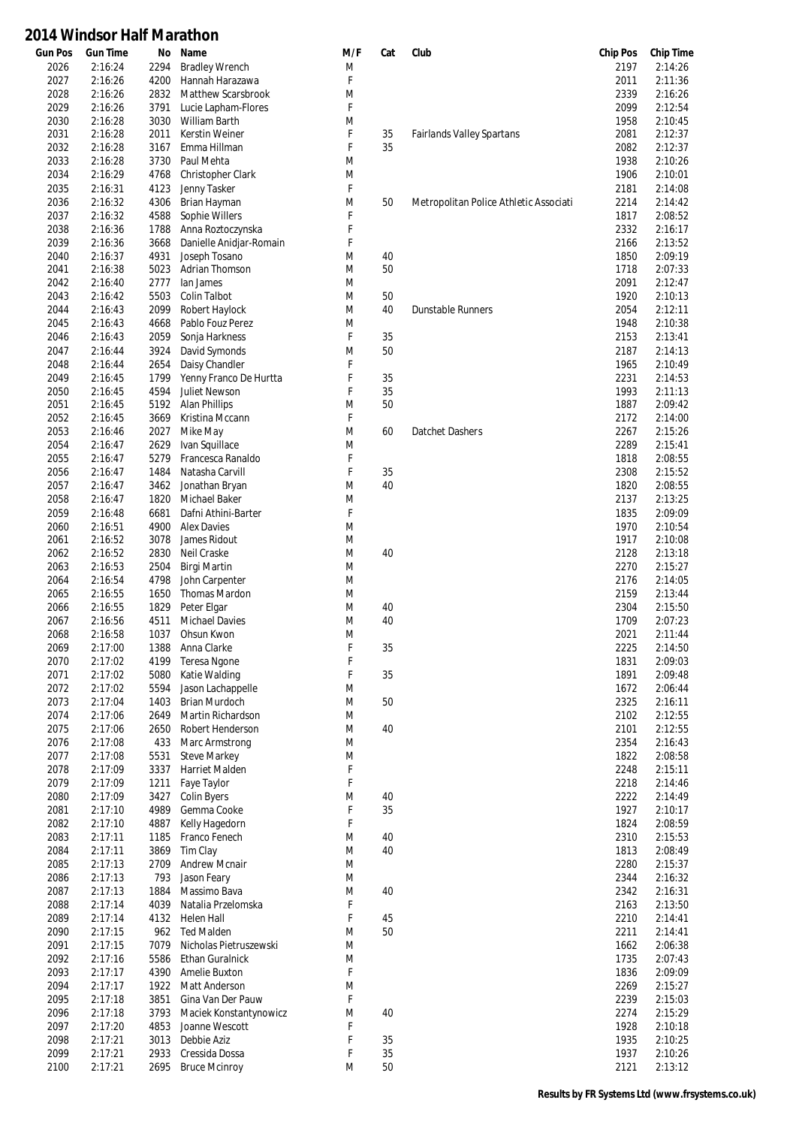| <b>Gun Pos</b> | <b>Gun Time</b>    | No           | Name                          | M/F    | Cat      | Club                                   | <b>Chip Pos</b> | <b>Chip Time</b>   |
|----------------|--------------------|--------------|-------------------------------|--------|----------|----------------------------------------|-----------------|--------------------|
| 2026           | 2:16:24            | 2294         | <b>Bradley Wrench</b>         | M      |          |                                        | 2197            | 2:14:26            |
| 2027           | 2:16:26            | 4200         | Hannah Harazawa               | F      |          |                                        | 2011            | 2:11:36            |
| 2028           | 2:16:26            | 2832         | Matthew Scarsbrook            | M      |          |                                        | 2339            | 2:16:26            |
| 2029           | 2:16:26            | 3791         | Lucie Lapham-Flores           | F      |          |                                        | 2099            | 2:12:54            |
| 2030           | 2:16:28            | 3030         | William Barth                 | M      |          |                                        | 1958            | 2:10:45            |
| 2031           | 2:16:28            | 2011         | <b>Kerstin Weiner</b>         | F      | 35       | Fairlands Valley Spartans              | 2081            | 2:12:37            |
| 2032           | 2:16:28            | 3167         | Emma Hillman                  | F      | 35       |                                        | 2082            | 2:12:37            |
| 2033           | 2:16:28            | 3730         | Paul Mehta                    | M      |          |                                        | 1938            | 2:10:26            |
| 2034           | 2:16:29            | 4768         | Christopher Clark             | M      |          |                                        | 1906            | 2:10:01            |
| 2035           | 2:16:31            | 4123         | Jenny Tasker                  | F      |          |                                        | 2181            | 2:14:08            |
| 2036           | 2:16:32            | 4306         | Brian Hayman                  | M      | 50       | Metropolitan Police Athletic Associati | 2214            | 2:14:42            |
| 2037           | 2:16:32            | 4588         | Sophie Willers                | F      |          |                                        | 1817            | 2:08:52            |
| 2038           | 2:16:36            | 1788         | Anna Roztoczynska             | F      |          |                                        | 2332            | 2:16:17            |
| 2039           | 2:16:36            | 3668         | Danielle Anidjar-Romain       | F      |          |                                        | 2166            | 2:13:52            |
| 2040           | 2:16:37            | 4931         | Joseph Tosano                 | M      | 40       |                                        | 1850            | 2:09:19            |
| 2041           | 2:16:38            | 5023         | Adrian Thomson                | M      | 50       |                                        | 1718            | 2:07:33            |
| 2042           | 2:16:40            | 2777         | lan James                     | M      |          |                                        | 2091            | 2:12:47            |
| 2043           | 2:16:42            | 5503         | <b>Colin Talbot</b>           | M      | 50       |                                        | 1920            | 2:10:13            |
| 2044           | 2:16:43            | 2099         | Robert Haylock                | M      | 40       | <b>Dunstable Runners</b>               | 2054            | 2:12:11            |
| 2045           | 2:16:43            | 4668         | Pablo Fouz Perez              | M      |          |                                        | 1948            | 2:10:38            |
| 2046           | 2:16:43            | 2059         | Sonja Harkness                | F      | 35       |                                        | 2153            | 2:13:41            |
| 2047           | 2:16:44            | 3924         | David Symonds                 | M      | 50       |                                        | 2187            | 2:14:13            |
| 2048           | 2:16:44            | 2654         | Daisy Chandler                | F      |          |                                        | 1965            | 2:10:49            |
| 2049           | 2:16:45            | 1799         | Yenny Franco De Hurtta        | F      | 35       |                                        | 2231            | 2:14:53            |
| 2050           | 2:16:45            | 4594         | <b>Juliet Newson</b>          | F      | 35       |                                        | 1993            | 2:11:13            |
| 2051           | 2:16:45            | 5192         | <b>Alan Phillips</b>          | M      | 50       |                                        | 1887            | 2:09:42            |
| 2052           | 2:16:45            | 3669         | Kristina Mccann               | F      |          |                                        | 2172            | 2:14:00            |
| 2053           | 2:16:46            | 2027         | Mike May                      | M      | 60       | Datchet Dashers                        | 2267            | 2:15:26            |
| 2054           | 2:16:47            | 2629         | Ivan Squillace                | M      |          |                                        | 2289            | 2:15:41            |
| 2055           | 2:16:47            | 5279         | Francesca Ranaldo             | F      |          |                                        | 1818            | 2:08:55            |
| 2056           | 2:16:47            | 1484         | Natasha Carvill               | F      | 35       |                                        | 2308            | 2:15:52            |
| 2057           | 2:16:47            | 3462         | Jonathan Bryan                | M      | 40       |                                        | 1820            | 2:08:55            |
| 2058           | 2:16:47            | 1820         | Michael Baker                 | M      |          |                                        | 2137            | 2:13:25            |
| 2059           | 2:16:48            | 6681         | Dafni Athini-Barter           | F      |          |                                        | 1835            | 2:09:09            |
| 2060           | 2:16:51            | 4900         | <b>Alex Davies</b>            | M      |          |                                        | 1970            | 2:10:54            |
| 2061           | 2:16:52            | 3078         | James Ridout                  | M      |          |                                        | 1917            | 2:10:08            |
| 2062           | 2:16:52            | 2830         | Neil Craske                   | M      | 40       |                                        | 2128            | 2:13:18            |
| 2063           | 2:16:53            | 2504         | Birgi Martin                  | M      |          |                                        | 2270            | 2:15:27            |
| 2064           | 2:16:54            | 4798         | John Carpenter                | M      |          |                                        | 2176            | 2:14:05            |
| 2065           | 2:16:55            | 1650         | <b>Thomas Mardon</b>          | M      |          |                                        | 2159            | 2:13:44            |
| 2066           | 2:16:55            | 1829         | Peter Elgar                   | M      | 40       |                                        | 2304            | 2:15:50            |
| 2067           | 2:16:56            | 4511         | <b>Michael Davies</b>         | M      | 40       |                                        | 1709            | 2:07:23            |
| 2068           | 2:16:58            | 1037         | Ohsun Kwon                    | M      |          |                                        | 2021            | 2:11:44            |
| 2069           | 2:17:00            | 1388         | Anna Clarke                   | F      | 35       |                                        | 2225            | 2:14:50            |
| 2070           | 2:17:02            | 4199         | Teresa Ngone                  | F      |          |                                        | 1831            | 2:09:03            |
| 2071           | 2:17:02            | 5080         | Katie Walding                 | F      | 35       |                                        | 1891            | 2:09:48            |
| 2072           | 2:17:02            | 5594         | Jason Lachappelle             | M      |          |                                        | 1672            | 2:06:44            |
| 2073           | 2:17:04            | 1403         | Brian Murdoch                 | M      | 50       |                                        | 2325            | 2:16:11            |
| 2074           | 2:17:06            | 2649         | Martin Richardson             | M      |          |                                        | 2102            | 2:12:55            |
| 2075           | 2:17:06            | 2650         | Robert Henderson              | M      | 40       |                                        | 2101            | 2:12:55            |
| 2076           | 2:17:08            | 433          | Marc Armstrong                | M      |          |                                        | 2354            | 2:16:43            |
| 2077           | 2:17:08            | 5531         | <b>Steve Markey</b>           | M      |          |                                        | 1822            | 2:08:58            |
| 2078           | 2:17:09            | 3337         | <b>Harriet Malden</b>         | F      |          |                                        | 2248            | 2:15:11            |
| 2079           | 2:17:09            | 1211         | Faye Taylor                   | F      |          |                                        | 2218            | 2:14:46            |
| 2080           | 2:17:09            | 3427         | <b>Colin Byers</b>            | M      | 40       |                                        | 2222            | 2:14:49            |
| 2081           | 2:17:10            | 4989         | Gemma Cooke                   | F      | 35       |                                        | 1927            | 2:10:17            |
| 2082           | 2:17:10            | 4887         | Kelly Hagedorn                | F      |          |                                        | 1824            | 2:08:59            |
| 2083           | 2:17:11            | 1185         | Franco Fenech                 | M      | 40       |                                        | 2310            | 2:15:53            |
| 2084           | 2:17:11            | 3869         | Tim Clay                      | M      | 40       |                                        | 1813            | 2:08:49            |
| 2085           | 2:17:13            | 2709         | <b>Andrew Mcnair</b>          | M      |          |                                        | 2280            | 2:15:37            |
| 2086           | 2:17:13            | 793          | Jason Feary                   | M      |          |                                        | 2344            | 2:16:32            |
| 2087           | 2:17:13            | 1884         | Massimo Bava                  | M      | 40       |                                        | 2342            | 2:16:31            |
| 2088           | 2:17:14            | 4039         | Natalia Przelomska            | F      |          |                                        | 2163            | 2:13:50            |
| 2089           | 2:17:14            | 4132         | Helen Hall                    | F      | 45       |                                        | 2210            | 2:14:41            |
| 2090           | 2:17:15            | 962          | <b>Ted Malden</b>             | M      | 50       |                                        | 2211            | 2:14:41            |
| 2091           | 2:17:15            | 7079         | Nicholas Pietruszewski        | M      |          |                                        | 1662            | 2:06:38            |
| 2092           | 2:17:16            | 5586         | <b>Ethan Guralnick</b>        | M      |          |                                        | 1735            | 2:07:43            |
| 2093           | 2:17:17            | 4390         | Amelie Buxton                 | F      |          |                                        | 1836            | 2:09:09            |
| 2094           | 2:17:17            | 1922         | Matt Anderson                 | M      |          |                                        | 2269            | 2:15:27            |
| 2095           | 2:17:18            | 3851         | Gina Van Der Pauw             | F      |          |                                        | 2239            | 2:15:03            |
| 2096           | 2:17:18            | 3793         | Maciek Konstantynowicz        | M      | 40       |                                        | 2274            | 2:15:29            |
| 2097           | 2:17:20            | 4853         | Joanne Wescott                | F<br>F |          |                                        | 1928            | 2:10:18            |
| 2098<br>2099   | 2:17:21<br>2:17:21 | 3013<br>2933 | Debbie Aziz<br>Cressida Dossa | F      | 35<br>35 |                                        | 1935<br>1937    | 2:10:25<br>2:10:26 |
|                |                    |              |                               |        |          |                                        |                 |                    |
| 2100           | 2:17:21            | 2695         | <b>Bruce Mcinroy</b>          | M      | 50       |                                        | 2121            | 2:13:12            |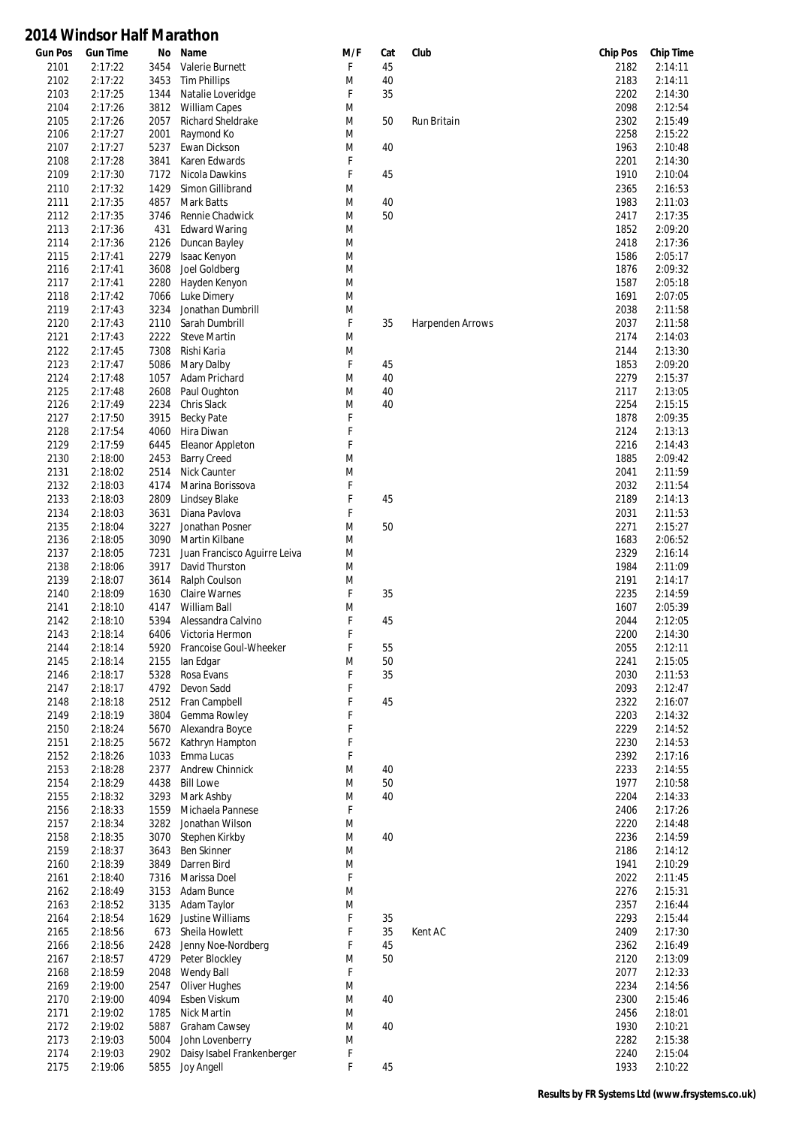| <b>Gun Pos</b> | <b>Gun Time</b> | No   | Name                         | M/F | Cat | Club                    | <b>Chip Pos</b> | <b>Chip Time</b> |
|----------------|-----------------|------|------------------------------|-----|-----|-------------------------|-----------------|------------------|
| 2101           | 2:17:22         | 3454 | Valerie Burnett              | F   | 45  |                         | 2182            | 2:14:11          |
| 2102           | 2:17:22         | 3453 | <b>Tim Phillips</b>          | M   | 40  |                         | 2183            | 2:14:11          |
| 2103           | 2:17:25         | 1344 | Natalie Loveridge            | F   | 35  |                         | 2202            | 2:14:30          |
| 2104           | 2:17:26         | 3812 | <b>William Capes</b>         | M   |     |                         | 2098            | 2:12:54          |
| 2105           | 2:17:26         | 2057 | Richard Sheldrake            | M   | 50  | Run Britain             | 2302            | 2:15:49          |
| 2106           | 2:17:27         | 2001 | Raymond Ko                   | M   |     |                         | 2258            | 2:15:22          |
| 2107           | 2:17:27         | 5237 | Ewan Dickson                 | M   | 40  |                         | 1963            | 2:10:48          |
| 2108           | 2:17:28         | 3841 | Karen Edwards                | F   |     |                         | 2201            | 2:14:30          |
| 2109           | 2:17:30         | 7172 | Nicola Dawkins               | F   | 45  |                         | 1910            | 2:10:04          |
| 2110           | 2:17:32         | 1429 | Simon Gillibrand             | M   |     |                         | 2365            | 2:16:53          |
| 2111           | 2:17:35         | 4857 | <b>Mark Batts</b>            | M   | 40  |                         | 1983            | 2:11:03          |
| 2112           | 2:17:35         | 3746 | Rennie Chadwick              | M   | 50  |                         | 2417            | 2:17:35          |
| 2113           | 2:17:36         | 431  | <b>Edward Waring</b>         | M   |     |                         | 1852            | 2:09:20          |
| 2114           | 2:17:36         | 2126 | Duncan Bayley                | M   |     |                         | 2418            | 2:17:36          |
| 2115           | 2:17:41         | 2279 | Isaac Kenyon                 | M   |     |                         | 1586            | 2:05:17          |
| 2116           | 2:17:41         | 3608 | Joel Goldberg                | M   |     |                         | 1876            | 2:09:32          |
| 2117           | 2:17:41         | 2280 | Hayden Kenyon                | M   |     |                         | 1587            | 2:05:18          |
| 2118           | 2:17:42         | 7066 | Luke Dimery                  | M   |     |                         | 1691            | 2:07:05          |
| 2119           | 2:17:43         | 3234 | Jonathan Dumbrill            | M   |     |                         | 2038            | 2:11:58          |
| 2120           | 2:17:43         | 2110 | Sarah Dumbrill               | F   | 35  | <b>Harpenden Arrows</b> | 2037            | 2:11:58          |
| 2121           | 2:17:43         | 2222 | <b>Steve Martin</b>          | M   |     |                         | 2174            | 2:14:03          |
| 2122           | 2:17:45         | 7308 | Rishi Karia                  | M   |     |                         | 2144            | 2:13:30          |
| 2123           | 2:17:47         | 5086 | Mary Dalby                   | F   | 45  |                         | 1853            | 2:09:20          |
| 2124           | 2:17:48         | 1057 | Adam Prichard                | M   | 40  |                         | 2279            | 2:15:37          |
| 2125           | 2:17:48         | 2608 | Paul Oughton                 | M   | 40  |                         | 2117            | 2:13:05          |
| 2126           | 2:17:49         | 2234 | Chris Slack                  | M   | 40  |                         | 2254            | 2:15:15          |
| 2127           | 2:17:50         | 3915 | <b>Becky Pate</b>            | F   |     |                         | 1878            | 2:09:35          |
| 2128           | 2:17:54         | 4060 | Hira Diwan                   | F   |     |                         | 2124            | 2:13:13          |
|                |                 |      |                              | F   |     |                         |                 |                  |
| 2129           | 2:17:59         | 6445 | Eleanor Appleton             |     |     |                         | 2216            | 2:14:43          |
| 2130           | 2:18:00         | 2453 | <b>Barry Creed</b>           | M   |     |                         | 1885            | 2:09:42          |
| 2131           | 2:18:02         | 2514 | Nick Caunter                 | M   |     |                         | 2041            | 2:11:59          |
| 2132           | 2:18:03         | 4174 | Marina Borissova             | F   |     |                         | 2032            | 2:11:54          |
| 2133           | 2:18:03         | 2809 | Lindsey Blake                | F   | 45  |                         | 2189            | 2:14:13          |
| 2134           | 2:18:03         | 3631 | Diana Pavlova                | F   |     |                         | 2031            | 2:11:53          |
| 2135           | 2:18:04         | 3227 | Jonathan Posner              | M   | 50  |                         | 2271            | 2:15:27          |
| 2136           | 2:18:05         | 3090 | Martin Kilbane               | M   |     |                         | 1683            | 2:06:52          |
| 2137           | 2:18:05         | 7231 | Juan Francisco Aguirre Leiva | M   |     |                         | 2329            | 2:16:14          |
| 2138           | 2:18:06         | 3917 | David Thurston               | M   |     |                         | 1984            | 2:11:09          |
| 2139           | 2:18:07         | 3614 | Ralph Coulson                | M   |     |                         | 2191            | 2:14:17          |
| 2140           | 2:18:09         | 1630 | <b>Claire Warnes</b>         | F   | 35  |                         | 2235            | 2:14:59          |
| 2141           | 2:18:10         | 4147 | William Ball                 | M   |     |                         | 1607            | 2:05:39          |
| 2142           | 2:18:10         | 5394 | Alessandra Calvino           | F   | 45  |                         | 2044            | 2:12:05          |
| 2143           | 2:18:14         | 6406 | Victoria Hermon              | F   |     |                         | 2200            | 2:14:30          |
| 2144           | 2:18:14         |      | 5920 Francoise Goul-Wheeker  | F   | 55  |                         | 2055            | 2:12:11          |
| 2145           | 2:18:14         | 2155 | lan Edgar                    | M   | 50  |                         | 2241            | 2:15:05          |
| 2146           | 2:18:17         | 5328 | Rosa Evans                   | F   | 35  |                         | 2030            | 2:11:53          |
| 2147           | 2:18:17         | 4792 | Devon Sadd                   | F   |     |                         | 2093            | 2:12:47          |
| 2148           | 2:18:18         | 2512 | Fran Campbell                | F   | 45  |                         | 2322            | 2:16:07          |
| 2149           | 2:18:19         | 3804 | Gemma Rowley                 | F   |     |                         | 2203            | 2:14:32          |
| 2150           | 2:18:24         | 5670 | Alexandra Boyce              | F   |     |                         | 2229            | 2:14:52          |
| 2151           | 2:18:25         | 5672 | Kathryn Hampton              | F   |     |                         | 2230            | 2:14:53          |
| 2152           | 2:18:26         | 1033 | Emma Lucas                   | F   |     |                         | 2392            | 2:17:16          |
| 2153           | 2:18:28         | 2377 | Andrew Chinnick              | M   | 40  |                         | 2233            | 2:14:55          |
| 2154           | 2:18:29         | 4438 | <b>Bill Lowe</b>             | M   | 50  |                         | 1977            | 2:10:58          |
| 2155           | 2:18:32         | 3293 | Mark Ashby                   | M   | 40  |                         | 2204            | 2:14:33          |
| 2156           | 2:18:33         | 1559 | Michaela Pannese             | F   |     |                         | 2406            | 2:17:26          |
| 2157           | 2:18:34         | 3282 | Jonathan Wilson              | M   |     |                         | 2220            | 2:14:48          |
|                |                 |      |                              |     |     |                         |                 |                  |
| 2158           | 2:18:35         | 3070 | Stephen Kirkby               | M   | 40  |                         | 2236            | 2:14:59          |
| 2159           | 2:18:37         | 3643 | <b>Ben Skinner</b>           | M   |     |                         | 2186            | 2:14:12          |
| 2160           | 2:18:39         | 3849 | Darren Bird                  | M   |     |                         | 1941            | 2:10:29          |
| 2161           | 2:18:40         | 7316 | Marissa Doel                 | F   |     |                         | 2022            | 2:11:45          |
| 2162           | 2:18:49         | 3153 | Adam Bunce                   | M   |     |                         | 2276            | 2:15:31          |
| 2163           | 2:18:52         | 3135 | Adam Taylor                  | M   |     |                         | 2357            | 2:16:44          |
| 2164           | 2:18:54         | 1629 | Justine Williams             | F   | 35  |                         | 2293            | 2:15:44          |
| 2165           | 2:18:56         | 673  | Sheila Howlett               | F   | 35  | Kent AC                 | 2409            | 2:17:30          |
| 2166           | 2:18:56         | 2428 | Jenny Noe-Nordberg           | F   | 45  |                         | 2362            | 2:16:49          |
| 2167           | 2:18:57         | 4729 | Peter Blockley               | M   | 50  |                         | 2120            | 2:13:09          |
| 2168           | 2:18:59         | 2048 | Wendy Ball                   | F   |     |                         | 2077            | 2:12:33          |
| 2169           | 2:19:00         | 2547 | Oliver Hughes                | M   |     |                         | 2234            | 2:14:56          |
| 2170           | 2:19:00         | 4094 | Esben Viskum                 | M   | 40  |                         | 2300            | 2:15:46          |
| 2171           | 2:19:02         | 1785 | Nick Martin                  | M   |     |                         | 2456            | 2:18:01          |
| 2172           | 2:19:02         | 5887 | Graham Cawsey                | M   | 40  |                         | 1930            | 2:10:21          |
| 2173           | 2:19:03         | 5004 | John Lovenberry              | M   |     |                         | 2282            | 2:15:38          |
| 2174           | 2:19:03         | 2902 | Daisy Isabel Frankenberger   | F   |     |                         | 2240            | 2:15:04          |
| 2175           | 2:19:06         | 5855 | <b>Joy Angell</b>            | F   | 45  |                         | 1933            | 2:10:22          |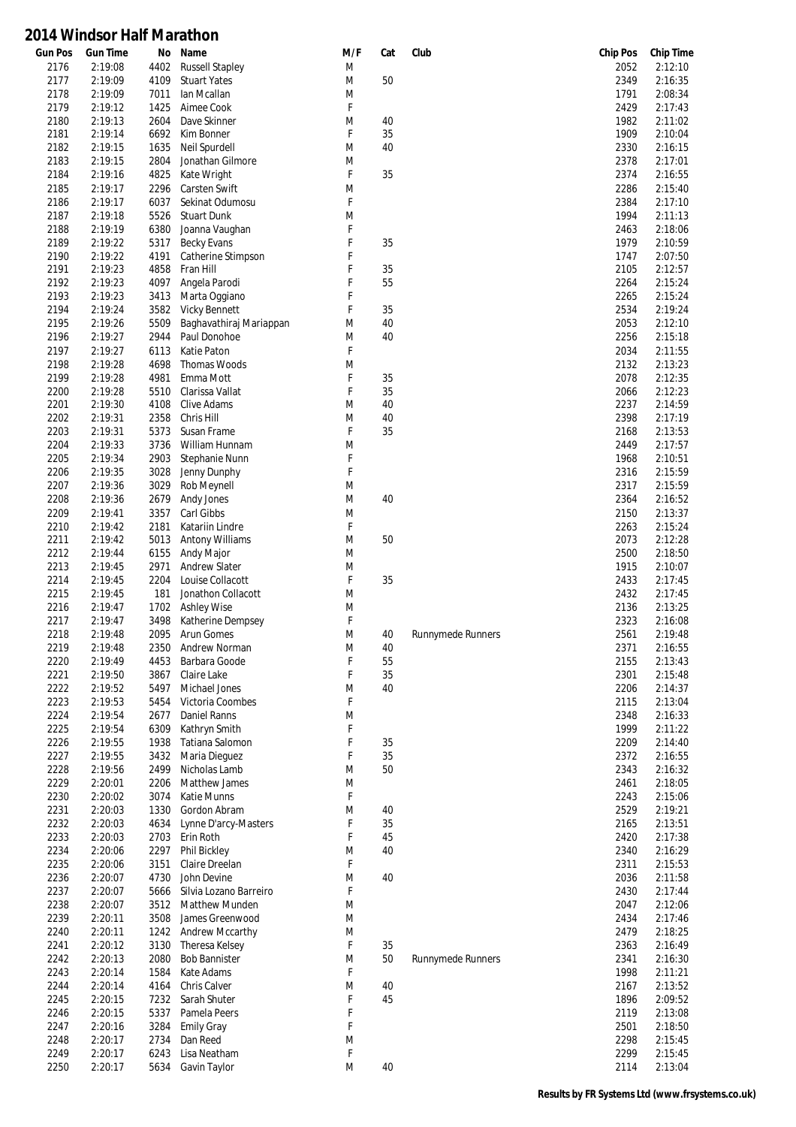| <b>Gun Pos</b> | <b>Gun Time</b>    | No           | Name                                      | M/F    | Cat      | Club                     | <b>Chip Pos</b> | <b>Chip Time</b>   |
|----------------|--------------------|--------------|-------------------------------------------|--------|----------|--------------------------|-----------------|--------------------|
| 2176           | 2:19:08            | 4402         | <b>Russell Stapley</b>                    | M      |          |                          | 2052            | 2:12:10            |
| 2177           | 2:19:09            | 4109         | <b>Stuart Yates</b>                       | M      | 50       |                          | 2349            | 2:16:35            |
| 2178<br>2179   | 2:19:09            | 7011         | lan Mcallan                               | M<br>F |          |                          | 1791            | 2:08:34            |
| 2180           | 2:19:12<br>2:19:13 | 1425<br>2604 | Aimee Cook<br>Dave Skinner                | M      | 40       |                          | 2429<br>1982    | 2:17:43<br>2:11:02 |
| 2181           | 2:19:14            | 6692         | Kim Bonner                                | F      | 35       |                          | 1909            | 2:10:04            |
| 2182           | 2:19:15            | 1635         | Neil Spurdell                             | M      | 40       |                          | 2330            | 2:16:15            |
| 2183           | 2:19:15            | 2804         | Jonathan Gilmore                          | M      |          |                          | 2378            | 2:17:01            |
| 2184           | 2:19:16            | 4825         | Kate Wright                               | F      | 35       |                          | 2374            | 2:16:55            |
| 2185           | 2:19:17            | 2296         | <b>Carsten Swift</b>                      | M      |          |                          | 2286            | 2:15:40            |
| 2186           | 2:19:17            | 6037         | Sekinat Odumosu                           | F      |          |                          | 2384            | 2:17:10            |
| 2187           | 2:19:18            | 5526         | <b>Stuart Dunk</b>                        | M      |          |                          | 1994            | 2:11:13            |
| 2188           | 2:19:19            | 6380         | Joanna Vaughan                            | F      |          |                          | 2463            | 2:18:06            |
| 2189           | 2:19:22<br>2:19:22 | 5317<br>4191 | <b>Becky Evans</b>                        | F<br>F | 35       |                          | 1979            | 2:10:59<br>2:07:50 |
| 2190<br>2191   | 2:19:23            | 4858         | Catherine Stimpson<br>Fran Hill           | F      | 35       |                          | 1747<br>2105    | 2:12:57            |
| 2192           | 2:19:23            | 4097         | Angela Parodi                             | F      | 55       |                          | 2264            | 2:15:24            |
| 2193           | 2:19:23            | 3413         | Marta Oggiano                             | F      |          |                          | 2265            | 2:15:24            |
| 2194           | 2:19:24            | 3582         | <b>Vicky Bennett</b>                      | F      | 35       |                          | 2534            | 2:19:24            |
| 2195           | 2:19:26            | 5509         | Baghavathiraj Mariappan                   | M      | 40       |                          | 2053            | 2:12:10            |
| 2196           | 2:19:27            | 2944         | Paul Donohoe                              | M      | 40       |                          | 2256            | 2:15:18            |
| 2197           | 2:19:27            | 6113         | Katie Paton                               | F      |          |                          | 2034            | 2:11:55            |
| 2198           | 2:19:28            | 4698         | Thomas Woods                              | M      |          |                          | 2132            | 2:13:23            |
| 2199           | 2:19:28            | 4981         | Emma Mott                                 | F      | 35       |                          | 2078            | 2:12:35            |
| 2200           | 2:19:28            | 5510         | Clarissa Vallat                           | F      | 35       |                          | 2066            | 2:12:23<br>2:14:59 |
| 2201<br>2202   | 2:19:30<br>2:19:31 | 4108<br>2358 | <b>Clive Adams</b><br>Chris Hill          | M<br>M | 40<br>40 |                          | 2237<br>2398    | 2:17:19            |
| 2203           | 2:19:31            | 5373         | Susan Frame                               | F      | 35       |                          | 2168            | 2:13:53            |
| 2204           | 2:19:33            | 3736         | William Hunnam                            | M      |          |                          | 2449            | 2:17:57            |
| 2205           | 2:19:34            | 2903         | Stephanie Nunn                            | F      |          |                          | 1968            | 2:10:51            |
| 2206           | 2:19:35            | 3028         | Jenny Dunphy                              | F      |          |                          | 2316            | 2:15:59            |
| 2207           | 2:19:36            | 3029         | Rob Meynell                               | M      |          |                          | 2317            | 2:15:59            |
| 2208           | 2:19:36            | 2679         | Andy Jones                                | M      | 40       |                          | 2364            | 2:16:52            |
| 2209           | 2:19:41            | 3357         | Carl Gibbs                                | M      |          |                          | 2150            | 2:13:37            |
| 2210<br>2211   | 2:19:42            | 2181         | Katariin Lindre                           | F      |          |                          | 2263            | 2:15:24            |
| 2212           | 2:19:42<br>2:19:44 | 5013<br>6155 | Antony Williams<br>Andy Major             | M<br>M | 50       |                          | 2073<br>2500    | 2:12:28<br>2:18:50 |
| 2213           | 2:19:45            | 2971         | <b>Andrew Slater</b>                      | M      |          |                          | 1915            | 2:10:07            |
| 2214           | 2:19:45            | 2204         | Louise Collacott                          | F      | 35       |                          | 2433            | 2:17:45            |
| 2215           | 2:19:45            | 181          | Jonathon Collacott                        | M      |          |                          | 2432            | 2:17:45            |
| 2216           | 2:19:47            | 1702         | <b>Ashley Wise</b>                        | M      |          |                          | 2136            | 2:13:25            |
| 2217           | 2:19:47            | 3498         | Katherine Dempsey                         | F      |          |                          | 2323            | 2:16:08            |
| 2218           | 2:19:48            | 2095         | Arun Gomes                                | M      | 40       | <b>Runnymede Runners</b> | 2561            | 2:19:48            |
| 2219<br>2220   | 2:19:48<br>2:19:49 | 2350<br>4453 | Andrew Norman<br>Barbara Goode            | M<br>F | 40<br>55 |                          | 2371<br>2155    | 2:16:55<br>2:13:43 |
| 2221           | 2:19:50            | 3867         | Claire Lake                               | F      | 35       |                          | 2301            | 2:15:48            |
| 2222           | 2:19:52            | 5497         | Michael Jones                             | M      | 40       |                          | 2206            | 2:14:37            |
| 2223           | 2:19:53            | 5454         | Victoria Coombes                          | F      |          |                          | 2115            | 2:13:04            |
| 2224           | 2:19:54            | 2677         | Daniel Ranns                              | M      |          |                          | 2348            | 2:16:33            |
| 2225           | 2:19:54            | 6309         | Kathryn Smith                             | F      |          |                          | 1999            | 2:11:22            |
| 2226           | 2:19:55            | 1938         | Tatiana Salomon                           | F      | 35       |                          | 2209            | 2:14:40            |
| 2227           | 2:19:55            | 3432         | Maria Dieguez                             | F      | 35       |                          | 2372            | 2:16:55            |
| 2228           | 2:19:56            | 2499         | Nicholas Lamb                             | M      | 50       |                          | 2343            | 2:16:32            |
| 2229           | 2:20:01            | 2206         | Matthew James                             | M<br>F |          |                          | 2461            | 2:18:05            |
| 2230<br>2231   | 2:20:02<br>2:20:03 | 3074<br>1330 | Katie Munns<br>Gordon Abram               | M      | 40       |                          | 2243<br>2529    | 2:15:06<br>2:19:21 |
| 2232           | 2:20:03            | 4634         | Lynne D'arcy-Masters                      | F      | 35       |                          | 2165            | 2:13:51            |
| 2233           | 2:20:03            | 2703         | Erin Roth                                 | F      | 45       |                          | 2420            | 2:17:38            |
| 2234           | 2:20:06            | 2297         | Phil Bickley                              | M      | 40       |                          | 2340            | 2:16:29            |
| 2235           | 2:20:06            | 3151         | Claire Dreelan                            | F      |          |                          | 2311            | 2:15:53            |
| 2236           | 2:20:07            | 4730         | John Devine                               | M      | 40       |                          | 2036            | 2:11:58            |
| 2237           | 2:20:07            | 5666         | Silvia Lozano Barreiro                    | F      |          |                          | 2430            | 2:17:44            |
| 2238           | 2:20:07            | 3512         | <b>Matthew Munden</b>                     | M      |          |                          | 2047            | 2:12:06            |
| 2239<br>2240   | 2:20:11<br>2:20:11 | 3508<br>1242 | James Greenwood<br><b>Andrew Mccarthy</b> | M<br>M |          |                          | 2434<br>2479    | 2:17:46<br>2:18:25 |
| 2241           | 2:20:12            | 3130         | Theresa Kelsey                            | F      | 35       |                          | 2363            | 2:16:49            |
| 2242           | 2:20:13            | 2080         | <b>Bob Bannister</b>                      | M      | 50       | <b>Runnymede Runners</b> | 2341            | 2:16:30            |
| 2243           | 2:20:14            | 1584         | Kate Adams                                | F      |          |                          | 1998            | 2:11:21            |
| 2244           | 2:20:14            | 4164         | Chris Calver                              | M      | 40       |                          | 2167            | 2:13:52            |
| 2245           | 2:20:15            | 7232         | Sarah Shuter                              | F      | 45       |                          | 1896            | 2:09:52            |
| 2246           | 2:20:15            | 5337         | Pamela Peers                              | F      |          |                          | 2119            | 2:13:08            |
| 2247           | 2:20:16            | 3284         | <b>Emily Gray</b>                         | F      |          |                          | 2501            | 2:18:50            |
| 2248           | 2:20:17            | 2734         | Dan Reed                                  | M      |          |                          | 2298            | 2:15:45            |
| 2249<br>2250   | 2:20:17<br>2:20:17 | 6243<br>5634 | Lisa Neatham<br>Gavin Taylor              | F<br>M | $40\,$   |                          | 2299<br>2114    | 2:15:45<br>2:13:04 |
|                |                    |              |                                           |        |          |                          |                 |                    |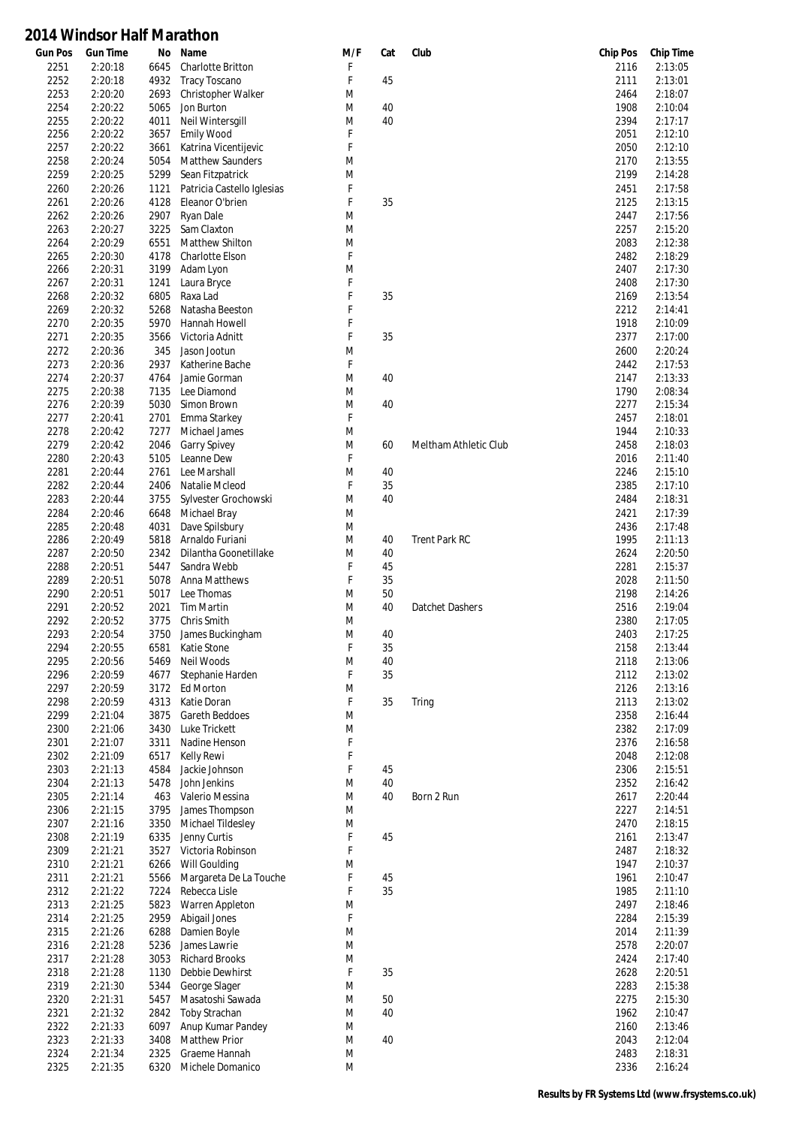| <b>Gun Pos</b> | <b>Gun Time</b>    | No           | Name                                     | M/F    | Cat | Club                  | <b>Chip Pos</b> | <b>Chip Time</b>   |
|----------------|--------------------|--------------|------------------------------------------|--------|-----|-----------------------|-----------------|--------------------|
| 2251           | 2:20:18            | 6645         | Charlotte Britton                        | F      |     |                       | 2116            | 2:13:05            |
| 2252           | 2:20:18            | 4932         | <b>Tracy Toscano</b>                     | F      | 45  |                       | 2111            | 2:13:01            |
| 2253           | 2:20:20            | 2693         | Christopher Walker                       | M      |     |                       | 2464            | 2:18:07            |
| 2254           | 2:20:22            | 5065         | Jon Burton                               | M      | 40  |                       | 1908            | 2:10:04            |
| 2255<br>2256   | 2:20:22<br>2:20:22 | 4011<br>3657 | Neil Wintersgill<br>Emily Wood           | M<br>F | 40  |                       | 2394<br>2051    | 2:17:17<br>2:12:10 |
| 2257           | 2:20:22            | 3661         |                                          | F      |     |                       | 2050            | 2:12:10            |
| 2258           | 2:20:24            | 5054         | Katrina Vicentijevic<br>Matthew Saunders | M      |     |                       | 2170            | 2:13:55            |
| 2259           | 2:20:25            | 5299         | Sean Fitzpatrick                         | M      |     |                       | 2199            | 2:14:28            |
| 2260           | 2:20:26            | 1121         | Patricia Castello Iglesias               | F      |     |                       | 2451            | 2:17:58            |
| 2261           | 2:20:26            | 4128         | Eleanor O'brien                          | F      | 35  |                       | 2125            | 2:13:15            |
| 2262           | 2:20:26            | 2907         | Ryan Dale                                | M      |     |                       | 2447            | 2:17:56            |
| 2263           | 2:20:27            | 3225         | Sam Claxton                              | M      |     |                       | 2257            | 2:15:20            |
| 2264           | 2:20:29            | 6551         | <b>Matthew Shilton</b>                   | M      |     |                       | 2083            | 2:12:38            |
| 2265           | 2:20:30            | 4178         | <b>Charlotte Elson</b>                   | F      |     |                       | 2482            | 2:18:29            |
| 2266           | 2:20:31            | 3199         | Adam Lyon                                | M      |     |                       | 2407            | 2:17:30            |
| 2267           | 2:20:31            | 1241         | Laura Bryce                              | F      |     |                       | 2408            | 2:17:30            |
| 2268           | 2:20:32            | 6805         | Raxa Lad                                 | F      | 35  |                       | 2169            | 2:13:54            |
| 2269           | 2:20:32            | 5268         | Natasha Beeston                          | F      |     |                       | 2212            | 2:14:41            |
| 2270           | 2:20:35            | 5970         | <b>Hannah Howell</b>                     | F      |     |                       | 1918            | 2:10:09            |
| 2271           | 2:20:35            | 3566         | Victoria Adnitt                          | F      | 35  |                       | 2377            | 2:17:00            |
| 2272           | 2:20:36            | 345          | Jason Jootun                             | M      |     |                       | 2600            | 2:20:24            |
| 2273           | 2:20:36            | 2937         | Katherine Bache                          | F      |     |                       | 2442            | 2:17:53            |
| 2274           | 2:20:37            | 4764         | Jamie Gorman                             | M      | 40  |                       | 2147            | 2:13:33            |
| 2275           | 2:20:38            | 7135         | Lee Diamond                              | M      |     |                       | 1790            | 2:08:34            |
| 2276           | 2:20:39            | 5030         | Simon Brown                              | M      | 40  |                       | 2277            | 2:15:34            |
| 2277           | 2:20:41            | 2701         | Emma Starkey                             | F      |     |                       | 2457            | 2:18:01            |
| 2278           | 2:20:42            | 7277         | Michael James                            | M      |     |                       | 1944            | 2:10:33            |
| 2279           | 2:20:42            | 2046         | <b>Garry Spivey</b>                      | M      | 60  | Meltham Athletic Club | 2458            | 2:18:03            |
| 2280           | 2:20:43            | 5105         | Leanne Dew                               | F      |     |                       | 2016            | 2:11:40            |
| 2281           | 2:20:44            | 2761         | Lee Marshall                             | M<br>F | 40  |                       | 2246            | 2:15:10            |
| 2282           | 2:20:44            | 2406         | Natalie Mcleod                           |        | 35  |                       | 2385            | 2:17:10            |
| 2283<br>2284   | 2:20:44<br>2:20:46 | 3755<br>6648 | Sylvester Grochowski                     | M<br>M | 40  |                       | 2484<br>2421    | 2:18:31<br>2:17:39 |
| 2285           | 2:20:48            | 4031         | <b>Michael Bray</b><br>Dave Spilsbury    | M      |     |                       | 2436            | 2:17:48            |
| 2286           | 2:20:49            | 5818         | Arnaldo Furiani                          | M      | 40  | <b>Trent Park RC</b>  | 1995            | 2:11:13            |
| 2287           | 2:20:50            | 2342         | Dilantha Goonetillake                    | M      | 40  |                       | 2624            | 2:20:50            |
| 2288           | 2:20:51            | 5447         | Sandra Webb                              | F      | 45  |                       | 2281            | 2:15:37            |
| 2289           | 2:20:51            | 5078         | Anna Matthews                            | F      | 35  |                       | 2028            | 2:11:50            |
| 2290           | 2:20:51            | 5017         | Lee Thomas                               | M      | 50  |                       | 2198            | 2:14:26            |
| 2291           | 2:20:52            | 2021         | <b>Tim Martin</b>                        | M      | 40  | Datchet Dashers       | 2516            | 2:19:04            |
| 2292           | 2:20:52            | 3775         | Chris Smith                              | M      |     |                       | 2380            | 2:17:05            |
| 2293           | 2:20:54            | 3750         | James Buckingham                         | M      | 40  |                       | 2403            | 2:17:25            |
| 2294           | 2:20:55            | 6581         | Katie Stone                              | F      | 35  |                       | 2158            | 2:13:44            |
| 2295           | 2:20:56            | 5469         | Neil Woods                               | M      | 40  |                       | 2118            | 2:13:06            |
| 2296           | 2:20:59            | 4677         | Stephanie Harden                         | F      | 35  |                       | 2112            | 2:13:02            |
| 2297           | 2:20:59            | 3172         | Ed Morton                                | M      |     |                       | 2126            | 2:13:16            |
| 2298           | 2:20:59            | 4313         | Katie Doran                              | F      | 35  | Tring                 | 2113            | 2:13:02            |
| 2299           | 2:21:04            | 3875         | Gareth Beddoes                           | M      |     |                       | 2358            | 2:16:44            |
| 2300           | 2:21:06            | 3430         | Luke Trickett                            | M      |     |                       | 2382            | 2:17:09            |
| 2301           | 2:21:07            | 3311         | Nadine Henson                            | F      |     |                       | 2376            | 2:16:58            |
| 2302           | 2:21:09            | 6517         | <b>Kelly Rewi</b>                        | F      |     |                       | 2048            | 2:12:08            |
| 2303           | 2:21:13            | 4584         | Jackie Johnson                           | F      | 45  |                       | 2306            | 2:15:51            |
| 2304           | 2:21:13            | 5478         | John Jenkins                             | M      | 40  |                       | 2352            | 2:16:42            |
| 2305           | 2:21:14            | 463          | Valerio Messina                          | M      | 40  | Born 2 Run            | 2617            | 2:20:44            |
| 2306           | 2:21:15            | 3795         | James Thompson                           | M      |     |                       | 2227            | 2:14:51            |
| 2307           | 2:21:16            | 3350         | Michael Tildesley                        | M      |     |                       | 2470            | 2:18:15            |
| 2308           | 2:21:19            | 6335         | Jenny Curtis                             | F      | 45  |                       | 2161            | 2:13:47            |
| 2309           | 2:21:21            | 3527         | Victoria Robinson                        | F      |     |                       | 2487            | 2:18:32            |
| 2310           | 2:21:21<br>2:21:21 | 6266<br>5566 | Will Goulding<br>Margareta De La Touche  | M<br>F | 45  |                       | 1947<br>1961    | 2:10:37<br>2:10:47 |
| 2311<br>2312   | 2:21:22            | 7224         | Rebecca Lisle                            | F      | 35  |                       | 1985            | 2:11:10            |
| 2313           | 2:21:25            | 5823         | Warren Appleton                          | M      |     |                       | 2497            | 2:18:46            |
| 2314           | 2:21:25            | 2959         | Abigail Jones                            | F      |     |                       | 2284            | 2:15:39            |
| 2315           | 2:21:26            | 6288         | Damien Boyle                             | M      |     |                       | 2014            | 2:11:39            |
| 2316           | 2:21:28            | 5236         | James Lawrie                             | M      |     |                       | 2578            | 2:20:07            |
| 2317           | 2:21:28            | 3053         | <b>Richard Brooks</b>                    | M      |     |                       | 2424            | 2:17:40            |
| 2318           | 2:21:28            | 1130         | Debbie Dewhirst                          | F      | 35  |                       | 2628            | 2:20:51            |
| 2319           | 2:21:30            | 5344         | George Slager                            | M      |     |                       | 2283            | 2:15:38            |
| 2320           | 2:21:31            | 5457         | Masatoshi Sawada                         | M      | 50  |                       | 2275            | 2:15:30            |
| 2321           | 2:21:32            | 2842         | <b>Toby Strachan</b>                     | M      | 40  |                       | 1962            | 2:10:47            |
| 2322           | 2:21:33            | 6097         | Anup Kumar Pandey                        | M      |     |                       | 2160            | 2:13:46            |
| 2323           | 2:21:33            | 3408         | <b>Matthew Prior</b>                     | M      | 40  |                       | 2043            | 2:12:04            |
| 2324           | 2:21:34            | 2325         | Graeme Hannah                            | M      |     |                       | 2483            | 2:18:31            |
| 2325           | 2:21:35            | 6320         | Michele Domanico                         | M      |     |                       | 2336            | 2:16:24            |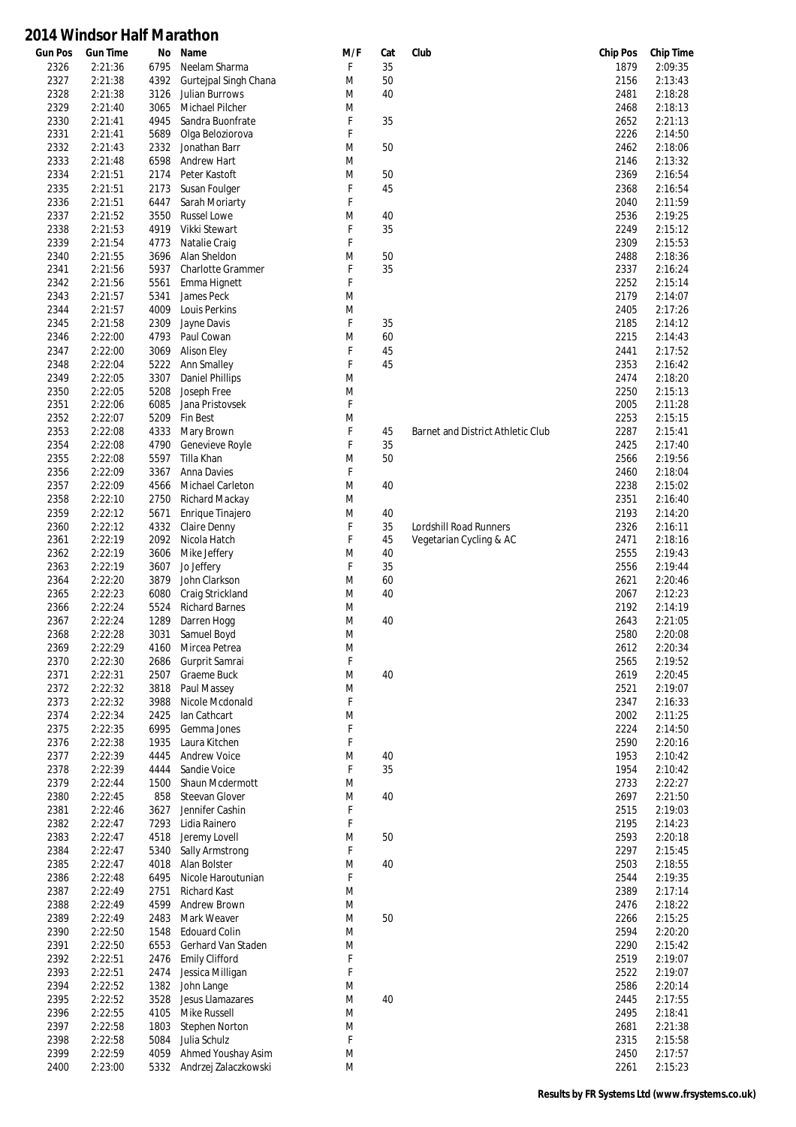| <b>Gun Pos</b> | <b>Gun Time</b> | No   | Name                     | M/F    | Cat | Club                              | <b>Chip Pos</b> | <b>Chip Time</b> |
|----------------|-----------------|------|--------------------------|--------|-----|-----------------------------------|-----------------|------------------|
| 2326           | 2:21:36         | 6795 | Neelam Sharma            | F      | 35  |                                   | 1879            | 2:09:35          |
| 2327           | 2:21:38         | 4392 | Gurtejpal Singh Chana    | M      | 50  |                                   | 2156            | 2:13:43          |
| 2328           | 2:21:38         | 3126 | Julian Burrows           | M      | 40  |                                   | 2481            | 2:18:28          |
| 2329           | 2:21:40         | 3065 | Michael Pilcher          | M      |     |                                   | 2468            | 2:18:13          |
| 2330           | 2:21:41         | 4945 | Sandra Buonfrate         | F      | 35  |                                   | 2652            | 2:21:13          |
| 2331           | 2:21:41         | 5689 | Olga Beloziorova         | F      |     |                                   | 2226            | 2:14:50          |
| 2332           | 2:21:43         | 2332 | Jonathan Barr            | M      | 50  |                                   | 2462            | 2:18:06          |
| 2333           | 2:21:48         | 6598 | Andrew Hart              | M      |     |                                   | 2146            | 2:13:32          |
| 2334           | 2:21:51         | 2174 | Peter Kastoft            | M      | 50  |                                   | 2369            | 2:16:54          |
| 2335           | 2:21:51         | 2173 | Susan Foulger            | F      | 45  |                                   | 2368            | 2:16:54          |
| 2336           | 2:21:51         | 6447 | Sarah Moriarty           | F      |     |                                   | 2040            | 2:11:59          |
| 2337           | 2:21:52         | 3550 | <b>Russel Lowe</b>       | M      | 40  |                                   | 2536            | 2:19:25          |
| 2338           | 2:21:53         | 4919 | Vikki Stewart            | F      | 35  |                                   | 2249            | 2:15:12          |
| 2339           | 2:21:54         | 4773 | Natalie Craig            | F      |     |                                   | 2309            | 2:15:53          |
| 2340           | 2:21:55         | 3696 | Alan Sheldon             | M      | 50  |                                   | 2488            | 2:18:36          |
| 2341           | 2:21:56         | 5937 | <b>Charlotte Grammer</b> | F      | 35  |                                   | 2337            | 2:16:24          |
| 2342           | 2:21:56         | 5561 | Emma Hignett             | F      |     |                                   | 2252            | 2:15:14          |
| 2343           | 2:21:57         | 5341 | James Peck               | M      |     |                                   | 2179            | 2:14:07          |
| 2344           | 2:21:57         | 4009 | Louis Perkins            | M      |     |                                   | 2405            | 2:17:26          |
|                |                 |      |                          | F      | 35  |                                   |                 |                  |
| 2345           | 2:21:58         | 2309 | Jayne Davis              | M      |     |                                   | 2185            | 2:14:12          |
| 2346           | 2:22:00         | 4793 | Paul Cowan               |        | 60  |                                   | 2215            | 2:14:43          |
| 2347           | 2:22:00         | 3069 | <b>Alison Eley</b>       | F      | 45  |                                   | 2441            | 2:17:52          |
| 2348           | 2:22:04         | 5222 | Ann Smalley              | F      | 45  |                                   | 2353            | 2:16:42          |
| 2349           | 2:22:05         | 3307 | <b>Daniel Phillips</b>   | M      |     |                                   | 2474            | 2:18:20          |
| 2350           | 2:22:05         | 5208 | Joseph Free              | M      |     |                                   | 2250            | 2:15:13          |
| 2351           | 2:22:06         | 6085 | Jana Pristovsek          | F      |     |                                   | 2005            | 2:11:28          |
| 2352           | 2:22:07         | 5209 | Fin Best                 | M      |     |                                   | 2253            | 2:15:15          |
| 2353           | 2:22:08         | 4333 | Mary Brown               | F      | 45  | Barnet and District Athletic Club | 2287            | 2:15:41          |
| 2354           | 2:22:08         | 4790 | Genevieve Royle          | F      | 35  |                                   | 2425            | 2:17:40          |
| 2355           | 2:22:08         | 5597 | Tilla Khan               | M      | 50  |                                   | 2566            | 2:19:56          |
| 2356           | 2:22:09         | 3367 | Anna Davies              | F      |     |                                   | 2460            | 2:18:04          |
| 2357           | 2:22:09         | 4566 | Michael Carleton         | M      | 40  |                                   | 2238            | 2:15:02          |
| 2358           | 2:22:10         | 2750 | Richard Mackay           | M      |     |                                   | 2351            | 2:16:40          |
| 2359           | 2:22:12         | 5671 | Enrique Tinajero         | M      | 40  |                                   | 2193            | 2:14:20          |
| 2360           | 2:22:12         | 4332 | Claire Denny             | F      | 35  | Lordshill Road Runners            | 2326            | 2:16:11          |
| 2361           | 2:22:19         | 2092 | Nicola Hatch             | F      | 45  | Vegetarian Cycling & AC           | 2471            | 2:18:16          |
| 2362           | 2:22:19         | 3606 | Mike Jeffery             | M      | 40  |                                   | 2555            | 2:19:43          |
| 2363           | 2:22:19         | 3607 | Jo Jeffery               | F      | 35  |                                   | 2556            | 2:19:44          |
| 2364           | 2:22:20         | 3879 | John Clarkson            | M      | 60  |                                   | 2621            | 2:20:46          |
| 2365           | 2:22:23         | 6080 | Craig Strickland         | M      | 40  |                                   | 2067            | 2:12:23          |
| 2366           | 2:22:24         | 5524 | <b>Richard Barnes</b>    | M      |     |                                   | 2192            | 2:14:19          |
| 2367           | 2:22:24         | 1289 | Darren Hogg              | M      | 40  |                                   | 2643            | 2:21:05          |
| 2368           | 2:22:28         | 3031 | Samuel Boyd              | M      |     |                                   | 2580            | 2:20:08          |
| 2369           | 2:22:29         | 4160 | Mircea Petrea            | M      |     |                                   | 2612            | 2:20:34          |
| 2370           | 2:22:30         | 2686 | Gurprit Samrai           | F      |     |                                   | 2565            | 2:19:52          |
| 2371           | 2:22:31         | 2507 | Graeme Buck              |        |     |                                   | 2619            | 2:20:45          |
| 2372           | 2:22:32         | 3818 | Paul Massey              | M<br>M | 40  |                                   | 2521            | 2:19:07          |
|                |                 |      |                          | F      |     |                                   |                 |                  |
| 2373           | 2:22:32         | 3988 | Nicole Mcdonald          |        |     |                                   | 2347            | 2:16:33          |
| 2374           | 2:22:34         | 2425 | lan Cathcart             | M      |     |                                   | 2002            | 2:11:25          |
| 2375           | 2:22:35         | 6995 | Gemma Jones              | F      |     |                                   | 2224            | 2:14:50          |
| 2376           | 2:22:38         | 1935 | Laura Kitchen            | F      |     |                                   | 2590            | 2:20:16          |
| 2377           | 2:22:39         | 4445 | <b>Andrew Voice</b>      | M      | 40  |                                   | 1953            | 2:10:42          |
| 2378           | 2:22:39         | 4444 | Sandie Voice             | F      | 35  |                                   | 1954            | 2:10:42          |
| 2379           | 2:22:44         | 1500 | Shaun Mcdermott          | M      |     |                                   | 2733            | 2:22:27          |
| 2380           | 2:22:45         | 858  | <b>Steevan Glover</b>    | M      | 40  |                                   | 2697            | 2:21:50          |
| 2381           | 2:22:46         | 3627 | Jennifer Cashin          | F      |     |                                   | 2515            | 2:19:03          |
| 2382           | 2:22:47         | 7293 | Lidia Rainero            | F      |     |                                   | 2195            | 2:14:23          |
| 2383           | 2:22:47         | 4518 | Jeremy Lovell            | M      | 50  |                                   | 2593            | 2:20:18          |
| 2384           | 2:22:47         | 5340 | Sally Armstrong          | F      |     |                                   | 2297            | 2:15:45          |
| 2385           | 2:22:47         | 4018 | Alan Bolster             | M      | 40  |                                   | 2503            | 2:18:55          |
| 2386           | 2:22:48         | 6495 | Nicole Haroutunian       | F      |     |                                   | 2544            | 2:19:35          |
| 2387           | 2:22:49         | 2751 | Richard Kast             | M      |     |                                   | 2389            | 2:17:14          |
| 2388           | 2:22:49         | 4599 | Andrew Brown             | M      |     |                                   | 2476            | 2:18:22          |
| 2389           | 2:22:49         | 2483 | Mark Weaver              | M      | 50  |                                   | 2266            | 2:15:25          |
| 2390           | 2:22:50         | 1548 | <b>Edouard Colin</b>     | M      |     |                                   | 2594            | 2:20:20          |
| 2391           | 2:22:50         | 6553 | Gerhard Van Staden       | M      |     |                                   | 2290            | 2:15:42          |
| 2392           | 2:22:51         | 2476 | <b>Emily Clifford</b>    | F      |     |                                   | 2519            | 2:19:07          |
| 2393           | 2:22:51         | 2474 | Jessica Milligan         | F      |     |                                   | 2522            | 2:19:07          |
| 2394           | 2:22:52         | 1382 | John Lange               | M      |     |                                   | 2586            | 2:20:14          |
| 2395           | 2:22:52         | 3528 | Jesus Llamazares         | M      | 40  |                                   | 2445            | 2:17:55          |
| 2396           | 2:22:55         | 4105 | <b>Mike Russell</b>      | M      |     |                                   | 2495            | 2:18:41          |
|                |                 |      |                          |        |     |                                   |                 |                  |
| 2397           | 2:22:58         | 1803 | <b>Stephen Norton</b>    | M      |     |                                   | 2681            | 2:21:38          |
| 2398           | 2:22:58         | 5084 | Julia Schulz             | F      |     |                                   | 2315            | 2:15:58          |
| 2399           | 2:22:59         | 4059 | Ahmed Youshay Asim       | M      |     |                                   | 2450            | 2:17:57          |
| 2400           | 2:23:00         | 5332 | Andrzej Zalaczkowski     | M      |     |                                   | 2261            | 2:15:23          |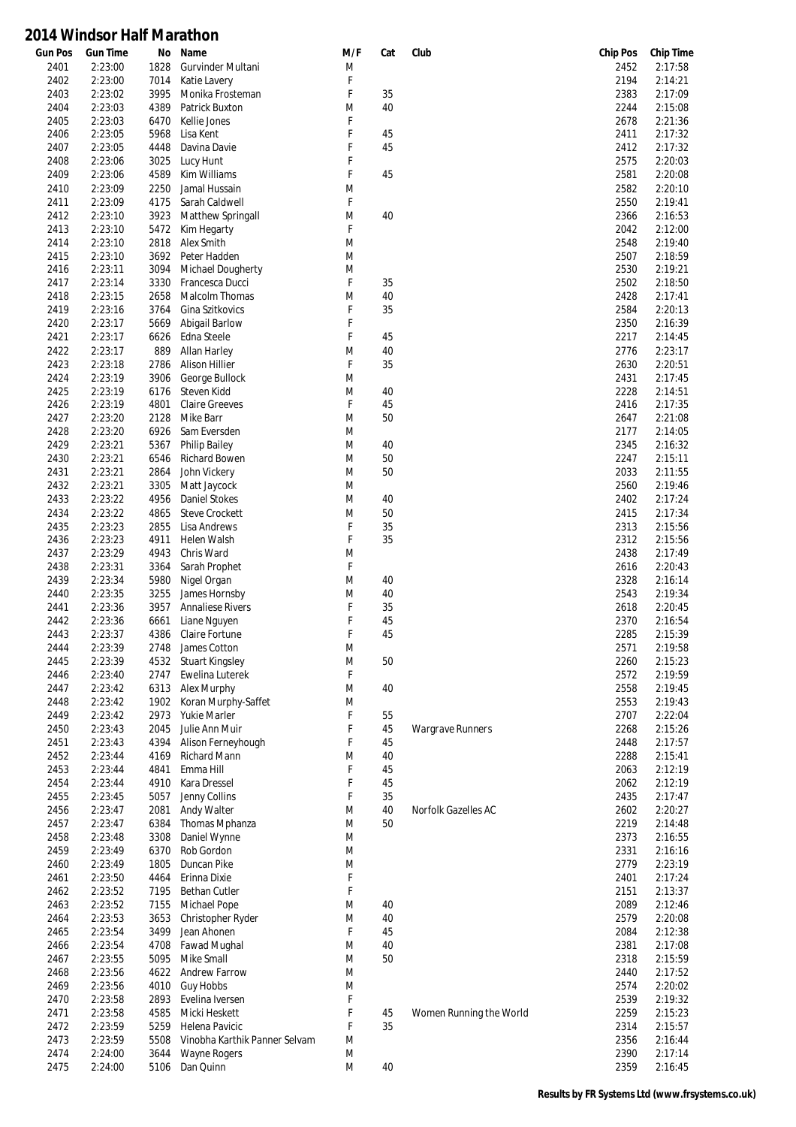| <b>Gun Pos</b> | <b>Gun Time</b> | No   | Name                          | M/F | Cat | Club                    | <b>Chip Pos</b> | <b>Chip Time</b> |
|----------------|-----------------|------|-------------------------------|-----|-----|-------------------------|-----------------|------------------|
| 2401           | 2:23:00         | 1828 | Gurvinder Multani             | M   |     |                         | 2452            | 2:17:58          |
| 2402           | 2:23:00         | 7014 | Katie Lavery                  | F   |     |                         | 2194            | 2:14:21          |
| 2403           | 2:23:02         | 3995 | Monika Frosteman              | F   | 35  |                         | 2383            | 2:17:09          |
| 2404           | 2:23:03         | 4389 | Patrick Buxton                | M   | 40  |                         | 2244            | 2:15:08          |
| 2405           | 2:23:03         | 6470 | Kellie Jones                  | F   |     |                         | 2678            | 2:21:36          |
| 2406           | 2:23:05         | 5968 | Lisa Kent                     | F   | 45  |                         | 2411            | 2:17:32          |
|                |                 |      |                               |     |     |                         |                 |                  |
| 2407           | 2:23:05         | 4448 | Davina Davie                  | F   | 45  |                         | 2412            | 2:17:32          |
| 2408           | 2:23:06         | 3025 | Lucy Hunt                     | F   |     |                         | 2575            | 2:20:03          |
| 2409           | 2:23:06         | 4589 | Kim Williams                  | F   | 45  |                         | 2581            | 2:20:08          |
| 2410           | 2:23:09         | 2250 | Jamal Hussain                 | M   |     |                         | 2582            | 2:20:10          |
| 2411           | 2:23:09         | 4175 | Sarah Caldwell                | F   |     |                         | 2550            | 2:19:41          |
| 2412           | 2:23:10         | 3923 | Matthew Springall             | M   | 40  |                         | 2366            | 2:16:53          |
| 2413           | 2:23:10         | 5472 | Kim Hegarty                   | F   |     |                         | 2042            | 2:12:00          |
| 2414           | 2:23:10         | 2818 | Alex Smith                    | M   |     |                         | 2548            | 2:19:40          |
|                |                 |      |                               |     |     |                         |                 |                  |
| 2415           | 2:23:10         | 3692 | Peter Hadden                  | M   |     |                         | 2507            | 2:18:59          |
| 2416           | 2:23:11         | 3094 | Michael Dougherty             | M   |     |                         | 2530            | 2:19:21          |
| 2417           | 2:23:14         | 3330 | Francesca Ducci               | F   | 35  |                         | 2502            | 2:18:50          |
| 2418           | 2:23:15         | 2658 | Malcolm Thomas                | M   | 40  |                         | 2428            | 2:17:41          |
| 2419           | 2:23:16         | 3764 | Gina Szitkovics               | F   | 35  |                         | 2584            | 2:20:13          |
| 2420           | 2:23:17         | 5669 | <b>Abigail Barlow</b>         | F   |     |                         | 2350            | 2:16:39          |
| 2421           | 2:23:17         | 6626 | Edna Steele                   | F   | 45  |                         | 2217            | 2:14:45          |
| 2422           | 2:23:17         | 889  | Allan Harley                  | M   | 40  |                         | 2776            | 2:23:17          |
|                |                 |      |                               |     |     |                         |                 |                  |
| 2423           | 2:23:18         | 2786 | Alison Hillier                | F   | 35  |                         | 2630            | 2:20:51          |
| 2424           | 2:23:19         | 3906 | George Bullock                | M   |     |                         | 2431            | 2:17:45          |
| 2425           | 2:23:19         | 6176 | Steven Kidd                   | M   | 40  |                         | 2228            | 2:14:51          |
| 2426           | 2:23:19         | 4801 | <b>Claire Greeves</b>         | F   | 45  |                         | 2416            | 2:17:35          |
| 2427           | 2:23:20         | 2128 | Mike Barr                     | M   | 50  |                         | 2647            | 2:21:08          |
| 2428           | 2:23:20         | 6926 | Sam Eversden                  | M   |     |                         | 2177            | 2:14:05          |
| 2429           | 2:23:21         | 5367 | <b>Philip Bailey</b>          | M   | 40  |                         | 2345            | 2:16:32          |
| 2430           | 2:23:21         | 6546 | <b>Richard Bowen</b>          | M   | 50  |                         | 2247            | 2:15:11          |
|                |                 |      |                               |     |     |                         |                 |                  |
| 2431           | 2:23:21         | 2864 | John Vickery                  | M   | 50  |                         | 2033            | 2:11:55          |
| 2432           | 2:23:21         | 3305 | Matt Jaycock                  | M   |     |                         | 2560            | 2:19:46          |
| 2433           | 2:23:22         | 4956 | <b>Daniel Stokes</b>          | M   | 40  |                         | 2402            | 2:17:24          |
| 2434           | 2:23:22         | 4865 | <b>Steve Crockett</b>         | M   | 50  |                         | 2415            | 2:17:34          |
| 2435           | 2:23:23         | 2855 | Lisa Andrews                  | F   | 35  |                         | 2313            | 2:15:56          |
| 2436           | 2:23:23         | 4911 | Helen Walsh                   | F   | 35  |                         | 2312            | 2:15:56          |
| 2437           | 2:23:29         | 4943 | Chris Ward                    | M   |     |                         | 2438            | 2:17:49          |
| 2438           | 2:23:31         | 3364 | Sarah Prophet                 | F   |     |                         | 2616            | 2:20:43          |
|                |                 |      |                               |     |     |                         |                 |                  |
| 2439           | 2:23:34         | 5980 | Nigel Organ                   | M   | 40  |                         | 2328            | 2:16:14          |
| 2440           | 2:23:35         | 3255 | James Hornsby                 | M   | 40  |                         | 2543            | 2:19:34          |
| 2441           | 2:23:36         | 3957 | <b>Annaliese Rivers</b>       | F   | 35  |                         | 2618            | 2:20:45          |
| 2442           | 2:23:36         | 6661 | Liane Nguyen                  | F   | 45  |                         | 2370            | 2:16:54          |
| 2443           | 2:23:37         | 4386 | Claire Fortune                | F   | 45  |                         | 2285            | 2:15:39          |
| 2444           | 2:23:39         | 2748 | James Cotton                  | M   |     |                         | 2571            | 2:19:58          |
| 2445           | 2:23:39         | 4532 | <b>Stuart Kingsley</b>        | M   | 50  |                         | 2260            | 2:15:23          |
|                |                 |      | Ewelina Luterek               | F   |     |                         |                 |                  |
| 2446           | 2:23:40         | 2747 |                               |     |     |                         | 2572            | 2:19:59          |
| 2447           | 2:23:42         | 6313 | Alex Murphy                   | M   | 40  |                         | 2558            | 2:19:45          |
| 2448           | 2:23:42         | 1902 | Koran Murphy-Saffet           | M   |     |                         | 2553            | 2:19:43          |
| 2449           | 2:23:42         | 2973 | Yukie Marler                  | F   | 55  |                         | 2707            | 2:22:04          |
| 2450           | 2:23:43         | 2045 | Julie Ann Muir                | F   | 45  | <b>Wargrave Runners</b> | 2268            | 2:15:26          |
| 2451           | 2:23:43         | 4394 | Alison Ferneyhough            | F   | 45  |                         | 2448            | 2:17:57          |
| 2452           | 2:23:44         | 4169 | Richard Mann                  | M   | 40  |                         | 2288            | 2:15:41          |
| 2453           | 2:23:44         | 4841 | Emma Hill                     | F   | 45  |                         | 2063            | 2:12:19          |
| 2454           | 2:23:44         | 4910 | Kara Dressel                  | F   | 45  |                         | 2062            | 2:12:19          |
|                |                 |      |                               |     |     |                         |                 |                  |
| 2455           | 2:23:45         | 5057 | Jenny Collins                 | F   | 35  |                         | 2435            | 2:17:47          |
| 2456           | 2:23:47         | 2081 | <b>Andy Walter</b>            | M   | 40  | Norfolk Gazelles AC     | 2602            | 2:20:27          |
| 2457           | 2:23:47         | 6384 | Thomas Mphanza                | M   | 50  |                         | 2219            | 2:14:48          |
| 2458           | 2:23:48         | 3308 | Daniel Wynne                  | M   |     |                         | 2373            | 2:16:55          |
| 2459           | 2:23:49         | 6370 | Rob Gordon                    | M   |     |                         | 2331            | 2:16:16          |
| 2460           | 2:23:49         | 1805 | Duncan Pike                   | M   |     |                         | 2779            | 2:23:19          |
| 2461           | 2:23:50         | 4464 | Erinna Dixie                  | F   |     |                         | 2401            | 2:17:24          |
|                |                 |      |                               | F   |     |                         |                 |                  |
| 2462           | 2:23:52         | 7195 | <b>Bethan Cutler</b>          |     |     |                         | 2151            | 2:13:37          |
| 2463           | 2:23:52         | 7155 | Michael Pope                  | M   | 40  |                         | 2089            | 2:12:46          |
| 2464           | 2:23:53         | 3653 | Christopher Ryder             | M   | 40  |                         | 2579            | 2:20:08          |
| 2465           | 2:23:54         | 3499 | Jean Ahonen                   | F   | 45  |                         | 2084            | 2:12:38          |
| 2466           | 2:23:54         | 4708 | Fawad Mughal                  | M   | 40  |                         | 2381            | 2:17:08          |
| 2467           | 2:23:55         | 5095 | Mike Small                    | M   | 50  |                         | 2318            | 2:15:59          |
| 2468           | 2:23:56         | 4622 | <b>Andrew Farrow</b>          | M   |     |                         | 2440            | 2:17:52          |
| 2469           | 2:23:56         | 4010 | <b>Guy Hobbs</b>              | M   |     |                         | 2574            | 2:20:02          |
|                |                 |      |                               |     |     |                         |                 |                  |
| 2470           | 2:23:58         | 2893 | Evelina Iversen               | F   |     |                         | 2539            | 2:19:32          |
| 2471           | 2:23:58         | 4585 | Micki Heskett                 | F   | 45  | Women Running the World | 2259            | 2:15:23          |
| 2472           | 2:23:59         | 5259 | Helena Pavicic                | F   | 35  |                         | 2314            | 2:15:57          |
| 2473           | 2:23:59         | 5508 | Vinobha Karthik Panner Selvam | M   |     |                         | 2356            | 2:16:44          |
| 2474           | 2:24:00         | 3644 | Wayne Rogers                  | M   |     |                         | 2390            | 2:17:14          |
| 2475           | 2:24:00         | 5106 | Dan Quinn                     | M   | 40  |                         | 2359            | 2:16:45          |
|                |                 |      |                               |     |     |                         |                 |                  |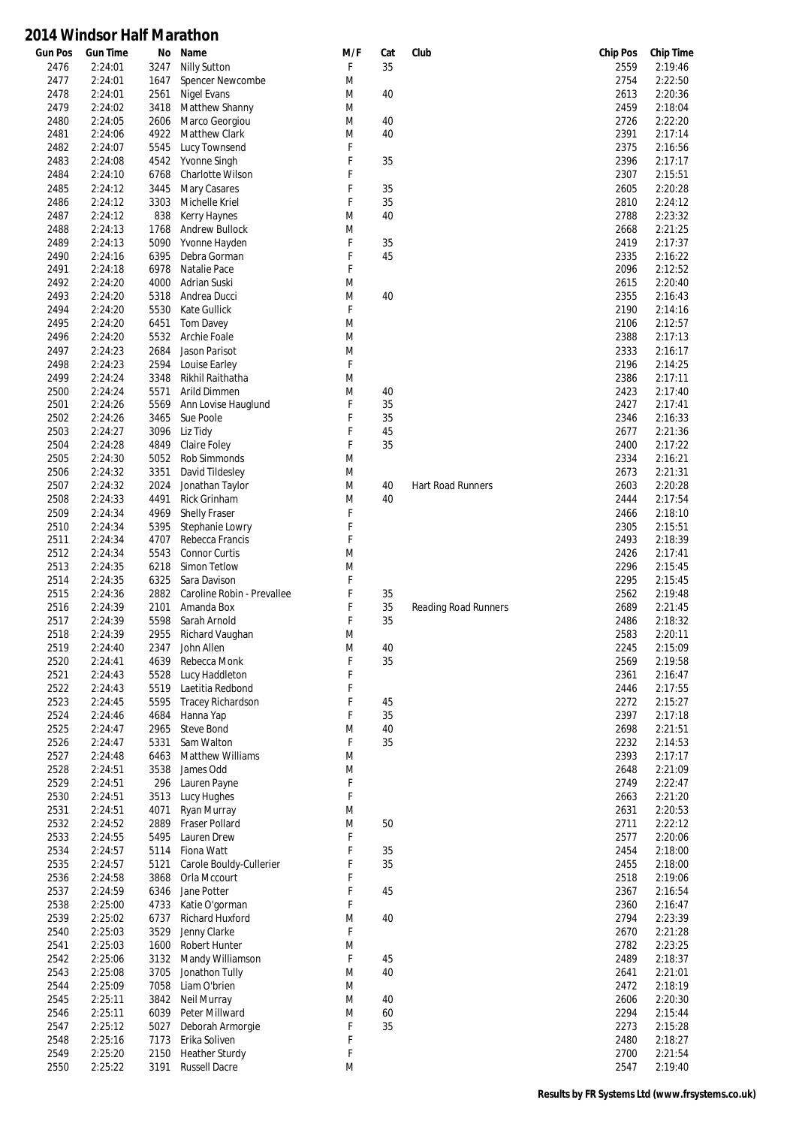| <b>Gun Pos</b> | <b>Gun Time</b> | No   | Name                       | M/F | Cat | Club                        | <b>Chip Pos</b> | <b>Chip Time</b> |
|----------------|-----------------|------|----------------------------|-----|-----|-----------------------------|-----------------|------------------|
| 2476           | 2:24:01         | 3247 | <b>Nilly Sutton</b>        | F   | 35  |                             | 2559            | 2:19:46          |
| 2477           | 2:24:01         | 1647 | Spencer Newcombe           | M   |     |                             | 2754            | 2:22:50          |
| 2478           | 2:24:01         | 2561 | Nigel Evans                | M   | 40  |                             | 2613            | 2:20:36          |
| 2479           | 2:24:02         | 3418 | Matthew Shanny             | M   |     |                             | 2459            | 2:18:04          |
| 2480           | 2:24:05         | 2606 | Marco Georgiou             | M   | 40  |                             | 2726            | 2:22:20          |
| 2481           | 2:24:06         | 4922 | Matthew Clark              | M   | 40  |                             | 2391            | 2:17:14          |
| 2482           | 2:24:07         | 5545 | Lucy Townsend              | F   |     |                             | 2375            | 2:16:56          |
| 2483           | 2:24:08         | 4542 | Yvonne Singh               | F   | 35  |                             | 2396            | 2:17:17          |
| 2484           | 2:24:10         | 6768 | Charlotte Wilson           | F   |     |                             | 2307            | 2:15:51          |
| 2485           | 2:24:12         | 3445 | <b>Mary Casares</b>        | F   | 35  |                             | 2605            | 2:20:28          |
| 2486           | 2:24:12         | 3303 | Michelle Kriel             | F   | 35  |                             | 2810            | 2:24:12          |
| 2487           | 2:24:12         | 838  | Kerry Haynes               | M   | 40  |                             | 2788            | 2:23:32          |
| 2488           | 2:24:13         | 1768 | <b>Andrew Bullock</b>      | M   |     |                             | 2668            | 2:21:25          |
| 2489           | 2:24:13         | 5090 | Yvonne Hayden              | F   | 35  |                             | 2419            | 2:17:37          |
|                |                 |      |                            | F   |     |                             |                 |                  |
| 2490           | 2:24:16         | 6395 | Debra Gorman               |     | 45  |                             | 2335            | 2:16:22          |
| 2491           | 2:24:18         | 6978 | Natalie Pace               | F   |     |                             | 2096            | 2:12:52          |
| 2492           | 2:24:20         | 4000 | Adrian Suski               | M   |     |                             | 2615            | 2:20:40          |
| 2493           | 2:24:20         | 5318 | Andrea Ducci               | M   | 40  |                             | 2355            | 2:16:43          |
| 2494           | 2:24:20         | 5530 | <b>Kate Gullick</b>        | F   |     |                             | 2190            | 2:14:16          |
| 2495           | 2:24:20         | 6451 | <b>Tom Davey</b>           | M   |     |                             | 2106            | 2:12:57          |
| 2496           | 2:24:20         | 5532 | Archie Foale               | M   |     |                             | 2388            | 2:17:13          |
| 2497           | 2:24:23         | 2684 | Jason Parisot              | M   |     |                             | 2333            | 2:16:17          |
| 2498           | 2:24:23         | 2594 | Louise Earley              | F   |     |                             | 2196            | 2:14:25          |
| 2499           | 2:24:24         | 3348 | Rikhil Raithatha           | M   |     |                             | 2386            | 2:17:11          |
| 2500           | 2:24:24         | 5571 | Arild Dimmen               | M   | 40  |                             | 2423            | 2:17:40          |
| 2501           | 2:24:26         | 5569 | Ann Lovise Hauglund        | F   | 35  |                             | 2427            | 2:17:41          |
| 2502           | 2:24:26         | 3465 | Sue Poole                  | F   | 35  |                             | 2346            | 2:16:33          |
| 2503           | 2:24:27         | 3096 | Liz Tidy                   | F   | 45  |                             | 2677            | 2:21:36          |
| 2504           | 2:24:28         | 4849 | Claire Foley               | F   | 35  |                             | 2400            | 2:17:22          |
| 2505           | 2:24:30         | 5052 | Rob Simmonds               | M   |     |                             | 2334            | 2:16:21          |
| 2506           | 2:24:32         | 3351 | David Tildesley            | M   |     |                             | 2673            | 2:21:31          |
|                |                 |      |                            |     |     |                             |                 |                  |
| 2507           | 2:24:32         | 2024 | Jonathan Taylor            | M   | 40  | Hart Road Runners           | 2603            | 2:20:28          |
| 2508           | 2:24:33         | 4491 | <b>Rick Grinham</b>        | M   | 40  |                             | 2444            | 2:17:54          |
| 2509           | 2:24:34         | 4969 | Shelly Fraser              | F   |     |                             | 2466            | 2:18:10          |
| 2510           | 2:24:34         | 5395 | Stephanie Lowry            | F   |     |                             | 2305            | 2:15:51          |
| 2511           | 2:24:34         | 4707 | Rebecca Francis            | F   |     |                             | 2493            | 2:18:39          |
| 2512           | 2:24:34         | 5543 | <b>Connor Curtis</b>       | M   |     |                             | 2426            | 2:17:41          |
| 2513           | 2:24:35         | 6218 | Simon Tetlow               | M   |     |                             | 2296            | 2:15:45          |
| 2514           | 2:24:35         | 6325 | Sara Davison               | F   |     |                             | 2295            | 2:15:45          |
| 2515           | 2:24:36         | 2882 | Caroline Robin - Prevallee | F   | 35  |                             | 2562            | 2:19:48          |
| 2516           | 2:24:39         | 2101 | Amanda Box                 | F   | 35  | <b>Reading Road Runners</b> | 2689            | 2:21:45          |
| 2517           | 2:24:39         | 5598 | Sarah Arnold               | F   | 35  |                             | 2486            | 2:18:32          |
| 2518           | 2:24:39         | 2955 | Richard Vaughan            | M   |     |                             | 2583            | 2:20:11          |
| 2519           | 2:24:40         | 2347 | John Allen                 | M   | 40  |                             | 2245            | 2:15:09          |
| 2520           | 2:24:41         | 4639 | Rebecca Monk               | F   | 35  |                             | 2569            | 2:19:58          |
| 2521           | 2:24:43         | 5528 | Lucy Haddleton             | F   |     |                             | 2361            | 2:16:47          |
| 2522           | 2:24:43         | 5519 | Laetitia Redbond           | F   |     |                             | 2446            | 2:17:55          |
| 2523           | 2:24:45         | 5595 | Tracey Richardson          | F   | 45  |                             | 2272            | 2:15:27          |
| 2524           | 2:24:46         | 4684 | Hanna Yap                  | F   | 35  |                             | 2397            | 2:17:18          |
| 2525           | 2:24:47         | 2965 | <b>Steve Bond</b>          | M   | 40  |                             | 2698            | 2:21:51          |
| 2526           | 2:24:47         | 5331 | Sam Walton                 | F   | 35  |                             | 2232            | 2:14:53          |
| 2527           | 2:24:48         | 6463 | Matthew Williams           | M   |     |                             | 2393            | 2:17:17          |
| 2528           | 2:24:51         | 3538 | James Odd                  | M   |     |                             | 2648            | 2:21:09          |
| 2529           | 2:24:51         | 296  | Lauren Payne               | F   |     |                             | 2749            | 2:22:47          |
|                | 2:24:51         | 3513 | Lucy Hughes                | F   |     |                             | 2663            | 2:21:20          |
| 2530           | 2:24:51         |      |                            | M   |     |                             |                 | 2:20:53          |
| 2531           |                 | 4071 | Ryan Murray                |     |     |                             | 2631            |                  |
| 2532           | 2:24:52         | 2889 | Fraser Pollard             | M   | 50  |                             | 2711            | 2:22:12          |
| 2533           | 2:24:55         | 5495 | Lauren Drew                | F   |     |                             | 2577            | 2:20:06          |
| 2534           | 2:24:57         | 5114 | Fiona Watt                 | F   | 35  |                             | 2454            | 2:18:00          |
| 2535           | 2:24:57         | 5121 | Carole Bouldy-Cullerier    | F   | 35  |                             | 2455            | 2:18:00          |
| 2536           | 2:24:58         | 3868 | Orla Mccourt               | F   |     |                             | 2518            | 2:19:06          |
| 2537           | 2:24:59         | 6346 | Jane Potter                | F   | 45  |                             | 2367            | 2:16:54          |
| 2538           | 2:25:00         | 4733 | Katie O'gorman             | F   |     |                             | 2360            | 2:16:47          |
| 2539           | 2:25:02         | 6737 | Richard Huxford            | M   | 40  |                             | 2794            | 2:23:39          |
| 2540           | 2:25:03         | 3529 | Jenny Clarke               | F   |     |                             | 2670            | 2:21:28          |
| 2541           | 2:25:03         | 1600 | Robert Hunter              | M   |     |                             | 2782            | 2:23:25          |
| 2542           | 2:25:06         | 3132 | Mandy Williamson           | F   | 45  |                             | 2489            | 2:18:37          |
| 2543           | 2:25:08         | 3705 | Jonathon Tully             | M   | 40  |                             | 2641            | 2:21:01          |
| 2544           | 2:25:09         | 7058 | Liam O'brien               | M   |     |                             | 2472            | 2:18:19          |
| 2545           | 2:25:11         | 3842 | Neil Murray                | M   | 40  |                             | 2606            | 2:20:30          |
| 2546           | 2:25:11         | 6039 | Peter Millward             | M   | 60  |                             | 2294            | 2:15:44          |
| 2547           | 2:25:12         | 5027 | Deborah Armorgie           | F   | 35  |                             | 2273            | 2:15:28          |
| 2548           | 2:25:16         | 7173 | Erika Soliven              | F   |     |                             | 2480            | 2:18:27          |
| 2549           | 2:25:20         | 2150 | <b>Heather Sturdy</b>      | F   |     |                             | 2700            | 2:21:54          |
| 2550           | 2:25:22         | 3191 | <b>Russell Dacre</b>       | M   |     |                             | 2547            | 2:19:40          |
|                |                 |      |                            |     |     |                             |                 |                  |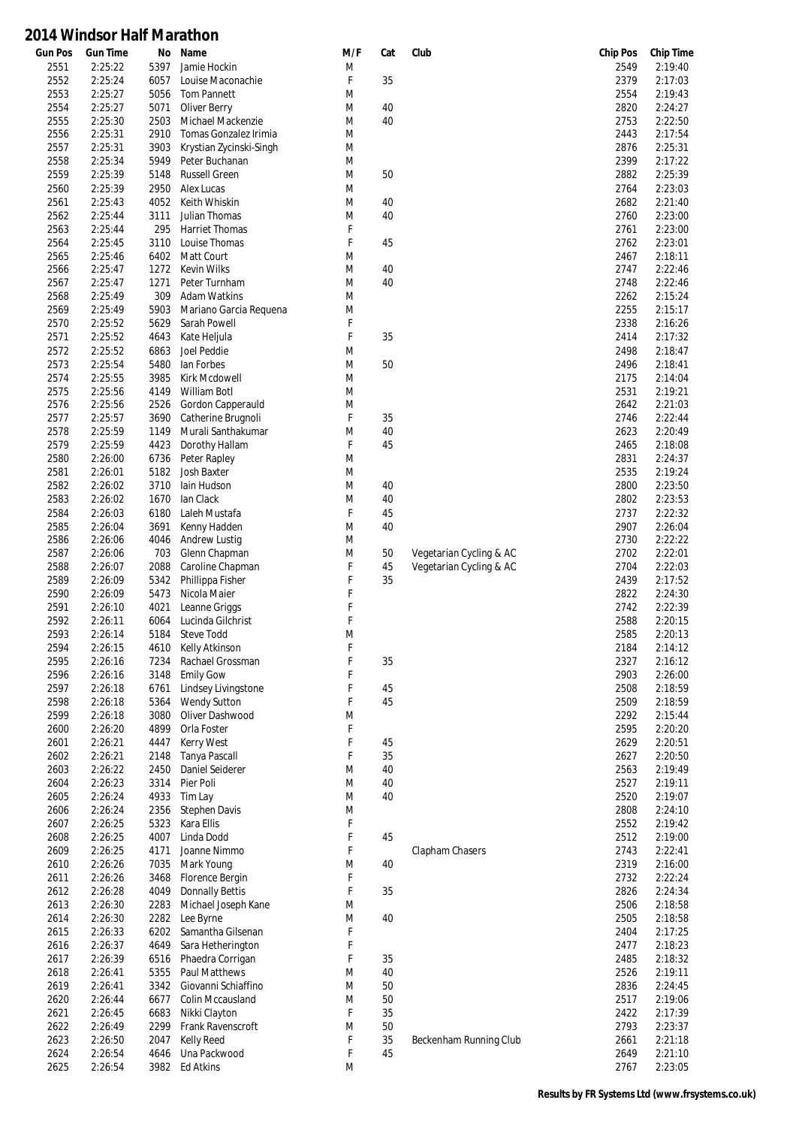| <b>Gun Pos</b> | <b>Gun Time</b> | No   | Name                    | M/F | Cat | Club                    | <b>Chip Pos</b> | <b>Chip Time</b> |
|----------------|-----------------|------|-------------------------|-----|-----|-------------------------|-----------------|------------------|
| 2551           | 2:25:22         | 5397 | Jamie Hockin            | M   |     |                         | 2549            | 2:19:40          |
| 2552           | 2:25:24         | 6057 | Louise Maconachie       | F   | 35  |                         | 2379            | 2:17:03          |
| 2553           | 2:25:27         | 5056 | <b>Tom Pannett</b>      | M   |     |                         | 2554            | 2:19:43          |
| 2554           | 2:25:27         | 5071 | Oliver Berry            | M   | 40  |                         | 2820            | 2:24:27          |
| 2555           | 2:25:30         | 2503 | Michael Mackenzie       | M   | 40  |                         | 2753            | 2:22:50          |
| 2556           | 2:25:31         | 2910 | Tomas Gonzalez Irimia   | M   |     |                         | 2443            | 2:17:54          |
| 2557           | 2:25:31         | 3903 | Krystian Zycinski-Singh | M   |     |                         | 2876            | 2:25:31          |
| 2558           | 2:25:34         | 5949 | Peter Buchanan          | M   |     |                         | 2399            | 2:17:22          |
| 2559           | 2:25:39         | 5148 | <b>Russell Green</b>    | M   | 50  |                         | 2882            | 2:25:39          |
|                |                 |      |                         |     |     |                         |                 |                  |
| 2560           | 2:25:39         | 2950 | Alex Lucas              | M   |     |                         | 2764            | 2:23:03          |
| 2561           | 2:25:43         | 4052 | Keith Whiskin           | M   | 40  |                         | 2682            | 2:21:40          |
| 2562           | 2:25:44         | 3111 | Julian Thomas           | M   | 40  |                         | 2760            | 2:23:00          |
| 2563           | 2:25:44         | 295  | <b>Harriet Thomas</b>   | F   |     |                         | 2761            | 2:23:00          |
| 2564           | 2:25:45         | 3110 | Louise Thomas           | F   | 45  |                         | 2762            | 2:23:01          |
| 2565           | 2:25:46         | 6402 | Matt Court              | M   |     |                         | 2467            | 2:18:11          |
| 2566           | 2:25:47         | 1272 | <b>Kevin Wilks</b>      | M   | 40  |                         | 2747            | 2:22:46          |
| 2567           | 2:25:47         | 1271 | Peter Turnham           | M   | 40  |                         | 2748            | 2:22:46          |
| 2568           | 2:25:49         | 309  | <b>Adam Watkins</b>     | M   |     |                         | 2262            | 2:15:24          |
| 2569           | 2:25:49         | 5903 | Mariano Garcia Requena  | M   |     |                         | 2255            | 2:15:17          |
| 2570           | 2:25:52         | 5629 | Sarah Powell            | F   |     |                         | 2338            | 2:16:26          |
| 2571           | 2:25:52         | 4643 | Kate Heljula            | F   | 35  |                         | 2414            | 2:17:32          |
| 2572           | 2:25:52         | 6863 | Joel Peddie             | M   |     |                         | 2498            | 2:18:47          |
| 2573           | 2:25:54         | 5480 | lan Forbes              | M   | 50  |                         | 2496            | 2:18:41          |
| 2574           | 2:25:55         | 3985 | Kirk Mcdowell           | M   |     |                         | 2175            | 2:14:04          |
| 2575           | 2:25:56         | 4149 | <b>William Botl</b>     | M   |     |                         | 2531            | 2:19:21          |
| 2576           | 2:25:56         | 2526 | Gordon Capperauld       | M   |     |                         | 2642            | 2:21:03          |
| 2577           | 2:25:57         | 3690 | Catherine Brugnoli      | F   | 35  |                         | 2746            | 2:22:44          |
| 2578           | 2:25:59         | 1149 | Murali Santhakumar      | M   | 40  |                         | 2623            | 2:20:49          |
| 2579           | 2:25:59         | 4423 | Dorothy Hallam          | F   | 45  |                         | 2465            | 2:18:08          |
|                |                 |      |                         |     |     |                         |                 |                  |
| 2580           | 2:26:00         | 6736 | Peter Rapley            | M   |     |                         | 2831            | 2:24:37          |
| 2581           | 2:26:01         | 5182 | <b>Josh Baxter</b>      | M   |     |                         | 2535            | 2:19:24          |
| 2582           | 2:26:02         | 3710 | lain Hudson             | M   | 40  |                         | 2800            | 2:23:50          |
| 2583           | 2:26:02         | 1670 | lan Clack               | M   | 40  |                         | 2802            | 2:23:53          |
| 2584           | 2:26:03         | 6180 | Laleh Mustafa           | F   | 45  |                         | 2737            | 2:22:32          |
| 2585           | 2:26:04         | 3691 | Kenny Hadden            | M   | 40  |                         | 2907            | 2:26:04          |
| 2586           | 2:26:06         | 4046 | <b>Andrew Lustig</b>    | M   |     |                         | 2730            | 2:22:22          |
| 2587           | 2:26:06         | 703  | Glenn Chapman           | M   | 50  | Vegetarian Cycling & AC | 2702            | 2:22:01          |
| 2588           | 2:26:07         | 2088 | Caroline Chapman        | F   | 45  | Vegetarian Cycling & AC | 2704            | 2:22:03          |
| 2589           | 2:26:09         | 5342 | Phillippa Fisher        | F   | 35  |                         | 2439            | 2:17:52          |
| 2590           | 2:26:09         | 5473 | Nicola Maier            | F   |     |                         | 2822            | 2:24:30          |
| 2591           | 2:26:10         | 4021 | Leanne Griggs           | F   |     |                         | 2742            | 2:22:39          |
| 2592           | 2:26:11         | 6064 | Lucinda Gilchrist       | F   |     |                         | 2588            | 2:20:15          |
| 2593           | 2:26:14         | 5184 | <b>Steve Todd</b>       | M   |     |                         | 2585            | 2:20:13          |
| 2594           | 2:26:15         | 4610 | Kelly Atkinson          | F   |     |                         | 2184            | 2:14:12          |
| 2595           | 2:26:16         | 7234 | Rachael Grossman        | F   | 35  |                         | 2327            | 2:16:12          |
| 2596           | 2:26:16         | 3148 | <b>Emily Gow</b>        | F   |     |                         | 2903            | 2:26:00          |
| 2597           | 2:26:18         | 6761 | Lindsey Livingstone     | F   | 45  |                         | 2508            | 2:18:59          |
| 2598           | 2:26:18         | 5364 | <b>Wendy Sutton</b>     | F   | 45  |                         | 2509            | 2:18:59          |
| 2599           | 2:26:18         | 3080 | Oliver Dashwood         | M   |     |                         | 2292            | 2:15:44          |
| 2600           | 2:26:20         | 4899 | Orla Foster             | F   |     |                         | 2595            | 2:20:20          |
| 2601           | 2:26:21         | 4447 | <b>Kerry West</b>       | F   | 45  |                         | 2629            | 2:20:51          |
| 2602           | 2:26:21         | 2148 | Tanya Pascall           | F   | 35  |                         | 2627            | 2:20:50          |
| 2603           | 2:26:22         | 2450 | Daniel Seiderer         | M   | 40  |                         | 2563            | 2:19:49          |
| 2604           | 2:26:23         | 3314 | Pier Poli               | M   | 40  |                         | 2527            | 2:19:11          |
| 2605           | 2:26:24         | 4933 | Tim Lay                 | M   | 40  |                         | 2520            | 2:19:07          |
| 2606           | 2:26:24         | 2356 | <b>Stephen Davis</b>    | M   |     |                         | 2808            | 2:24:10          |
| 2607           | 2:26:25         | 5323 | Kara Ellis              | F   |     |                         | 2552            | 2:19:42          |
| 2608           | 2:26:25         | 4007 | Linda Dodd              | F   | 45  |                         | 2512            | 2:19:00          |
| 2609           | 2:26:25         | 4171 | Joanne Nimmo            | F   |     | Clapham Chasers         | 2743            | 2:22:41          |
| 2610           | 2:26:26         | 7035 | Mark Young              | M   | 40  |                         | 2319            | 2:16:00          |
| 2611           | 2:26:26         | 3468 | Florence Bergin         | F   |     |                         | 2732            | 2:22:24          |
| 2612           | 2:26:28         | 4049 | <b>Donnally Bettis</b>  | F   | 35  |                         | 2826            | 2:24:34          |
| 2613           | 2:26:30         | 2283 | Michael Joseph Kane     | M   |     |                         | 2506            | 2:18:58          |
| 2614           | 2:26:30         | 2282 | Lee Byrne               | M   | 40  |                         | 2505            | 2:18:58          |
| 2615           | 2:26:33         | 6202 | Samantha Gilsenan       | F   |     |                         | 2404            | 2:17:25          |
| 2616           | 2:26:37         | 4649 | Sara Hetherington       | F   |     |                         | 2477            | 2:18:23          |
| 2617           | 2:26:39         | 6516 |                         | F   | 35  |                         | 2485            | 2:18:32          |
|                |                 |      | Phaedra Corrigan        |     |     |                         |                 |                  |
| 2618           | 2:26:41         | 5355 | Paul Matthews           | M   | 40  |                         | 2526            | 2:19:11          |
| 2619           | 2:26:41         | 3342 | Giovanni Schiaffino     | M   | 50  |                         | 2836            | 2:24:45          |
| 2620           | 2:26:44         | 6677 | Colin Mccausland        | M   | 50  |                         | 2517            | 2:19:06          |
| 2621           | 2:26:45         | 6683 | Nikki Clayton           | F   | 35  |                         | 2422            | 2:17:39          |
| 2622           | 2:26:49         | 2299 | Frank Ravenscroft       | M   | 50  |                         | 2793            | 2:23:37          |
| 2623           | 2:26:50         | 2047 | <b>Kelly Reed</b>       | F   | 35  | Beckenham Running Club  | 2661            | 2:21:18          |
| 2624           | 2:26:54         | 4646 | Una Packwood            | F   | 45  |                         | 2649            | 2:21:10          |
| 2625           | 2:26:54         | 3982 | Ed Atkins               | M   |     |                         | 2767            | 2:23:05          |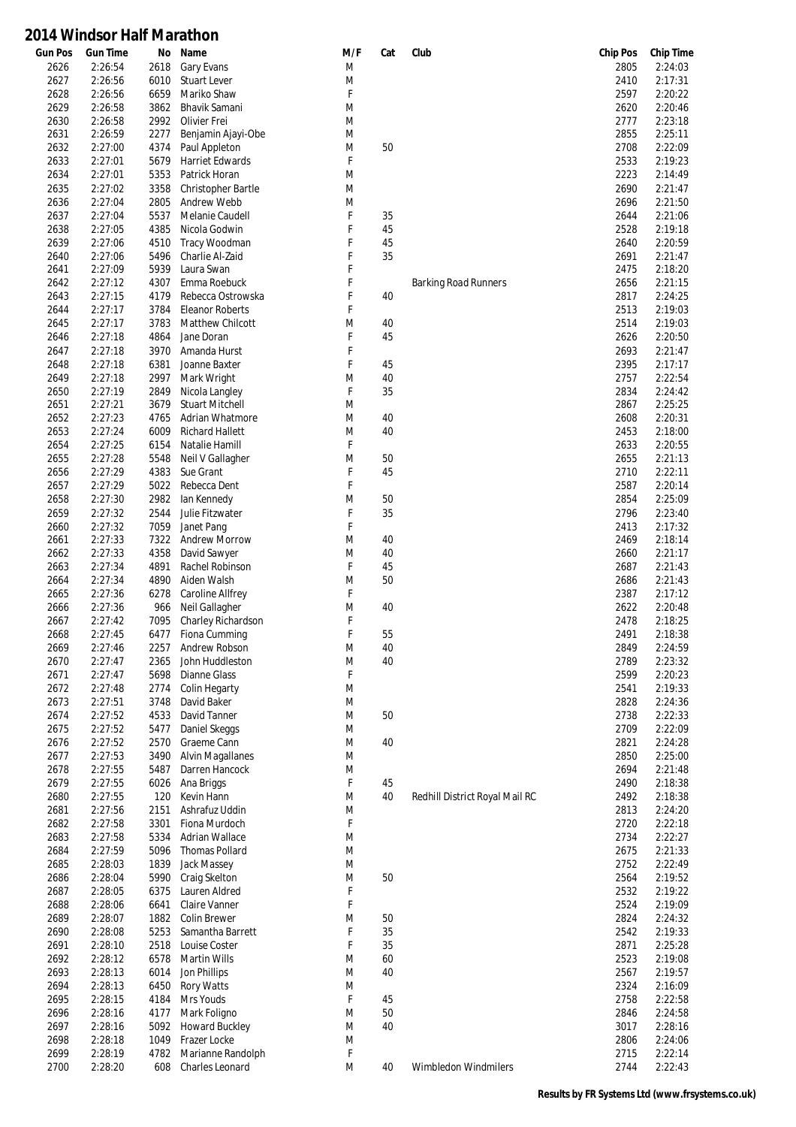| <b>Gun Pos</b> | <b>Gun Time</b> | No   | Name                    | M/F | Cat | Club                           | <b>Chip Pos</b> | <b>Chip Time</b> |
|----------------|-----------------|------|-------------------------|-----|-----|--------------------------------|-----------------|------------------|
| 2626           | 2:26:54         | 2618 | Gary Evans              | M   |     |                                | 2805            | 2:24:03          |
| 2627           | 2:26:56         | 6010 | Stuart Lever            | M   |     |                                | 2410            | 2:17:31          |
| 2628           | 2:26:56         | 6659 | Mariko Shaw             | F   |     |                                | 2597            | 2:20:22          |
| 2629           | 2:26:58         | 3862 | Bhavik Samani           | M   |     |                                | 2620            | 2:20:46          |
| 2630           | 2:26:58         | 2992 | Olivier Frei            | M   |     |                                | 2777            | 2:23:18          |
| 2631           | 2:26:59         | 2277 | Benjamin Ajayi-Obe      | M   |     |                                | 2855            | 2:25:11          |
| 2632           | 2:27:00         | 4374 | Paul Appleton           | M   | 50  |                                | 2708            | 2:22:09          |
| 2633           | 2:27:01         | 5679 | <b>Harriet Edwards</b>  | F   |     |                                | 2533            | 2:19:23          |
| 2634           | 2:27:01         | 5353 | Patrick Horan           | M   |     |                                | 2223            | 2:14:49          |
| 2635           | 2:27:02         | 3358 | Christopher Bartle      | M   |     |                                | 2690            | 2:21:47          |
| 2636           | 2:27:04         | 2805 | Andrew Webb             | M   |     |                                | 2696            | 2:21:50          |
| 2637           | 2:27:04         | 5537 | Melanie Caudell         | F   | 35  |                                | 2644            | 2:21:06          |
| 2638           | 2:27:05         | 4385 | Nicola Godwin           | F   | 45  |                                | 2528            | 2:19:18          |
| 2639           | 2:27:06         | 4510 | Tracy Woodman           | F   | 45  |                                | 2640            | 2:20:59          |
| 2640           | 2:27:06         | 5496 | Charlie Al-Zaid         | F   | 35  |                                | 2691            | 2:21:47          |
| 2641           | 2:27:09         | 5939 | Laura Swan              | F   |     |                                | 2475            | 2:18:20          |
| 2642           | 2:27:12         | 4307 | Emma Roebuck            | F   |     | <b>Barking Road Runners</b>    | 2656            | 2:21:15          |
| 2643           | 2:27:15         | 4179 | Rebecca Ostrowska       | F   | 40  |                                | 2817            | 2:24:25          |
| 2644           | 2:27:17         | 3784 | <b>Eleanor Roberts</b>  | F   |     |                                | 2513            | 2:19:03          |
| 2645           | 2:27:17         | 3783 | Matthew Chilcott        | M   | 40  |                                | 2514            | 2:19:03          |
| 2646           | 2:27:18         | 4864 | Jane Doran              | F   | 45  |                                | 2626            | 2:20:50          |
| 2647           | 2:27:18         | 3970 | Amanda Hurst            | F   |     |                                | 2693            | 2:21:47          |
|                |                 |      |                         | F   |     |                                |                 |                  |
| 2648           | 2:27:18         | 6381 | Joanne Baxter           |     | 45  |                                | 2395            | 2:17:17          |
| 2649           | 2:27:18         | 2997 | Mark Wright             | M   | 40  |                                | 2757            | 2:22:54          |
| 2650           | 2:27:19         | 2849 | Nicola Langley          | F   | 35  |                                | 2834            | 2:24:42          |
| 2651           | 2:27:21         | 3679 | <b>Stuart Mitchell</b>  | M   |     |                                | 2867            | 2:25:25          |
| 2652           | 2:27:23         | 4765 | Adrian Whatmore         | M   | 40  |                                | 2608            | 2:20:31          |
| 2653           | 2:27:24         | 6009 | <b>Richard Hallett</b>  | M   | 40  |                                | 2453            | 2:18:00          |
| 2654           | 2:27:25         | 6154 | Natalie Hamill          | F   |     |                                | 2633            | 2:20:55          |
| 2655           | 2:27:28         | 5548 | Neil V Gallagher        | M   | 50  |                                | 2655            | 2:21:13          |
| 2656           | 2:27:29         | 4383 | Sue Grant               | F   | 45  |                                | 2710            | 2:22:11          |
| 2657           | 2:27:29         | 5022 | Rebecca Dent            | F   |     |                                | 2587            | 2:20:14          |
| 2658           | 2:27:30         | 2982 | lan Kennedy             | M   | 50  |                                | 2854            | 2:25:09          |
| 2659           | 2:27:32         | 2544 | Julie Fitzwater         | F   | 35  |                                | 2796            | 2:23:40          |
| 2660           | 2:27:32         | 7059 | Janet Pang              | F   |     |                                | 2413            | 2:17:32          |
| 2661           | 2:27:33         | 7322 | <b>Andrew Morrow</b>    | M   | 40  |                                | 2469            | 2:18:14          |
| 2662           | 2:27:33         | 4358 | David Sawyer            | M   | 40  |                                | 2660            | 2:21:17          |
| 2663           | 2:27:34         | 4891 | Rachel Robinson         | F   | 45  |                                | 2687            | 2:21:43          |
| 2664           | 2:27:34         | 4890 | Aiden Walsh             | M   | 50  |                                | 2686            | 2:21:43          |
| 2665           | 2:27:36         | 6278 | Caroline Allfrey        | F   |     |                                | 2387            | 2:17:12          |
| 2666           | 2:27:36         | 966  | Neil Gallagher          | M   | 40  |                                | 2622            | 2:20:48          |
| 2667           | 2:27:42         | 7095 | Charley Richardson      | F   |     |                                | 2478            | 2:18:25          |
| 2668           | 2:27:45         | 6477 | Fiona Cumming           | F   | 55  |                                | 2491            | 2:18:38          |
| 2669           | 2:27:46         | 2257 | Andrew Robson           | M   | 40  |                                | 2849            | 2:24:59          |
| 2670           | 2:27:47         | 2365 | John Huddleston         | M   | 40  |                                | 2789            | 2:23:32          |
| 2671           | 2:27:47         | 5698 | <b>Dianne Glass</b>     | F   |     |                                | 2599            | 2:20:23          |
| 2672           | 2:27:48         | 2774 | Colin Hegarty           | M   |     |                                | 2541            | 2:19:33          |
| 2673           | 2:27:51         | 3748 | David Baker             | M   |     |                                | 2828            | 2:24:36          |
| 2674           | 2:27:52         | 4533 | David Tanner            | M   | 50  |                                | 2738            | 2:22:33          |
| 2675           | 2:27:52         | 5477 | Daniel Skeggs           | M   |     |                                | 2709            | 2:22:09          |
|                |                 |      |                         |     |     |                                |                 |                  |
| 2676           | 2:27:52         | 2570 | Graeme Cann             | M   | 40  |                                | 2821            | 2:24:28          |
| 2677           | 2:27:53         | 3490 | <b>Alvin Magallanes</b> | M   |     |                                | 2850            | 2:25:00          |
| 2678           | 2:27:55         | 5487 | Darren Hancock          | M   |     |                                | 2694            | 2:21:48          |
| 2679           | 2:27:55         | 6026 | Ana Briggs              | F   | 45  |                                | 2490            | 2:18:38          |
| 2680           | 2:27:55         | 120  | Kevin Hann              | M   | 40  | Redhill District Royal Mail RC | 2492            | 2:18:38          |
| 2681           | 2:27:56         | 2151 | Ashrafuz Uddin          | M   |     |                                | 2813            | 2:24:20          |
| 2682           | 2:27:58         | 3301 | Fiona Murdoch           | F   |     |                                | 2720            | 2:22:18          |
| 2683           | 2:27:58         | 5334 | <b>Adrian Wallace</b>   | M   |     |                                | 2734            | 2:22:27          |
| 2684           | 2:27:59         | 5096 | <b>Thomas Pollard</b>   | M   |     |                                | 2675            | 2:21:33          |
| 2685           | 2:28:03         | 1839 | Jack Massey             | M   |     |                                | 2752            | 2:22:49          |
| 2686           | 2:28:04         | 5990 | Craig Skelton           | M   | 50  |                                | 2564            | 2:19:52          |
| 2687           | 2:28:05         | 6375 | Lauren Aldred           | F   |     |                                | 2532            | 2:19:22          |
| 2688           | 2:28:06         | 6641 | Claire Vanner           | F   |     |                                | 2524            | 2:19:09          |
| 2689           | 2:28:07         | 1882 | <b>Colin Brewer</b>     | M   | 50  |                                | 2824            | 2:24:32          |
| 2690           | 2:28:08         | 5253 | Samantha Barrett        | F   | 35  |                                | 2542            | 2:19:33          |
| 2691           | 2:28:10         | 2518 | Louise Coster           | F   | 35  |                                | 2871            | 2:25:28          |
| 2692           | 2:28:12         | 6578 | Martin Wills            | M   | 60  |                                | 2523            | 2:19:08          |
| 2693           | 2:28:13         | 6014 | Jon Phillips            | M   | 40  |                                | 2567            | 2:19:57          |
| 2694           | 2:28:13         | 6450 | <b>Rory Watts</b>       | M   |     |                                | 2324            | 2:16:09          |
| 2695           | 2:28:15         | 4184 | Mrs Youds               | F   | 45  |                                | 2758            | 2:22:58          |
| 2696           | 2:28:16         | 4177 | Mark Foligno            | M   | 50  |                                | 2846            | 2:24:58          |
| 2697           | 2:28:16         | 5092 | <b>Howard Buckley</b>   | M   | 40  |                                | 3017            | 2:28:16          |
| 2698           | 2:28:18         | 1049 | Frazer Locke            | M   |     |                                | 2806            | 2:24:06          |
| 2699           | 2:28:19         | 4782 | Marianne Randolph       | F   |     |                                | 2715            | 2:22:14          |
| 2700           | 2:28:20         | 608  | Charles Leonard         | M   | 40  | Wimbledon Windmilers           | 2744            | 2:22:43          |
|                |                 |      |                         |     |     |                                |                 |                  |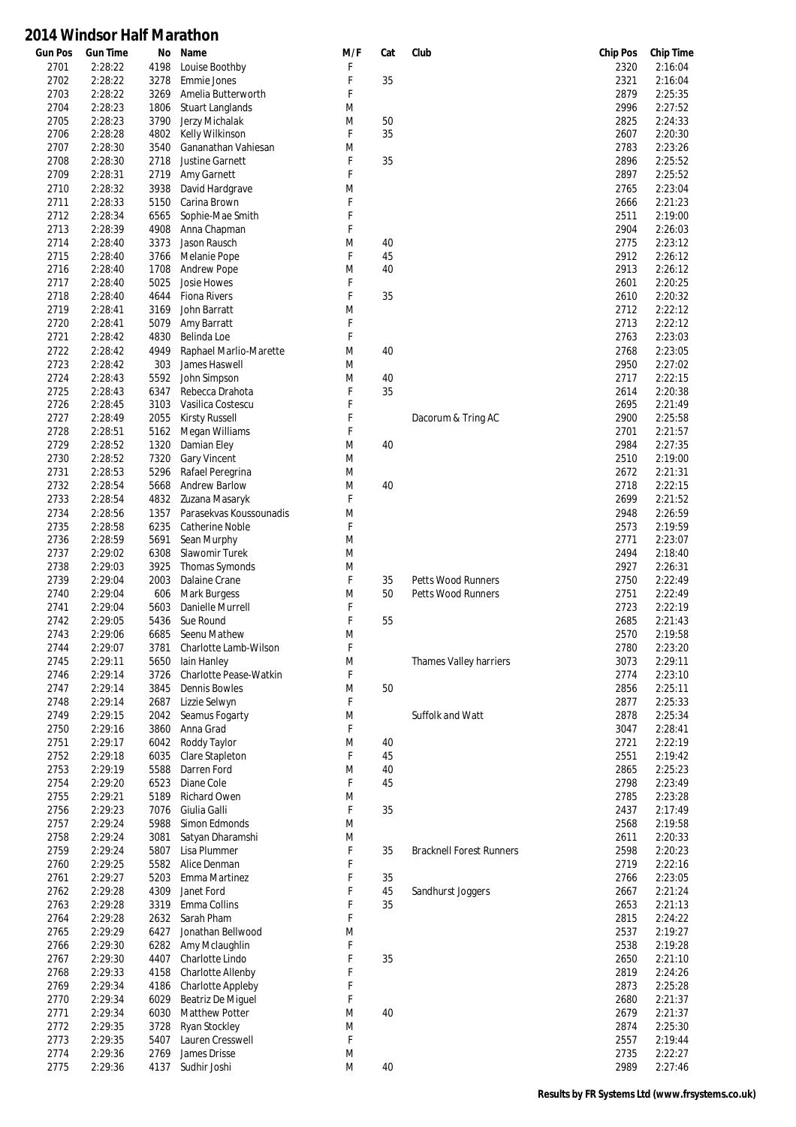| <b>Gun Pos</b> | <b>Gun Time</b> | Νo   | Name                    | M/F | Cat    | Club                            | <b>Chip Pos</b> | <b>Chip Time</b> |
|----------------|-----------------|------|-------------------------|-----|--------|---------------------------------|-----------------|------------------|
| 2701           | 2:28:22         | 4198 | Louise Boothby          | F   |        |                                 | 2320            | 2:16:04          |
| 2702           | 2:28:22         | 3278 | <b>Emmie Jones</b>      | F   | 35     |                                 | 2321            | 2:16:04          |
| 2703           | 2:28:22         | 3269 | Amelia Butterworth      | F   |        |                                 | 2879            | 2:25:35          |
| 2704           | 2:28:23         | 1806 | <b>Stuart Langlands</b> | M   |        |                                 | 2996            | 2:27:52          |
| 2705           | 2:28:23         | 3790 | Jerzy Michalak          | M   | 50     |                                 | 2825            | 2:24:33          |
| 2706           | 2:28:28         | 4802 | Kelly Wilkinson         | F   | 35     |                                 | 2607            | 2:20:30          |
| 2707           | 2:28:30         | 3540 | Gananathan Vahiesan     | M   |        |                                 | 2783            | 2:23:26          |
| 2708           | 2:28:30         | 2718 | <b>Justine Garnett</b>  | F   | 35     |                                 | 2896            | 2:25:52          |
| 2709           | 2:28:31         | 2719 | Amy Garnett             | F   |        |                                 | 2897            | 2:25:52          |
| 2710           | 2:28:32         | 3938 | David Hardgrave         | M   |        |                                 | 2765            | 2:23:04          |
| 2711           | 2:28:33         | 5150 | Carina Brown            | F   |        |                                 | 2666            | 2:21:23          |
| 2712           | 2:28:34         | 6565 | Sophie-Mae Smith        | F   |        |                                 | 2511            | 2:19:00          |
| 2713           | 2:28:39         | 4908 | Anna Chapman            | F   |        |                                 | 2904            | 2:26:03          |
| 2714           | 2:28:40         | 3373 | Jason Rausch            | M   | 40     |                                 | 2775            | 2:23:12          |
| 2715           | 2:28:40         | 3766 | Melanie Pope            | F   | 45     |                                 | 2912            | 2:26:12          |
| 2716           | 2:28:40         | 1708 | <b>Andrew Pope</b>      | M   | 40     |                                 | 2913            | 2:26:12          |
|                |                 |      |                         |     |        |                                 |                 |                  |
| 2717           | 2:28:40         | 5025 | Josie Howes             | F   |        |                                 | 2601            | 2:20:25          |
| 2718           | 2:28:40         | 4644 | <b>Fiona Rivers</b>     | F   | 35     |                                 | 2610            | 2:20:32          |
| 2719           | 2:28:41         | 3169 | John Barratt            | M   |        |                                 | 2712            | 2:22:12          |
| 2720           | 2:28:41         | 5079 | Amy Barratt             | F   |        |                                 | 2713            | 2:22:12          |
| 2721           | 2:28:42         | 4830 | Belinda Loe             | F   |        |                                 | 2763            | 2:23:03          |
| 2722           | 2:28:42         | 4949 | Raphael Marlio-Marette  | M   | 40     |                                 | 2768            | 2:23:05          |
| 2723           | 2:28:42         | 303  | James Haswell           | M   |        |                                 | 2950            | 2:27:02          |
| 2724           | 2:28:43         | 5592 | John Simpson            | M   | 40     |                                 | 2717            | 2:22:15          |
| 2725           | 2:28:43         | 6347 | Rebecca Drahota         | F   | 35     |                                 | 2614            | 2:20:38          |
| 2726           | 2:28:45         | 3103 | Vasilica Costescu       | F   |        |                                 | 2695            | 2:21:49          |
| 2727           | 2:28:49         | 2055 | <b>Kirsty Russell</b>   | F   |        | Dacorum & Tring AC              | 2900            | 2:25:58          |
| 2728           | 2:28:51         | 5162 | Megan Williams          | F   |        |                                 | 2701            | 2:21:57          |
| 2729           | 2:28:52         | 1320 | Damian Eley             | M   | 40     |                                 | 2984            | 2:27:35          |
| 2730           | 2:28:52         | 7320 | <b>Gary Vincent</b>     | M   |        |                                 | 2510            | 2:19:00          |
| 2731           | 2:28:53         | 5296 | Rafael Peregrina        | M   |        |                                 | 2672            | 2:21:31          |
| 2732           | 2:28:54         | 5668 | <b>Andrew Barlow</b>    | M   | 40     |                                 | 2718            | 2:22:15          |
| 2733           | 2:28:54         | 4832 | Zuzana Masaryk          | F   |        |                                 | 2699            | 2:21:52          |
| 2734           | 2:28:56         | 1357 | Parasekvas Koussounadis | M   |        |                                 | 2948            | 2:26:59          |
| 2735           | 2:28:58         | 6235 | <b>Catherine Noble</b>  | F   |        |                                 | 2573            | 2:19:59          |
| 2736           | 2:28:59         | 5691 | Sean Murphy             | M   |        |                                 | 2771            | 2:23:07          |
| 2737           | 2:29:02         | 6308 | Slawomir Turek          | M   |        |                                 | 2494            | 2:18:40          |
| 2738           | 2:29:03         | 3925 | Thomas Symonds          | M   |        |                                 | 2927            | 2:26:31          |
| 2739           | 2:29:04         | 2003 | Dalaine Crane           | F   | 35     | <b>Petts Wood Runners</b>       | 2750            | 2:22:49          |
| 2740           | 2:29:04         | 606  | <b>Mark Burgess</b>     | M   | 50     | <b>Petts Wood Runners</b>       | 2751            | 2:22:49          |
| 2741           | 2:29:04         | 5603 | Danielle Murrell        | F   |        |                                 | 2723            | 2:22:19          |
| 2742           | 2:29:05         | 5436 | Sue Round               | F   | 55     |                                 | 2685            | 2:21:43          |
|                |                 |      | Seenu Mathew            |     |        |                                 |                 |                  |
| 2743           | 2:29:06         | 6685 |                         | M   |        |                                 | 2570            | 2:19:58          |
| 2744           | 2:29:07         | 3781 | Charlotte Lamb-Wilson   | F   |        |                                 | 2780            | 2:23:20          |
| 2745           | 2:29:11         | 5650 | lain Hanley             | M   |        | Thames Valley harriers          | 3073            | 2:29:11          |
| 2746           | 2:29:14         | 3726 | Charlotte Pease-Watkin  | F   |        |                                 | 2774            | 2:23:10          |
| 2747           | 2:29:14         | 3845 | <b>Dennis Bowles</b>    | M   | 50     |                                 | 2856            | 2:25:11          |
| 2748           | 2:29:14         | 2687 | Lizzie Selwyn           | F   |        |                                 | 2877            | 2:25:33          |
| 2749           | 2:29:15         | 2042 | Seamus Fogarty          | M   |        | Suffolk and Watt                | 2878            | 2:25:34          |
| 2750           | 2:29:16         | 3860 | Anna Grad               | F   |        |                                 | 3047            | 2:28:41          |
| 2751           | 2:29:17         | 6042 | Roddy Taylor            | M   | 40     |                                 | 2721            | 2:22:19          |
| 2752           | 2:29:18         | 6035 | Clare Stapleton         | F   | 45     |                                 | 2551            | 2:19:42          |
| 2753           | 2:29:19         | 5588 | Darren Ford             | M   | 40     |                                 | 2865            | 2:25:23          |
| 2754           | 2:29:20         | 6523 | Diane Cole              | F   | 45     |                                 | 2798            | 2:23:49          |
| 2755           | 2:29:21         | 5189 | Richard Owen            | M   |        |                                 | 2785            | 2:23:28          |
| 2756           | 2:29:23         | 7076 | Giulia Galli            | F   | 35     |                                 | 2437            | 2:17:49          |
| 2757           | 2:29:24         | 5988 | Simon Edmonds           | M   |        |                                 | 2568            | 2:19:58          |
| 2758           | 2:29:24         | 3081 | Satyan Dharamshi        | M   |        |                                 | 2611            | 2:20:33          |
| 2759           | 2:29:24         | 5807 | Lisa Plummer            | F   | 35     | <b>Bracknell Forest Runners</b> | 2598            | 2:20:23          |
| 2760           | 2:29:25         | 5582 | Alice Denman            | F   |        |                                 | 2719            | 2:22:16          |
| 2761           | 2:29:27         | 5203 | Emma Martinez           | F   | 35     |                                 | 2766            | 2:23:05          |
| 2762           | 2:29:28         | 4309 | Janet Ford              | F   | 45     | Sandhurst Joggers               | 2667            | 2:21:24          |
| 2763           | 2:29:28         | 3319 | Emma Collins            | F   | 35     |                                 | 2653            | 2:21:13          |
| 2764           | 2:29:28         | 2632 | Sarah Pham              | F   |        |                                 | 2815            | 2:24:22          |
| 2765           | 2:29:29         | 6427 | Jonathan Bellwood       | M   |        |                                 | 2537            | 2:19:27          |
|                |                 |      |                         |     |        |                                 |                 |                  |
| 2766           | 2:29:30         | 6282 | Amy Mclaughlin          | F   |        |                                 | 2538            | 2:19:28          |
| 2767           | 2:29:30         | 4407 | Charlotte Lindo         | F   | 35     |                                 | 2650            | 2:21:10          |
| 2768           | 2:29:33         | 4158 | Charlotte Allenby       | F   |        |                                 | 2819            | 2:24:26          |
| 2769           | 2:29:34         | 4186 | Charlotte Appleby       | F   |        |                                 | 2873            | 2:25:28          |
| 2770           | 2:29:34         | 6029 | Beatriz De Miquel       | F   |        |                                 | 2680            | 2:21:37          |
| 2771           | 2:29:34         | 6030 | Matthew Potter          | M   | 40     |                                 | 2679            | 2:21:37          |
| 2772           | 2:29:35         | 3728 | <b>Ryan Stockley</b>    | M   |        |                                 | 2874            | 2:25:30          |
| 2773           | 2:29:35         | 5407 | Lauren Cresswell        | F   |        |                                 | 2557            | 2:19:44          |
| 2774           | 2:29:36         | 2769 | James Drisse            | M   |        |                                 | 2735            | 2:22:27          |
| 2775           | 2:29:36         | 4137 | Sudhir Joshi            | M   | $40\,$ |                                 | 2989            | 2:27:46          |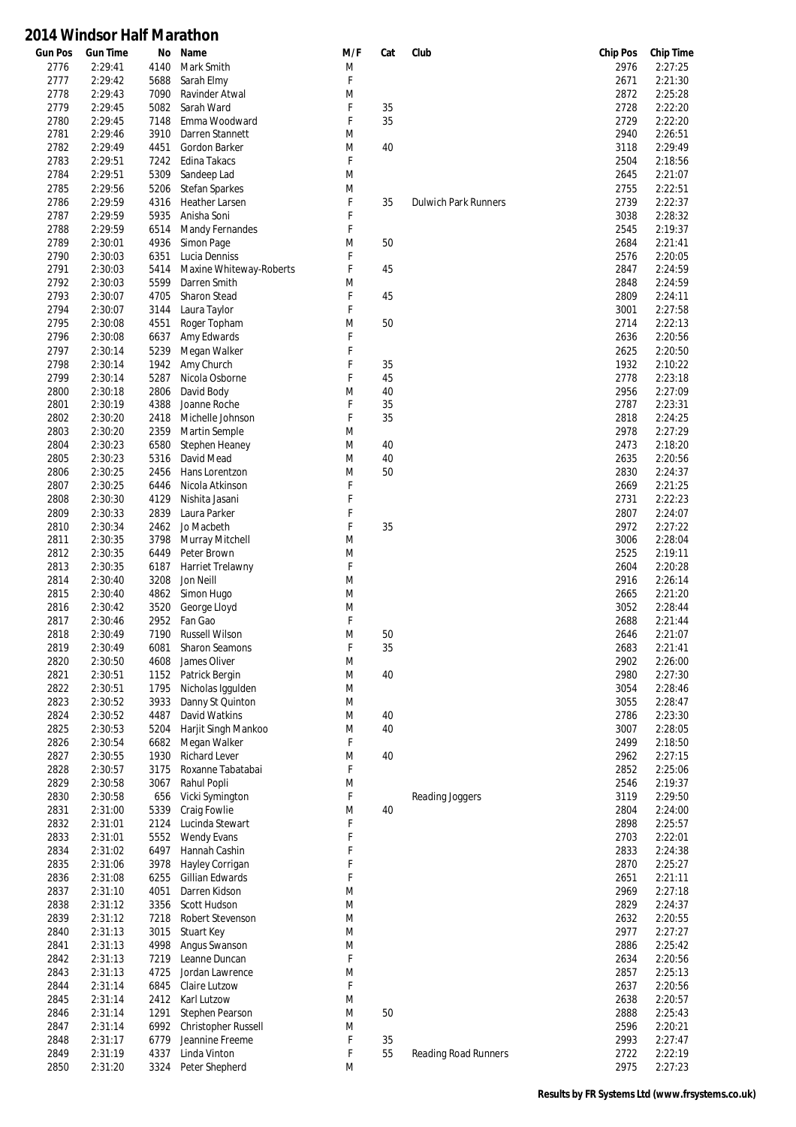| <b>Gun Pos</b> | <b>Gun Time</b> | No   | Name                    | M/F         | Cat | Club                        | <b>Chip Pos</b> | <b>Chip Time</b> |
|----------------|-----------------|------|-------------------------|-------------|-----|-----------------------------|-----------------|------------------|
| 2776           | 2:29:41         | 4140 | Mark Smith              | M           |     |                             | 2976            | 2:27:25          |
| 2777           | 2:29:42         | 5688 | Sarah Elmy              | F           |     |                             | 2671            | 2:21:30          |
| 2778           | 2:29:43         | 7090 | Ravinder Atwal          | M           |     |                             | 2872            | 2:25:28          |
| 2779           | 2:29:45         | 5082 | Sarah Ward              | F           | 35  |                             | 2728            | 2:22:20          |
| 2780           | 2:29:45         | 7148 | Emma Woodward           | F           | 35  |                             | 2729            | 2:22:20          |
| 2781           | 2:29:46         | 3910 | Darren Stannett         | M           |     |                             | 2940            | 2:26:51          |
| 2782           | 2:29:49         | 4451 | Gordon Barker           | M           | 40  |                             | 3118            | 2:29:49          |
| 2783           | 2:29:51         | 7242 | Edina Takacs            | F           |     |                             | 2504            | 2:18:56          |
| 2784           | 2:29:51         | 5309 | Sandeep Lad             | M           |     |                             | 2645            | 2:21:07          |
| 2785           | 2:29:56         | 5206 | <b>Stefan Sparkes</b>   | M           |     |                             | 2755            | 2:22:51          |
| 2786           | 2:29:59         | 4316 | <b>Heather Larsen</b>   | F           | 35  | <b>Dulwich Park Runners</b> | 2739            | 2:22:37          |
| 2787           | 2:29:59         | 5935 | Anisha Soni             | F           |     |                             | 3038            | 2:28:32          |
| 2788           | 2:29:59         | 6514 | Mandy Fernandes         | F           |     |                             | 2545            | 2:19:37          |
| 2789           | 2:30:01         | 4936 | Simon Page              | M           | 50  |                             | 2684            | 2:21:41          |
| 2790           | 2:30:03         | 6351 | Lucia Denniss           | F           |     |                             | 2576            | 2:20:05          |
| 2791           |                 |      |                         | F           |     |                             |                 |                  |
|                | 2:30:03         | 5414 | Maxine Whiteway-Roberts |             | 45  |                             | 2847            | 2:24:59          |
| 2792           | 2:30:03         | 5599 | Darren Smith            | M           |     |                             | 2848            | 2:24:59          |
| 2793           | 2:30:07         | 4705 | <b>Sharon Stead</b>     | F           | 45  |                             | 2809            | 2:24:11          |
| 2794           | 2:30:07         | 3144 | Laura Taylor            | F           |     |                             | 3001            | 2:27:58          |
| 2795           | 2:30:08         | 4551 | Roger Topham            | M           | 50  |                             | 2714            | 2:22:13          |
| 2796           | 2:30:08         | 6637 | Amy Edwards             | F           |     |                             | 2636            | 2:20:56          |
| 2797           | 2:30:14         | 5239 | Megan Walker            | F           |     |                             | 2625            | 2:20:50          |
| 2798           | 2:30:14         | 1942 | Amy Church              | F           | 35  |                             | 1932            | 2:10:22          |
| 2799           | 2:30:14         | 5287 | Nicola Osborne          | F           | 45  |                             | 2778            | 2:23:18          |
| 2800           | 2:30:18         | 2806 | David Body              | M           | 40  |                             | 2956            | 2:27:09          |
| 2801           | 2:30:19         | 4388 | Joanne Roche            | F           | 35  |                             | 2787            | 2:23:31          |
| 2802           | 2:30:20         | 2418 | Michelle Johnson        | F           | 35  |                             | 2818            | 2:24:25          |
| 2803           | 2:30:20         | 2359 | Martin Semple           | M           |     |                             | 2978            | 2:27:29          |
| 2804           | 2:30:23         | 6580 | Stephen Heaney          | M           | 40  |                             | 2473            | 2:18:20          |
| 2805           | 2:30:23         | 5316 | David Mead              | M           | 40  |                             | 2635            | 2:20:56          |
| 2806           | 2:30:25         | 2456 | Hans Lorentzon          | M           | 50  |                             | 2830            | 2:24:37          |
| 2807           | 2:30:25         | 6446 | Nicola Atkinson         | F           |     |                             | 2669            | 2:21:25          |
| 2808           | 2:30:30         | 4129 | Nishita Jasani          | F           |     |                             | 2731            | 2:22:23          |
| 2809           | 2:30:33         | 2839 | Laura Parker            | F           |     |                             | 2807            | 2:24:07          |
| 2810           | 2:30:34         | 2462 | Jo Macbeth              | F           | 35  |                             | 2972            | 2:27:22          |
| 2811           | 2:30:35         | 3798 | Murray Mitchell         | M           |     |                             | 3006            | 2:28:04          |
| 2812           | 2:30:35         | 6449 | Peter Brown             | M           |     |                             | 2525            | 2:19:11          |
| 2813           | 2:30:35         | 6187 | Harriet Trelawny        | F           |     |                             | 2604            | 2:20:28          |
| 2814           | 2:30:40         | 3208 | Jon Neill               | M           |     |                             | 2916            | 2:26:14          |
| 2815           | 2:30:40         | 4862 | Simon Hugo              | M           |     |                             | 2665            | 2:21:20          |
| 2816           | 2:30:42         | 3520 |                         | M           |     |                             | 3052            | 2:28:44          |
|                |                 |      | George Lloyd<br>Fan Gao | $\mathsf F$ |     |                             |                 |                  |
| 2817           | 2:30:46         | 2952 |                         |             |     |                             | 2688            | 2:21:44          |
| 2818           | 2:30:49         | 7190 | <b>Russell Wilson</b>   | M           | 50  |                             | 2646            | 2:21:07          |
| 2819           | 2:30:49         | 6081 | <b>Sharon Seamons</b>   | F           | 35  |                             | 2683            | 2:21:41          |
| 2820           | 2:30:50         | 4608 | James Oliver            | M           |     |                             | 2902            | 2:26:00          |
| 2821           | 2:30:51         | 1152 | Patrick Bergin          | M           | 40  |                             | 2980            | 2:27:30          |
| 2822           | 2:30:51         | 1795 | Nicholas Iggulden       | M           |     |                             | 3054            | 2:28:46          |
| 2823           | 2:30:52         | 3933 | Danny St Quinton        | M           |     |                             | 3055            | 2:28:47          |
| 2824           | 2:30:52         | 4487 | David Watkins           | M           | 40  |                             | 2786            | 2:23:30          |
| 2825           | 2:30:53         | 5204 | Harjit Singh Mankoo     | M           | 40  |                             | 3007            | 2:28:05          |
| 2826           | 2:30:54         | 6682 | Megan Walker            | F           |     |                             | 2499            | 2:18:50          |
| 2827           | 2:30:55         | 1930 | <b>Richard Lever</b>    | M           | 40  |                             | 2962            | 2:27:15          |
| 2828           | 2:30:57         | 3175 | Roxanne Tabatabai       | F           |     |                             | 2852            | 2:25:06          |
| 2829           | 2:30:58         | 3067 | Rahul Popli             | M           |     |                             | 2546            | 2:19:37          |
| 2830           | 2:30:58         | 656  | Vicki Symington         | F           |     | Reading Joggers             | 3119            | 2:29:50          |
| 2831           | 2:31:00         | 5339 | Craig Fowlie            | M           | 40  |                             | 2804            | 2:24:00          |
| 2832           | 2:31:01         | 2124 | Lucinda Stewart         | F           |     |                             | 2898            | 2:25:57          |
| 2833           | 2:31:01         | 5552 | <b>Wendy Evans</b>      | F           |     |                             | 2703            | 2:22:01          |
| 2834           | 2:31:02         | 6497 | Hannah Cashin           | F           |     |                             | 2833            | 2:24:38          |
| 2835           | 2:31:06         | 3978 | Hayley Corrigan         | F           |     |                             | 2870            | 2:25:27          |
| 2836           | 2:31:08         | 6255 | Gillian Edwards         | F           |     |                             | 2651            | 2:21:11          |
| 2837           | 2:31:10         | 4051 | Darren Kidson           | M           |     |                             | 2969            | 2:27:18          |
| 2838           | 2:31:12         | 3356 | Scott Hudson            | M           |     |                             | 2829            | 2:24:37          |
| 2839           | 2:31:12         | 7218 | Robert Stevenson        | M           |     |                             | 2632            |                  |
|                |                 |      |                         |             |     |                             |                 | 2:20:55          |
| 2840           | 2:31:13         | 3015 | Stuart Key              | M           |     |                             | 2977            | 2:27:27          |
| 2841           | 2:31:13         | 4998 | Angus Swanson           | M           |     |                             | 2886            | 2:25:42          |
| 2842           | 2:31:13         | 7219 | Leanne Duncan           | F           |     |                             | 2634            | 2:20:56          |
| 2843           | 2:31:13         | 4725 | Jordan Lawrence         | M           |     |                             | 2857            | 2:25:13          |
| 2844           | 2:31:14         | 6845 | Claire Lutzow           | F           |     |                             | 2637            | 2:20:56          |
| 2845           | 2:31:14         | 2412 | Karl Lutzow             | M           |     |                             | 2638            | 2:20:57          |
| 2846           | 2:31:14         | 1291 | Stephen Pearson         | M           | 50  |                             | 2888            | 2:25:43          |
| 2847           | 2:31:14         | 6992 | Christopher Russell     | M           |     |                             | 2596            | 2:20:21          |
| 2848           | 2:31:17         | 6779 | Jeannine Freeme         | F           | 35  |                             | 2993            | 2:27:47          |
| 2849           | 2:31:19         | 4337 | Linda Vinton            | F           | 55  | Reading Road Runners        | 2722            | 2:22:19          |
| 2850           | 2:31:20         | 3324 | Peter Shepherd          | M           |     |                             | 2975            | 2:27:23          |
|                |                 |      |                         |             |     |                             |                 |                  |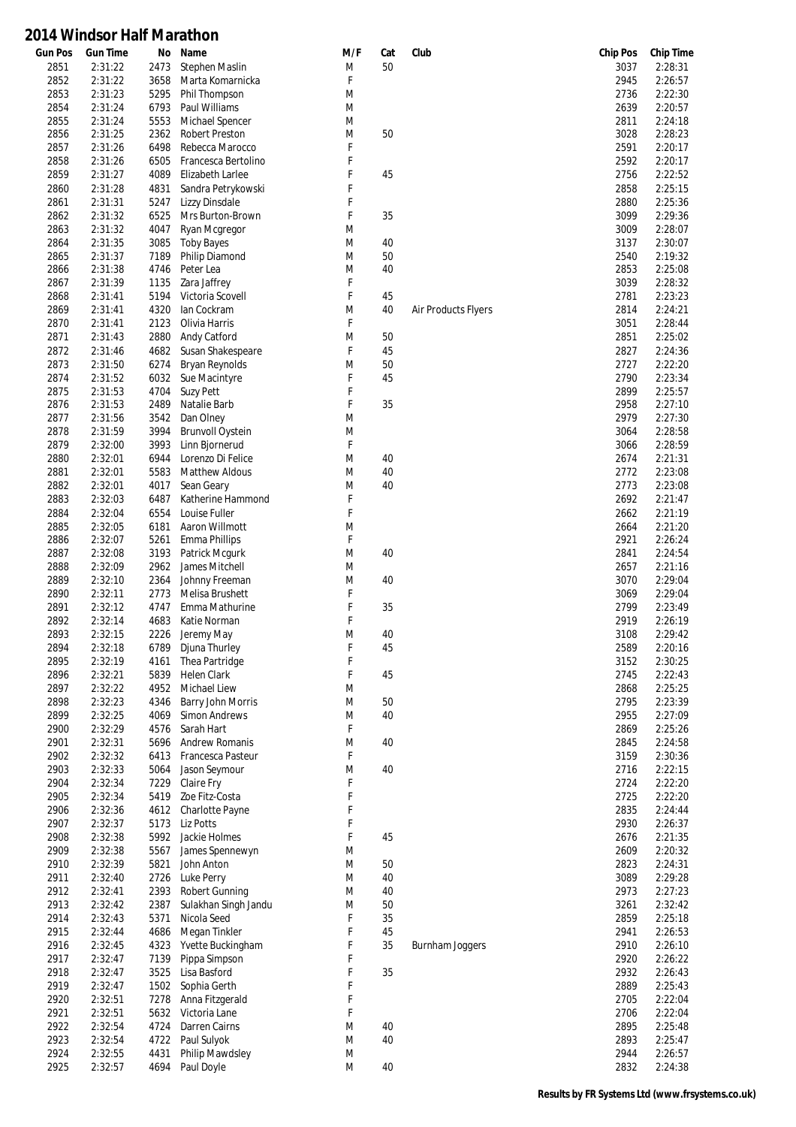| <b>Gun Pos</b> | <b>Gun Time</b>    | No           | Name                                       | M/F    | Cat | Club                | <b>Chip Pos</b> | <b>Chip Time</b>   |
|----------------|--------------------|--------------|--------------------------------------------|--------|-----|---------------------|-----------------|--------------------|
| 2851           | 2:31:22            | 2473         | Stephen Maslin                             | M      | 50  |                     | 3037            | 2:28:31            |
| 2852           | 2:31:22            | 3658         | Marta Komarnicka                           | F      |     |                     | 2945            | 2:26:57            |
| 2853           | 2:31:23            | 5295         | Phil Thompson                              | M      |     |                     | 2736            | 2:22:30            |
| 2854           | 2:31:24            | 6793         | Paul Williams                              | M      |     |                     | 2639            | 2:20:57            |
| 2855           | 2:31:24            | 5553         | Michael Spencer                            | M      |     |                     | 2811            | 2:24:18            |
| 2856<br>2857   | 2:31:25<br>2:31:26 | 2362<br>6498 | <b>Robert Preston</b><br>Rebecca Marocco   | M<br>F | 50  |                     | 3028<br>2591    | 2:28:23<br>2:20:17 |
| 2858           | 2:31:26            | 6505         | Francesca Bertolino                        | F      |     |                     | 2592            | 2:20:17            |
| 2859           | 2:31:27            | 4089         | Elizabeth Larlee                           | F      | 45  |                     | 2756            | 2:22:52            |
| 2860           | 2:31:28            | 4831         | Sandra Petrykowski                         | F      |     |                     | 2858            | 2:25:15            |
| 2861           | 2:31:31            | 5247         | Lizzy Dinsdale                             | F      |     |                     | 2880            | 2:25:36            |
| 2862           | 2:31:32            | 6525         | Mrs Burton-Brown                           | F      | 35  |                     | 3099            | 2:29:36            |
| 2863           | 2:31:32            | 4047         | Ryan Mcgregor                              | M      |     |                     | 3009            | 2:28:07            |
| 2864           | 2:31:35            | 3085         | <b>Toby Bayes</b>                          | M      | 40  |                     | 3137            | 2:30:07            |
| 2865           | 2:31:37            | 7189         | Philip Diamond                             | M      | 50  |                     | 2540            | 2:19:32            |
| 2866           | 2:31:38            | 4746         | Peter Lea                                  | M      | 40  |                     | 2853            | 2:25:08            |
| 2867           | 2:31:39            | 1135         | Zara Jaffrey                               | F      |     |                     | 3039            | 2:28:32            |
| 2868           | 2:31:41            | 5194         | Victoria Scovell                           | F      | 45  |                     | 2781            | 2:23:23            |
| 2869           | 2:31:41            | 4320         | lan Cockram                                | M      | 40  | Air Products Flyers | 2814            | 2:24:21            |
| 2870           | 2:31:41            | 2123         | Olivia Harris                              | F      |     |                     | 3051            | 2:28:44            |
| 2871           | 2:31:43            | 2880         | Andy Catford                               | M      | 50  |                     | 2851            | 2:25:02            |
| 2872           | 2:31:46            | 4682         | Susan Shakespeare                          | F      | 45  |                     | 2827            | 2:24:36            |
| 2873           | 2:31:50            | 6274         | <b>Bryan Reynolds</b>                      | M      | 50  |                     | 2727            | 2:22:20            |
| 2874           | 2:31:52            | 6032         | Sue Macintyre                              | F      | 45  |                     | 2790            | 2:23:34            |
| 2875           | 2:31:53            | 4704         | <b>Suzy Pett</b>                           | F      |     |                     | 2899            | 2:25:57            |
| 2876           | 2:31:53            | 2489         | Natalie Barb                               | F      | 35  |                     | 2958            | 2:27:10            |
| 2877           | 2:31:56            | 3542         | Dan Olney                                  | M      |     |                     | 2979            | 2:27:30            |
| 2878           | 2:31:59            | 3994         | <b>Brunvoll Oystein</b>                    | M      |     |                     | 3064            | 2:28:58            |
| 2879           | 2:32:00            | 3993         | Linn Bjornerud                             | F      |     |                     | 3066            | 2:28:59            |
| 2880           | 2:32:01            | 6944         | Lorenzo Di Felice                          | M      | 40  |                     | 2674            | 2:21:31            |
| 2881           | 2:32:01            | 5583         | <b>Matthew Aldous</b>                      | M      | 40  |                     | 2772            | 2:23:08            |
| 2882           | 2:32:01            | 4017         | Sean Geary                                 | M      | 40  |                     | 2773            | 2:23:08            |
| 2883           | 2:32:03            | 6487         | Katherine Hammond                          | F      |     |                     | 2692            | 2:21:47            |
| 2884           | 2:32:04            | 6554         | Louise Fuller                              | F      |     |                     | 2662            | 2:21:19            |
| 2885           | 2:32:05            | 6181         | Aaron Willmott                             | M      |     |                     | 2664            | 2:21:20            |
| 2886           | 2:32:07            | 5261         | Emma Phillips                              | F      |     |                     | 2921            | 2:26:24            |
| 2887           | 2:32:08            | 3193         | Patrick Mcgurk                             | M      | 40  |                     | 2841            | 2:24:54            |
| 2888           | 2:32:09            | 2962         | James Mitchell                             | M      |     |                     | 2657            | 2:21:16            |
| 2889           | 2:32:10            | 2364         | Johnny Freeman                             | M      | 40  |                     | 3070            | 2:29:04            |
| 2890           | 2:32:11            | 2773         | Melisa Brushett                            | F      |     |                     | 3069            | 2:29:04            |
| 2891           | 2:32:12            | 4747         | Emma Mathurine                             | F      | 35  |                     | 2799            | 2:23:49            |
| 2892           | 2:32:14            | 4683         | Katie Norman                               | F      |     |                     | 2919            | 2:26:19            |
| 2893           | 2:32:15            | 2226         | Jeremy May                                 | M      | 40  |                     | 3108            | 2:29:42            |
| 2894           | 2:32:18            | 6789         | Djuna Thurley                              | F      | 45  |                     | 2589            | 2:20:16            |
| 2895           | 2:32:19            | 4161         | Thea Partridge                             | F      |     |                     | 3152            | 2:30:25            |
| 2896           | 2:32:21            | 5839         | <b>Helen Clark</b>                         | F      | 45  |                     | 2745            | 2:22:43            |
| 2897           | 2:32:22            | 4952         | Michael Liew                               | M      |     |                     | 2868            | 2:25:25            |
| 2898           | 2:32:23            | 4346         | Barry John Morris                          | M      | 50  |                     | 2795            | 2:23:39            |
| 2899           | 2:32:25            | 4069         | Simon Andrews                              | M      | 40  |                     | 2955            | 2:27:09            |
| 2900           | 2:32:29            | 4576         | Sarah Hart                                 | F      |     |                     | 2869            | 2:25:26            |
| 2901<br>2902   | 2:32:31<br>2:32:32 | 5696<br>6413 | <b>Andrew Romanis</b><br>Francesca Pasteur | M<br>F | 40  |                     | 2845<br>3159    | 2:24:58<br>2:30:36 |
| 2903           | 2:32:33            | 5064         | Jason Seymour                              | M      | 40  |                     | 2716            | 2:22:15            |
| 2904           | 2:32:34            | 7229         | Claire Fry                                 | F      |     |                     | 2724            | 2:22:20            |
| 2905           | 2:32:34            | 5419         | Zoe Fitz-Costa                             | F      |     |                     | 2725            | 2:22:20            |
| 2906           | 2:32:36            | 4612         | Charlotte Payne                            | F      |     |                     | 2835            | 2:24:44            |
| 2907           | 2:32:37            | 5173         | Liz Potts                                  | F      |     |                     | 2930            | 2:26:37            |
| 2908           | 2:32:38            | 5992         | Jackie Holmes                              | F      | 45  |                     | 2676            | 2:21:35            |
| 2909           | 2:32:38            | 5567         | James Spennewyn                            | M      |     |                     | 2609            | 2:20:32            |
| 2910           | 2:32:39            | 5821         | John Anton                                 | M      | 50  |                     | 2823            | 2:24:31            |
| 2911           | 2:32:40            | 2726         | Luke Perry                                 | M      | 40  |                     | 3089            | 2:29:28            |
| 2912           | 2:32:41            | 2393         | <b>Robert Gunning</b>                      | M      | 40  |                     | 2973            | 2:27:23            |
| 2913           | 2:32:42            | 2387         | Sulakhan Singh Jandu                       | M      | 50  |                     | 3261            | 2:32:42            |
| 2914           | 2:32:43            | 5371         | Nicola Seed                                | F      | 35  |                     | 2859            | 2:25:18            |
| 2915           | 2:32:44            | 4686         | Megan Tinkler                              | F      | 45  |                     | 2941            | 2:26:53            |
| 2916           | 2:32:45            | 4323         | Yvette Buckingham                          | F      | 35  | Burnham Joggers     | 2910            | 2:26:10            |
| 2917           | 2:32:47            | 7139         | Pippa Simpson                              | F      |     |                     | 2920            | 2:26:22            |
| 2918           | 2:32:47            | 3525         | Lisa Basford                               | F      | 35  |                     | 2932            | 2:26:43            |
| 2919           | 2:32:47            | 1502         | Sophia Gerth                               | F      |     |                     | 2889            | 2:25:43            |
| 2920           | 2:32:51            | 7278         | Anna Fitzgerald                            | F      |     |                     | 2705            | 2:22:04            |
| 2921           | 2:32:51            | 5632         | Victoria Lane                              | F      |     |                     | 2706            | 2:22:04            |
| 2922           | 2:32:54            | 4724         | Darren Cairns                              | M      | 40  |                     | 2895            | 2:25:48            |
| 2923           | 2:32:54            | 4722         | Paul Sulyok                                | M      | 40  |                     | 2893            | 2:25:47            |
| 2924           | 2:32:55            | 4431         | Philip Mawdsley                            | M      |     |                     | 2944            | 2:26:57            |
| 2925           | 2:32:57            | 4694         | Paul Doyle                                 | M      | 40  |                     | 2832            | 2:24:38            |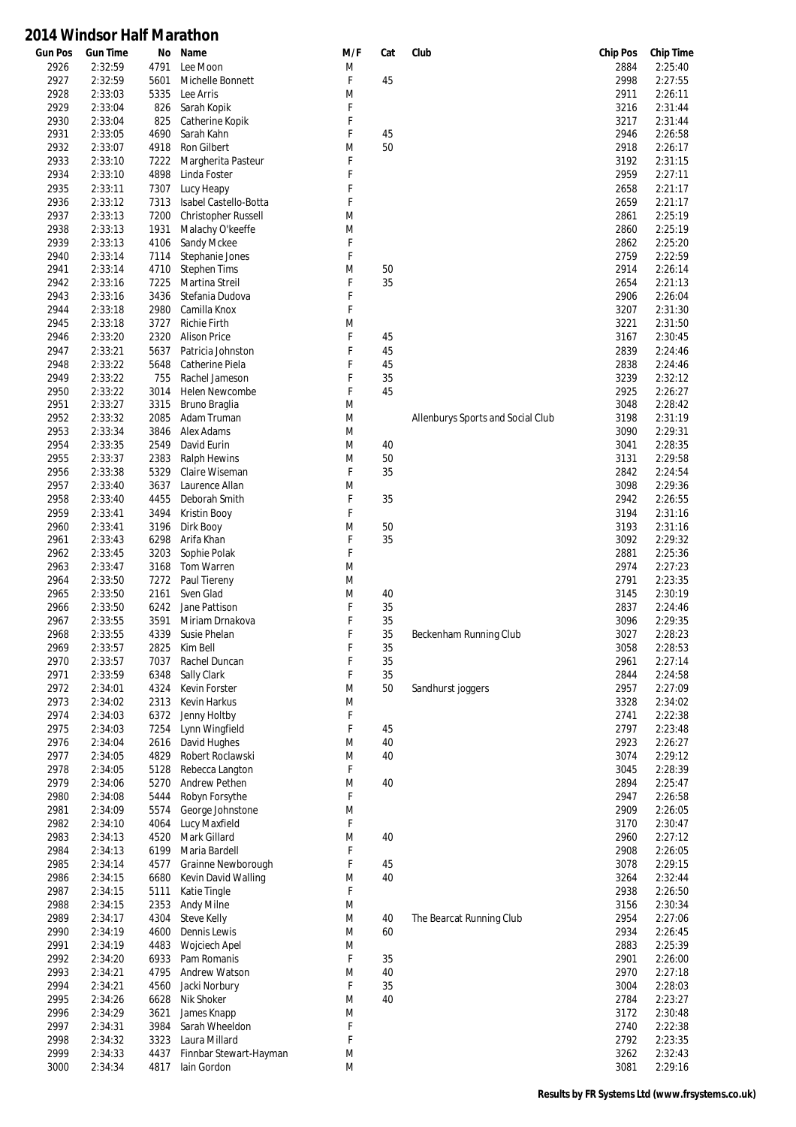| <b>Gun Pos</b> | <b>Gun Time</b> | No   | Name                   | M/F | Cat | Club                              | <b>Chip Pos</b> | <b>Chip Time</b> |
|----------------|-----------------|------|------------------------|-----|-----|-----------------------------------|-----------------|------------------|
| 2926           | 2:32:59         | 4791 | Lee Moon               | M   |     |                                   | 2884            | 2:25:40          |
| 2927           | 2:32:59         | 5601 | Michelle Bonnett       | F   | 45  |                                   | 2998            | 2:27:55          |
| 2928           | 2:33:03         | 5335 | Lee Arris              | M   |     |                                   | 2911            | 2:26:11          |
| 2929           | 2:33:04         | 826  | Sarah Kopik            | F   |     |                                   | 3216            | 2:31:44          |
| 2930           | 2:33:04         | 825  | Catherine Kopik        | F   |     |                                   | 3217            | 2:31:44          |
| 2931           | 2:33:05         | 4690 | Sarah Kahn             | F   | 45  |                                   | 2946            | 2:26:58          |
| 2932           | 2:33:07         | 4918 | Ron Gilbert            | M   | 50  |                                   | 2918            | 2:26:17          |
| 2933           | 2:33:10         | 7222 | Margherita Pasteur     | F   |     |                                   | 3192            | 2:31:15          |
| 2934           | 2:33:10         | 4898 | Linda Foster           | F   |     |                                   | 2959            | 2:27:11          |
| 2935           | 2:33:11         | 7307 | Lucy Heapy             | F   |     |                                   | 2658            | 2:21:17          |
| 2936           | 2:33:12         | 7313 | Isabel Castello-Botta  | F   |     |                                   | 2659            | 2:21:17          |
| 2937           | 2:33:13         | 7200 | Christopher Russell    | M   |     |                                   | 2861            | 2:25:19          |
| 2938           | 2:33:13         | 1931 | Malachy O'keeffe       | M   |     |                                   | 2860            | 2:25:19          |
| 2939           | 2:33:13         | 4106 | Sandy Mckee            | F   |     |                                   | 2862            | 2:25:20          |
| 2940           | 2:33:14         | 7114 | Stephanie Jones        | F   |     |                                   | 2759            | 2:22:59          |
| 2941           | 2:33:14         | 4710 | <b>Stephen Tims</b>    | M   | 50  |                                   | 2914            | 2:26:14          |
| 2942           | 2:33:16         | 7225 | Martina Streil         | F   | 35  |                                   | 2654            | 2:21:13          |
| 2943           | 2:33:16         | 3436 | Stefania Dudova        | F   |     |                                   | 2906            | 2:26:04          |
|                |                 |      |                        | F   |     |                                   |                 | 2:31:30          |
| 2944           | 2:33:18         | 2980 | Camilla Knox           |     |     |                                   | 3207            |                  |
| 2945           | 2:33:18         | 3727 | <b>Richie Firth</b>    | M   |     |                                   | 3221            | 2:31:50          |
| 2946           | 2:33:20         | 2320 | <b>Alison Price</b>    | F   | 45  |                                   | 3167            | 2:30:45          |
| 2947           | 2:33:21         | 5637 | Patricia Johnston      | F   | 45  |                                   | 2839            | 2:24:46          |
| 2948           | 2:33:22         | 5648 | Catherine Piela        | F   | 45  |                                   | 2838            | 2:24:46          |
| 2949           | 2:33:22         | 755  | Rachel Jameson         | F   | 35  |                                   | 3239            | 2:32:12          |
| 2950           | 2:33:22         | 3014 | <b>Helen Newcombe</b>  | F   | 45  |                                   | 2925            | 2:26:27          |
| 2951           | 2:33:27         | 3315 | Bruno Braglia          | M   |     |                                   | 3048            | 2:28:42          |
| 2952           | 2:33:32         | 2085 | Adam Truman            | M   |     | Allenburys Sports and Social Club | 3198            | 2:31:19          |
| 2953           | 2:33:34         | 3846 | Alex Adams             | M   |     |                                   | 3090            | 2:29:31          |
| 2954           | 2:33:35         | 2549 | David Eurin            | M   | 40  |                                   | 3041            | 2:28:35          |
| 2955           | 2:33:37         | 2383 | <b>Ralph Hewins</b>    | M   | 50  |                                   | 3131            | 2:29:58          |
| 2956           | 2:33:38         | 5329 | Claire Wiseman         | F   | 35  |                                   | 2842            | 2:24:54          |
| 2957           | 2:33:40         | 3637 | Laurence Allan         | M   |     |                                   | 3098            | 2:29:36          |
| 2958           | 2:33:40         | 4455 | Deborah Smith          | F   | 35  |                                   | 2942            | 2:26:55          |
| 2959           | 2:33:41         | 3494 | Kristin Booy           | F   |     |                                   | 3194            | 2:31:16          |
| 2960           | 2:33:41         | 3196 | Dirk Booy              | M   | 50  |                                   | 3193            | 2:31:16          |
| 2961           | 2:33:43         | 6298 | Arifa Khan             | F   | 35  |                                   | 3092            | 2:29:32          |
| 2962           | 2:33:45         | 3203 | Sophie Polak           | F   |     |                                   | 2881            | 2:25:36          |
| 2963           | 2:33:47         | 3168 | Tom Warren             | M   |     |                                   | 2974            | 2:27:23          |
| 2964           | 2:33:50         | 7272 | Paul Tiereny           | M   |     |                                   | 2791            | 2:23:35          |
| 2965           | 2:33:50         | 2161 | Sven Glad              | M   | 40  |                                   | 3145            | 2:30:19          |
| 2966           | 2:33:50         | 6242 | Jane Pattison          | F   | 35  |                                   | 2837            | 2:24:46          |
| 2967           | 2:33:55         | 3591 | Miriam Drnakova        | F   | 35  |                                   | 3096            | 2:29:35          |
| 2968           | 2:33:55         | 4339 | Susie Phelan           | F   | 35  | Beckenham Running Club            | 3027            | 2:28:23          |
| 2969           | 2:33:57         | 2825 | Kim Bell               | F   | 35  |                                   | 3058            | 2:28:53          |
| 2970           | 2:33:57         | 7037 | Rachel Duncan          | F   | 35  |                                   | 2961            | 2:27:14          |
| 2971           | 2:33:59         | 6348 | Sally Clark            | F   | 35  |                                   | 2844            | 2:24:58          |
| 2972           | 2:34:01         | 4324 | Kevin Forster          | M   | 50  |                                   | 2957            | 2:27:09          |
|                |                 |      |                        |     |     | Sandhurst joggers                 |                 |                  |
| 2973           | 2:34:02         | 2313 | Kevin Harkus           | M   |     |                                   | 3328            | 2:34:02          |
| 2974           | 2:34:03         | 6372 | Jenny Holtby           | F   |     |                                   | 2741            | 2:22:38          |
| 2975           | 2:34:03         | 7254 | Lynn Wingfield         | F   | 45  |                                   | 2797            | 2:23:48          |
| 2976           | 2:34:04         | 2616 | David Hughes           | M   | 40  |                                   | 2923            | 2:26:27          |
| 2977           | 2:34:05         | 4829 | Robert Roclawski       | M   | 40  |                                   | 3074            | 2:29:12          |
| 2978           | 2:34:05         | 5128 | Rebecca Langton        | F   |     |                                   | 3045            | 2:28:39          |
| 2979           | 2:34:06         | 5270 | Andrew Pethen          | M   | 40  |                                   | 2894            | 2:25:47          |
| 2980           | 2:34:08         | 5444 | Robyn Forsythe         | F   |     |                                   | 2947            | 2:26:58          |
| 2981           | 2:34:09         | 5574 | George Johnstone       | M   |     |                                   | 2909            | 2:26:05          |
| 2982           | 2:34:10         | 4064 | Lucy Maxfield          | F   |     |                                   | 3170            | 2:30:47          |
| 2983           | 2:34:13         | 4520 | Mark Gillard           | M   | 40  |                                   | 2960            | 2:27:12          |
| 2984           | 2:34:13         | 6199 | Maria Bardell          | F   |     |                                   | 2908            | 2:26:05          |
| 2985           | 2:34:14         | 4577 | Grainne Newborough     | F   | 45  |                                   | 3078            | 2:29:15          |
| 2986           | 2:34:15         | 6680 | Kevin David Walling    | M   | 40  |                                   | 3264            | 2:32:44          |
| 2987           | 2:34:15         | 5111 | Katie Tingle           | F   |     |                                   | 2938            | 2:26:50          |
| 2988           | 2:34:15         | 2353 | <b>Andy Milne</b>      | M   |     |                                   | 3156            | 2:30:34          |
| 2989           | 2:34:17         | 4304 | Steve Kelly            | M   | 40  | The Bearcat Running Club          | 2954            | 2:27:06          |
| 2990           | 2:34:19         | 4600 | Dennis Lewis           | M   | 60  |                                   | 2934            | 2:26:45          |
| 2991           | 2:34:19         | 4483 | <b>Wojciech Apel</b>   | M   |     |                                   | 2883            | 2:25:39          |
| 2992           | 2:34:20         | 6933 | Pam Romanis            | F   | 35  |                                   | 2901            | 2:26:00          |
| 2993           | 2:34:21         | 4795 | Andrew Watson          | M   | 40  |                                   | 2970            | 2:27:18          |
| 2994           | 2:34:21         | 4560 | Jacki Norbury          | F   | 35  |                                   | 3004            | 2:28:03          |
| 2995           | 2:34:26         | 6628 | Nik Shoker             | M   | 40  |                                   | 2784            | 2:23:27          |
| 2996           | 2:34:29         | 3621 | James Knapp            | M   |     |                                   | 3172            | 2:30:48          |
| 2997           | 2:34:31         | 3984 | Sarah Wheeldon         | F   |     |                                   | 2740            | 2:22:38          |
|                |                 |      |                        | F   |     |                                   |                 |                  |
| 2998           | 2:34:32         | 3323 | Laura Millard          |     |     |                                   | 2792            | 2:23:35          |
| 2999           | 2:34:33         | 4437 | Finnbar Stewart-Hayman | M   |     |                                   | 3262            | 2:32:43          |
| 3000           | 2:34:34         | 4817 | lain Gordon            | M   |     |                                   | 3081            | 2:29:16          |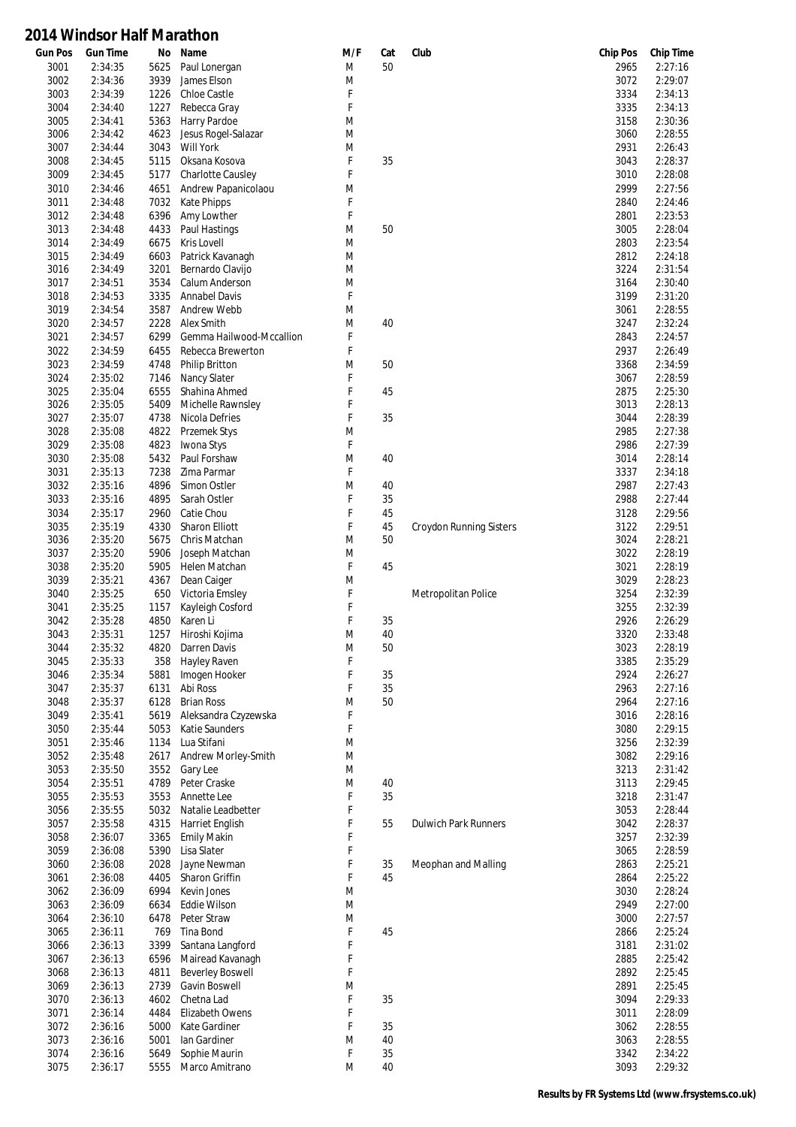| <b>Gun Pos</b> | <b>Gun Time</b>    | No           | Name                                      | M/F    | Cat | Club                        | <b>Chip Pos</b> | <b>Chip Time</b>   |
|----------------|--------------------|--------------|-------------------------------------------|--------|-----|-----------------------------|-----------------|--------------------|
| 3001           | 2:34:35            | 5625         | Paul Lonergan                             | M      | 50  |                             | 2965            | 2:27:16            |
| 3002           | 2:34:36            | 3939         | James Elson                               | M      |     |                             | 3072            | 2:29:07            |
| 3003           | 2:34:39            | 1226         | <b>Chloe Castle</b>                       | F      |     |                             | 3334            | 2:34:13            |
| 3004           | 2:34:40            | 1227         | Rebecca Gray                              | F      |     |                             | 3335            | 2:34:13            |
| 3005           | 2:34:41            | 5363         | Harry Pardoe                              | M      |     |                             | 3158            | 2:30:36            |
| 3006           | 2:34:42            | 4623         | Jesus Rogel-Salazar                       | M      |     |                             | 3060            | 2:28:55            |
| 3007           | 2:34:44            | 3043         | <b>Will York</b>                          | M      |     |                             | 2931            | 2:26:43            |
| 3008           | 2:34:45            | 5115         | Oksana Kosova                             | F<br>F | 35  |                             | 3043            | 2:28:37            |
| 3009           | 2:34:45            | 5177         | Charlotte Causley                         |        |     |                             | 3010<br>2999    | 2:28:08<br>2:27:56 |
| 3010<br>3011   | 2:34:46<br>2:34:48 | 4651<br>7032 | Andrew Papanicolaou<br><b>Kate Phipps</b> | M<br>F |     |                             | 2840            | 2:24:46            |
| 3012           | 2:34:48            | 6396         | Amy Lowther                               | F      |     |                             | 2801            | 2:23:53            |
| 3013           | 2:34:48            | 4433         | Paul Hastings                             | M      | 50  |                             | 3005            | 2:28:04            |
| 3014           | 2:34:49            | 6675         | Kris Lovell                               | M      |     |                             | 2803            | 2:23:54            |
| 3015           | 2:34:49            | 6603         | Patrick Kavanagh                          | M      |     |                             | 2812            | 2:24:18            |
| 3016           | 2:34:49            | 3201         | Bernardo Clavijo                          | M      |     |                             | 3224            | 2:31:54            |
| 3017           | 2:34:51            | 3534         | Calum Anderson                            | M      |     |                             | 3164            | 2:30:40            |
| 3018           | 2:34:53            | 3335         | <b>Annabel Davis</b>                      | F      |     |                             | 3199            | 2:31:20            |
| 3019           | 2:34:54            | 3587         | Andrew Webb                               | M      |     |                             | 3061            | 2:28:55            |
| 3020           | 2:34:57            | 2228         | Alex Smith                                | M      | 40  |                             | 3247            | 2:32:24            |
| 3021           | 2:34:57            | 6299         | Gemma Hailwood-Mccallion                  | F      |     |                             | 2843            | 2:24:57            |
| 3022           | 2:34:59            | 6455         | Rebecca Brewerton                         | F      |     |                             | 2937            | 2:26:49            |
| 3023           | 2:34:59            | 4748         | <b>Philip Britton</b>                     | M      | 50  |                             | 3368            | 2:34:59            |
| 3024           | 2:35:02            | 7146         | Nancy Slater                              | F      |     |                             | 3067            | 2:28:59            |
| 3025           | 2:35:04            | 6555         | Shahina Ahmed                             | F      | 45  |                             | 2875            | 2:25:30            |
| 3026           | 2:35:05            | 5409         | Michelle Rawnsley                         | F      |     |                             | 3013            | 2:28:13            |
| 3027           | 2:35:07            | 4738         | Nicola Defries                            | F      | 35  |                             | 3044            | 2:28:39            |
| 3028           | 2:35:08            | 4822         | <b>Przemek Stys</b>                       | M      |     |                             | 2985            | 2:27:38            |
| 3029           | 2:35:08            | 4823         | Iwona Stys                                | F      |     |                             | 2986            | 2:27:39            |
| 3030           | 2:35:08            | 5432         | Paul Forshaw                              | M      | 40  |                             | 3014            | 2:28:14            |
| 3031           | 2:35:13            | 7238         | Zima Parmar                               | F      |     |                             | 3337            | 2:34:18            |
| 3032           | 2:35:16            | 4896         | Simon Ostler                              | M      | 40  |                             | 2987            | 2:27:43            |
| 3033           | 2:35:16            | 4895         | Sarah Ostler                              | F      | 35  |                             | 2988            | 2:27:44            |
| 3034           | 2:35:17            | 2960         | Catie Chou                                | F      | 45  |                             | 3128            | 2:29:56            |
| 3035           | 2:35:19            | 4330         | <b>Sharon Elliott</b>                     | F      | 45  | Croydon Running Sisters     | 3122            | 2:29:51            |
| 3036<br>3037   | 2:35:20<br>2:35:20 | 5675<br>5906 | Chris Matchan                             | M<br>M | 50  |                             | 3024<br>3022    | 2:28:21<br>2:28:19 |
| 3038           | 2:35:20            | 5905         | Joseph Matchan<br>Helen Matchan           | F      | 45  |                             | 3021            | 2:28:19            |
| 3039           | 2:35:21            | 4367         | Dean Caiger                               | M      |     |                             | 3029            | 2:28:23            |
| 3040           | 2:35:25            | 650          | Victoria Emsley                           | F      |     | Metropolitan Police         | 3254            | 2:32:39            |
| 3041           | 2:35:25            | 1157         | Kayleigh Cosford                          | F      |     |                             | 3255            | 2:32:39            |
| 3042           | 2:35:28            | 4850         | Karen Li                                  | F      | 35  |                             | 2926            | 2:26:29            |
| 3043           | 2:35:31            | 1257         | Hiroshi Kojima                            | M      | 40  |                             | 3320            | 2:33:48            |
| 3044           | 2:35:32            | 4820         | Darren Davis                              | M      | 50  |                             | 3023            | 2:28:19            |
| 3045           | 2:35:33            | 358          | Hayley Raven                              | F      |     |                             | 3385            | 2:35:29            |
| 3046           | 2:35:34            | 5881         | Imogen Hooker                             | F      | 35  |                             | 2924            | 2:26:27            |
| 3047           | 2:35:37            | 6131         | Abi Ross                                  | F      | 35  |                             | 2963            | 2:27:16            |
| 3048           | 2:35:37            | 6128         | <b>Brian Ross</b>                         | M      | 50  |                             | 2964            | 2:27:16            |
| 3049           | 2:35:41            | 5619         | Aleksandra Czyzewska                      | F      |     |                             | 3016            | 2:28:16            |
| 3050           | 2:35:44            | 5053         | Katie Saunders                            | F      |     |                             | 3080            | 2:29:15            |
| 3051           | 2:35:46            | 1134         | Lua Stifani                               | M      |     |                             | 3256            | 2:32:39            |
| 3052           | 2:35:48            | 2617         | Andrew Morley-Smith                       | M      |     |                             | 3082            | 2:29:16            |
| 3053           | 2:35:50            | 3552         | Gary Lee                                  | M      |     |                             | 3213            | 2:31:42            |
| 3054           | 2:35:51            | 4789         | Peter Craske                              | M      | 40  |                             | 3113            | 2:29:45            |
| 3055           | 2:35:53            | 3553         | Annette Lee                               | F      | 35  |                             | 3218            | 2:31:47            |
| 3056           | 2:35:55            | 5032         | Natalie Leadbetter                        | F      |     |                             | 3053            | 2:28:44            |
| 3057           | 2:35:58            | 4315         | <b>Harriet English</b>                    | F      | 55  | <b>Dulwich Park Runners</b> | 3042            | 2:28:37            |
| 3058           | 2:36:07            | 3365         | <b>Emily Makin</b>                        | F      |     |                             | 3257            | 2:32:39            |
| 3059           | 2:36:08            | 5390         | Lisa Slater                               | F      |     |                             | 3065            | 2:28:59            |
| 3060           | 2:36:08            | 2028         | Jayne Newman                              | F      | 35  | Meophan and Malling         | 2863            | 2:25:21            |
| 3061           | 2:36:08            | 4405         | Sharon Griffin                            | F      | 45  |                             | 2864            | 2:25:22            |
| 3062<br>3063   | 2:36:09<br>2:36:09 | 6994<br>6634 | Kevin Jones                               | M<br>M |     |                             | 3030<br>2949    | 2:28:24<br>2:27:00 |
| 3064           | 2:36:10            | 6478         | Eddie Wilson<br>Peter Straw               | M      |     |                             | 3000            | 2:27:57            |
| 3065           | 2:36:11            | 769          | Tina Bond                                 | F      | 45  |                             | 2866            | 2:25:24            |
| 3066           | 2:36:13            | 3399         | Santana Langford                          | F      |     |                             | 3181            | 2:31:02            |
| 3067           | 2:36:13            | 6596         | Mairead Kavanagh                          | F      |     |                             | 2885            | 2:25:42            |
| 3068           | 2:36:13            | 4811         | <b>Beverley Boswell</b>                   | F      |     |                             | 2892            | 2:25:45            |
| 3069           | 2:36:13            | 2739         | Gavin Boswell                             | M      |     |                             | 2891            | 2:25:45            |
| 3070           | 2:36:13            | 4602         | Chetna Lad                                | F      | 35  |                             | 3094            | 2:29:33            |
| 3071           | 2:36:14            | 4484         | Elizabeth Owens                           | F      |     |                             | 3011            | 2:28:09            |
| 3072           | 2:36:16            | 5000         | Kate Gardiner                             | F      | 35  |                             | 3062            | 2:28:55            |
| 3073           | 2:36:16            | 5001         | lan Gardiner                              | M      | 40  |                             | 3063            | 2:28:55            |
| 3074           | 2:36:16            | 5649         | Sophie Maurin                             | F      | 35  |                             | 3342            | 2:34:22            |
| 3075           | 2:36:17            | 5555         | Marco Amitrano                            | M      | 40  |                             | 3093            | 2:29:32            |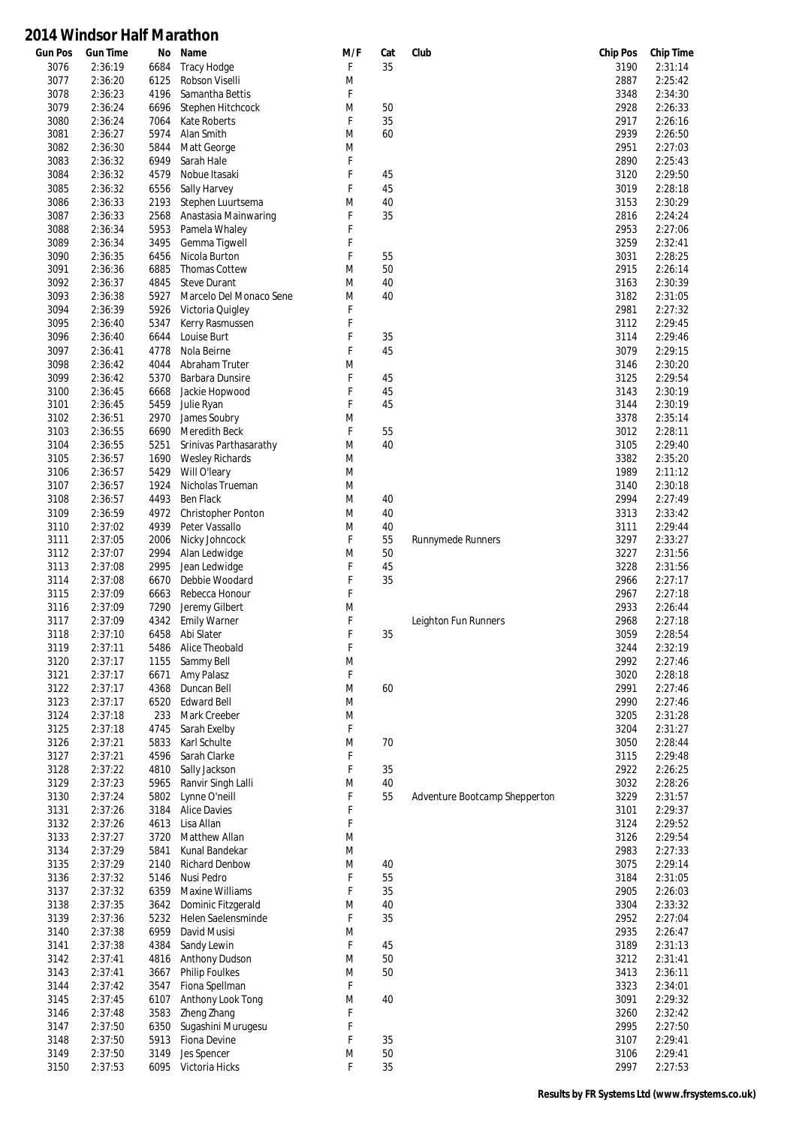| <b>Gun Pos</b> | <b>Gun Time</b>    | No           | Name                                | M/F    | Cat | Club                          | <b>Chip Pos</b> | <b>Chip Time</b>   |
|----------------|--------------------|--------------|-------------------------------------|--------|-----|-------------------------------|-----------------|--------------------|
| 3076           | 2:36:19            | 6684         | Tracy Hodge                         | F      | 35  |                               | 3190            | 2:31:14            |
| 3077           | 2:36:20            | 6125         | Robson Viselli                      | M      |     |                               | 2887            | 2:25:42            |
| 3078           | 2:36:23            | 4196         | Samantha Bettis                     | F      |     |                               | 3348            | 2:34:30            |
| 3079           | 2:36:24            | 6696         | Stephen Hitchcock                   | M      | 50  |                               | 2928            | 2:26:33            |
| 3080           | 2:36:24            | 7064         | Kate Roberts                        | F      | 35  |                               | 2917            | 2:26:16            |
| 3081           | 2:36:27            | 5974         | Alan Smith                          | M      | 60  |                               | 2939            | 2:26:50            |
| 3082           | 2:36:30            | 5844         | Matt George                         | M      |     |                               | 2951            | 2:27:03            |
| 3083           | 2:36:32            | 6949         | Sarah Hale                          | F      |     |                               | 2890            | 2:25:43            |
| 3084           | 2:36:32            | 4579         | Nobue Itasaki                       | F      | 45  |                               | 3120            | 2:29:50            |
| 3085           | 2:36:32            | 6556         | Sally Harvey                        | F      | 45  |                               | 3019            | 2:28:18            |
| 3086           | 2:36:33            | 2193         | Stephen Luurtsema                   | M      | 40  |                               | 3153            | 2:30:29            |
| 3087           | 2:36:33            | 2568         | Anastasia Mainwaring                | F      | 35  |                               | 2816            | 2:24:24            |
| 3088           | 2:36:34            | 5953         | Pamela Whaley                       | F      |     |                               | 2953            | 2:27:06            |
| 3089           | 2:36:34            | 3495         | Gemma Tigwell                       | F      |     |                               | 3259            | 2:32:41            |
| 3090           | 2:36:35            | 6456         | Nicola Burton                       | F      | 55  |                               | 3031            | 2:28:25            |
| 3091           | 2:36:36            | 6885         | <b>Thomas Cottew</b>                | M      | 50  |                               | 2915            | 2:26:14            |
| 3092           | 2:36:37            | 4845         | <b>Steve Durant</b>                 | M      | 40  |                               | 3163            | 2:30:39            |
| 3093           | 2:36:38            | 5927         | Marcelo Del Monaco Sene             | M      | 40  |                               | 3182            | 2:31:05            |
| 3094           | 2:36:39            | 5926         | Victoria Quigley                    | F      |     |                               | 2981            | 2:27:32            |
| 3095           | 2:36:40            | 5347         | Kerry Rasmussen                     | F      |     |                               | 3112            | 2:29:45            |
| 3096           | 2:36:40            | 6644         | Louise Burt                         | F      | 35  |                               | 3114            | 2:29:46            |
| 3097           | 2:36:41            | 4778         | Nola Beirne                         | F      | 45  |                               | 3079            | 2:29:15            |
| 3098           | 2:36:42            | 4044         | Abraham Truter                      | M      |     |                               | 3146            | 2:30:20            |
| 3099           | 2:36:42            | 5370         | Barbara Dunsire                     | F      | 45  |                               | 3125            | 2:29:54            |
| 3100           | 2:36:45            | 6668         | Jackie Hopwood                      | F      | 45  |                               | 3143            | 2:30:19            |
| 3101           | 2:36:45            | 5459         | Julie Ryan                          | F      | 45  |                               | 3144            | 2:30:19            |
| 3102           | 2:36:51            | 2970         | James Soubry                        | M      |     |                               | 3378            | 2:35:14            |
| 3103           | 2:36:55            | 6690         | <b>Meredith Beck</b>                | F      | 55  |                               | 3012            | 2:28:11            |
| 3104           | 2:36:55            | 5251         | Srinivas Parthasarathy              | M      | 40  |                               | 3105            | 2:29:40            |
| 3105           | 2:36:57            | 1690         | <b>Wesley Richards</b>              | M      |     |                               | 3382            | 2:35:20            |
| 3106           | 2:36:57            | 5429         | Will O'leary                        | M      |     |                               | 1989            | 2:11:12            |
| 3107           | 2:36:57            | 1924         | Nicholas Trueman                    | M      |     |                               | 3140            | 2:30:18            |
| 3108           | 2:36:57            | 4493         | Ben Flack                           | M      | 40  |                               | 2994            | 2:27:49            |
| 3109           | 2:36:59            | 4972         | <b>Christopher Ponton</b>           | M      | 40  |                               | 3313            | 2:33:42            |
| 3110           | 2:37:02            | 4939         | Peter Vassallo                      | M      | 40  |                               | 3111            | 2:29:44            |
| 3111           | 2:37:05            | 2006         | Nicky Johncock                      | F      | 55  | <b>Runnymede Runners</b>      | 3297            | 2:33:27            |
| 3112           | 2:37:07            | 2994         | Alan Ledwidge                       | M      | 50  |                               | 3227            | 2:31:56            |
| 3113           | 2:37:08            | 2995         | Jean Ledwidge                       | F      | 45  |                               | 3228            | 2:31:56            |
| 3114           | 2:37:08            | 6670         | Debbie Woodard                      | F      | 35  |                               | 2966            | 2:27:17            |
| 3115           | 2:37:09            | 6663         | Rebecca Honour                      | F      |     |                               | 2967            | 2:27:18            |
| 3116           | 2:37:09            | 7290         | Jeremy Gilbert                      | M      |     |                               | 2933            | 2:26:44            |
| 3117           | 2:37:09            | 4342         | <b>Emily Warner</b>                 | F      |     | Leighton Fun Runners          | 2968            | 2:27:18            |
| 3118           | 2:37:10            | 6458         | Abi Slater                          | F      | 35  |                               | 3059            | 2:28:54            |
| 3119           | 2:37:11            | 5486         | Alice Theobald                      | F      |     |                               | 3244            | 2:32:19            |
| 3120           | 2:37:17            | 1155         | Sammy Bell                          | M      |     |                               | 2992            | 2:27:46            |
| 3121           | 2:37:17            | 6671         | Amy Palasz                          | F      |     |                               | 3020            | 2:28:18            |
| 3122           | 2:37:17            | 4368         | Duncan Bell                         | M      | 60  |                               | 2991            | 2:27:46            |
| 3123           | 2:37:17            | 6520         | <b>Edward Bell</b>                  | M      |     |                               | 2990            | 2:27:46            |
| 3124           | 2:37:18            | 233          | Mark Creeber                        | M      |     |                               | 3205            | 2:31:28            |
| 3125           | 2:37:18            | 4745         | Sarah Exelby                        | F      |     |                               | 3204            | 2:31:27            |
| 3126           | 2:37:21            | 5833         | Karl Schulte                        | M<br>F | 70  |                               | 3050            | 2:28:44            |
| 3127<br>3128   | 2:37:21<br>2:37:22 | 4596<br>4810 | Sarah Clarke                        | F      | 35  |                               | 3115<br>2922    | 2:29:48<br>2:26:25 |
| 3129           | 2:37:23            | 5965         | Sally Jackson<br>Ranvir Singh Lalli | M      | 40  |                               | 3032            | 2:28:26            |
| 3130           | 2:37:24            | 5802         | Lynne O'neill                       | F      | 55  |                               | 3229            | 2:31:57            |
| 3131           | 2:37:26            | 3184         | <b>Alice Davies</b>                 | F      |     | Adventure Bootcamp Shepperton | 3101            | 2:29:37            |
| 3132           | 2:37:26            | 4613         | Lisa Allan                          | F      |     |                               | 3124            | 2:29:52            |
| 3133           | 2:37:27            | 3720         | Matthew Allan                       | M      |     |                               | 3126            | 2:29:54            |
| 3134           | 2:37:29            | 5841         | Kunal Bandekar                      | M      |     |                               | 2983            | 2:27:33            |
| 3135           | 2:37:29            | 2140         | <b>Richard Denbow</b>               | M      | 40  |                               | 3075            | 2:29:14            |
| 3136           | 2:37:32            | 5146         | Nusi Pedro                          | F      | 55  |                               | 3184            | 2:31:05            |
| 3137           | 2:37:32            | 6359         | <b>Maxine Williams</b>              | F      | 35  |                               | 2905            | 2:26:03            |
| 3138           | 2:37:35            | 3642         | Dominic Fitzgerald                  | M      | 40  |                               | 3304            | 2:33:32            |
| 3139           | 2:37:36            | 5232         | Helen Saelensminde                  | F      | 35  |                               | 2952            | 2:27:04            |
| 3140           | 2:37:38            | 6959         | David Musisi                        | M      |     |                               | 2935            | 2:26:47            |
| 3141           | 2:37:38            | 4384         | Sandy Lewin                         | F      | 45  |                               | 3189            | 2:31:13            |
| 3142           | 2:37:41            | 4816         | Anthony Dudson                      | M      | 50  |                               | 3212            | 2:31:41            |
| 3143           | 2:37:41            | 3667         | <b>Philip Foulkes</b>               | M      | 50  |                               | 3413            | 2:36:11            |
| 3144           | 2:37:42            | 3547         | Fiona Spellman                      | F      |     |                               | 3323            | 2:34:01            |
| 3145           | 2:37:45            | 6107         | Anthony Look Tong                   | M      | 40  |                               | 3091            | 2:29:32            |
| 3146           | 2:37:48            | 3583         | Zheng Zhang                         | F      |     |                               | 3260            | 2:32:42            |
| 3147           | 2:37:50            | 6350         | Sugashini Murugesu                  | F      |     |                               | 2995            | 2:27:50            |
| 3148           | 2:37:50            | 5913         | Fiona Devine                        | F      | 35  |                               | 3107            | 2:29:41            |
| 3149           | 2:37:50            | 3149         | Jes Spencer                         | M      | 50  |                               | 3106            | 2:29:41            |
| 3150           | 2:37:53            | 6095         | Victoria Hicks                      | F      | 35  |                               | 2997            | 2:27:53            |
|                |                    |              |                                     |        |     |                               |                 |                    |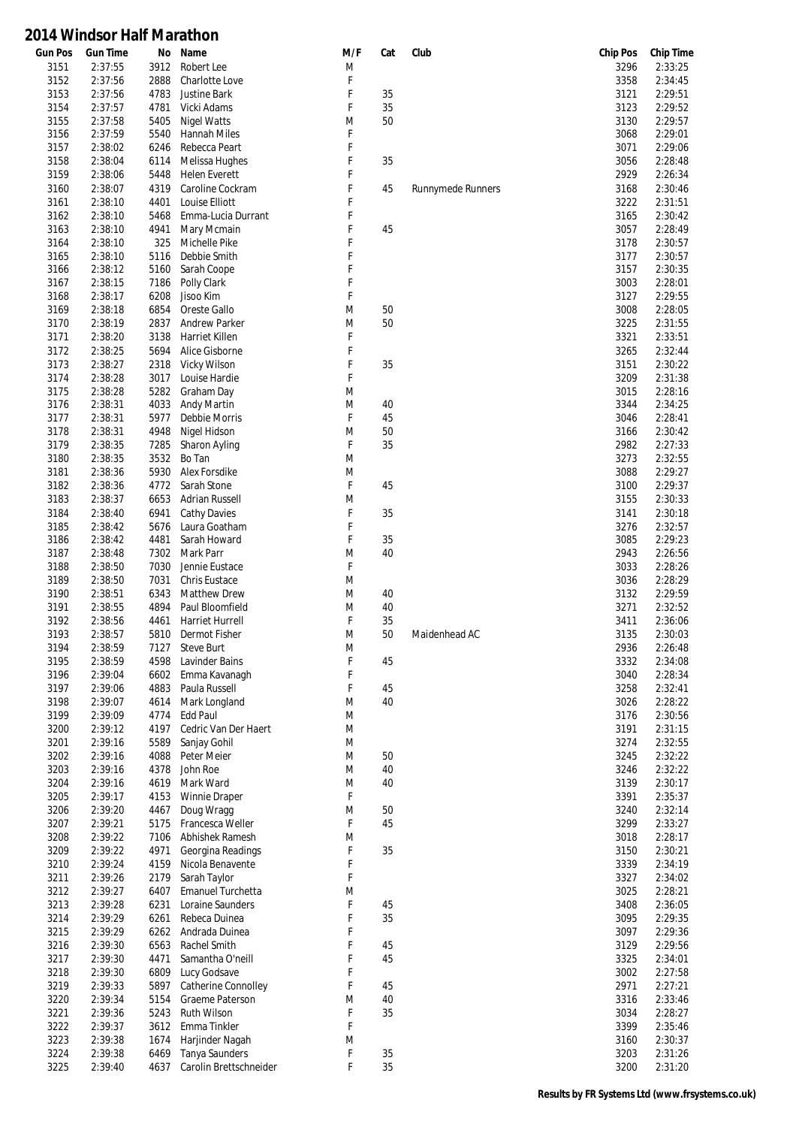| <b>Gun Pos</b> | <b>Gun Time</b>    | No           | Name                           | M/F    | Cat | Club                     | <b>Chip Pos</b> | <b>Chip Time</b>   |
|----------------|--------------------|--------------|--------------------------------|--------|-----|--------------------------|-----------------|--------------------|
| 3151           | 2:37:55            | 3912         | Robert Lee                     | M      |     |                          | 3296            | 2:33:25            |
| 3152           | 2:37:56            | 2888         | Charlotte Love                 | F      |     |                          | 3358            | 2:34:45            |
| 3153           | 2:37:56            | 4783         | Justine Bark                   | F      | 35  |                          | 3121            | 2:29:51            |
| 3154           | 2:37:57            | 4781         | Vicki Adams                    | F      | 35  |                          | 3123            | 2:29:52            |
| 3155           | 2:37:58            | 5405         | <b>Nigel Watts</b>             | M      | 50  |                          | 3130            | 2:29:57            |
| 3156           | 2:37:59            | 5540         | Hannah Miles                   | F      |     |                          | 3068            | 2:29:01            |
| 3157           | 2:38:02            | 6246         | Rebecca Peart                  | F      |     |                          | 3071            | 2:29:06            |
| 3158           | 2:38:04            | 6114         | Melissa Hughes                 | F      | 35  |                          | 3056            | 2:28:48            |
| 3159           | 2:38:06            | 5448         | <b>Helen Everett</b>           | F      |     |                          | 2929            | 2:26:34            |
| 3160           | 2:38:07            | 4319         | Caroline Cockram               | F      | 45  | <b>Runnymede Runners</b> | 3168            | 2:30:46            |
| 3161           | 2:38:10            | 4401         | Louise Elliott                 | F      |     |                          | 3222            | 2:31:51            |
| 3162           | 2:38:10            | 5468         | Emma-Lucia Durrant             | F      |     |                          | 3165            | 2:30:42            |
| 3163           | 2:38:10            | 4941         | Mary Mcmain                    | F      | 45  |                          | 3057            | 2:28:49            |
| 3164           | 2:38:10            | 325          | Michelle Pike                  | F<br>F |     |                          | 3178            | 2:30:57            |
| 3165<br>3166   | 2:38:10<br>2:38:12 | 5116<br>5160 | Debbie Smith<br>Sarah Coope    | F      |     |                          | 3177<br>3157    | 2:30:57<br>2:30:35 |
| 3167           | 2:38:15            | 7186         | Polly Clark                    | F      |     |                          | 3003            | 2:28:01            |
| 3168           | 2:38:17            | 6208         | Jisoo Kim                      | F      |     |                          | 3127            | 2:29:55            |
| 3169           | 2:38:18            | 6854         | Oreste Gallo                   | M      | 50  |                          | 3008            | 2:28:05            |
| 3170           | 2:38:19            | 2837         | <b>Andrew Parker</b>           | M      | 50  |                          | 3225            | 2:31:55            |
| 3171           | 2:38:20            | 3138         | Harriet Killen                 | F      |     |                          | 3321            | 2:33:51            |
| 3172           | 2:38:25            | 5694         | Alice Gisborne                 | F      |     |                          | 3265            | 2:32:44            |
| 3173           | 2:38:27            | 2318         | Vicky Wilson                   | F      | 35  |                          | 3151            | 2:30:22            |
| 3174           | 2:38:28            | 3017         | Louise Hardie                  | F      |     |                          | 3209            | 2:31:38            |
| 3175           | 2:38:28            | 5282         | Graham Day                     | M      |     |                          | 3015            | 2:28:16            |
| 3176           | 2:38:31            | 4033         | Andy Martin                    | M      | 40  |                          | 3344            | 2:34:25            |
| 3177           | 2:38:31            | 5977         | Debbie Morris                  | F      | 45  |                          | 3046            | 2:28:41            |
| 3178           | 2:38:31            | 4948         | Nigel Hidson                   | M      | 50  |                          | 3166            | 2:30:42            |
| 3179           | 2:38:35            | 7285         | Sharon Ayling                  | F      | 35  |                          | 2982            | 2:27:33            |
| 3180           | 2:38:35            | 3532         | Bo Tan                         | M      |     |                          | 3273            | 2:32:55            |
| 3181           | 2:38:36            | 5930         | Alex Forsdike                  | M      |     |                          | 3088            | 2:29:27            |
| 3182           | 2:38:36            | 4772         | Sarah Stone                    | F      | 45  |                          | 3100            | 2:29:37            |
| 3183           | 2:38:37            | 6653         | <b>Adrian Russell</b>          | M      |     |                          | 3155            | 2:30:33            |
| 3184           | 2:38:40            | 6941         | <b>Cathy Davies</b>            | F      | 35  |                          | 3141            | 2:30:18            |
| 3185           | 2:38:42            | 5676         | Laura Goatham                  | F      |     |                          | 3276            | 2:32:57            |
| 3186           | 2:38:42            | 4481         | Sarah Howard                   | F      | 35  |                          | 3085            | 2:29:23            |
| 3187           | 2:38:48            | 7302         | Mark Parr                      | M      | 40  |                          | 2943            | 2:26:56            |
| 3188           | 2:38:50            | 7030         | Jennie Eustace                 | F      |     |                          | 3033            | 2:28:26            |
| 3189           | 2:38:50            | 7031         | Chris Eustace                  | M      |     |                          | 3036            | 2:28:29            |
| 3190           | 2:38:51            | 6343         | <b>Matthew Drew</b>            | M      | 40  |                          | 3132            | 2:29:59            |
| 3191           | 2:38:55            | 4894         | Paul Bloomfield                | M      | 40  |                          | 3271            | 2:32:52            |
| 3192           | 2:38:56            | 4461         | Harriet Hurrell                | F      | 35  |                          | 3411            | 2:36:06            |
| 3193           | 2:38:57            | 5810         | Dermot Fisher                  | M      | 50  | Maidenhead AC            | 3135            | 2:30:03            |
| 3194           | 2:38:59            | 7127         | <b>Steve Burt</b>              | M      |     |                          | 2936            | 2:26:48            |
| 3195           | 2:38:59            | 4598         | Lavinder Bains                 | F      | 45  |                          | 3332            | 2:34:08            |
| 3196<br>3197   | 2:39:04<br>2:39:06 | 6602<br>4883 | Emma Kavanagh                  | F<br>F | 45  |                          | 3040<br>3258    | 2:28:34<br>2:32:41 |
| 3198           | 2:39:07            | 4614         | Paula Russell<br>Mark Longland | M      | 40  |                          | 3026            | 2:28:22            |
| 3199           | 2:39:09            | 4774         | <b>Edd Paul</b>                | M      |     |                          | 3176            | 2:30:56            |
| 3200           | 2:39:12            | 4197         | Cedric Van Der Haert           | M      |     |                          | 3191            | 2:31:15            |
| 3201           | 2:39:16            | 5589         | Sanjay Gohil                   | M      |     |                          | 3274            | 2:32:55            |
| 3202           | 2:39:16            | 4088         | Peter Meier                    | M      | 50  |                          | 3245            | 2:32:22            |
| 3203           | 2:39:16            | 4378         | John Roe                       | M      | 40  |                          | 3246            | 2:32:22            |
| 3204           | 2:39:16            | 4619         | Mark Ward                      | M      | 40  |                          | 3139            | 2:30:17            |
| 3205           | 2:39:17            | 4153         | Winnie Draper                  | F      |     |                          | 3391            | 2:35:37            |
| 3206           | 2:39:20            | 4467         | Doug Wragg                     | M      | 50  |                          | 3240            | 2:32:14            |
| 3207           | 2:39:21            | 5175         | Francesca Weller               | F      | 45  |                          | 3299            | 2:33:27            |
| 3208           | 2:39:22            | 7106         | Abhishek Ramesh                | M      |     |                          | 3018            | 2:28:17            |
| 3209           | 2:39:22            | 4971         | Georgina Readings              | F      | 35  |                          | 3150            | 2:30:21            |
| 3210           | 2:39:24            | 4159         | Nicola Benavente               | F      |     |                          | 3339            | 2:34:19            |
| 3211           | 2:39:26            | 2179         | Sarah Taylor                   | F      |     |                          | 3327            | 2:34:02            |
| 3212           | 2:39:27            | 6407         | Emanuel Turchetta              | M      |     |                          | 3025            | 2:28:21            |
| 3213           | 2:39:28            | 6231         | Loraine Saunders               | F      | 45  |                          | 3408            | 2:36:05            |
| 3214           | 2:39:29            | 6261         | Rebeca Duinea                  | F      | 35  |                          | 3095            | 2:29:35            |
| 3215           | 2:39:29            | 6262         | Andrada Duinea                 | F      |     |                          | 3097            | 2:29:36            |
| 3216           | 2:39:30            | 6563         | Rachel Smith                   | F      | 45  |                          | 3129            | 2:29:56            |
| 3217           | 2:39:30            | 4471         | Samantha O'neill               | F      | 45  |                          | 3325            | 2:34:01            |
| 3218           | 2:39:30            | 6809         | Lucy Godsave                   | F      |     |                          | 3002            | 2:27:58            |
| 3219           | 2:39:33            | 5897         | <b>Catherine Connolley</b>     | F      | 45  |                          | 2971            | 2:27:21            |
| 3220           | 2:39:34            | 5154         | Graeme Paterson                | M      | 40  |                          | 3316            | 2:33:46            |
| 3221           | 2:39:36            | 5243         | Ruth Wilson                    | F      | 35  |                          | 3034            | 2:28:27            |
| 3222           | 2:39:37            | 3612         | Emma Tinkler                   | F      |     |                          | 3399            | 2:35:46            |
| 3223           | 2:39:38            | 1674         | Harjinder Nagah                | M      |     |                          | 3160            | 2:30:37            |
| 3224           | 2:39:38            | 6469         | <b>Tanya Saunders</b>          | F      | 35  |                          | 3203            | 2:31:26            |
| 3225           | 2:39:40            | 4637         | Carolin Brettschneider         | F      | 35  |                          | 3200            | 2:31:20            |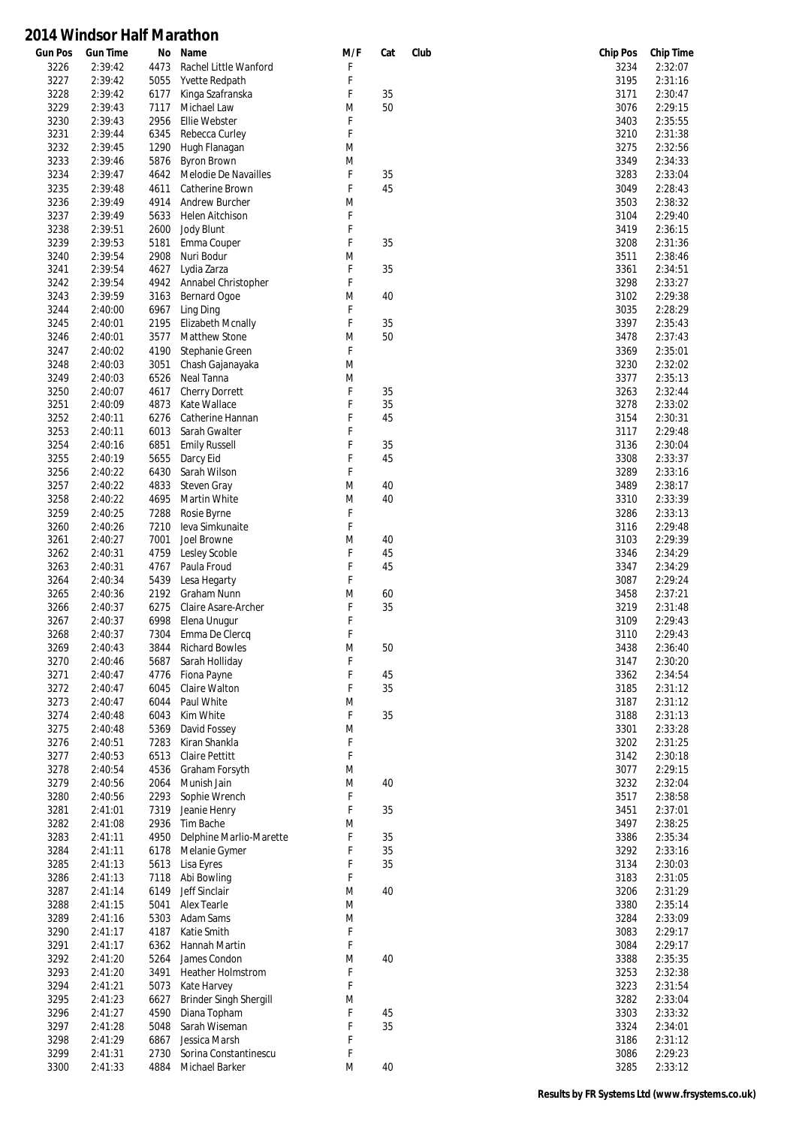| <b>Gun Pos</b> | <b>Gun Time</b> | No   | Name                     | M/F | Cat | Club | <b>Chip Pos</b> | <b>Chip Time</b> |
|----------------|-----------------|------|--------------------------|-----|-----|------|-----------------|------------------|
| 3226           | 2:39:42         | 4473 | Rachel Little Wanford    | F   |     |      | 3234            | 2:32:07          |
| 3227           | 2:39:42         | 5055 | Yvette Redpath           | F   |     |      | 3195            | 2:31:16          |
| 3228           | 2:39:42         | 6177 | Kinga Szafranska         | F   | 35  |      | 3171            | 2:30:47          |
| 3229           | 2:39:43         | 7117 | Michael Law              | M   | 50  |      | 3076            | 2:29:15          |
| 3230           | 2:39:43         | 2956 | <b>Ellie Webster</b>     | F   |     |      | 3403            | 2:35:55          |
| 3231           | 2:39:44         | 6345 | Rebecca Curley           | F   |     |      | 3210            | 2:31:38          |
| 3232           | 2:39:45         | 1290 | Hugh Flanagan            | M   |     |      | 3275            | 2:32:56          |
| 3233           | 2:39:46         | 5876 | <b>Byron Brown</b>       | M   |     |      | 3349            | 2:34:33          |
| 3234           | 2:39:47         | 4642 | Melodie De Navailles     | F   | 35  |      | 3283            | 2:33:04          |
| 3235           | 2:39:48         | 4611 | Catherine Brown          | F   | 45  |      | 3049            | 2:28:43          |
| 3236           | 2:39:49         | 4914 | <b>Andrew Burcher</b>    | M   |     |      | 3503            | 2:38:32          |
| 3237           | 2:39:49         | 5633 | Helen Aitchison          | F   |     |      | 3104            | 2:29:40          |
| 3238           | 2:39:51         | 2600 | Jody Blunt               | F   |     |      | 3419            | 2:36:15          |
| 3239           | 2:39:53         | 5181 | Emma Couper              | F   | 35  |      | 3208            | 2:31:36          |
| 3240           | 2:39:54         | 2908 | Nuri Bodur               | M   |     |      | 3511            | 2:38:46          |
| 3241           | 2:39:54         | 4627 | Lydia Zarza              | F   | 35  |      | 3361            | 2:34:51          |
| 3242           | 2:39:54         | 4942 | Annabel Christopher      | F   |     |      | 3298            | 2:33:27          |
| 3243           | 2:39:59         | 3163 | Bernard Ogoe             | M   | 40  |      | 3102            | 2:29:38          |
|                |                 |      |                          |     |     |      |                 | 2:28:29          |
| 3244           | 2:40:00         | 6967 | Ling Ding                | F   |     |      | 3035            |                  |
| 3245           | 2:40:01         | 2195 | <b>Elizabeth Mcnally</b> | F   | 35  |      | 3397            | 2:35:43          |
| 3246           | 2:40:01         | 3577 | Matthew Stone            | M   | 50  |      | 3478            | 2:37:43          |
| 3247           | 2:40:02         | 4190 | Stephanie Green          | F   |     |      | 3369            | 2:35:01          |
| 3248           | 2:40:03         | 3051 | Chash Gajanayaka         | M   |     |      | 3230            | 2:32:02          |
| 3249           | 2:40:03         | 6526 | Neal Tanna               | M   |     |      | 3377            | 2:35:13          |
| 3250           | 2:40:07         | 4617 | <b>Cherry Dorrett</b>    | F   | 35  |      | 3263            | 2:32:44          |
| 3251           | 2:40:09         | 4873 | Kate Wallace             | F   | 35  |      | 3278            | 2:33:02          |
| 3252           | 2:40:11         | 6276 | Catherine Hannan         | F   | 45  |      | 3154            | 2:30:31          |
| 3253           | 2:40:11         | 6013 | Sarah Gwalter            | F   |     |      | 3117            | 2:29:48          |
| 3254           | 2:40:16         | 6851 | <b>Emily Russell</b>     | F   | 35  |      | 3136            | 2:30:04          |
| 3255           | 2:40:19         | 5655 | Darcy Eid                | F   | 45  |      | 3308            | 2:33:37          |
| 3256           | 2:40:22         | 6430 | Sarah Wilson             | F   |     |      | 3289            | 2:33:16          |
| 3257           | 2:40:22         | 4833 | <b>Steven Gray</b>       | M   | 40  |      | 3489            | 2:38:17          |
| 3258           | 2:40:22         | 4695 | Martin White             | M   | 40  |      | 3310            | 2:33:39          |
| 3259           | 2:40:25         | 7288 | Rosie Byrne              | F   |     |      | 3286            | 2:33:13          |
| 3260           | 2:40:26         | 7210 | leva Simkunaite          | F   |     |      | 3116            | 2:29:48          |
| 3261           | 2:40:27         | 7001 | Joel Browne              | M   | 40  |      | 3103            | 2:29:39          |
| 3262           | 2:40:31         | 4759 | Lesley Scoble            | F   | 45  |      | 3346            | 2:34:29          |
| 3263           | 2:40:31         | 4767 | Paula Froud              | F   | 45  |      | 3347            | 2:34:29          |
| 3264           | 2:40:34         | 5439 | Lesa Hegarty             | F   |     |      | 3087            | 2:29:24          |
| 3265           | 2:40:36         | 2192 | Graham Nunn              | M   | 60  |      | 3458            | 2:37:21          |
| 3266           | 2:40:37         | 6275 | Claire Asare-Archer      | F   | 35  |      | 3219            | 2:31:48          |
| 3267           | 2:40:37         | 6998 | Elena Unugur             | F   |     |      | 3109            | 2:29:43          |
| 3268           | 2:40:37         | 7304 | Emma De Clercq           | F   |     |      | 3110            | 2:29:43          |
| 3269           | 2:40:43         | 3844 | <b>Richard Bowles</b>    |     | 50  |      |                 | 2:36:40          |
|                |                 |      |                          | M   |     |      | 3438            |                  |
| 3270           | 2:40:46         | 5687 | Sarah Holliday           | F   |     |      | 3147            | 2:30:20          |
| 3271           | 2:40:47         | 4776 | Fiona Payne              | F   | 45  |      | 3362            | 2:34:54          |
| 3272           | 2:40:47         | 6045 | Claire Walton            | F   | 35  |      | 3185            | 2:31:12          |
| 3273           | 2:40:47         | 6044 | Paul White               | M   |     |      | 3187            | 2:31:12          |
| 3274           | 2:40:48         | 6043 | Kim White                | F   | 35  |      | 3188            | 2:31:13          |
| 3275           | 2:40:48         | 5369 | David Fossey             | M   |     |      | 3301            | 2:33:28          |
| 3276           | 2:40:51         | 7283 | Kiran Shankla            | F   |     |      | 3202            | 2:31:25          |
| 3277           | 2:40:53         | 6513 | Claire Pettitt           | F   |     |      | 3142            | 2:30:18          |
| 3278           | 2:40:54         | 4536 | Graham Forsyth           | M   |     |      | 3077            | 2:29:15          |
| 3279           | 2:40:56         | 2064 | Munish Jain              | M   | 40  |      | 3232            | 2:32:04          |
| 3280           | 2:40:56         | 2293 | Sophie Wrench            | F   |     |      | 3517            | 2:38:58          |
| 3281           | 2:41:01         | 7319 | Jeanie Henry             | F   | 35  |      | 3451            | 2:37:01          |
| 3282           | 2:41:08         | 2936 | Tim Bache                | M   |     |      | 3497            | 2:38:25          |
| 3283           | 2:41:11         | 4950 | Delphine Marlio-Marette  | F   | 35  |      | 3386            | 2:35:34          |
| 3284           | 2:41:11         | 6178 | Melanie Gymer            | F   | 35  |      | 3292            | 2:33:16          |
| 3285           | 2:41:13         | 5613 | Lisa Eyres               | F   | 35  |      | 3134            | 2:30:03          |
| 3286           | 2:41:13         | 7118 | Abi Bowling              | F   |     |      | 3183            | 2:31:05          |
| 3287           | 2:41:14         | 6149 | Jeff Sinclair            | M   | 40  |      | 3206            | 2:31:29          |
| 3288           | 2:41:15         | 5041 | <b>Alex Tearle</b>       | M   |     |      | 3380            | 2:35:14          |
| 3289           | 2:41:16         | 5303 | Adam Sams                | M   |     |      | 3284            | 2:33:09          |
| 3290           | 2:41:17         | 4187 | Katie Smith              | F   |     |      | 3083            | 2:29:17          |
| 3291           | 2:41:17         | 6362 | Hannah Martin            | F   |     |      | 3084            | 2:29:17          |
| 3292           | 2:41:20         | 5264 | James Condon             | M   | 40  |      | 3388            | 2:35:35          |
|                | 2:41:20         | 3491 |                          | F   |     |      | 3253            | 2:32:38          |
| 3293           |                 |      | <b>Heather Holmstrom</b> |     |     |      |                 |                  |
| 3294           | 2:41:21         | 5073 | Kate Harvey              | F   |     |      | 3223            | 2:31:54          |
| 3295           | 2:41:23         | 6627 | Brinder Singh Shergill   | M   |     |      | 3282            | 2:33:04          |
| 3296           | 2:41:27         | 4590 | Diana Topham             | F   | 45  |      | 3303            | 2:33:32          |
| 3297           | 2:41:28         | 5048 | Sarah Wiseman            | F   | 35  |      | 3324            | 2:34:01          |
| 3298           | 2:41:29         | 6867 | Jessica Marsh            | F   |     |      | 3186            | 2:31:12          |
| 3299           | 2:41:31         | 2730 | Sorina Constantinescu    | F   |     |      | 3086            | 2:29:23          |
| 3300           | 2:41:33         | 4884 | Michael Barker           | M   | 40  |      | 3285            | 2:33:12          |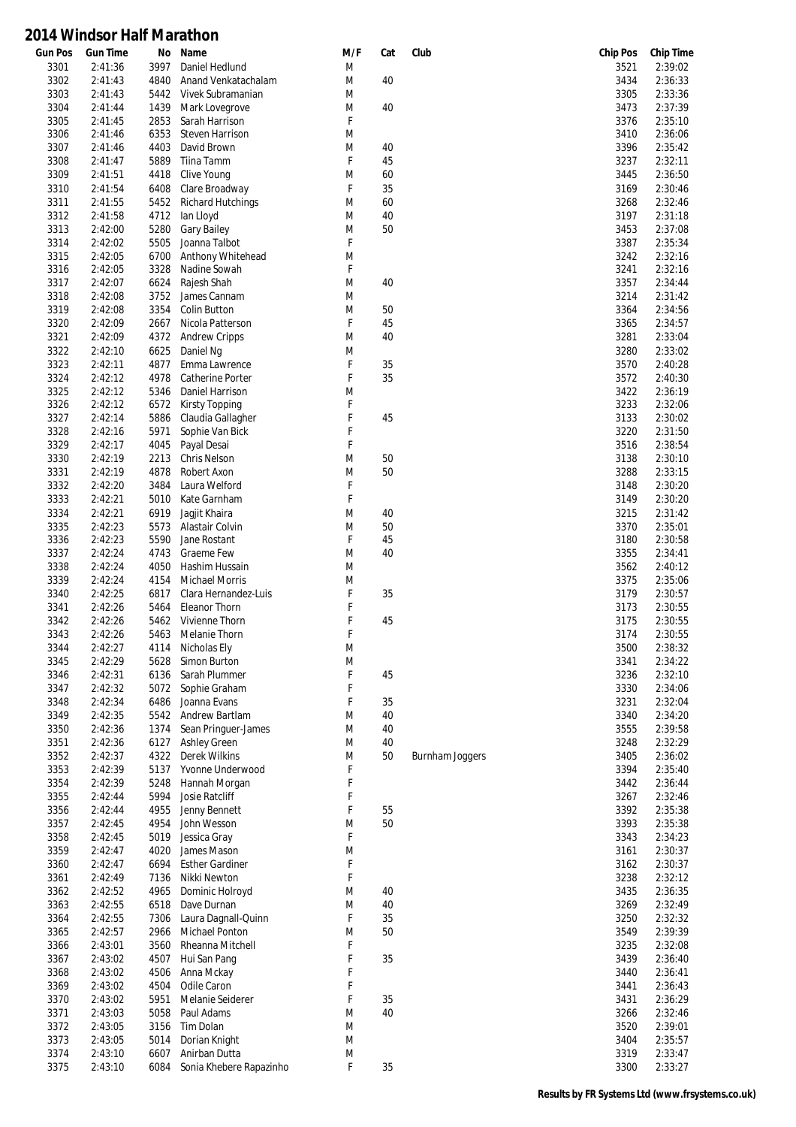| <b>Gun Pos</b> | <b>Gun Time</b>    | No           | Name                                  | M/F    | Cat      | Club                   | <b>Chip Pos</b> | <b>Chip Time</b>   |
|----------------|--------------------|--------------|---------------------------------------|--------|----------|------------------------|-----------------|--------------------|
| 3301           | 2:41:36            | 3997         | Daniel Hedlund                        | M      |          |                        | 3521            | 2:39:02            |
| 3302           | 2:41:43            | 4840         | Anand Venkatachalam                   | M      | 40       |                        | 3434            | 2:36:33            |
| 3303           | 2:41:43            | 5442         | Vivek Subramanian                     | M      |          |                        | 3305            | 2:33:36            |
| 3304           | 2:41:44            | 1439         | Mark Lovegrove                        | M      | 40       |                        | 3473            | 2:37:39            |
| 3305           | 2:41:45            | 2853         | Sarah Harrison                        | F      |          |                        | 3376            | 2:35:10            |
| 3306           | 2:41:46            | 6353         | <b>Steven Harrison</b>                | M      |          |                        | 3410            | 2:36:06            |
| 3307           | 2:41:46            | 4403         | David Brown                           | M<br>F | 40       |                        | 3396            | 2:35:42            |
| 3308           | 2:41:47            | 5889         | Tiina Tamm                            |        | 45       |                        | 3237            | 2:32:11            |
| 3309           | 2:41:51            | 4418         | Clive Young<br>Clare Broadway         | M      | 60       |                        | 3445            | 2:36:50<br>2:30:46 |
| 3310           | 2:41:54            | 6408         |                                       | F      | 35       |                        | 3169            |                    |
| 3311<br>3312   | 2:41:55<br>2:41:58 | 5452<br>4712 | <b>Richard Hutchings</b><br>lan Lloyd | M<br>M | 60<br>40 |                        | 3268<br>3197    | 2:32:46<br>2:31:18 |
| 3313           | 2:42:00            | 5280         | <b>Gary Bailey</b>                    | M      | 50       |                        | 3453            | 2:37:08            |
| 3314           | 2:42:02            | 5505         | Joanna Talbot                         | F      |          |                        | 3387            | 2:35:34            |
| 3315           | 2:42:05            | 6700         | Anthony Whitehead                     | M      |          |                        | 3242            | 2:32:16            |
| 3316           | 2:42:05            | 3328         | Nadine Sowah                          | F      |          |                        | 3241            | 2:32:16            |
| 3317           | 2:42:07            | 6624         | Rajesh Shah                           | M      | 40       |                        | 3357            | 2:34:44            |
| 3318           | 2:42:08            | 3752         | James Cannam                          | M      |          |                        | 3214            | 2:31:42            |
| 3319           | 2:42:08            | 3354         | Colin Button                          | M      | 50       |                        | 3364            | 2:34:56            |
| 3320           | 2:42:09            | 2667         | Nicola Patterson                      | F      | 45       |                        | 3365            | 2:34:57            |
| 3321           | 2:42:09            | 4372         | <b>Andrew Cripps</b>                  | M      | 40       |                        | 3281            | 2:33:04            |
| 3322           | 2:42:10            | 6625         | Daniel Ng                             | M      |          |                        | 3280            | 2:33:02            |
| 3323           | 2:42:11            | 4877         | Emma Lawrence                         | F      | 35       |                        | 3570            | 2:40:28            |
| 3324           | 2:42:12            | 4978         | <b>Catherine Porter</b>               | F      | 35       |                        | 3572            | 2:40:30            |
| 3325           | 2:42:12            | 5346         | Daniel Harrison                       | M      |          |                        | 3422            | 2:36:19            |
| 3326           | 2:42:12            | 6572         | <b>Kirsty Topping</b>                 | F      |          |                        | 3233            | 2:32:06            |
| 3327           | 2:42:14            | 5886         | Claudia Gallagher                     | F      | 45       |                        | 3133            | 2:30:02            |
| 3328           | 2:42:16            | 5971         | Sophie Van Bick                       | F      |          |                        | 3220            | 2:31:50            |
| 3329           | 2:42:17            | 4045         | Payal Desai                           | F      |          |                        | 3516            | 2:38:54            |
| 3330           | 2:42:19            | 2213         | <b>Chris Nelson</b>                   | M      | 50       |                        | 3138            | 2:30:10            |
| 3331           | 2:42:19            | 4878         | Robert Axon                           | M      | 50       |                        | 3288            | 2:33:15            |
| 3332           | 2:42:20            | 3484         | Laura Welford                         | F      |          |                        | 3148            | 2:30:20            |
| 3333           | 2:42:21            | 5010         | Kate Garnham                          | F      |          |                        | 3149            | 2:30:20            |
| 3334           | 2:42:21            | 6919         | Jagjit Khaira                         | M      | 40       |                        | 3215            | 2:31:42            |
| 3335           | 2:42:23            | 5573         | Alastair Colvin                       | M      | 50       |                        | 3370            | 2:35:01            |
| 3336           | 2:42:23            | 5590         | Jane Rostant                          | F      | 45       |                        | 3180            | 2:30:58            |
| 3337           | 2:42:24            | 4743         | Graeme Few                            | M      | 40       |                        | 3355            | 2:34:41            |
| 3338           | 2:42:24            | 4050         | Hashim Hussain                        | M      |          |                        | 3562            | 2:40:12            |
| 3339           | 2:42:24            | 4154         | <b>Michael Morris</b>                 | M      |          |                        | 3375            | 2:35:06            |
| 3340           | 2:42:25            | 6817         | Clara Hernandez-Luis                  | F      | 35       |                        | 3179            | 2:30:57            |
| 3341           | 2:42:26            | 5464         | <b>Eleanor Thorn</b>                  | F      |          |                        | 3173            | 2:30:55            |
| 3342           | 2:42:26            | 5462         | Vivienne Thorn                        | F      | 45       |                        | 3175            | 2:30:55            |
| 3343           | 2:42:26            | 5463         | Melanie Thorn                         | F      |          |                        | 3174            | 2:30:55            |
| 3344           | 2:42:27            | 4114         | Nicholas Ely                          | M      |          |                        | 3500            | 2:38:32            |
| 3345           | 2:42:29            | 5628         | Simon Burton                          | M      |          |                        | 3341            | 2:34:22            |
| 3346           | 2:42:31            | 6136         | Sarah Plummer                         | F      | 45       |                        | 3236            | 2:32:10            |
| 3347           | 2:42:32            | 5072         | Sophie Graham                         | F      |          |                        | 3330            | 2:34:06            |
| 3348           | 2:42:34            | 6486         | Joanna Evans<br>Andrew Bartlam        | F      | 35<br>40 |                        | 3231            | 2:32:04            |
| 3349           | 2:42:35            | 5542         | Sean Pringuer-James                   | M      |          |                        | 3340            | 2:34:20            |
| 3350<br>3351   | 2:42:36<br>2:42:36 | 1374<br>6127 |                                       | M<br>M | 40<br>40 |                        | 3555<br>3248    | 2:39:58<br>2:32:29 |
| 3352           | 2:42:37            | 4322         | <b>Ashley Green</b><br>Derek Wilkins  | M      | 50       | <b>Burnham Joggers</b> | 3405            | 2:36:02            |
| 3353           | 2:42:39            | 5137         | Yvonne Underwood                      | F      |          |                        | 3394            | 2:35:40            |
| 3354           | 2:42:39            | 5248         | Hannah Morgan                         | F      |          |                        | 3442            | 2:36:44            |
| 3355           | 2:42:44            | 5994         | Josie Ratcliff                        | F      |          |                        | 3267            | 2:32:46            |
| 3356           | 2:42:44            | 4955         | Jenny Bennett                         | F      | 55       |                        | 3392            | 2:35:38            |
| 3357           | 2:42:45            | 4954         | John Wesson                           | M      | 50       |                        | 3393            | 2:35:38            |
| 3358           | 2:42:45            | 5019         | Jessica Gray                          | F      |          |                        | 3343            | 2:34:23            |
| 3359           | 2:42:47            | 4020         | James Mason                           | M      |          |                        | 3161            | 2:30:37            |
| 3360           | 2:42:47            | 6694         | <b>Esther Gardiner</b>                | F      |          |                        | 3162            | 2:30:37            |
| 3361           | 2:42:49            | 7136         | Nikki Newton                          | F      |          |                        | 3238            | 2:32:12            |
| 3362           | 2:42:52            | 4965         | Dominic Holroyd                       | M      | 40       |                        | 3435            | 2:36:35            |
| 3363           | 2:42:55            | 6518         | Dave Durnan                           | M      | 40       |                        | 3269            | 2:32:49            |
| 3364           | 2:42:55            | 7306         | Laura Dagnall-Quinn                   | F      | 35       |                        | 3250            | 2:32:32            |
| 3365           | 2:42:57            | 2966         | Michael Ponton                        | M      | 50       |                        | 3549            | 2:39:39            |
| 3366           | 2:43:01            | 3560         | Rheanna Mitchell                      | F      |          |                        | 3235            | 2:32:08            |
| 3367           | 2:43:02            | 4507         | Hui San Pang                          | F      | 35       |                        | 3439            | 2:36:40            |
| 3368           | 2:43:02            | 4506         | Anna Mckay                            | F      |          |                        | 3440            | 2:36:41            |
| 3369           | 2:43:02            | 4504         | Odile Caron                           | F      |          |                        | 3441            | 2:36:43            |
| 3370           | 2:43:02            | 5951         | Melanie Seiderer                      | F      | 35       |                        | 3431            | 2:36:29            |
| 3371           | 2:43:03            | 5058         | Paul Adams                            | M      | 40       |                        | 3266            | 2:32:46            |
| 3372           | 2:43:05            | 3156         | Tim Dolan                             | M      |          |                        | 3520            | 2:39:01            |
| 3373           | 2:43:05            | 5014         | Dorian Knight                         | M      |          |                        | 3404            | 2:35:57            |
| 3374           | 2:43:10            | 6607         | Anirban Dutta                         | M      |          |                        | 3319            | 2:33:47            |
| 3375           | 2:43:10            | 6084         | Sonia Khebere Rapazinho               | F      | 35       |                        | 3300            | 2:33:27            |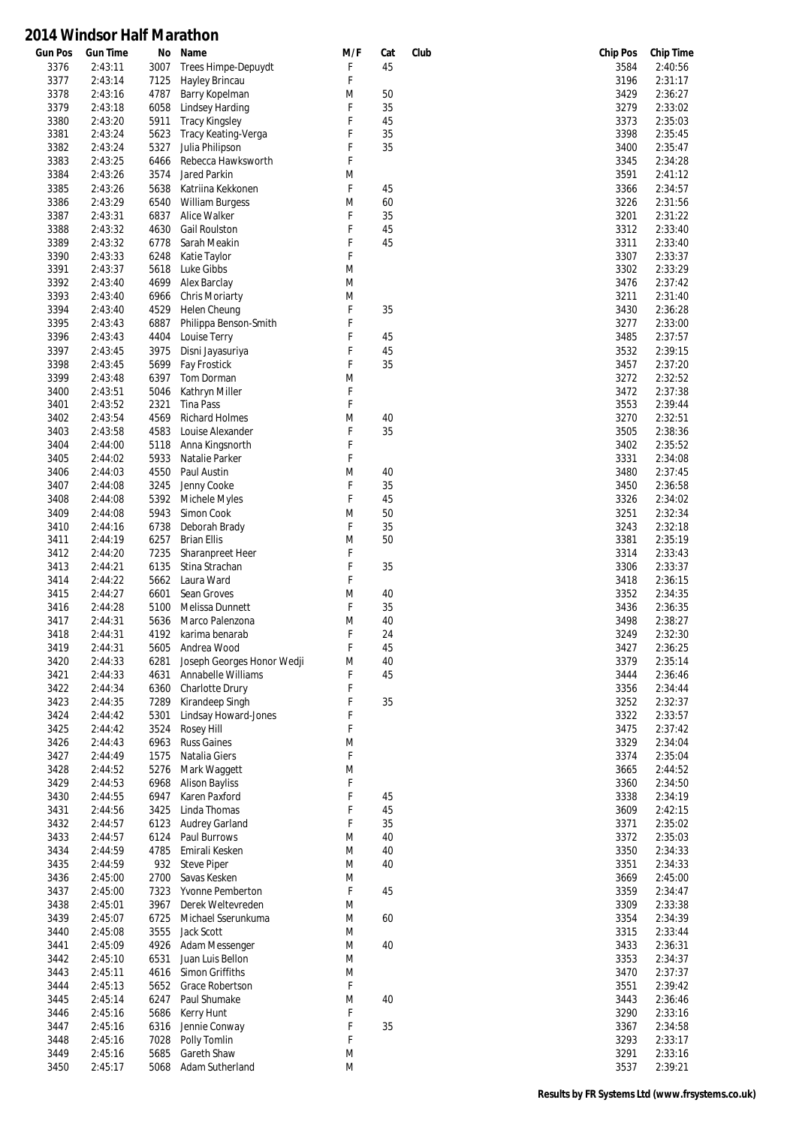| <b>Gun Pos</b> | <b>Gun Time</b> | No   | Name                       | M/F         | Cat | Club | <b>Chip Pos</b> | <b>Chip Time</b> |
|----------------|-----------------|------|----------------------------|-------------|-----|------|-----------------|------------------|
| 3376           | 2:43:11         | 3007 | Trees Himpe-Depuydt        | F           | 45  |      | 3584            | 2:40:56          |
| 3377           | 2:43:14         | 7125 | Hayley Brincau             | F           |     |      | 3196            | 2:31:17          |
| 3378           | 2:43:16         | 4787 | Barry Kopelman             | M           | 50  |      | 3429            | 2:36:27          |
| 3379           | 2:43:18         | 6058 | Lindsey Harding            | F           | 35  |      | 3279            | 2:33:02          |
| 3380           | 2:43:20         | 5911 | <b>Tracy Kingsley</b>      | F           | 45  |      | 3373            | 2:35:03          |
| 3381           | 2:43:24         | 5623 | Tracy Keating-Verga        | F           | 35  |      | 3398            | 2:35:45          |
| 3382           | 2:43:24         | 5327 | Julia Philipson            | F           | 35  |      | 3400            | 2:35:47          |
| 3383           | 2:43:25         | 6466 | Rebecca Hawksworth         | F           |     |      | 3345            | 2:34:28          |
| 3384           | 2:43:26         | 3574 | Jared Parkin               | M           |     |      | 3591            | 2:41:12          |
| 3385           | 2:43:26         | 5638 | Katriina Kekkonen          | F           | 45  |      | 3366            | 2:34:57          |
| 3386           | 2:43:29         | 6540 | <b>William Burgess</b>     | M           | 60  |      | 3226            | 2:31:56          |
| 3387           | 2:43:31         | 6837 | Alice Walker               | F           | 35  |      | 3201            | 2:31:22          |
| 3388           | 2:43:32         | 4630 | <b>Gail Roulston</b>       | F           | 45  |      | 3312            | 2:33:40          |
| 3389           | 2:43:32         | 6778 | Sarah Meakin               | F           | 45  |      | 3311            | 2:33:40          |
| 3390           | 2:43:33         | 6248 | Katie Taylor               | F           |     |      | 3307            | 2:33:37          |
| 3391           | 2:43:37         | 5618 | Luke Gibbs                 | M           |     |      | 3302            | 2:33:29          |
|                |                 |      |                            | M           |     |      |                 |                  |
| 3392           | 2:43:40         | 4699 | Alex Barclay               |             |     |      | 3476            | 2:37:42          |
| 3393           | 2:43:40         | 6966 | Chris Moriarty             | M           |     |      | 3211            | 2:31:40          |
| 3394           | 2:43:40         | 4529 | Helen Cheung               | $\mathsf F$ | 35  |      | 3430            | 2:36:28          |
| 3395           | 2:43:43         | 6887 | Philippa Benson-Smith      | F           |     |      | 3277            | 2:33:00          |
| 3396           | 2:43:43         | 4404 | Louise Terry               | F           | 45  |      | 3485            | 2:37:57          |
| 3397           | 2:43:45         | 3975 | Disni Jayasuriya           | F           | 45  |      | 3532            | 2:39:15          |
| 3398           | 2:43:45         | 5699 | Fay Frostick               | F           | 35  |      | 3457            | 2:37:20          |
| 3399           | 2:43:48         | 6397 | Tom Dorman                 | M           |     |      | 3272            | 2:32:52          |
| 3400           | 2:43:51         | 5046 | Kathryn Miller             | F           |     |      | 3472            | 2:37:38          |
| 3401           | 2:43:52         | 2321 | <b>Tina Pass</b>           | F           |     |      | 3553            | 2:39:44          |
| 3402           | 2:43:54         | 4569 | <b>Richard Holmes</b>      | M           | 40  |      | 3270            | 2:32:51          |
| 3403           | 2:43:58         | 4583 | Louise Alexander           | F           | 35  |      | 3505            | 2:38:36          |
| 3404           | 2:44:00         | 5118 | Anna Kingsnorth            | F           |     |      | 3402            | 2:35:52          |
| 3405           | 2:44:02         | 5933 | Natalie Parker             | F           |     |      | 3331            | 2:34:08          |
| 3406           | 2:44:03         | 4550 | Paul Austin                | M           | 40  |      | 3480            | 2:37:45          |
| 3407           | 2:44:08         | 3245 | Jenny Cooke                | F           | 35  |      | 3450            | 2:36:58          |
|                |                 |      |                            | F           | 45  |      |                 |                  |
| 3408           | 2:44:08         | 5392 | Michele Myles              |             |     |      | 3326            | 2:34:02          |
| 3409           | 2:44:08         | 5943 | Simon Cook                 | M           | 50  |      | 3251            | 2:32:34          |
| 3410           | 2:44:16         | 6738 | Deborah Brady              | F           | 35  |      | 3243            | 2:32:18          |
| 3411           | 2:44:19         | 6257 | <b>Brian Ellis</b>         | M           | 50  |      | 3381            | 2:35:19          |
| 3412           | 2:44:20         | 7235 | Sharanpreet Heer           | F           |     |      | 3314            | 2:33:43          |
| 3413           | 2:44:21         | 6135 | Stina Strachan             | F           | 35  |      | 3306            | 2:33:37          |
| 3414           | 2:44:22         | 5662 | Laura Ward                 | F           |     |      | 3418            | 2:36:15          |
| 3415           | 2:44:27         | 6601 | Sean Groves                | M           | 40  |      | 3352            | 2:34:35          |
| 3416           | 2:44:28         | 5100 | Melissa Dunnett            | F           | 35  |      | 3436            | 2:36:35          |
| 3417           | 2:44:31         | 5636 | Marco Palenzona            | M           | 40  |      | 3498            | 2:38:27          |
| 3418           | 2:44:31         | 4192 | karima benarab             | F           | 24  |      | 3249            | 2:32:30          |
| 3419           | 2:44:31         | 5605 | Andrea Wood                | F           | 45  |      | 3427            | 2:36:25          |
| 3420           | 2:44:33         | 6281 | Joseph Georges Honor Wedji | M           | 40  |      | 3379            | 2:35:14          |
| 3421           | 2:44:33         | 4631 | Annabelle Williams         | F           | 45  |      | 3444            | 2:36:46          |
| 3422           | 2:44:34         | 6360 | Charlotte Drury            | F           |     |      | 3356            | 2:34:44          |
| 3423           | 2:44:35         | 7289 | Kirandeep Singh            | F           | 35  |      | 3252            | 2:32:37          |
| 3424           | 2:44:42         | 5301 | Lindsay Howard-Jones       | F           |     |      | 3322            | 2:33:57          |
| 3425           | 2:44:42         | 3524 | Rosey Hill                 | F           |     |      | 3475            | 2:37:42          |
| 3426           | 2:44:43         | 6963 | <b>Russ Gaines</b>         | M           |     |      | 3329            | 2:34:04          |
| 3427           | 2:44:49         | 1575 | Natalia Giers              | F           |     |      | 3374            | 2:35:04          |
| 3428           | 2:44:52         | 5276 | Mark Waggett               | M           |     |      | 3665            | 2:44:52          |
| 3429           | 2:44:53         | 6968 | <b>Alison Bayliss</b>      | F           |     |      | 3360            | 2:34:50          |
| 3430           | 2:44:55         | 6947 | Karen Paxford              | F           | 45  |      | 3338            | 2:34:19          |
| 3431           | 2:44:56         | 3425 | Linda Thomas               | F           | 45  |      | 3609            | 2:42:15          |
|                |                 |      |                            | F           |     |      |                 |                  |
| 3432           | 2:44:57         | 6123 | <b>Audrey Garland</b>      |             | 35  |      | 3371            | 2:35:02          |
| 3433           | 2:44:57         | 6124 | Paul Burrows               | M           | 40  |      | 3372            | 2:35:03          |
| 3434           | 2:44:59         | 4785 | Emirali Kesken             | M           | 40  |      | 3350            | 2:34:33          |
| 3435           | 2:44:59         | 932  | <b>Steve Piper</b>         | M           | 40  |      | 3351            | 2:34:33          |
| 3436           | 2:45:00         | 2700 | Savas Kesken               | M           |     |      | 3669            | 2:45:00          |
| 3437           | 2:45:00         | 7323 | Yvonne Pemberton           | F           | 45  |      | 3359            | 2:34:47          |
| 3438           | 2:45:01         | 3967 | Derek Weltevreden          | M           |     |      | 3309            | 2:33:38          |
| 3439           | 2:45:07         | 6725 | Michael Sserunkuma         | M           | 60  |      | 3354            | 2:34:39          |
| 3440           | 2:45:08         | 3555 | Jack Scott                 | M           |     |      | 3315            | 2:33:44          |
| 3441           | 2:45:09         | 4926 | Adam Messenger             | M           | 40  |      | 3433            | 2:36:31          |
| 3442           | 2:45:10         | 6531 | Juan Luis Bellon           | M           |     |      | 3353            | 2:34:37          |
| 3443           | 2:45:11         | 4616 | Simon Griffiths            | M           |     |      | 3470            | 2:37:37          |
| 3444           | 2:45:13         | 5652 | Grace Robertson            | F           |     |      | 3551            | 2:39:42          |
| 3445           | 2:45:14         | 6247 | Paul Shumake               | M           | 40  |      | 3443            | 2:36:46          |
| 3446           | 2:45:16         | 5686 | Kerry Hunt                 | F           |     |      | 3290            | 2:33:16          |
| 3447           | 2:45:16         | 6316 | Jennie Conway              | F           | 35  |      | 3367            | 2:34:58          |
| 3448           | 2:45:16         | 7028 | Polly Tomlin               | F           |     |      | 3293            | 2:33:17          |
| 3449           | 2:45:16         | 5685 | Gareth Shaw                | M           |     |      | 3291            | 2:33:16          |
| 3450           | 2:45:17         | 5068 | Adam Sutherland            | M           |     |      | 3537            | 2:39:21          |
|                |                 |      |                            |             |     |      |                 |                  |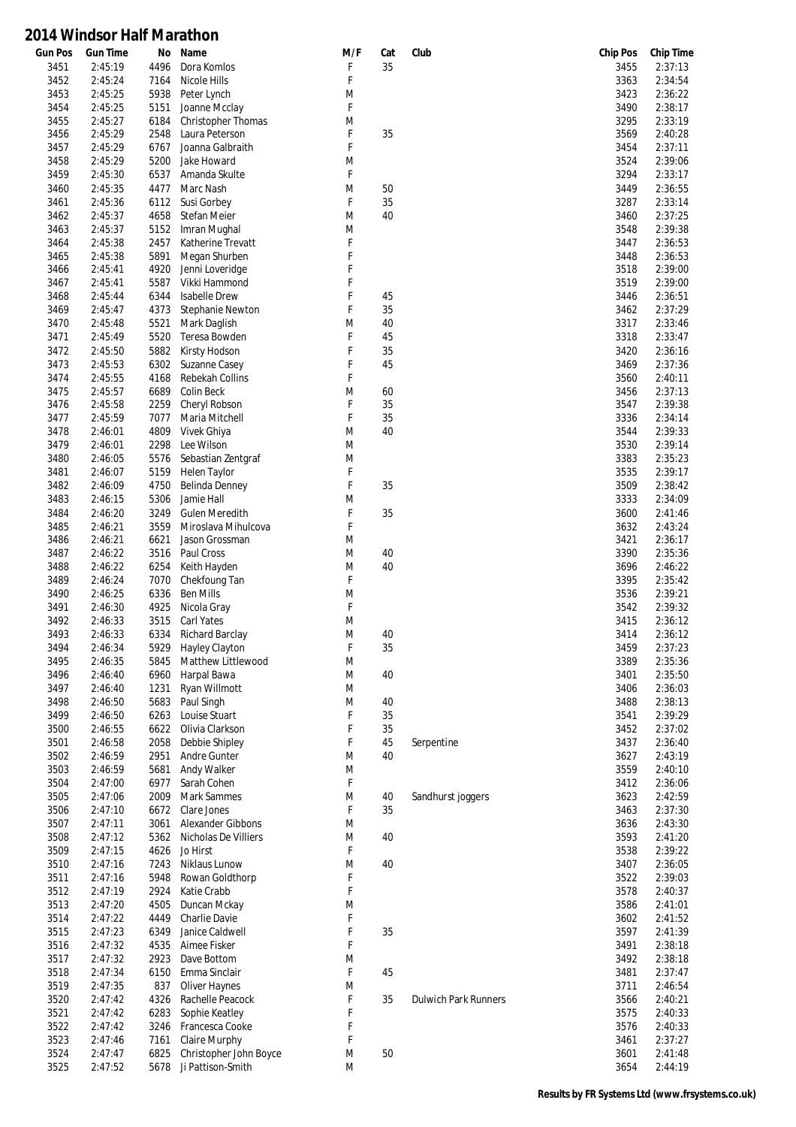| <b>Gun Pos</b> | <b>Gun Time</b> | Νo   | Name                    | M/F | Cat | Club                        | <b>Chip Pos</b> | <b>Chip Time</b> |
|----------------|-----------------|------|-------------------------|-----|-----|-----------------------------|-----------------|------------------|
| 3451           | 2:45:19         | 4496 | Dora Komlos             | F   | 35  |                             | 3455            | 2:37:13          |
| 3452           | 2:45:24         | 7164 | Nicole Hills            | F   |     |                             | 3363            | 2:34:54          |
| 3453           | 2:45:25         | 5938 | Peter Lynch             | M   |     |                             | 3423            | 2:36:22          |
| 3454           | 2:45:25         | 5151 | Joanne Mcclay           | F   |     |                             | 3490            | 2:38:17          |
| 3455           | 2:45:27         | 6184 | Christopher Thomas      | M   |     |                             | 3295            | 2:33:19          |
|                |                 |      |                         |     |     |                             |                 |                  |
| 3456           | 2:45:29         | 2548 | Laura Peterson          | F   | 35  |                             | 3569            | 2:40:28          |
| 3457           | 2:45:29         | 6767 | Joanna Galbraith        | F   |     |                             | 3454            | 2:37:11          |
| 3458           | 2:45:29         | 5200 | Jake Howard             | M   |     |                             | 3524            | 2:39:06          |
| 3459           | 2:45:30         | 6537 | Amanda Skulte           | F   |     |                             | 3294            | 2:33:17          |
| 3460           | 2:45:35         | 4477 | Marc Nash               | M   | 50  |                             | 3449            | 2:36:55          |
| 3461           | 2:45:36         | 6112 | Susi Gorbey             | F   | 35  |                             | 3287            | 2:33:14          |
| 3462           | 2:45:37         | 4658 | Stefan Meier            | M   | 40  |                             | 3460            | 2:37:25          |
|                |                 |      |                         |     |     |                             |                 |                  |
| 3463           | 2:45:37         | 5152 | Imran Mughal            | M   |     |                             | 3548            | 2:39:38          |
| 3464           | 2:45:38         | 2457 | Katherine Trevatt       | F   |     |                             | 3447            | 2:36:53          |
| 3465           | 2:45:38         | 5891 | Megan Shurben           | F   |     |                             | 3448            | 2:36:53          |
| 3466           | 2:45:41         | 4920 | Jenni Loveridge         | F   |     |                             | 3518            | 2:39:00          |
| 3467           | 2:45:41         | 5587 | Vikki Hammond           | F   |     |                             | 3519            | 2:39:00          |
| 3468           | 2:45:44         | 6344 | <b>Isabelle Drew</b>    | F   | 45  |                             | 3446            | 2:36:51          |
| 3469           | 2:45:47         | 4373 | Stephanie Newton        | F   | 35  |                             | 3462            | 2:37:29          |
|                |                 |      |                         |     | 40  |                             |                 |                  |
| 3470           | 2:45:48         | 5521 | Mark Daglish            | M   |     |                             | 3317            | 2:33:46          |
| 3471           | 2:45:49         | 5520 | Teresa Bowden           | F   | 45  |                             | 3318            | 2:33:47          |
| 3472           | 2:45:50         | 5882 | Kirsty Hodson           | F   | 35  |                             | 3420            | 2:36:16          |
| 3473           | 2:45:53         | 6302 | Suzanne Casey           | F   | 45  |                             | 3469            | 2:37:36          |
| 3474           | 2:45:55         | 4168 | Rebekah Collins         | F   |     |                             | 3560            | 2:40:11          |
| 3475           | 2:45:57         | 6689 | Colin Beck              | M   | 60  |                             | 3456            | 2:37:13          |
| 3476           | 2:45:58         | 2259 | Cheryl Robson           | F   | 35  |                             | 3547            | 2:39:38          |
| 3477           | 2:45:59         | 7077 | Maria Mitchell          | F   | 35  |                             | 3336            | 2:34:14          |
| 3478           | 2:46:01         | 4809 | Vivek Ghiya             | M   | 40  |                             | 3544            | 2:39:33          |
|                |                 |      |                         |     |     |                             |                 |                  |
| 3479           | 2:46:01         | 2298 | Lee Wilson              | M   |     |                             | 3530            | 2:39:14          |
| 3480           | 2:46:05         | 5576 | Sebastian Zentgraf      | M   |     |                             | 3383            | 2:35:23          |
| 3481           | 2:46:07         | 5159 | Helen Taylor            | F   |     |                             | 3535            | 2:39:17          |
| 3482           | 2:46:09         | 4750 | Belinda Denney          | F   | 35  |                             | 3509            | 2:38:42          |
| 3483           | 2:46:15         | 5306 | Jamie Hall              | M   |     |                             | 3333            | 2:34:09          |
| 3484           | 2:46:20         | 3249 | Gulen Meredith          | F   | 35  |                             | 3600            | 2:41:46          |
| 3485           | 2:46:21         | 3559 | Miroslava Mihulcova     | F   |     |                             | 3632            | 2:43:24          |
|                |                 |      |                         |     |     |                             |                 |                  |
| 3486           | 2:46:21         | 6621 | Jason Grossman          | M   |     |                             | 3421            | 2:36:17          |
| 3487           | 2:46:22         | 3516 | Paul Cross              | M   | 40  |                             | 3390            | 2:35:36          |
| 3488           | 2:46:22         | 6254 | Keith Hayden            | M   | 40  |                             | 3696            | 2:46:22          |
| 3489           | 2:46:24         | 7070 | Chekfoung Tan           | F   |     |                             | 3395            | 2:35:42          |
| 3490           | 2:46:25         | 6336 | <b>Ben Mills</b>        | M   |     |                             | 3536            | 2:39:21          |
| 3491           | 2:46:30         | 4925 | Nicola Gray             | F   |     |                             | 3542            | 2:39:32          |
| 3492           | 2:46:33         | 3515 | Carl Yates              | M   |     |                             | 3415            | 2:36:12          |
| 3493           | 2:46:33         | 6334 | Richard Barclay         | M   | 40  |                             | 3414            | 2:36:12          |
| 3494           | 2:46:34         | 5929 |                         | F   | 35  |                             |                 | 2:37:23          |
|                |                 |      | Hayley Clayton          |     |     |                             | 3459            |                  |
| 3495           | 2:46:35         |      | 5845 Matthew Littlewood | M   |     |                             | 3389            | 2:35:36          |
| 3496           | 2:46:40         | 6960 | Harpal Bawa             | M   | 40  |                             | 3401            | 2:35:50          |
| 3497           | 2:46:40         | 1231 | Ryan Willmott           | M   |     |                             | 3406            | 2:36:03          |
| 3498           | 2:46:50         | 5683 | Paul Singh              | M   | 40  |                             | 3488            | 2:38:13          |
| 3499           | 2:46:50         | 6263 | Louise Stuart           | F   | 35  |                             | 3541            | 2:39:29          |
| 3500           | 2:46:55         | 6622 | Olivia Clarkson         | F   | 35  |                             | 3452            | 2:37:02          |
| 3501           | 2:46:58         | 2058 | Debbie Shipley          | F   | 45  | Serpentine                  | 3437            | 2:36:40          |
|                |                 |      |                         |     |     |                             |                 |                  |
| 3502           | 2:46:59         | 2951 | Andre Gunter            | M   | 40  |                             | 3627            | 2:43:19          |
| 3503           | 2:46:59         | 5681 | Andy Walker             | M   |     |                             | 3559            | 2:40:10          |
| 3504           | 2:47:00         | 6977 | Sarah Cohen             | F   |     |                             | 3412            | 2:36:06          |
| 3505           | 2:47:06         | 2009 | <b>Mark Sammes</b>      | M   | 40  | Sandhurst joggers           | 3623            | 2:42:59          |
| 3506           | 2:47:10         | 6672 | Clare Jones             | F   | 35  |                             | 3463            | 2:37:30          |
| 3507           | 2:47:11         | 3061 | Alexander Gibbons       | M   |     |                             | 3636            | 2:43:30          |
| 3508           | 2:47:12         | 5362 | Nicholas De Villiers    | M   | 40  |                             | 3593            | 2:41:20          |
| 3509           | 2:47:15         | 4626 | Jo Hirst                | F   |     |                             | 3538            | 2:39:22          |
|                |                 |      |                         |     |     |                             |                 |                  |
| 3510           | 2:47:16         | 7243 | Niklaus Lunow           | M   | 40  |                             | 3407            | 2:36:05          |
| 3511           | 2:47:16         | 5948 | Rowan Goldthorp         | F   |     |                             | 3522            | 2:39:03          |
| 3512           | 2:47:19         | 2924 | Katie Crabb             | F   |     |                             | 3578            | 2:40:37          |
| 3513           | 2:47:20         | 4505 | Duncan Mckay            | M   |     |                             | 3586            | 2:41:01          |
| 3514           | 2:47:22         | 4449 | Charlie Davie           | F   |     |                             | 3602            | 2:41:52          |
| 3515           | 2:47:23         | 6349 | Janice Caldwell         | F   | 35  |                             | 3597            | 2:41:39          |
| 3516           | 2:47:32         | 4535 | Aimee Fisker            | F   |     |                             | 3491            | 2:38:18          |
| 3517           | 2:47:32         | 2923 | Dave Bottom             | M   |     |                             | 3492            | 2:38:18          |
|                |                 |      |                         |     |     |                             |                 |                  |
| 3518           | 2:47:34         | 6150 | Emma Sinclair           | F   | 45  |                             | 3481            | 2:37:47          |
| 3519           | 2:47:35         | 837  | Oliver Haynes           | M   |     |                             | 3711            | 2:46:54          |
| 3520           | 2:47:42         | 4326 | Rachelle Peacock        | F   | 35  | <b>Dulwich Park Runners</b> | 3566            | 2:40:21          |
| 3521           | 2:47:42         | 6283 | Sophie Keatley          | F   |     |                             | 3575            | 2:40:33          |
| 3522           | 2:47:42         | 3246 | Francesca Cooke         | F   |     |                             | 3576            | 2:40:33          |
| 3523           | 2:47:46         | 7161 | Claire Murphy           | F   |     |                             | 3461            | 2:37:27          |
| 3524           | 2:47:47         | 6825 | Christopher John Boyce  | M   | 50  |                             | 3601            | 2:41:48          |
| 3525           | 2:47:52         | 5678 | Ji Pattison-Smith       | M   |     |                             | 3654            | 2:44:19          |
|                |                 |      |                         |     |     |                             |                 |                  |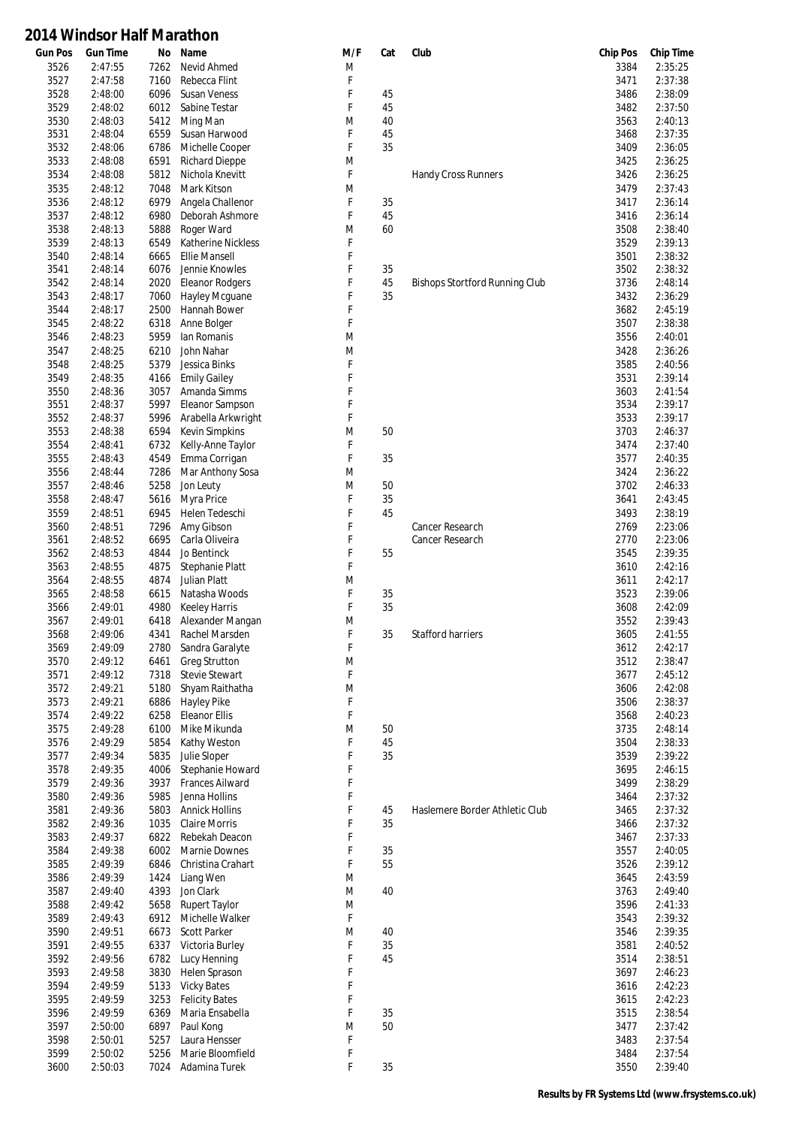| <b>Gun Pos</b> | <b>Gun Time</b>    | No           | Name                             | M/F    | Cat      | Club                           | <b>Chip Pos</b> | <b>Chip Time</b>   |
|----------------|--------------------|--------------|----------------------------------|--------|----------|--------------------------------|-----------------|--------------------|
| 3526           | 2:47:55            | 7262         | Nevid Ahmed                      | M      |          |                                | 3384            | 2:35:25            |
| 3527           | 2:47:58            | 7160         | Rebecca Flint                    | F      |          |                                | 3471            | 2:37:38            |
| 3528           | 2:48:00            | 6096         | <b>Susan Veness</b>              | F      | 45       |                                | 3486            | 2:38:09            |
| 3529           | 2:48:02            | 6012         | Sabine Testar                    | F      | 45       |                                | 3482            | 2:37:50            |
| 3530           | 2:48:03            | 5412         | Ming Man                         | M      | 40       |                                | 3563            | 2:40:13            |
| 3531           | 2:48:04            | 6559         | Susan Harwood                    | F      | 45       |                                | 3468            | 2:37:35            |
| 3532           | 2:48:06            | 6786         | Michelle Cooper                  | F      | 35       |                                | 3409            | 2:36:05            |
| 3533           | 2:48:08            | 6591         | <b>Richard Dieppe</b>            | M      |          |                                | 3425            | 2:36:25            |
| 3534           | 2:48:08            | 5812         | Nichola Knevitt                  | F      |          | Handy Cross Runners            | 3426            | 2:36:25            |
| 3535           | 2:48:12            | 7048         | Mark Kitson                      | M      |          |                                | 3479            | 2:37:43            |
| 3536           | 2:48:12            | 6979         | Angela Challenor                 | F      | 35       |                                | 3417            | 2:36:14            |
| 3537           | 2:48:12            | 6980         | Deborah Ashmore                  | F      | 45       |                                | 3416            | 2:36:14            |
| 3538           | 2:48:13            | 5888         | Roger Ward                       | M      | 60       |                                | 3508            | 2:38:40            |
| 3539           | 2:48:13            | 6549         | <b>Katherine Nickless</b>        | F      |          |                                | 3529            | 2:39:13            |
| 3540           | 2:48:14            | 6665         | <b>Ellie Mansell</b>             | F      |          |                                | 3501            | 2:38:32            |
| 3541           | 2:48:14            | 6076         | Jennie Knowles                   | F      | 35       |                                | 3502            | 2:38:32            |
| 3542<br>3543   | 2:48:14            | 2020         | <b>Eleanor Rodgers</b>           | F<br>F | 45<br>35 | Bishops Stortford Running Club | 3736            | 2:48:14<br>2:36:29 |
|                | 2:48:17            | 7060         | Hayley Mcguane                   |        |          |                                | 3432            | 2:45:19            |
| 3544<br>3545   | 2:48:17<br>2:48:22 | 2500<br>6318 | Hannah Bower<br>Anne Bolger      | F<br>F |          |                                | 3682<br>3507    | 2:38:38            |
| 3546           | 2:48:23            | 5959         | lan Romanis                      | M      |          |                                | 3556            | 2:40:01            |
| 3547           | 2:48:25            | 6210         | John Nahar                       | M      |          |                                | 3428            | 2:36:26            |
| 3548           | 2:48:25            | 5379         | Jessica Binks                    | F      |          |                                | 3585            | 2:40:56            |
| 3549           | 2:48:35            | 4166         | <b>Emily Gailey</b>              | F      |          |                                | 3531            | 2:39:14            |
| 3550           | 2:48:36            | 3057         | Amanda Simms                     | F      |          |                                | 3603            | 2:41:54            |
| 3551           | 2:48:37            | 5997         | Eleanor Sampson                  | F      |          |                                | 3534            | 2:39:17            |
| 3552           | 2:48:37            | 5996         | Arabella Arkwright               | F      |          |                                | 3533            | 2:39:17            |
| 3553           | 2:48:38            | 6594         | <b>Kevin Simpkins</b>            | M      | 50       |                                | 3703            | 2:46:37            |
| 3554           | 2:48:41            | 6732         | Kelly-Anne Taylor                | F      |          |                                | 3474            | 2:37:40            |
| 3555           | 2:48:43            | 4549         | Emma Corrigan                    | F      | 35       |                                | 3577            | 2:40:35            |
| 3556           | 2:48:44            | 7286         | Mar Anthony Sosa                 | M      |          |                                | 3424            | 2:36:22            |
| 3557           | 2:48:46            | 5258         | Jon Leuty                        | M      | 50       |                                | 3702            | 2:46:33            |
| 3558           | 2:48:47            | 5616         | Myra Price                       | F      | 35       |                                | 3641            | 2:43:45            |
| 3559           | 2:48:51            | 6945         | Helen Tedeschi                   | F      | 45       |                                | 3493            | 2:38:19            |
| 3560           | 2:48:51            | 7296         | Amy Gibson                       | F      |          | Cancer Research                | 2769            | 2:23:06            |
| 3561           | 2:48:52            | 6695         | Carla Oliveira                   | F      |          | Cancer Research                | 2770            | 2:23:06            |
| 3562           | 2:48:53            | 4844         | Jo Bentinck                      | F      | 55       |                                | 3545            | 2:39:35            |
| 3563           | 2:48:55            | 4875         | Stephanie Platt                  | F      |          |                                | 3610            | 2:42:16            |
| 3564           | 2:48:55            | 4874         | <b>Julian Platt</b>              | M      |          |                                | 3611            | 2:42:17            |
| 3565           | 2:48:58            | 6615         | Natasha Woods                    | F      | 35       |                                | 3523            | 2:39:06            |
| 3566           | 2:49:01            | 4980         | <b>Keeley Harris</b>             | F      | 35       |                                | 3608            | 2:42:09            |
| 3567           | 2:49:01            | 6418         | Alexander Mangan                 | M      |          |                                | 3552            | 2:39:43            |
| 3568           | 2:49:06            | 4341         | Rachel Marsden                   | F      | 35       | <b>Stafford harriers</b>       | 3605            | 2:41:55            |
| 3569           | 2:49:09            | 2780         | Sandra Garalyte                  | F      |          |                                | 3612            | 2:42:17            |
| 3570           | 2:49:12            | 6461         | <b>Greg Strutton</b>             | M      |          |                                | 3512            | 2:38:47            |
| 3571           | 2:49:12            | 7318         | <b>Stevie Stewart</b>            | F      |          |                                | 3677            | 2:45:12            |
| 3572           | 2:49:21            | 5180         | Shyam Raithatha                  | M      |          |                                | 3606            | 2:42:08            |
| 3573           | 2:49:21            | 6886         | <b>Hayley Pike</b>               | F      |          |                                | 3506            | 2:38:37            |
| 3574           | 2:49:22            | 6258         | <b>Eleanor Ellis</b>             | F      |          |                                | 3568            | 2:40:23            |
| 3575           | 2:49:28            | 6100         | Mike Mikunda                     | M      | 50       |                                | 3735            | 2:48:14            |
| 3576           | 2:49:29            | 5854         | Kathy Weston                     | F      | 45       |                                | 3504            | 2:38:33            |
| 3577           | 2:49:34            | 5835         | Julie Sloper<br>Stephanie Howard | F<br>F | 35       |                                | 3539            | 2:39:22            |
| 3578<br>3579   | 2:49:35<br>2:49:36 | 4006<br>3937 | <b>Frances Ailward</b>           | F      |          |                                | 3695<br>3499    | 2:46:15<br>2:38:29 |
| 3580           | 2:49:36            | 5985         | Jenna Hollins                    | F      |          |                                | 3464            | 2:37:32            |
| 3581           | 2:49:36            | 5803         | <b>Annick Hollins</b>            | F      | 45       | Haslemere Border Athletic Club | 3465            | 2:37:32            |
| 3582           | 2:49:36            | 1035         | <b>Claire Morris</b>             | F      | 35       |                                | 3466            | 2:37:32            |
| 3583           | 2:49:37            | 6822         | Rebekah Deacon                   | F      |          |                                | 3467            | 2:37:33            |
| 3584           | 2:49:38            | 6002         | Marnie Downes                    | F      | 35       |                                | 3557            | 2:40:05            |
| 3585           | 2:49:39            | 6846         | Christina Crahart                | F      | 55       |                                | 3526            | 2:39:12            |
| 3586           | 2:49:39            | 1424         | Liang Wen                        | M      |          |                                | 3645            | 2:43:59            |
| 3587           | 2:49:40            | 4393         | Jon Clark                        | M      | 40       |                                | 3763            | 2:49:40            |
| 3588           | 2:49:42            | 5658         | <b>Rupert Taylor</b>             | M      |          |                                | 3596            | 2:41:33            |
| 3589           | 2:49:43            | 6912         | Michelle Walker                  | F      |          |                                | 3543            | 2:39:32            |
| 3590           | 2:49:51            | 6673         | <b>Scott Parker</b>              | M      | 40       |                                | 3546            | 2:39:35            |
| 3591           | 2:49:55            | 6337         | Victoria Burley                  | F      | 35       |                                | 3581            | 2:40:52            |
| 3592           | 2:49:56            | 6782         | Lucy Henning                     | F      | 45       |                                | 3514            | 2:38:51            |
| 3593           | 2:49:58            | 3830         | Helen Sprason                    | F      |          |                                | 3697            | 2:46:23            |
| 3594           | 2:49:59            | 5133         | <b>Vicky Bates</b>               | F      |          |                                | 3616            | 2:42:23            |
| 3595           | 2:49:59            | 3253         | <b>Felicity Bates</b>            | F      |          |                                | 3615            | 2:42:23            |
| 3596           | 2:49:59            | 6369         | Maria Ensabella                  | F      | 35       |                                | 3515            | 2:38:54            |
| 3597           | 2:50:00            | 6897         | Paul Kong                        | M      | 50       |                                | 3477            | 2:37:42            |
| 3598           | 2:50:01            | 5257         | Laura Hensser                    | F      |          |                                | 3483            | 2:37:54            |
| 3599           | 2:50:02            | 5256         | Marie Bloomfield                 | F      |          |                                | 3484            | 2:37:54            |
| 3600           | 2:50:03            | 7024         | Adamina Turek                    | F      | 35       |                                | 3550            | 2:39:40            |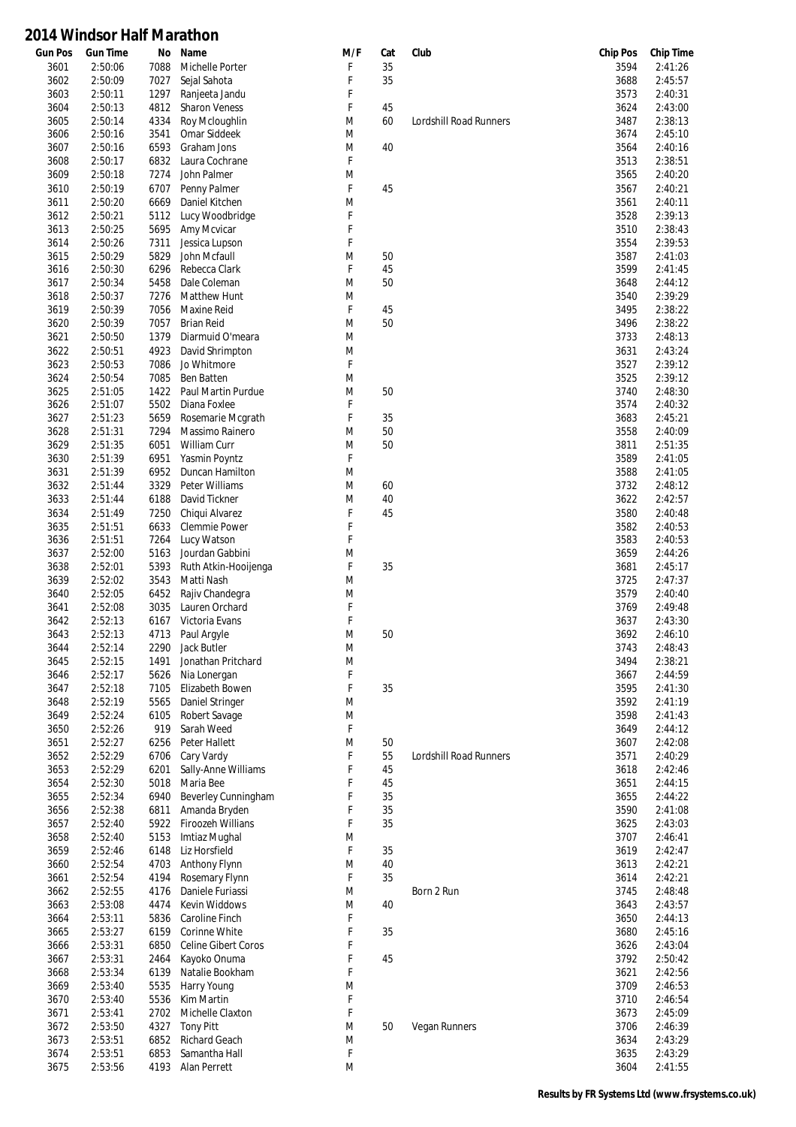| <b>Gun Pos</b> | <b>Gun Time</b> | No   | Name                 | M/F | Cat | Club                   | <b>Chip Pos</b> | <b>Chip Time</b> |
|----------------|-----------------|------|----------------------|-----|-----|------------------------|-----------------|------------------|
| 3601           | 2:50:06         | 7088 | Michelle Porter      | F   | 35  |                        | 3594            | 2:41:26          |
| 3602           | 2:50:09         | 7027 | Sejal Sahota         | F   | 35  |                        | 3688            | 2:45:57          |
| 3603           | 2:50:11         | 1297 | Ranjeeta Jandu       | F   |     |                        | 3573            | 2:40:31          |
| 3604           | 2:50:13         | 4812 | <b>Sharon Veness</b> | F   | 45  |                        | 3624            | 2:43:00          |
| 3605           | 2:50:14         | 4334 | Roy Mcloughlin       | M   | 60  | Lordshill Road Runners | 3487            | 2:38:13          |
| 3606           | 2:50:16         | 3541 | Omar Siddeek         | M   |     |                        | 3674            | 2:45:10          |
| 3607           | 2:50:16         | 6593 | Graham Jons          | M   | 40  |                        | 3564            | 2:40:16          |
| 3608           | 2:50:17         | 6832 | Laura Cochrane       | F   |     |                        | 3513            | 2:38:51          |
| 3609           | 2:50:18         | 7274 | John Palmer          | M   |     |                        | 3565            | 2:40:20          |
| 3610           | 2:50:19         | 6707 | Penny Palmer         | F   | 45  |                        | 3567            | 2:40:21          |
| 3611           | 2:50:20         | 6669 | Daniel Kitchen       | M   |     |                        | 3561            | 2:40:11          |
| 3612           | 2:50:21         | 5112 | Lucy Woodbridge      | F   |     |                        | 3528            | 2:39:13          |
| 3613           | 2:50:25         | 5695 | Amy Mcvicar          | F   |     |                        | 3510            | 2:38:43          |
| 3614           | 2:50:26         | 7311 | Jessica Lupson       | F   |     |                        | 3554            | 2:39:53          |
| 3615           | 2:50:29         | 5829 | John Mcfaull         | M   | 50  |                        | 3587            | 2:41:03          |
| 3616           | 2:50:30         | 6296 | Rebecca Clark        | F   | 45  |                        | 3599            | 2:41:45          |
| 3617           | 2:50:34         | 5458 | Dale Coleman         | M   | 50  |                        | 3648            | 2:44:12          |
| 3618           | 2:50:37         | 7276 | Matthew Hunt         | M   |     |                        | 3540            | 2:39:29          |
|                |                 |      |                      | F   |     |                        |                 | 2:38:22          |
| 3619           | 2:50:39         | 7056 | Maxine Reid          |     | 45  |                        | 3495            |                  |
| 3620           | 2:50:39         | 7057 | <b>Brian Reid</b>    | M   | 50  |                        | 3496            | 2:38:22          |
| 3621           | 2:50:50         | 1379 | Diarmuid O'meara     | M   |     |                        | 3733            | 2:48:13          |
| 3622           | 2:50:51         | 4923 | David Shrimpton      | M   |     |                        | 3631            | 2:43:24          |
| 3623           | 2:50:53         | 7086 | Jo Whitmore          | F   |     |                        | 3527            | 2:39:12          |
| 3624           | 2:50:54         | 7085 | <b>Ben Batten</b>    | M   |     |                        | 3525            | 2:39:12          |
| 3625           | 2:51:05         | 1422 | Paul Martin Purdue   | M   | 50  |                        | 3740            | 2:48:30          |
| 3626           | 2:51:07         | 5502 | Diana Foxlee         | F   |     |                        | 3574            | 2:40:32          |
| 3627           | 2:51:23         | 5659 | Rosemarie Mcgrath    | F   | 35  |                        | 3683            | 2:45:21          |
| 3628           | 2:51:31         | 7294 | Massimo Rainero      | M   | 50  |                        | 3558            | 2:40:09          |
| 3629           | 2:51:35         | 6051 | William Curr         | M   | 50  |                        | 3811            | 2:51:35          |
| 3630           | 2:51:39         | 6951 | Yasmin Poyntz        | F   |     |                        | 3589            | 2:41:05          |
| 3631           | 2:51:39         | 6952 | Duncan Hamilton      | M   |     |                        | 3588            | 2:41:05          |
| 3632           | 2:51:44         | 3329 | Peter Williams       | M   | 60  |                        | 3732            | 2:48:12          |
| 3633           | 2:51:44         | 6188 | David Tickner        | M   | 40  |                        | 3622            | 2:42:57          |
| 3634           | 2:51:49         | 7250 | Chiqui Alvarez       | F   | 45  |                        | 3580            | 2:40:48          |
| 3635           | 2:51:51         | 6633 | Clemmie Power        | F   |     |                        | 3582            | 2:40:53          |
| 3636           | 2:51:51         | 7264 | Lucy Watson          | F   |     |                        | 3583            | 2:40:53          |
| 3637           | 2:52:00         | 5163 | Jourdan Gabbini      | M   |     |                        | 3659            | 2:44:26          |
| 3638           | 2:52:01         | 5393 | Ruth Atkin-Hooijenga | F   | 35  |                        | 3681            | 2:45:17          |
| 3639           | 2:52:02         | 3543 | Matti Nash           | M   |     |                        | 3725            | 2:47:37          |
| 3640           | 2:52:05         | 6452 | Rajiv Chandegra      | M   |     |                        | 3579            | 2:40:40          |
| 3641           | 2:52:08         | 3035 | Lauren Orchard       | F   |     |                        | 3769            | 2:49:48          |
| 3642           | 2:52:13         | 6167 | Victoria Evans       | F   |     |                        | 3637            | 2:43:30          |
| 3643           | 2:52:13         | 4713 | Paul Argyle          | M   | 50  |                        | 3692            | 2:46:10          |
| 3644           | 2:52:14         | 2290 | Jack Butler          | M   |     |                        | 3743            | 2:48:43          |
|                |                 |      | Jonathan Pritchard   | M   |     |                        | 3494            | 2:38:21          |
| 3645           | 2:52:15         | 1491 |                      |     |     |                        |                 |                  |
| 3646           | 2:52:17         | 5626 | Nia Lonergan         | F   |     |                        | 3667            | 2:44:59          |
| 3647           | 2:52:18         | 7105 | Elizabeth Bowen      | F   | 35  |                        | 3595            | 2:41:30          |
| 3648           | 2:52:19         | 5565 | Daniel Stringer      | M   |     |                        | 3592            | 2:41:19          |
| 3649           | 2:52:24         | 6105 | Robert Savage        | M   |     |                        | 3598            | 2:41:43          |
| 3650           | 2:52:26         | 919  | Sarah Weed           | F   |     |                        | 3649            | 2:44:12          |
| 3651           | 2:52:27         | 6256 | Peter Hallett        | M   | 50  |                        | 3607            | 2:42:08          |
| 3652           | 2:52:29         | 6706 | Cary Vardy           | F   | 55  | Lordshill Road Runners | 3571            | 2:40:29          |
| 3653           | 2:52:29         | 6201 | Sally-Anne Williams  | F   | 45  |                        | 3618            | 2:42:46          |
| 3654           | 2:52:30         | 5018 | Maria Bee            | F   | 45  |                        | 3651            | 2:44:15          |
| 3655           | 2:52:34         | 6940 | Beverley Cunningham  | F   | 35  |                        | 3655            | 2:44:22          |
| 3656           | 2:52:38         | 6811 | Amanda Bryden        | F   | 35  |                        | 3590            | 2:41:08          |
| 3657           | 2:52:40         | 5922 | Firoozeh Willians    | F   | 35  |                        | 3625            | 2:43:03          |
| 3658           | 2:52:40         | 5153 | Imtiaz Mughal        | M   |     |                        | 3707            | 2:46:41          |
| 3659           | 2:52:46         | 6148 | Liz Horsfield        | F   | 35  |                        | 3619            | 2:42:47          |
| 3660           | 2:52:54         | 4703 | Anthony Flynn        | M   | 40  |                        | 3613            | 2:42:21          |
| 3661           | 2:52:54         | 4194 | Rosemary Flynn       | F   | 35  |                        | 3614            | 2:42:21          |
| 3662           | 2:52:55         | 4176 | Daniele Furiassi     | M   |     | Born 2 Run             | 3745            | 2:48:48          |
| 3663           | 2:53:08         | 4474 | Kevin Widdows        | M   | 40  |                        | 3643            | 2:43:57          |
| 3664           | 2:53:11         | 5836 | Caroline Finch       | F   |     |                        | 3650            | 2:44:13          |
| 3665           | 2:53:27         | 6159 | Corinne White        | F   | 35  |                        | 3680            | 2:45:16          |
| 3666           | 2:53:31         | 6850 | Celine Gibert Coros  | F   |     |                        | 3626            | 2:43:04          |
| 3667           | 2:53:31         | 2464 | Kayoko Onuma         | F   | 45  |                        | 3792            | 2:50:42          |
| 3668           | 2:53:34         | 6139 | Natalie Bookham      | F   |     |                        | 3621            | 2:42:56          |
| 3669           | 2:53:40         | 5535 | Harry Young          | M   |     |                        | 3709            | 2:46:53          |
|                |                 |      |                      | F   |     |                        |                 |                  |
| 3670           | 2:53:40         | 5536 | Kim Martin           |     |     |                        | 3710            | 2:46:54          |
| 3671           | 2:53:41         | 2702 | Michelle Claxton     | F   |     |                        | 3673            | 2:45:09          |
| 3672           | 2:53:50         | 4327 | <b>Tony Pitt</b>     | M   | 50  | Vegan Runners          | 3706            | 2:46:39          |
| 3673           | 2:53:51         | 6852 | Richard Geach        | M   |     |                        | 3634            | 2:43:29          |
| 3674           | 2:53:51         | 6853 | Samantha Hall        | F   |     |                        | 3635            | 2:43:29          |
| 3675           | 2:53:56         | 4193 | Alan Perrett         | M   |     |                        | 3604            | 2:41:55          |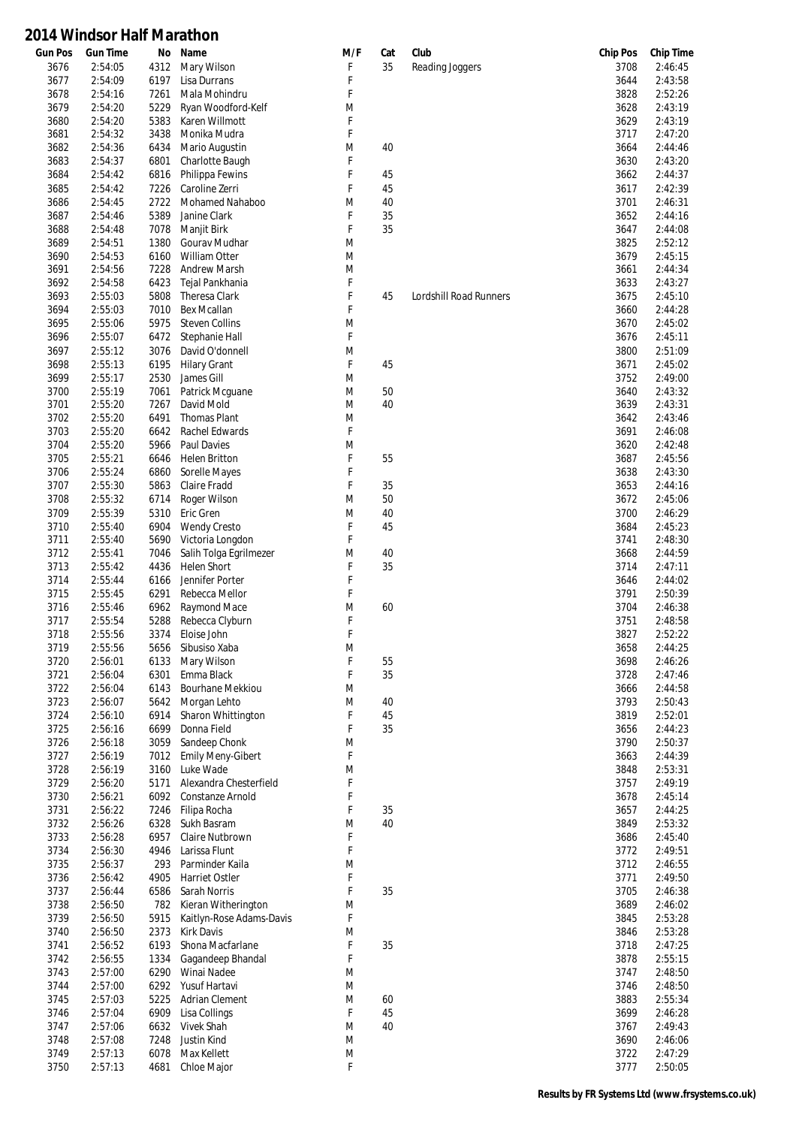| <b>Gun Pos</b> | <b>Gun Time</b> | No   | Name                     | M/F | Cat | Club                   | <b>Chip Pos</b> | <b>Chip Time</b> |
|----------------|-----------------|------|--------------------------|-----|-----|------------------------|-----------------|------------------|
| 3676           | 2:54:05         | 4312 | Mary Wilson              | F   | 35  | Reading Joggers        | 3708            | 2:46:45          |
| 3677           | 2:54:09         | 6197 | Lisa Durrans             | F   |     |                        | 3644            | 2:43:58          |
| 3678           | 2:54:16         | 7261 | Mala Mohindru            | F   |     |                        | 3828            | 2:52:26          |
| 3679           | 2:54:20         | 5229 | Ryan Woodford-Kelf       | M   |     |                        | 3628            | 2:43:19          |
| 3680           | 2:54:20         | 5383 | Karen Willmott           | F   |     |                        | 3629            | 2:43:19          |
|                |                 |      |                          |     |     |                        |                 |                  |
| 3681           | 2:54:32         | 3438 | Monika Mudra             | F   |     |                        | 3717            | 2:47:20          |
| 3682           | 2:54:36         | 6434 | Mario Augustin           | M   | 40  |                        | 3664            | 2:44:46          |
| 3683           | 2:54:37         | 6801 | Charlotte Baugh          | F   |     |                        | 3630            | 2:43:20          |
| 3684           | 2:54:42         | 6816 | Philippa Fewins          | F   | 45  |                        | 3662            | 2:44:37          |
| 3685           | 2:54:42         | 7226 | Caroline Zerri           | F   | 45  |                        | 3617            | 2:42:39          |
| 3686           | 2:54:45         | 2722 | <b>Mohamed Nahaboo</b>   | M   | 40  |                        | 3701            | 2:46:31          |
| 3687           | 2:54:46         | 5389 | Janine Clark             | F   | 35  |                        | 3652            | 2:44:16          |
|                |                 |      |                          |     |     |                        |                 |                  |
| 3688           | 2:54:48         | 7078 | Manjit Birk              | F   | 35  |                        | 3647            | 2:44:08          |
| 3689           | 2:54:51         | 1380 | Gourav Mudhar            | M   |     |                        | 3825            | 2:52:12          |
| 3690           | 2:54:53         | 6160 | <b>William Otter</b>     | M   |     |                        | 3679            | 2:45:15          |
| 3691           | 2:54:56         | 7228 | <b>Andrew Marsh</b>      | M   |     |                        | 3661            | 2:44:34          |
| 3692           | 2:54:58         | 6423 | Tejal Pankhania          | F   |     |                        | 3633            | 2:43:27          |
| 3693           | 2:55:03         | 5808 | <b>Theresa Clark</b>     | F   | 45  | Lordshill Road Runners | 3675            | 2:45:10          |
|                | 2:55:03         |      | <b>Bex Mcallan</b>       | F   |     |                        |                 | 2:44:28          |
| 3694           |                 | 7010 |                          |     |     |                        | 3660            |                  |
| 3695           | 2:55:06         | 5975 | <b>Steven Collins</b>    | M   |     |                        | 3670            | 2:45:02          |
| 3696           | 2:55:07         | 6472 | Stephanie Hall           | F   |     |                        | 3676            | 2:45:11          |
| 3697           | 2:55:12         | 3076 | David O'donnell          | M   |     |                        | 3800            | 2:51:09          |
| 3698           | 2:55:13         | 6195 | <b>Hilary Grant</b>      | F   | 45  |                        | 3671            | 2:45:02          |
| 3699           | 2:55:17         | 2530 | James Gill               | M   |     |                        | 3752            | 2:49:00          |
| 3700           | 2:55:19         | 7061 | Patrick Mcguane          | M   | 50  |                        | 3640            | 2:43:32          |
|                | 2:55:20         |      |                          |     | 40  |                        |                 | 2:43:31          |
| 3701           |                 | 7267 | David Mold               | M   |     |                        | 3639            |                  |
| 3702           | 2:55:20         | 6491 | <b>Thomas Plant</b>      | M   |     |                        | 3642            | 2:43:46          |
| 3703           | 2:55:20         | 6642 | Rachel Edwards           | F   |     |                        | 3691            | 2:46:08          |
| 3704           | 2:55:20         | 5966 | <b>Paul Davies</b>       | M   |     |                        | 3620            | 2:42:48          |
| 3705           | 2:55:21         | 6646 | Helen Britton            | F   | 55  |                        | 3687            | 2:45:56          |
| 3706           | 2:55:24         | 6860 | Sorelle Mayes            | F   |     |                        | 3638            | 2:43:30          |
| 3707           | 2:55:30         | 5863 | Claire Fradd             | F   | 35  |                        | 3653            | 2:44:16          |
|                |                 |      |                          |     |     |                        |                 |                  |
| 3708           | 2:55:32         | 6714 | Roger Wilson             | M   | 50  |                        | 3672            | 2:45:06          |
| 3709           | 2:55:39         | 5310 | Eric Gren                | M   | 40  |                        | 3700            | 2:46:29          |
| 3710           | 2:55:40         | 6904 | <b>Wendy Cresto</b>      | F   | 45  |                        | 3684            | 2:45:23          |
| 3711           | 2:55:40         | 5690 | Victoria Longdon         | F   |     |                        | 3741            | 2:48:30          |
| 3712           | 2:55:41         | 7046 | Salih Tolga Egrilmezer   | M   | 40  |                        | 3668            | 2:44:59          |
| 3713           | 2:55:42         | 4436 | <b>Helen Short</b>       | F   | 35  |                        | 3714            | 2:47:11          |
| 3714           | 2:55:44         | 6166 | Jennifer Porter          | F   |     |                        | 3646            | 2:44:02          |
|                | 2:55:45         |      | Rebecca Mellor           | F   |     |                        |                 | 2:50:39          |
| 3715           |                 | 6291 |                          |     |     |                        | 3791            |                  |
| 3716           | 2:55:46         | 6962 | Raymond Mace             | M   | 60  |                        | 3704            | 2:46:38          |
| 3717           | 2:55:54         | 5288 | Rebecca Clyburn          | F   |     |                        | 3751            | 2:48:58          |
| 3718           | 2:55:56         | 3374 | Eloise John              | F   |     |                        | 3827            | 2:52:22          |
| 3719           | 2:55:56         | 5656 | Sibusiso Xaba            | M   |     |                        | 3658            | 2:44:25          |
| 3720           | 2:56:01         | 6133 | Mary Wilson              | F   | 55  |                        | 3698            | 2:46:26          |
| 3721           | 2:56:04         | 6301 | Emma Black               | F   | 35  |                        | 3728            | 2:47:46          |
| 3722           | 2:56:04         | 6143 | Bourhane Mekkiou         | M   |     |                        | 3666            | 2:44:58          |
|                |                 |      |                          |     |     |                        |                 |                  |
| 3723           | 2:56:07         | 5642 | Morgan Lehto             | M   | 40  |                        | 3793            | 2:50:43          |
| 3724           | 2:56:10         | 6914 | Sharon Whittington       | F   | 45  |                        | 3819            | 2:52:01          |
| 3725           | 2:56:16         | 6699 | Donna Field              | F   | 35  |                        | 3656            | 2:44:23          |
| 3726           | 2:56:18         | 3059 | Sandeep Chonk            | M   |     |                        | 3790            | 2:50:37          |
| 3727           | 2:56:19         | 7012 | <b>Emily Meny-Gibert</b> | F   |     |                        | 3663            | 2:44:39          |
| 3728           | 2:56:19         | 3160 | Luke Wade                | M   |     |                        | 3848            | 2:53:31          |
| 3729           | 2:56:20         | 5171 | Alexandra Chesterfield   | F   |     |                        | 3757            | 2:49:19          |
| 3730           | 2:56:21         | 6092 | Constanze Arnold         | F   |     |                        | 3678            | 2:45:14          |
| 3731           |                 |      |                          | F   | 35  |                        | 3657            | 2:44:25          |
|                | 2:56:22         | 7246 | Filipa Rocha             |     |     |                        |                 |                  |
| 3732           | 2:56:26         | 6328 | Sukh Basram              | M   | 40  |                        | 3849            | 2:53:32          |
| 3733           | 2:56:28         | 6957 | Claire Nutbrown          | F   |     |                        | 3686            | 2:45:40          |
| 3734           | 2:56:30         | 4946 | Larissa Flunt            | F   |     |                        | 3772            | 2:49:51          |
| 3735           | 2:56:37         | 293  | Parminder Kaila          | M   |     |                        | 3712            | 2:46:55          |
| 3736           | 2:56:42         | 4905 | Harriet Ostler           | F   |     |                        | 3771            | 2:49:50          |
| 3737           | 2:56:44         | 6586 | Sarah Norris             | F   | 35  |                        | 3705            | 2:46:38          |
| 3738           | 2:56:50         | 782  | Kieran Witherington      | M   |     |                        | 3689            | 2:46:02          |
|                |                 |      |                          |     |     |                        |                 |                  |
| 3739           | 2:56:50         | 5915 | Kaitlyn-Rose Adams-Davis | F   |     |                        | 3845            | 2:53:28          |
| 3740           | 2:56:50         | 2373 | Kirk Davis               | M   |     |                        | 3846            | 2:53:28          |
| 3741           | 2:56:52         | 6193 | Shona Macfarlane         | F   | 35  |                        | 3718            | 2:47:25          |
| 3742           | 2:56:55         | 1334 | Gagandeep Bhandal        | F   |     |                        | 3878            | 2:55:15          |
| 3743           | 2:57:00         | 6290 | Winai Nadee              | M   |     |                        | 3747            | 2:48:50          |
| 3744           | 2:57:00         | 6292 | Yusuf Hartavi            | M   |     |                        | 3746            | 2:48:50          |
| 3745           | 2:57:03         | 5225 | <b>Adrian Clement</b>    | M   | 60  |                        | 3883            | 2:55:34          |
| 3746           | 2:57:04         | 6909 | Lisa Collings            | F   | 45  |                        | 3699            | 2:46:28          |
|                |                 |      |                          |     |     |                        |                 |                  |
| 3747           | 2:57:06         | 6632 | Vivek Shah               | M   | 40  |                        | 3767            | 2:49:43          |
| 3748           | 2:57:08         | 7248 | Justin Kind              | M   |     |                        | 3690            | 2:46:06          |
| 3749           | 2:57:13         | 6078 | Max Kellett              | M   |     |                        | 3722            | 2:47:29          |
| 3750           | 2:57:13         | 4681 | Chloe Major              | F   |     |                        | 3777            | 2:50:05          |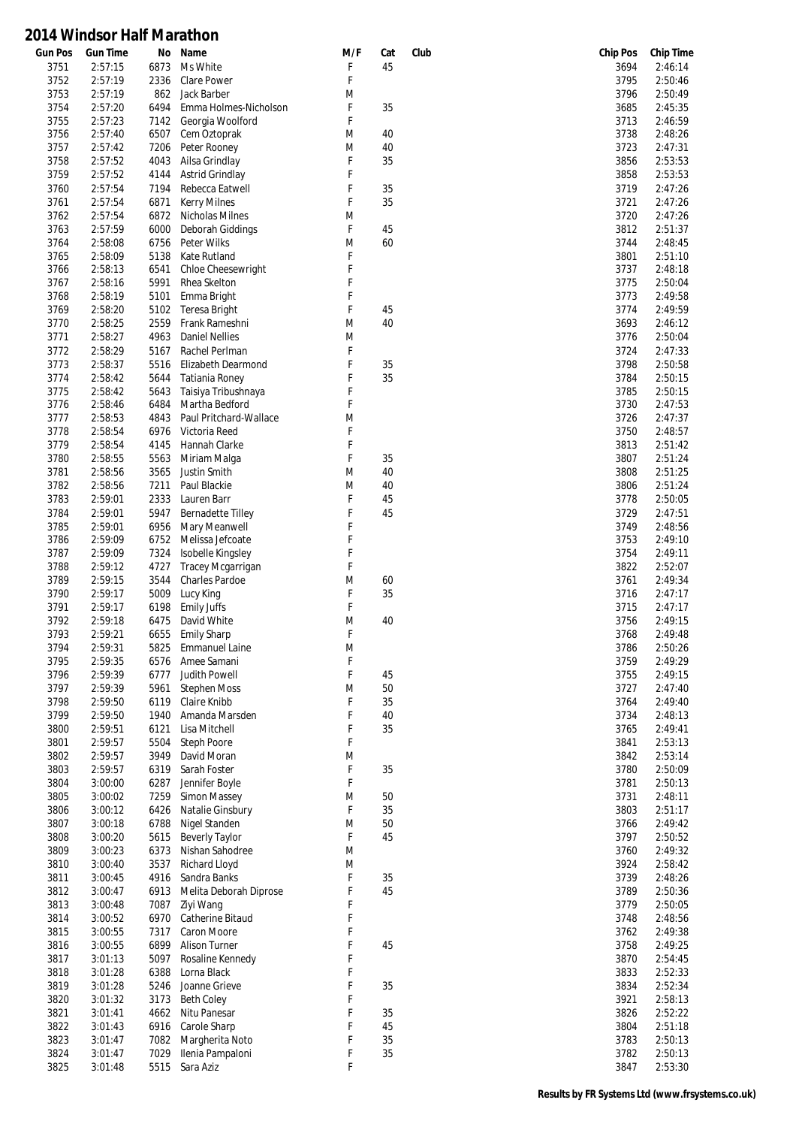| <b>Gun Pos</b> | <b>Gun Time</b> | No   | Name                     | M/F | Cat | Club | <b>Chip Pos</b> | <b>Chip Time</b> |
|----------------|-----------------|------|--------------------------|-----|-----|------|-----------------|------------------|
| 3751           | 2:57:15         | 6873 | Ms White                 | F   | 45  |      | 3694            | 2:46:14          |
| 3752           | 2:57:19         | 2336 | <b>Clare Power</b>       | F   |     |      | 3795            | 2:50:46          |
| 3753           | 2:57:19         | 862  | Jack Barber              | M   |     |      | 3796            | 2:50:49          |
| 3754           | 2:57:20         | 6494 | Emma Holmes-Nicholson    | F   | 35  |      | 3685            | 2:45:35          |
| 3755           | 2:57:23         | 7142 | Georgia Woolford         | F   |     |      | 3713            | 2:46:59          |
|                | 2:57:40         |      |                          |     |     |      |                 |                  |
| 3756           |                 | 6507 | Cem Oztoprak             | M   | 40  |      | 3738            | 2:48:26          |
| 3757           | 2:57:42         | 7206 | Peter Rooney             | M   | 40  |      | 3723            | 2:47:31          |
| 3758           | 2:57:52         | 4043 | Ailsa Grindlay           | F   | 35  |      | 3856            | 2:53:53          |
| 3759           | 2:57:52         | 4144 | Astrid Grindlay          | F   |     |      | 3858            | 2:53:53          |
| 3760           | 2:57:54         | 7194 | Rebecca Eatwell          | F   | 35  |      | 3719            | 2:47:26          |
| 3761           | 2:57:54         | 6871 | <b>Kerry Milnes</b>      | F   | 35  |      | 3721            | 2:47:26          |
| 3762           | 2:57:54         | 6872 | Nicholas Milnes          | M   |     |      | 3720            | 2:47:26          |
| 3763           | 2:57:59         | 6000 | Deborah Giddings         | F   | 45  |      | 3812            | 2:51:37          |
|                |                 |      |                          |     |     |      |                 |                  |
| 3764           | 2:58:08         | 6756 | Peter Wilks              | M   | 60  |      | 3744            | 2:48:45          |
| 3765           | 2:58:09         | 5138 | Kate Rutland             | F   |     |      | 3801            | 2:51:10          |
| 3766           | 2:58:13         | 6541 | Chloe Cheesewright       | F   |     |      | 3737            | 2:48:18          |
| 3767           | 2:58:16         | 5991 | Rhea Skelton             | F   |     |      | 3775            | 2:50:04          |
| 3768           | 2:58:19         | 5101 | Emma Bright              | F   |     |      | 3773            | 2:49:58          |
| 3769           | 2:58:20         | 5102 | <b>Teresa Bright</b>     | F   | 45  |      | 3774            | 2:49:59          |
| 3770           | 2:58:25         | 2559 | Frank Rameshni           | M   | 40  |      | 3693            | 2:46:12          |
| 3771           | 2:58:27         | 4963 | <b>Daniel Nellies</b>    | M   |     |      | 3776            | 2:50:04          |
|                |                 |      |                          |     |     |      |                 |                  |
| 3772           | 2:58:29         | 5167 | Rachel Perlman           | F   |     |      | 3724            | 2:47:33          |
| 3773           | 2:58:37         | 5516 | Elizabeth Dearmond       | F   | 35  |      | 3798            | 2:50:58          |
| 3774           | 2:58:42         | 5644 | Tatiania Roney           | F   | 35  |      | 3784            | 2:50:15          |
| 3775           | 2:58:42         | 5643 | Taisiya Tribushnaya      | F   |     |      | 3785            | 2:50:15          |
| 3776           | 2:58:46         | 6484 | Martha Bedford           | F   |     |      | 3730            | 2:47:53          |
| 3777           | 2:58:53         | 4843 | Paul Pritchard-Wallace   | M   |     |      | 3726            | 2:47:37          |
| 3778           | 2:58:54         | 6976 | Victoria Reed            | F   |     |      | 3750            | 2:48:57          |
| 3779           | 2:58:54         | 4145 | Hannah Clarke            | F   |     |      | 3813            | 2:51:42          |
|                |                 |      |                          |     |     |      |                 |                  |
| 3780           | 2:58:55         | 5563 | Miriam Malga             | F   | 35  |      | 3807            | 2:51:24          |
| 3781           | 2:58:56         | 3565 | Justin Smith             | M   | 40  |      | 3808            | 2:51:25          |
| 3782           | 2:58:56         | 7211 | Paul Blackie             | M   | 40  |      | 3806            | 2:51:24          |
| 3783           | 2:59:01         | 2333 | Lauren Barr              | F   | 45  |      | 3778            | 2:50:05          |
| 3784           | 2:59:01         | 5947 | <b>Bernadette Tilley</b> | F   | 45  |      | 3729            | 2:47:51          |
| 3785           | 2:59:01         | 6956 | Mary Meanwell            | F   |     |      | 3749            | 2:48:56          |
| 3786           | 2:59:09         | 6752 | Melissa Jefcoate         | F   |     |      | 3753            | 2:49:10          |
| 3787           | 2:59:09         | 7324 | Isobelle Kingsley        | F   |     |      | 3754            | 2:49:11          |
|                |                 |      |                          |     |     |      |                 |                  |
| 3788           | 2:59:12         | 4727 | Tracey Mcgarrigan        | F   |     |      | 3822            | 2:52:07          |
| 3789           | 2:59:15         | 3544 | Charles Pardoe           | M   | 60  |      | 3761            | 2:49:34          |
| 3790           | 2:59:17         | 5009 | Lucy King                | F   | 35  |      | 3716            | 2:47:17          |
| 3791           | 2:59:17         | 6198 | <b>Emily Juffs</b>       | F   |     |      | 3715            | 2:47:17          |
| 3792           | 2:59:18         | 6475 | David White              | M   | 40  |      | 3756            | 2:49:15          |
| 3793           | 2:59:21         | 6655 | <b>Emily Sharp</b>       | F   |     |      | 3768            | 2:49:48          |
| 3794           | 2:59:31         |      | 5825 Emmanuel Laine      | M   |     |      | 3786            | 2:50:26          |
| 3795           | 2:59:35         | 6576 | Amee Samani              | F   |     |      | 3759            | 2:49:29          |
|                |                 |      |                          |     |     |      |                 |                  |
| 3796           | 2:59:39         | 6777 | Judith Powell            | F   | 45  |      | 3755            | 2:49:15          |
| 3797           | 2:59:39         | 5961 | <b>Stephen Moss</b>      | M   | 50  |      | 3727            | 2:47:40          |
| 3798           | 2:59:50         | 6119 | Claire Knibb             | F   | 35  |      | 3764            | 2:49:40          |
| 3799           | 2:59:50         | 1940 | Amanda Marsden           | F   | 40  |      | 3734            | 2:48:13          |
| 3800           | 2:59:51         | 6121 | Lisa Mitchell            | F   | 35  |      | 3765            | 2:49:41          |
| 3801           | 2:59:57         | 5504 | Steph Poore              | F   |     |      | 3841            | 2:53:13          |
| 3802           | 2:59:57         | 3949 | David Moran              | M   |     |      | 3842            | 2:53:14          |
| 3803           | 2:59:57         | 6319 | Sarah Foster             | F   | 35  |      | 3780            | 2:50:09          |
|                |                 |      |                          |     |     |      |                 |                  |
| 3804           | 3:00:00         | 6287 | Jennifer Boyle           | F   |     |      | 3781            | 2:50:13          |
| 3805           | 3:00:02         | 7259 | Simon Massey             | M   | 50  |      | 3731            | 2:48:11          |
| 3806           | 3:00:12         | 6426 | Natalie Ginsbury         | F   | 35  |      | 3803            | 2:51:17          |
| 3807           | 3:00:18         | 6788 | Nigel Standen            | M   | 50  |      | 3766            | 2:49:42          |
| 3808           | 3:00:20         | 5615 | <b>Beverly Taylor</b>    | F   | 45  |      | 3797            | 2:50:52          |
| 3809           | 3:00:23         | 6373 | Nishan Sahodree          | M   |     |      | 3760            | 2:49:32          |
| 3810           | 3:00:40         | 3537 | Richard Lloyd            | M   |     |      | 3924            | 2:58:42          |
|                |                 | 4916 | Sandra Banks             | F   | 35  |      |                 | 2:48:26          |
| 3811           | 3:00:45         |      |                          |     |     |      | 3739            |                  |
| 3812           | 3:00:47         | 6913 | Melita Deborah Diprose   | F   | 45  |      | 3789            | 2:50:36          |
| 3813           | 3:00:48         | 7087 | Ziyi Wang                | F   |     |      | 3779            | 2:50:05          |
| 3814           | 3:00:52         | 6970 | Catherine Bitaud         | F   |     |      | 3748            | 2:48:56          |
| 3815           | 3:00:55         | 7317 | Caron Moore              | F   |     |      | 3762            | 2:49:38          |
| 3816           | 3:00:55         | 6899 | Alison Turner            | F   | 45  |      | 3758            | 2:49:25          |
| 3817           | 3:01:13         | 5097 | Rosaline Kennedy         | F   |     |      | 3870            | 2:54:45          |
| 3818           | 3:01:28         | 6388 | Lorna Black              | F   |     |      | 3833            | 2:52:33          |
|                |                 |      |                          | F   |     |      |                 |                  |
| 3819           | 3:01:28         | 5246 | Joanne Grieve            |     | 35  |      | 3834            | 2:52:34          |
| 3820           | 3:01:32         | 3173 | <b>Beth Coley</b>        | F   |     |      | 3921            | 2:58:13          |
| 3821           | 3:01:41         | 4662 | Nitu Panesar             | F   | 35  |      | 3826            | 2:52:22          |
| 3822           | 3:01:43         | 6916 | Carole Sharp             | F   | 45  |      | 3804            | 2:51:18          |
| 3823           | 3:01:47         | 7082 | Margherita Noto          | F   | 35  |      | 3783            | 2:50:13          |
| 3824           | 3:01:47         | 7029 | Ilenia Pampaloni         | F   | 35  |      | 3782            | 2:50:13          |
| 3825           | 3:01:48         | 5515 | Sara Aziz                | F   |     |      | 3847            | 2:53:30          |
|                |                 |      |                          |     |     |      |                 |                  |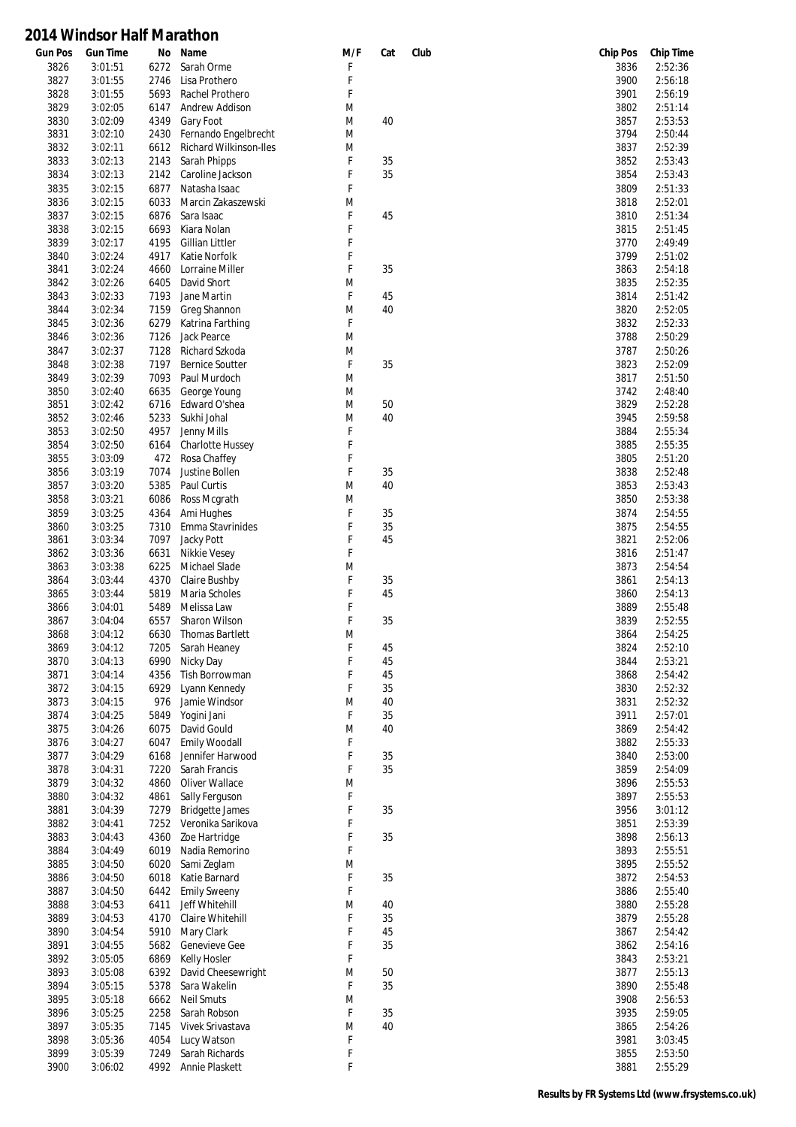| <b>Gun Pos</b> | <b>Gun Time</b> | No   | Name                    | M/F | Cat | Club | <b>Chip Pos</b> | <b>Chip Time</b> |
|----------------|-----------------|------|-------------------------|-----|-----|------|-----------------|------------------|
| 3826           | 3:01:51         | 6272 | Sarah Orme              | F   |     |      | 3836            | 2:52:36          |
| 3827           | 3:01:55         | 2746 | Lisa Prothero           | F   |     |      | 3900            | 2:56:18          |
| 3828           | 3:01:55         | 5693 | Rachel Prothero         | F   |     |      | 3901            | 2:56:19          |
| 3829           | 3:02:05         | 6147 | Andrew Addison          | M   |     |      | 3802            | 2:51:14          |
| 3830           | 3:02:09         | 4349 | Gary Foot               | M   | 40  |      | 3857            | 2:53:53          |
| 3831           | 3:02:10         | 2430 | Fernando Engelbrecht    | M   |     |      | 3794            | 2:50:44          |
|                |                 |      |                         |     |     |      |                 |                  |
| 3832           | 3:02:11         | 6612 | Richard Wilkinson-Iles  | M   |     |      | 3837            | 2:52:39          |
| 3833           | 3:02:13         | 2143 | Sarah Phipps            | F   | 35  |      | 3852            | 2:53:43          |
| 3834           | 3:02:13         | 2142 | Caroline Jackson        | F   | 35  |      | 3854            | 2:53:43          |
| 3835           | 3:02:15         | 6877 | Natasha Isaac           | F   |     |      | 3809            | 2:51:33          |
| 3836           | 3:02:15         | 6033 | Marcin Zakaszewski      | M   |     |      | 3818            | 2:52:01          |
| 3837           | 3:02:15         | 6876 | Sara Isaac              | F   | 45  |      | 3810            | 2:51:34          |
|                |                 |      |                         | F   |     |      |                 |                  |
| 3838           | 3:02:15         | 6693 | Kiara Nolan             |     |     |      | 3815            | 2:51:45          |
| 3839           | 3:02:17         | 4195 | Gillian Littler         | F   |     |      | 3770            | 2:49:49          |
| 3840           | 3:02:24         | 4917 | Katie Norfolk           | F   |     |      | 3799            | 2:51:02          |
| 3841           | 3:02:24         | 4660 | Lorraine Miller         | F   | 35  |      | 3863            | 2:54:18          |
| 3842           | 3:02:26         | 6405 | David Short             | M   |     |      | 3835            | 2:52:35          |
| 3843           | 3:02:33         | 7193 | Jane Martin             | F   | 45  |      | 3814            | 2:51:42          |
|                |                 |      |                         | M   |     |      |                 |                  |
| 3844           | 3:02:34         | 7159 | Greg Shannon            |     | 40  |      | 3820            | 2:52:05          |
| 3845           | 3:02:36         | 6279 | Katrina Farthing        | F   |     |      | 3832            | 2:52:33          |
| 3846           | 3:02:36         | 7126 | Jack Pearce             | M   |     |      | 3788            | 2:50:29          |
| 3847           | 3:02:37         | 7128 | Richard Szkoda          | M   |     |      | 3787            | 2:50:26          |
| 3848           | 3:02:38         | 7197 | <b>Bernice Soutter</b>  | F   | 35  |      | 3823            | 2:52:09          |
| 3849           | 3:02:39         | 7093 | Paul Murdoch            | M   |     |      | 3817            | 2:51:50          |
| 3850           | 3:02:40         | 6635 | George Young            | M   |     |      | 3742            | 2:48:40          |
|                |                 |      |                         |     |     |      |                 |                  |
| 3851           | 3:02:42         | 6716 | Edward O'shea           | M   | 50  |      | 3829            | 2:52:28          |
| 3852           | 3:02:46         | 5233 | Sukhi Johal             | M   | 40  |      | 3945            | 2:59:58          |
| 3853           | 3:02:50         | 4957 | Jenny Mills             | F   |     |      | 3884            | 2:55:34          |
| 3854           | 3:02:50         | 6164 | <b>Charlotte Hussey</b> | F   |     |      | 3885            | 2:55:35          |
| 3855           | 3:03:09         | 472  | Rosa Chaffey            | F   |     |      | 3805            | 2:51:20          |
| 3856           | 3:03:19         | 7074 | Justine Bollen          | F   | 35  |      | 3838            | 2:52:48          |
| 3857           | 3:03:20         | 5385 | Paul Curtis             | M   | 40  |      | 3853            | 2:53:43          |
|                |                 |      |                         |     |     |      |                 |                  |
| 3858           | 3:03:21         | 6086 | Ross Mcgrath            | M   |     |      | 3850            | 2:53:38          |
| 3859           | 3:03:25         | 4364 | Ami Hughes              | F   | 35  |      | 3874            | 2:54:55          |
| 3860           | 3:03:25         | 7310 | Emma Stavrinides        | F   | 35  |      | 3875            | 2:54:55          |
| 3861           | 3:03:34         | 7097 | Jacky Pott              | F   | 45  |      | 3821            | 2:52:06          |
| 3862           | 3:03:36         | 6631 | Nikkie Vesey            | F   |     |      | 3816            | 2:51:47          |
| 3863           | 3:03:38         | 6225 | Michael Slade           | M   |     |      | 3873            | 2:54:54          |
| 3864           | 3:03:44         | 4370 | Claire Bushby           | F   | 35  |      | 3861            | 2:54:13          |
|                |                 |      |                         | F   |     |      |                 |                  |
| 3865           | 3:03:44         | 5819 | Maria Scholes           |     | 45  |      | 3860            | 2:54:13          |
| 3866           | 3:04:01         | 5489 | Melissa Law             | F   |     |      | 3889            | 2:55:48          |
| 3867           | 3:04:04         | 6557 | Sharon Wilson           | F   | 35  |      | 3839            | 2:52:55          |
| 3868           | 3:04:12         | 6630 | <b>Thomas Bartlett</b>  | M   |     |      | 3864            | 2:54:25          |
| 3869           | 3:04:12         | 7205 | Sarah Heaney            | F   | 45  |      | 3824            | 2:52:10          |
| 3870           | 3:04:13         | 6990 | Nicky Day               | F   | 45  |      | 3844            | 2:53:21          |
| 3871           | 3:04:14         | 4356 | Tish Borrowman          | F   | 45  |      | 3868            | 2:54:42          |
| 3872           | 3:04:15         | 6929 | Lyann Kennedy           | F   | 35  |      | 3830            | 2:52:32          |
|                |                 |      |                         |     |     |      |                 |                  |
| 3873           | 3:04:15         | 976  | Jamie Windsor           | M   | 40  |      | 3831            | 2:52:32          |
| 3874           | 3:04:25         | 5849 | Yogini Jani             | F   | 35  |      | 3911            | 2:57:01          |
| 3875           | 3:04:26         | 6075 | David Gould             | M   | 40  |      | 3869            | 2:54:42          |
| 3876           | 3:04:27         | 6047 | <b>Emily Woodall</b>    | F   |     |      | 3882            | 2:55:33          |
| 3877           | 3:04:29         | 6168 | Jennifer Harwood        | F   | 35  |      | 3840            | 2:53:00          |
| 3878           | 3:04:31         | 7220 | Sarah Francis           | F   | 35  |      | 3859            | 2:54:09          |
| 3879           | 3:04:32         | 4860 | Oliver Wallace          | M   |     |      | 3896            | 2:55:53          |
| 3880           | 3:04:32         | 4861 | Sally Ferguson          | F   |     |      | 3897            | 2:55:53          |
|                |                 |      |                         |     |     |      |                 |                  |
| 3881           | 3:04:39         | 7279 | <b>Bridgette James</b>  | F   | 35  |      | 3956            | 3:01:12          |
| 3882           | 3:04:41         | 7252 | Veronika Sarikova       | F   |     |      | 3851            | 2:53:39          |
| 3883           | 3:04:43         | 4360 | Zoe Hartridge           | F   | 35  |      | 3898            | 2:56:13          |
| 3884           | 3:04:49         | 6019 | Nadia Remorino          | F   |     |      | 3893            | 2:55:51          |
| 3885           | 3:04:50         | 6020 | Sami Zeglam             | M   |     |      | 3895            | 2:55:52          |
| 3886           | 3:04:50         | 6018 | Katie Barnard           | F   | 35  |      | 3872            | 2:54:53          |
| 3887           | 3:04:50         | 6442 | <b>Emily Sweeny</b>     | F   |     |      | 3886            | 2:55:40          |
|                |                 |      |                         |     |     |      |                 |                  |
| 3888           | 3:04:53         | 6411 | Jeff Whitehill          | M   | 40  |      | 3880            | 2:55:28          |
| 3889           | 3:04:53         | 4170 | Claire Whitehill        | F   | 35  |      | 3879            | 2:55:28          |
| 3890           | 3:04:54         | 5910 | Mary Clark              | F   | 45  |      | 3867            | 2:54:42          |
| 3891           | 3:04:55         | 5682 | Genevieve Gee           | F   | 35  |      | 3862            | 2:54:16          |
| 3892           | 3:05:05         | 6869 | Kelly Hosler            | F   |     |      | 3843            | 2:53:21          |
| 3893           | 3:05:08         | 6392 | David Cheesewright      | M   | 50  |      | 3877            | 2:55:13          |
| 3894           | 3:05:15         | 5378 | Sara Wakelin            | F   | 35  |      | 3890            | 2:55:48          |
| 3895           | 3:05:18         | 6662 | <b>Neil Smuts</b>       | M   |     |      | 3908            | 2:56:53          |
|                |                 |      |                         |     |     |      |                 |                  |
| 3896           | 3:05:25         | 2258 | Sarah Robson            | F   | 35  |      | 3935            | 2:59:05          |
| 3897           | 3:05:35         | 7145 | Vivek Srivastava        | M   | 40  |      | 3865            | 2:54:26          |
| 3898           | 3:05:36         | 4054 | Lucy Watson             | F   |     |      | 3981            | 3:03:45          |
| 3899           | 3:05:39         | 7249 | Sarah Richards          | F   |     |      | 3855            | 2:53:50          |
| 3900           | 3:06:02         | 4992 | Annie Plaskett          | F   |     |      | 3881            | 2:55:29          |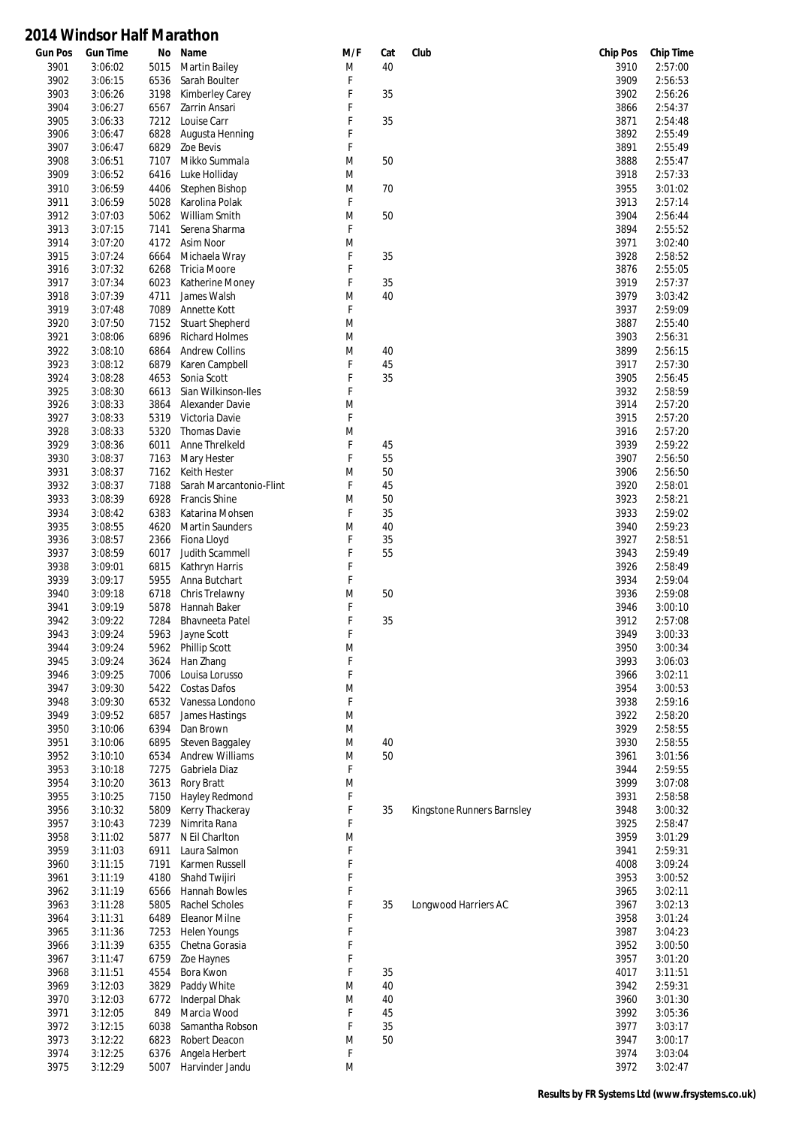| <b>Gun Pos</b> | <b>Gun Time</b>    | No           | Name                             | M/F    | Cat | Club                       | <b>Chip Pos</b> | <b>Chip Time</b>   |
|----------------|--------------------|--------------|----------------------------------|--------|-----|----------------------------|-----------------|--------------------|
| 3901           | 3:06:02            | 5015         | <b>Martin Bailey</b>             | M      | 40  |                            | 3910            | 2:57:00            |
| 3902           | 3:06:15            | 6536         | Sarah Boulter                    | F      |     |                            | 3909            | 2:56:53            |
| 3903           | 3:06:26            | 3198         | Kimberley Carey                  | F      | 35  |                            | 3902            | 2:56:26            |
| 3904           | 3:06:27            | 6567         | Zarrin Ansari                    | F      |     |                            | 3866            | 2:54:37            |
| 3905           | 3:06:33            | 7212         | Louise Carr                      | F      | 35  |                            | 3871            | 2:54:48            |
| 3906           | 3:06:47            | 6828         | Augusta Henning                  | F      |     |                            | 3892            | 2:55:49            |
| 3907           | 3:06:47            | 6829         | Zoe Bevis                        | F      |     |                            | 3891            | 2:55:49            |
| 3908           | 3:06:51            | 7107         | Mikko Summala                    | M      | 50  |                            | 3888            | 2:55:47<br>2:57:33 |
| 3909           | 3:06:52            | 6416         | Luke Holliday                    | M      |     |                            | 3918            | 3:01:02            |
| 3910           | 3:06:59            | 4406         | Stephen Bishop<br>Karolina Polak | M<br>F | 70  |                            | 3955            |                    |
| 3911<br>3912   | 3:06:59<br>3:07:03 | 5028<br>5062 | William Smith                    | M      | 50  |                            | 3913<br>3904    | 2:57:14<br>2:56:44 |
| 3913           | 3:07:15            | 7141         | Serena Sharma                    | F      |     |                            | 3894            | 2:55:52            |
| 3914           | 3:07:20            | 4172         | Asim Noor                        | M      |     |                            | 3971            | 3:02:40            |
| 3915           | 3:07:24            | 6664         | Michaela Wray                    | F      | 35  |                            | 3928            | 2:58:52            |
| 3916           | 3:07:32            | 6268         | <b>Tricia Moore</b>              | F      |     |                            | 3876            | 2:55:05            |
| 3917           | 3:07:34            | 6023         | Katherine Money                  | F      | 35  |                            | 3919            | 2:57:37            |
| 3918           | 3:07:39            | 4711         | James Walsh                      | M      | 40  |                            | 3979            | 3:03:42            |
| 3919           | 3:07:48            | 7089         | Annette Kott                     | F      |     |                            | 3937            | 2:59:09            |
| 3920           | 3:07:50            | 7152         | <b>Stuart Shepherd</b>           | M      |     |                            | 3887            | 2:55:40            |
| 3921           | 3:08:06            | 6896         | <b>Richard Holmes</b>            | M      |     |                            | 3903            | 2:56:31            |
| 3922           | 3:08:10            | 6864         | <b>Andrew Collins</b>            | M      | 40  |                            | 3899            | 2:56:15            |
| 3923           | 3:08:12            | 6879         | Karen Campbell                   | F      | 45  |                            | 3917            | 2:57:30            |
| 3924           | 3:08:28            | 4653         | Sonia Scott                      | F      | 35  |                            | 3905            | 2:56:45            |
| 3925           | 3:08:30            | 6613         | Sian Wilkinson-Iles              | F      |     |                            | 3932            | 2:58:59            |
| 3926           | 3:08:33            | 3864         | Alexander Davie                  | M      |     |                            | 3914            | 2:57:20            |
| 3927           | 3:08:33            | 5319         | Victoria Davie                   | F      |     |                            | 3915            | 2:57:20            |
| 3928           | 3:08:33            | 5320         | Thomas Davie                     | M      |     |                            | 3916            | 2:57:20            |
| 3929           | 3:08:36            | 6011         | Anne Threlkeld                   | F      | 45  |                            | 3939            | 2:59:22            |
| 3930           | 3:08:37            | 7163         | Mary Hester                      | F      | 55  |                            | 3907            | 2:56:50            |
| 3931           | 3:08:37            | 7162         | Keith Hester                     | M      | 50  |                            | 3906            | 2:56:50            |
| 3932           | 3:08:37            | 7188         | Sarah Marcantonio-Flint          | F      | 45  |                            | 3920            | 2:58:01            |
| 3933           | 3:08:39            | 6928         | <b>Francis Shine</b>             | M      | 50  |                            | 3923            | 2:58:21            |
| 3934           | 3:08:42            | 6383         | Katarina Mohsen                  | F      | 35  |                            | 3933            | 2:59:02            |
| 3935           | 3:08:55            | 4620         | <b>Martin Saunders</b>           | M      | 40  |                            | 3940            | 2:59:23            |
| 3936           | 3:08:57            | 2366         | Fiona Lloyd                      | F      | 35  |                            | 3927            | 2:58:51            |
| 3937           | 3:08:59            | 6017         | Judith Scammell                  | F      | 55  |                            | 3943            | 2:59:49            |
| 3938           | 3:09:01            | 6815         | Kathryn Harris                   | F      |     |                            | 3926            | 2:58:49            |
| 3939           | 3:09:17            | 5955         | Anna Butchart                    | F      |     |                            | 3934            | 2:59:04            |
| 3940           | 3:09:18            | 6718         | Chris Trelawny                   | M      | 50  |                            | 3936            | 2:59:08            |
| 3941           | 3:09:19            | 5878         | Hannah Baker                     | F      |     |                            | 3946            | 3:00:10            |
| 3942           | 3:09:22            | 7284         | <b>Bhavneeta Patel</b>           | F      | 35  |                            | 3912            | 2:57:08            |
| 3943           | 3:09:24            | 5963         | Jayne Scott                      | F      |     |                            | 3949            | 3:00:33            |
| 3944           | 3:09:24            | 5962         | Phillip Scott                    | M      |     |                            | 3950            | 3:00:34            |
| 3945           | 3:09:24            | 3624         | Han Zhang                        | F      |     |                            | 3993            | 3:06:03            |
| 3946           | 3:09:25            | 7006         | Louisa Lorusso                   | F      |     |                            | 3966            | 3:02:11            |
| 3947           | 3:09:30            | 5422         | <b>Costas Dafos</b>              | M      |     |                            | 3954            | 3:00:53            |
| 3948           | 3:09:30            | 6532         | Vanessa Londono                  | F      |     |                            | 3938            | 2:59:16            |
| 3949           | 3:09:52            | 6857         | James Hastings                   | M      |     |                            | 3922            | 2:58:20            |
| 3950           | 3:10:06            | 6394         | Dan Brown                        | M      |     |                            | 3929            | 2:58:55            |
| 3951           | 3:10:06            | 6895         | Steven Baggaley                  | M      | 40  |                            | 3930            | 2:58:55            |
| 3952           | 3:10:10            | 6534         | <b>Andrew Williams</b>           | M      | 50  |                            | 3961            | 3:01:56            |
| 3953           | 3:10:18            | 7275         | Gabriela Diaz                    | F      |     |                            | 3944            | 2:59:55            |
| 3954           | 3:10:20            | 3613         | Rory Bratt                       | M      |     |                            | 3999            | 3:07:08            |
| 3955           | 3:10:25            | 7150         | Hayley Redmond                   | F      |     |                            | 3931            | 2:58:58            |
| 3956           | 3:10:32            | 5809         | Kerry Thackeray                  | F      | 35  | Kingstone Runners Barnsley | 3948            | 3:00:32            |
| 3957           | 3:10:43            | 7239         | Nimrita Rana                     | F      |     |                            | 3925            | 2:58:47            |
| 3958           | 3:11:02            | 5877         | N Eil Charlton                   | M      |     |                            | 3959            | 3:01:29            |
| 3959           | 3:11:03            | 6911         | Laura Salmon                     | F      |     |                            | 3941            | 2:59:31            |
| 3960           | 3:11:15            | 7191         | Karmen Russell                   | F<br>F |     |                            | 4008            | 3:09:24            |
| 3961           | 3:11:19            | 4180         | Shahd Twijiri<br>Hannah Bowles   | F      |     |                            | 3953            | 3:00:52<br>3:02:11 |
| 3962<br>3963   | 3:11:19<br>3:11:28 | 6566<br>5805 | Rachel Scholes                   | F      | 35  |                            | 3965<br>3967    | 3:02:13            |
| 3964           | 3:11:31            | 6489         | <b>Eleanor Milne</b>             | F      |     | Longwood Harriers AC       | 3958            | 3:01:24            |
| 3965           | 3:11:36            | 7253         | <b>Helen Youngs</b>              | F      |     |                            | 3987            | 3:04:23            |
| 3966           | 3:11:39            | 6355         | Chetna Gorasia                   | F      |     |                            | 3952            | 3:00:50            |
| 3967           | 3:11:47            | 6759         | Zoe Haynes                       | F      |     |                            | 3957            | 3:01:20            |
| 3968           | 3:11:51            | 4554         | Bora Kwon                        | F      | 35  |                            | 4017            | 3:11:51            |
| 3969           | 3:12:03            | 3829         | Paddy White                      | M      | 40  |                            | 3942            | 2:59:31            |
| 3970           | 3:12:03            | 6772         | Inderpal Dhak                    | M      | 40  |                            | 3960            | 3:01:30            |
| 3971           | 3:12:05            | 849          | Marcia Wood                      | F      | 45  |                            | 3992            | 3:05:36            |
| 3972           | 3:12:15            | 6038         | Samantha Robson                  | F      | 35  |                            | 3977            | 3:03:17            |
| 3973           | 3:12:22            | 6823         | Robert Deacon                    | M      | 50  |                            | 3947            | 3:00:17            |
| 3974           | 3:12:25            | 6376         | Angela Herbert                   | F      |     |                            | 3974            | 3:03:04            |
| 3975           | 3:12:29            | 5007         | Harvinder Jandu                  | M      |     |                            | 3972            | 3:02:47            |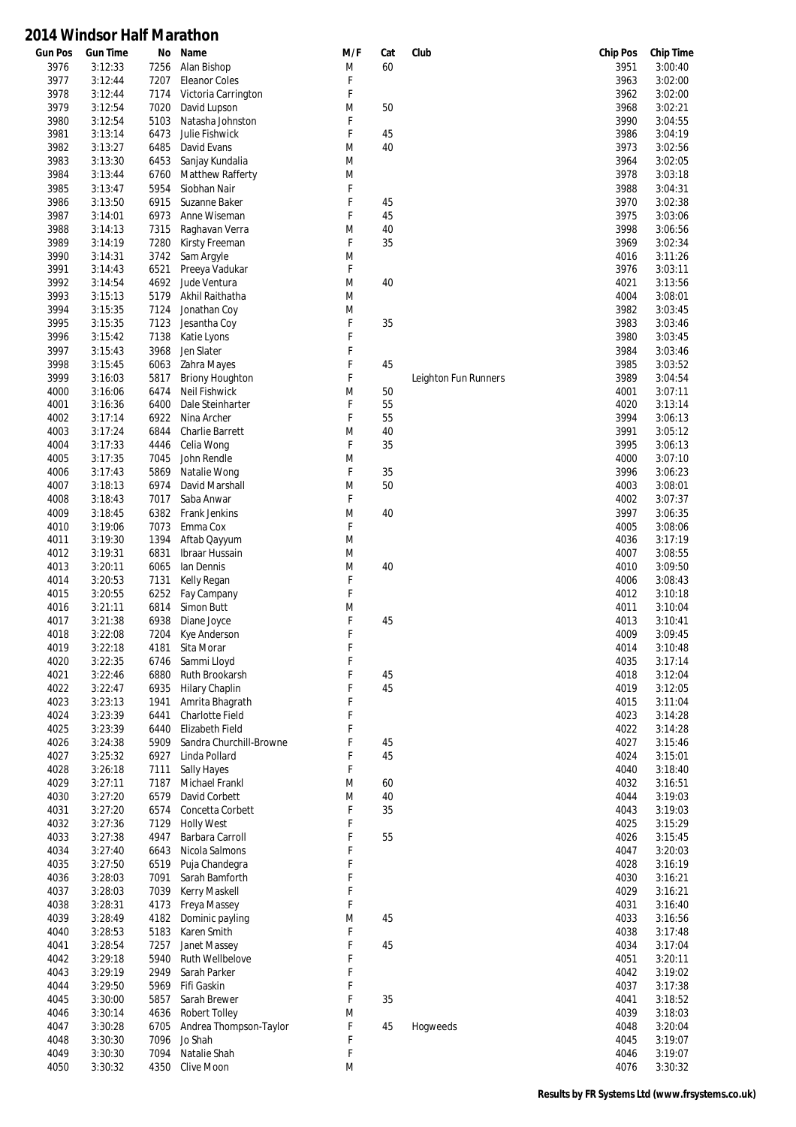| <b>Gun Pos</b> | <b>Gun Time</b>    | No           | Name                               | M/F    | Cat | Club                 | <b>Chip Pos</b> | <b>Chip Time</b>   |
|----------------|--------------------|--------------|------------------------------------|--------|-----|----------------------|-----------------|--------------------|
| 3976           | 3:12:33            | 7256         | Alan Bishop                        | M      | 60  |                      | 3951            | 3:00:40            |
| 3977           | 3:12:44            | 7207         | <b>Eleanor Coles</b>               | F      |     |                      | 3963            | 3:02:00            |
| 3978           | 3:12:44            | 7174         | Victoria Carrington                | F      |     |                      | 3962            | 3:02:00            |
| 3979           | 3:12:54            | 7020         | David Lupson                       | M      | 50  |                      | 3968            | 3:02:21            |
| 3980<br>3981   | 3:12:54<br>3:13:14 | 5103<br>6473 | Natasha Johnston<br>Julie Fishwick | F<br>F | 45  |                      | 3990<br>3986    | 3:04:55<br>3:04:19 |
| 3982           | 3:13:27            | 6485         | David Evans                        | M      | 40  |                      | 3973            | 3:02:56            |
| 3983           | 3:13:30            | 6453         | Sanjay Kundalia                    | M      |     |                      | 3964            | 3:02:05            |
| 3984           | 3:13:44            | 6760         | Matthew Rafferty                   | M      |     |                      | 3978            | 3:03:18            |
| 3985           | 3:13:47            | 5954         | Siobhan Nair                       | F      |     |                      | 3988            | 3:04:31            |
| 3986           | 3:13:50            | 6915         | Suzanne Baker                      | F      | 45  |                      | 3970            | 3:02:38            |
| 3987           | 3:14:01            | 6973         | Anne Wiseman                       | F      | 45  |                      | 3975            | 3:03:06            |
| 3988           | 3:14:13            | 7315         | Raghavan Verra                     | M      | 40  |                      | 3998            | 3:06:56            |
| 3989           | 3:14:19            | 7280         | Kirsty Freeman                     | F      | 35  |                      | 3969            | 3:02:34            |
| 3990           | 3:14:31            | 3742         | Sam Argyle                         | M      |     |                      | 4016            | 3:11:26            |
| 3991           | 3:14:43            | 6521         | Preeya Vadukar                     | F      |     |                      | 3976            | 3:03:11            |
| 3992           | 3:14:54            | 4692         | Jude Ventura                       | M      | 40  |                      | 4021            | 3:13:56            |
| 3993           | 3:15:13            | 5179         | Akhil Raithatha                    | M      |     |                      | 4004            | 3:08:01            |
| 3994           | 3:15:35            | 7124         | Jonathan Coy                       | M      |     |                      | 3982            | 3:03:45            |
| 3995           | 3:15:35            | 7123         | Jesantha Coy                       | F      | 35  |                      | 3983            | 3:03:46            |
| 3996           | 3:15:42            | 7138         | Katie Lyons                        | F      |     |                      | 3980            | 3:03:45            |
| 3997           | 3:15:43            | 3968         | Jen Slater                         | F      |     |                      | 3984            | 3:03:46            |
| 3998           | 3:15:45            | 6063         | Zahra Mayes                        | F      | 45  |                      | 3985            | 3:03:52            |
| 3999           | 3:16:03            | 5817         | <b>Briony Houghton</b>             | F      |     | Leighton Fun Runners | 3989            | 3:04:54            |
| 4000           | 3:16:06            | 6474         | Neil Fishwick                      | M      | 50  |                      | 4001            | 3:07:11            |
| 4001           | 3:16:36            | 6400         | Dale Steinharter                   | F      | 55  |                      | 4020            | 3:13:14            |
| 4002           | 3:17:14            | 6922         | Nina Archer                        | F      | 55  |                      | 3994            | 3:06:13            |
| 4003           | 3:17:24            | 6844         | <b>Charlie Barrett</b>             | M      | 40  |                      | 3991            | 3:05:12            |
| 4004           | 3:17:33            | 4446         | Celia Wong                         | F      | 35  |                      | 3995            | 3:06:13            |
| 4005           | 3:17:35            | 7045         | John Rendle                        | M      |     |                      | 4000            | 3:07:10            |
| 4006           | 3:17:43            | 5869         | Natalie Wong                       | F      | 35  |                      | 3996            | 3:06:23            |
| 4007           | 3:18:13            | 6974         | David Marshall                     | M      | 50  |                      | 4003            | 3:08:01            |
| 4008           | 3:18:43            | 7017         | Saba Anwar                         | F      |     |                      | 4002            | 3:07:37            |
| 4009           | 3:18:45            | 6382         | Frank Jenkins                      | M      | 40  |                      | 3997            | 3:06:35            |
| 4010           | 3:19:06            | 7073         | Emma Cox                           | F      |     |                      | 4005            | 3:08:06            |
| 4011           | 3:19:30            | 1394         | Aftab Qayyum                       | M      |     |                      | 4036            | 3:17:19            |
| 4012           | 3:19:31            | 6831         | Ibraar Hussain                     | M      |     |                      | 4007            | 3:08:55            |
| 4013           | 3:20:11            | 6065         | lan Dennis                         | M      | 40  |                      | 4010            | 3:09:50            |
| 4014           | 3:20:53            | 7131         | Kelly Regan                        | F      |     |                      | 4006            | 3:08:43            |
| 4015           | 3:20:55            | 6252         | Fay Campany                        | F      |     |                      | 4012            | 3:10:18            |
| 4016<br>4017   | 3:21:11<br>3:21:38 | 6814<br>6938 | Simon Butt<br>Diane Joyce          | M<br>F | 45  |                      | 4011<br>4013    | 3:10:04<br>3:10:41 |
| 4018           | 3:22:08            | 7204         | Kye Anderson                       | F      |     |                      | 4009            | 3:09:45            |
| 4019           | 3:22:18            | 4181         | Sita Morar                         | F      |     |                      | 4014            | 3:10:48            |
| 4020           | 3:22:35            | 6746         | Sammi Lloyd                        | F      |     |                      | 4035            | 3:17:14            |
| 4021           | 3:22:46            | 6880         | Ruth Brookarsh                     | F      | 45  |                      | 4018            | 3:12:04            |
| 4022           | 3:22:47            | 6935         | <b>Hilary Chaplin</b>              | F      | 45  |                      | 4019            | 3:12:05            |
| 4023           | 3:23:13            | 1941         | Amrita Bhagrath                    | F      |     |                      | 4015            | 3:11:04            |
| 4024           | 3:23:39            | 6441         | Charlotte Field                    | F      |     |                      | 4023            | 3:14:28            |
| 4025           | 3:23:39            | 6440         | Elizabeth Field                    | F      |     |                      | 4022            | 3:14:28            |
| 4026           | 3:24:38            | 5909         | Sandra Churchill-Browne            | F      | 45  |                      | 4027            | 3:15:46            |
| 4027           | 3:25:32            | 6927         | Linda Pollard                      | F      | 45  |                      | 4024            | 3:15:01            |
| 4028           | 3:26:18            | 7111         | <b>Sally Hayes</b>                 | F      |     |                      | 4040            | 3:18:40            |
| 4029           | 3:27:11            | 7187         | Michael Frankl                     | M      | 60  |                      | 4032            | 3:16:51            |
| 4030           | 3:27:20            | 6579         | David Corbett                      | M      | 40  |                      | 4044            | 3:19:03            |
| 4031           | 3:27:20            | 6574         | Concetta Corbett                   | F      | 35  |                      | 4043            | 3:19:03            |
| 4032           | 3:27:36            | 7129         | <b>Holly West</b>                  | F      |     |                      | 4025            | 3:15:29            |
| 4033           | 3:27:38            | 4947         | Barbara Carroll                    | F      | 55  |                      | 4026            | 3:15:45            |
| 4034           | 3:27:40            | 6643         | Nicola Salmons                     | F      |     |                      | 4047            | 3:20:03            |
| 4035           | 3:27:50            | 6519         | Puja Chandegra                     | F      |     |                      | 4028            | 3:16:19            |
| 4036           | 3:28:03            | 7091         | Sarah Bamforth                     | F      |     |                      | 4030            | 3:16:21            |
| 4037           | 3:28:03            | 7039         | Kerry Maskell                      | F      |     |                      | 4029            | 3:16:21            |
| 4038           | 3:28:31            | 4173         | Freya Massey                       | F      |     |                      | 4031            | 3:16:40            |
| 4039           | 3:28:49            | 4182         | Dominic payling                    | M      | 45  |                      | 4033            | 3:16:56            |
| 4040           | 3:28:53            | 5183         | Karen Smith                        | F      |     |                      | 4038            | 3:17:48            |
| 4041           | 3:28:54            | 7257         | Janet Massey                       | F      | 45  |                      | 4034            | 3:17:04            |
| 4042           | 3:29:18            | 5940         | Ruth Wellbelove                    | F      |     |                      | 4051            | 3:20:11            |
| 4043           | 3:29:19            | 2949         | Sarah Parker                       | F<br>F |     |                      | 4042            | 3:19:02            |
| 4044<br>4045   | 3:29:50<br>3:30:00 | 5969<br>5857 | Fifi Gaskin<br>Sarah Brewer        | F      | 35  |                      | 4037            | 3:17:38<br>3:18:52 |
| 4046           | 3:30:14            | 4636         | <b>Robert Tolley</b>               | M      |     |                      | 4041<br>4039    | 3:18:03            |
| 4047           | 3:30:28            | 6705         | Andrea Thompson-Taylor             | F      | 45  | Hogweeds             | 4048            | 3:20:04            |
| 4048           | 3:30:30            | 7096         | Jo Shah                            | F      |     |                      | 4045            | 3:19:07            |
| 4049           | 3:30:30            | 7094         | Natalie Shah                       | F      |     |                      | 4046            | 3:19:07            |
| 4050           | 3:30:32            | 4350         | Clive Moon                         | M      |     |                      | 4076            | 3:30:32            |
|                |                    |              |                                    |        |     |                      |                 |                    |